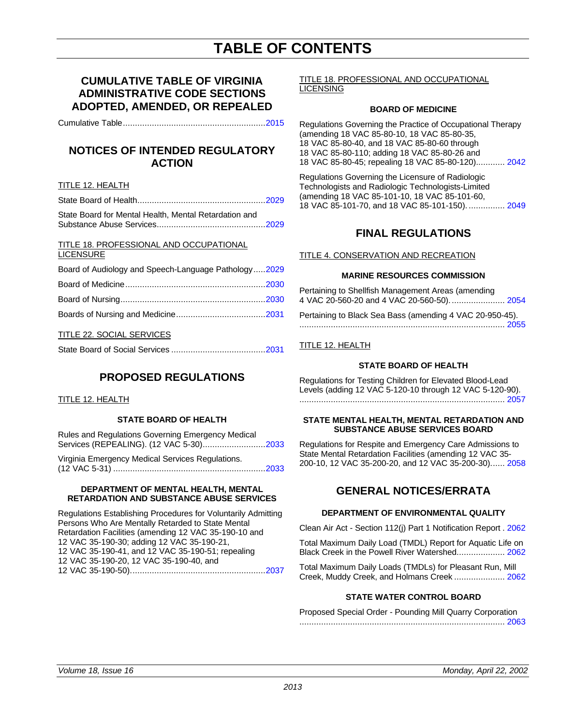## **TABLE OF CONTENTS**

## **CUMULATIVE TABLE OF VIRGINIA ADMINISTRATIVE CODE SECTIONS ADOPTED, AMENDED, OR REPEALED**

Cumulative Table.........................................................[..2015](#page-2-0)

## **NOTICES OF INTENDED REGULATORY ACTION**

## TITLE 12. HEALTH

| State Board for Mental Health, Mental Retardation and |  |
|-------------------------------------------------------|--|

## TITLE 18. PROFESSIONAL AND OCCUPATIONAL LICENSURE

| Board of Audiology and Speech-Language Pathology2029 |  |
|------------------------------------------------------|--|
|                                                      |  |
|                                                      |  |
|                                                      |  |

## TITLE 22. SOCIAL SERVICES

## **PROPOSED REGULATIONS**

## TITLE 12. HEALTH

## **STATE BOARD OF HEALTH**

Rules and Regulations Governing Emergency Medical Services (REPEALING). (12 VAC 5-30)..........................2033

Virginia Emergency Medical Services Regulations. (12 VAC 5-31) .............................................................[..2033](#page-20-0)

### **DEPARTMENT OF MENTAL HEALTH, MENTAL RETARDATION AND SUBSTANCE ABUSE SERVICES**

Regulations Establishing Procedures for Voluntarily Admitting Persons Who Are Mentally Retarded to State Mental Retardation Facilities (amending 12 VAC 35-190-10 and 12 VAC 35-190-30; adding 12 VAC 35-190-21, 12 VAC 35-190-41, and 12 VAC 35-190-51; repealing 12 VAC 35-190-20, 12 VAC 35-190-40, and 12 VAC 35-190-50)......................................................[..2037](#page-24-0)

### TITLE 18. PROFESSIONAL AND OCCUPATIONAL LICENSING

## **BOARD OF MEDICINE**

Regulations Governing the Practice of Occupational Therapy (amending 18 VAC 85-80-10, 18 VAC 85-80-35, 18 VAC 85-80-40, and 18 VAC 85-80-60 through 18 VAC 85-80-110; adding 18 VAC 85-80-26 and 18 VAC 85-80-45; repealing 18 VAC 85-80-120)............ [2042](#page-29-0)

Regulations Governing the Licensure of Radiologic Technologists and Radiologic Technologists-Limited (amending 18 VAC 85-101-10, 18 VAC 85-101-60, 18 VAC 85-101-70, and 18 VAC 85-101-150). ............... [2049](#page-36-0)

## **FINAL REGULATIONS**

## TITLE 4. CONSERVATION AND RECREATION

## **MARINE RESOURCES COMMISSION**

Pertaining to Shellfish Management Areas (amending 4 VAC 20-560-20 and 4 VAC 20-560-50)....................... [2054](#page-41-0)

Pertaining to Black Sea Bass (amending 4 VAC 20-950-45). ..................................................................................... [2055](#page-42-0)

## TITLE 12. HEALTH

## **STATE BOARD OF HEALTH**

Regulations for Testing Children for Elevated Blood-Lead Levels (adding 12 VAC 5-120-10 through 12 VAC 5-120-90). ..................................................................................... [2057](#page-44-0)

### **STATE MENTAL HEALTH, MENTAL RETARDATION AND SUBSTANCE ABUSE SERVICES BOARD**

Regulations for Respite and Emergency Care Admissions to State Mental Retardation Facilities (amending 12 VAC 35- 200-10, 12 VAC 35-200-20, and 12 VAC 35-200-30)...... [2058](#page-45-0)

## **GENERAL NOTICES/ERRATA**

## **DEPARTMENT OF ENVIRONMENTAL QUALITY**

Clean Air Act - Section 112(j) Part 1 Notification Report . 2062

Total Maximum Daily Load (TMDL) Report for Aquatic L[ife on](#page-49-0) Black Creek in the Powell River Watershed.................... 2062

Total Maximum Daily Loads (TMDLs) for Pleasant Run, Mill Creek, Muddy Creek, and Holmans Creek ..................... 2062

## **STATE WATER CONTROL BOARD**

Proposed Special Order - Pounding Mill Quarry Corporation ..................................................................................... [2063](#page-50-0)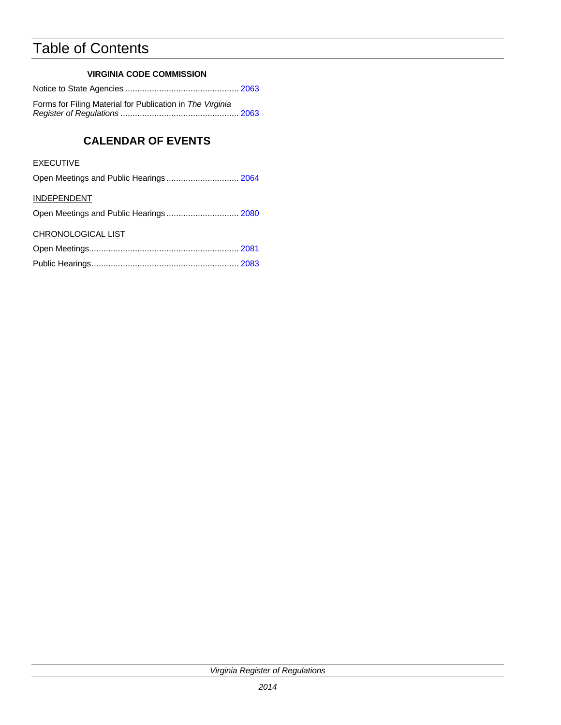## Table of Contents

## **VIRGINIA CODE COMMISSION**

Notice to State Agencies ............................................... [2063](#page-50-0)

Forms for Filing Material for Publication in *The Virginia Register of Regulations* ................................................. 2063

## **CALENDAR OF EVENTS**

## **EXECUTIVE**

| Open Meetings and Public Hearings 2064 |  |
|----------------------------------------|--|
|----------------------------------------|--|

## INDEPENDENT

|--|--|--|--|--|--|

## CHRONOLOGICAL LIST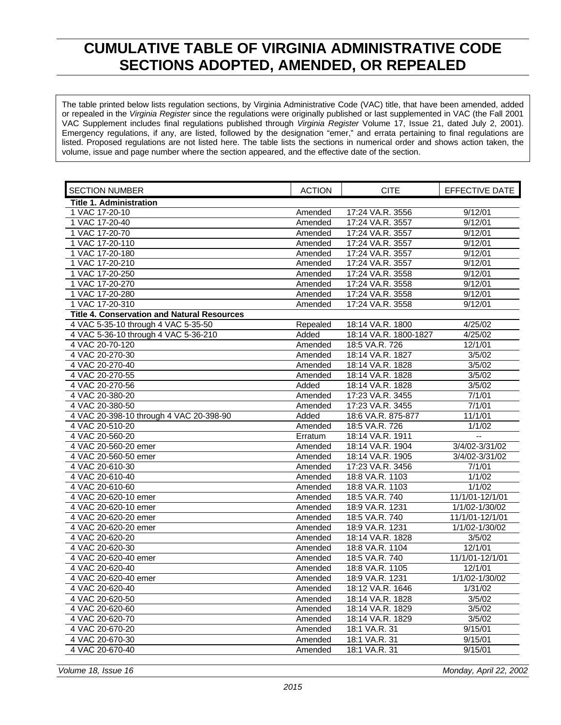## <span id="page-2-0"></span>**CUMULATIVE TABLE OF VIRGINIA ADMINISTRATIVE CODE SECTIONS ADOPTED, AMENDED, OR REPEALED**

The table printed below lists regulation sections, by Virginia Administrative Code (VAC) title, that have been amended, added or repealed in the *Virginia Register* since the regulations were originally published or last supplemented in VAC (the Fall 2001 VAC Supplement includes final regulations published through *Virginia Register* Volume 17, Issue 21, dated July 2, 2001). Emergency regulations, if any, are listed, followed by the designation "emer," and errata pertaining to final regulations are listed. Proposed regulations are not listed here. The table lists the sections in numerical order and shows action taken, the volume, issue and page number where the section appeared, and the effective date of the section.

| <b>SECTION NUMBER</b>                              | <b>ACTION</b> | <b>CITE</b>           | EFFECTIVE DATE  |
|----------------------------------------------------|---------------|-----------------------|-----------------|
| <b>Title 1. Administration</b>                     |               |                       |                 |
| 1 VAC 17-20-10                                     | Amended       | 17:24 VA.R. 3556      | 9/12/01         |
| 1 VAC 17-20-40                                     | Amended       | 17:24 VA.R. 3557      | 9/12/01         |
| 1 VAC 17-20-70                                     | Amended       | 17:24 VA.R. 3557      | 9/12/01         |
| 1 VAC 17-20-110                                    | Amended       | 17:24 VA.R. 3557      | 9/12/01         |
| 1 VAC 17-20-180                                    | Amended       | 17:24 VA.R. 3557      | 9/12/01         |
| 1 VAC 17-20-210                                    | Amended       | 17:24 VA.R. 3557      | 9/12/01         |
| 1 VAC 17-20-250                                    | Amended       | 17:24 VA.R. 3558      | 9/12/01         |
| 1 VAC 17-20-270                                    | Amended       | 17:24 VA.R. 3558      | 9/12/01         |
| 1 VAC 17-20-280                                    | Amended       | 17:24 VA.R. 3558      | 9/12/01         |
| 1 VAC 17-20-310                                    | Amended       | 17:24 VA.R. 3558      | 9/12/01         |
| <b>Title 4. Conservation and Natural Resources</b> |               |                       |                 |
| 4 VAC 5-35-10 through 4 VAC 5-35-50                | Repealed      | 18:14 VA.R. 1800      | 4/25/02         |
| 4 VAC 5-36-10 through 4 VAC 5-36-210               | Added         | 18:14 VA.R. 1800-1827 | 4/25/02         |
| 4 VAC 20-70-120                                    | Amended       | 18:5 VA.R. 726        | 12/1/01         |
| 4 VAC 20-270-30                                    | Amended       | 18:14 VA.R. 1827      | 3/5/02          |
| 4 VAC 20-270-40                                    | Amended       | 18:14 VA.R. 1828      | 3/5/02          |
| 4 VAC 20-270-55                                    | Amended       | 18:14 VA.R. 1828      | 3/5/02          |
| 4 VAC 20-270-56                                    | Added         | 18:14 VA.R. 1828      | 3/5/02          |
| 4 VAC 20-380-20                                    | Amended       | 17:23 VA.R. 3455      | 7/1/01          |
| 4 VAC 20-380-50                                    | Amended       | 17:23 VA.R. 3455      | 7/1/01          |
| 4 VAC 20-398-10 through 4 VAC 20-398-90            | Added         | 18:6 VA.R. 875-877    | 11/1/01         |
| 4 VAC 20-510-20                                    | Amended       | 18:5 VA.R. 726        | 1/1/02          |
| 4 VAC 20-560-20                                    | Erratum       | 18:14 VA.R. 1911      | цü              |
| 4 VAC 20-560-20 emer                               | Amended       | 18:14 VA.R. 1904      | 3/4/02-3/31/02  |
| 4 VAC 20-560-50 emer                               | Amended       | 18:14 VA.R. 1905      | 3/4/02-3/31/02  |
| 4 VAC 20-610-30                                    | Amended       | 17:23 VA.R. 3456      | 7/1/01          |
| 4 VAC 20-610-40                                    | Amended       | 18:8 VA.R. 1103       | 1/1/02          |
| 4 VAC 20-610-60                                    | Amended       | 18:8 VA.R. 1103       | 1/1/02          |
| 4 VAC 20-620-10 emer                               | Amended       | 18:5 VA.R. 740        | 11/1/01-12/1/01 |
| 4 VAC 20-620-10 emer                               | Amended       | 18:9 VA.R. 1231       | 1/1/02-1/30/02  |
| 4 VAC 20-620-20 emer                               | Amended       | 18:5 VA.R. 740        | 11/1/01-12/1/01 |
| 4 VAC 20-620-20 emer                               | Amended       | 18:9 VA.R. 1231       | 1/1/02-1/30/02  |
| 4 VAC 20-620-20                                    | Amended       | 18:14 VA.R. 1828      | 3/5/02          |
| 4 VAC 20-620-30                                    | Amended       | 18:8 VA.R. 1104       | 12/1/01         |
| 4 VAC 20-620-40 emer                               | Amended       | 18:5 VA.R. 740        | 11/1/01-12/1/01 |
| 4 VAC 20-620-40                                    | Amended       | 18:8 VA.R. 1105       | 12/1/01         |
| 4 VAC 20-620-40 emer                               | Amended       | 18:9 VA.R. 1231       | 1/1/02-1/30/02  |
| 4 VAC 20-620-40                                    | Amended       | 18:12 VA.R. 1646      | 1/31/02         |
| 4 VAC 20-620-50                                    | Amended       | 18:14 VA.R. 1828      | 3/5/02          |
| 4 VAC 20-620-60                                    | Amended       | 18:14 VA.R. 1829      | 3/5/02          |
| 4 VAC 20-620-70                                    | Amended       | 18:14 VA.R. 1829      | 3/5/02          |
| 4 VAC 20-670-20                                    | Amended       | 18:1 VA.R. 31         | 9/15/01         |
| 4 VAC 20-670-30                                    | Amended       | 18:1 VA.R. 31         | 9/15/01         |
| 4 VAC 20-670-40                                    | Amended       | 18:1 VA.R. 31         | 9/15/01         |

*Volume 18, Issue 16 Monday, April 22, 2002*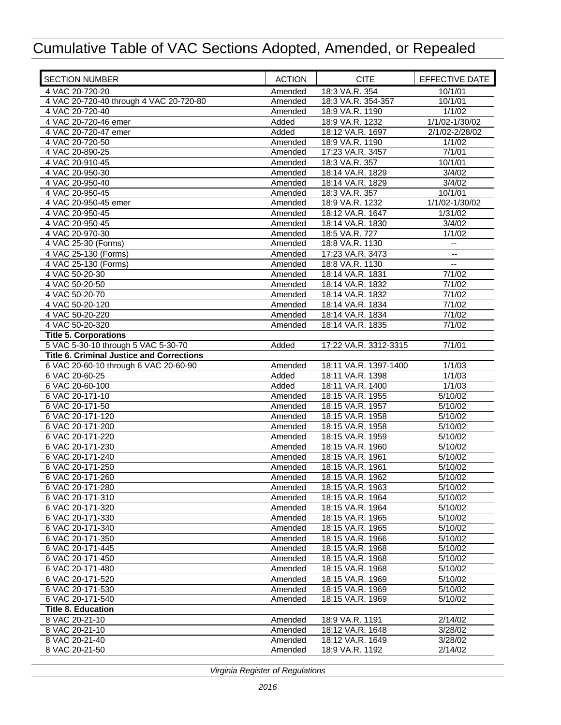| <b>SECTION NUMBER</b>                            | <b>ACTION</b>      | <b>CITE</b>                         | EFFECTIVE DATE |
|--------------------------------------------------|--------------------|-------------------------------------|----------------|
| 4 VAC 20-720-20                                  | Amended            | 18:3 VA.R. 354                      | 10/1/01        |
| 4 VAC 20-720-40 through 4 VAC 20-720-80          | Amended            | 18:3 VA.R. 354-357                  | 10/1/01        |
| 4 VAC 20-720-40                                  | Amended            | 18:9 VA.R. 1190                     | 1/1/02         |
| 4 VAC 20-720-46 emer                             | Added              | 18:9 VA.R. 1232                     | 1/1/02-1/30/02 |
| 4 VAC 20-720-47 emer                             | Added              | 18:12 VA.R. 1697                    | 2/1/02-2/28/02 |
| 4 VAC 20-720-50                                  | Amended            | 18:9 VA.R. 1190                     | 1/1/02         |
| 4 VAC 20-890-25                                  | Amended            | 17:23 VA.R. 3457                    | 7/1/01         |
| 4 VAC 20-910-45                                  | Amended            | 18:3 VA.R. 357                      | 10/1/01        |
| 4 VAC 20-950-30                                  | Amended            | 18:14 VA.R. 1829                    | 3/4/02         |
| 4 VAC 20-950-40                                  | Amended            | 18:14 VA.R. 1829                    | 3/4/02         |
| 4 VAC 20-950-45                                  | Amended            | 18:3 VA.R. 357                      | 10/1/01        |
| 4 VAC 20-950-45 emer                             | Amended            | 18:9 VA.R. 1232                     | 1/1/02-1/30/02 |
| 4 VAC 20-950-45                                  | Amended            | 18:12 VA.R. 1647                    | 1/31/02        |
| 4 VAC 20-950-45                                  | Amended            | 18:14 VA.R. 1830                    | 3/4/02         |
| 4 VAC 20-970-30                                  | Amended            | 18:5 VA.R. 727                      | 1/1/02         |
| 4 VAC 25-30 (Forms)                              | Amended            | 18:8 VA.R. 1130                     |                |
| 4 VAC 25-130 (Forms)<br>4 VAC 25-130 (Forms)     | Amended            | 17:23 VA.R. 3473<br>18:8 VA.R. 1130 | $-1$           |
| 4 VAC 50-20-30                                   | Amended<br>Amended | 18:14 VA.R. 1831                    | 7/1/02         |
| 4 VAC 50-20-50                                   | Amended            | 18:14 VA.R. 1832                    | 7/1/02         |
| 4 VAC 50-20-70                                   | Amended            | 18:14 VA.R. 1832                    | 7/1/02         |
| 4 VAC 50-20-120                                  | Amended            | 18:14 VA.R. 1834                    | 7/1/02         |
| 4 VAC 50-20-220                                  | Amended            | 18:14 VA.R. 1834                    | 7/1/02         |
| 4 VAC 50-20-320                                  | Amended            | 18:14 VA.R. 1835                    | 7/1/02         |
| <b>Title 5. Corporations</b>                     |                    |                                     |                |
| 5 VAC 5-30-10 through 5 VAC 5-30-70              | Added              | 17:22 VA.R. 3312-3315               | 7/1/01         |
| <b>Title 6. Criminal Justice and Corrections</b> |                    |                                     |                |
| 6 VAC 20-60-10 through 6 VAC 20-60-90            | Amended            | 18:11 VA.R. 1397-1400               | 1/1/03         |
| 6 VAC 20-60-25                                   | Added              | 18:11 VA.R. 1398                    | 1/1/03         |
| 6 VAC 20-60-100                                  | Added              | 18:11 VA.R. 1400                    | 1/1/03         |
| 6 VAC 20-171-10                                  | Amended            | 18:15 VA.R. 1955                    | 5/10/02        |
| 6 VAC 20-171-50                                  | Amended            | 18:15 VA.R. 1957                    | 5/10/02        |
| 6 VAC 20-171-120                                 | Amended            | 18:15 VA.R. 1958                    | 5/10/02        |
| 6 VAC 20-171-200                                 | Amended            | 18:15 VA.R. 1958                    | 5/10/02        |
| 6 VAC 20-171-220                                 | Amended            | 18:15 VA.R. 1959                    | 5/10/02        |
| 6 VAC 20-171-230                                 | Amended            | 18:15 VA.R. 1960                    | 5/10/02        |
| 6 VAC 20-171-240                                 | Amended            | 18:15 VA.R. 1961                    | 5/10/02        |
| 6 VAC 20-171-250                                 | Amended            | 18:15 VA.R. 1961                    | 5/10/02        |
| 6 VAC 20-171-260                                 | Amended            | 18:15 VA.R. 1962                    | 5/10/02        |
| 6 VAC 20-171-280                                 | Amended            | 18:15 VA.R. 1963                    | 5/10/02        |
| 6 VAC 20-171-310                                 | Amended            | 18:15 VA.R. 1964                    | 5/10/02        |
| 6 VAC 20-171-320                                 | Amended            | 18:15 VA.R. 1964                    | 5/10/02        |
| 6 VAC 20-171-330                                 | Amended            | 18:15 VA.R. 1965                    | 5/10/02        |
| 6 VAC 20-171-340                                 | Amended            | 18:15 VA.R. 1965                    | 5/10/02        |
| 6 VAC 20-171-350                                 | Amended            | 18:15 VA.R. 1966                    | 5/10/02        |
| 6 VAC 20-171-445                                 | Amended            | 18:15 VA.R. 1968                    | 5/10/02        |
| 6 VAC 20-171-450                                 | Amended            | 18:15 VA.R. 1968                    | 5/10/02        |
| 6 VAC 20-171-480                                 | Amended            | 18:15 VA.R. 1968                    | 5/10/02        |
| 6 VAC 20-171-520                                 | Amended            | 18:15 VA.R. 1969                    | 5/10/02        |
| 6 VAC 20-171-530                                 | Amended            | 18:15 VA.R. 1969                    | 5/10/02        |
| 6 VAC 20-171-540                                 | Amended            | 18:15 VA.R. 1969                    | 5/10/02        |
| <b>Title 8. Education</b>                        |                    |                                     |                |
| 8 VAC 20-21-10                                   | Amended            | 18:9 VA.R. 1191                     | 2/14/02        |
| 8 VAC 20-21-10                                   | Amended            | 18:12 VA.R. 1648                    | 3/28/02        |
| 8 VAC 20-21-40                                   | Amended            | 18:12 VA.R. 1649                    | 3/28/02        |
| 8 VAC 20-21-50                                   | Amended            | 18:9 VA.R. 1192                     | 2/14/02        |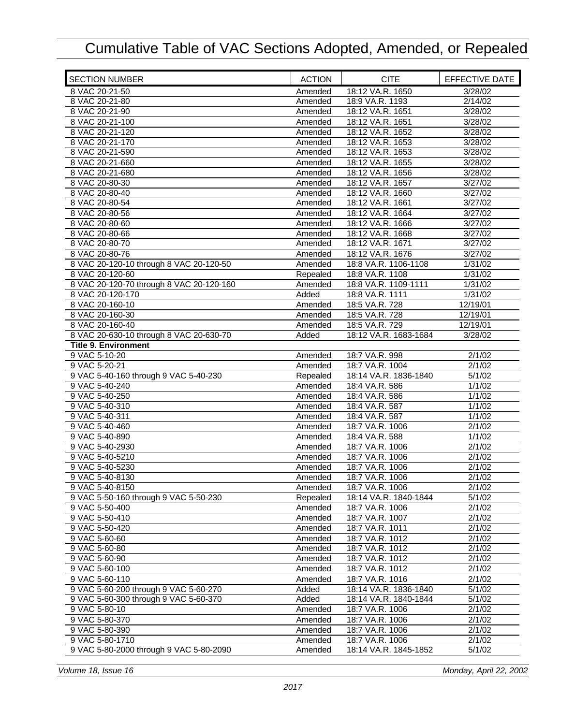| <b>SECTION NUMBER</b>                    | <b>ACTION</b>      | <b>CITE</b>                        | EFFECTIVE DATE   |
|------------------------------------------|--------------------|------------------------------------|------------------|
| 8 VAC 20-21-50                           | Amended            | 18:12 VA.R. 1650                   | 3/28/02          |
| 8 VAC 20-21-80                           | Amended            | 18:9 VA.R. 1193                    | 2/14/02          |
| 8 VAC 20-21-90                           | Amended            | 18:12 VA.R. 1651                   | 3/28/02          |
| 8 VAC 20-21-100                          | Amended            | 18:12 VA.R. 1651                   | 3/28/02          |
| 8 VAC 20-21-120                          | Amended            | 18:12 VA.R. 1652                   | 3/28/02          |
| 8 VAC 20-21-170                          | Amended            | 18:12 VA.R. 1653                   | 3/28/02          |
| 8 VAC 20-21-590                          | Amended            | 18:12 VA.R. 1653                   | 3/28/02          |
| 8 VAC 20-21-660                          | Amended            | 18:12 VA.R. 1655                   | 3/28/02          |
| 8 VAC 20-21-680                          | Amended            | 18:12 VA.R. 1656                   | 3/28/02          |
| 8 VAC 20-80-30                           | Amended            | 18:12 VA.R. 1657                   | 3/27/02          |
| 8 VAC 20-80-40                           | Amended            | 18:12 VA.R. 1660                   | 3/27/02          |
| 8 VAC 20-80-54                           | Amended            | 18:12 VA.R. 1661                   | 3/27/02          |
| 8 VAC 20-80-56                           | Amended            | 18:12 VA.R. 1664                   | 3/27/02          |
| 8 VAC 20-80-60                           | Amended            | 18:12 VA.R. 1666                   | 3/27/02          |
| 8 VAC 20-80-66                           | Amended            | 18:12 VA.R. 1668                   | 3/27/02          |
| 8 VAC 20-80-70                           | Amended            | 18:12 VA.R. 1671                   | 3/27/02          |
| 8 VAC 20-80-76                           | Amended            | 18:12 VA.R. 1676                   | 3/27/02          |
| 8 VAC 20-120-10 through 8 VAC 20-120-50  | Amended            | 18:8 VA.R. 1106-1108               | 1/31/02          |
| 8 VAC 20-120-60                          | Repealed           | 18:8 VA.R. 1108                    | 1/31/02          |
| 8 VAC 20-120-70 through 8 VAC 20-120-160 | Amended            | 18:8 VA.R. 1109-1111               | 1/31/02          |
| 8 VAC 20-120-170                         | Added              | 18:8 VA.R. 1111                    | 1/31/02          |
| 8 VAC 20-160-10                          | Amended            | 18:5 VA.R. 728                     | 12/19/01         |
| 8 VAC 20-160-30                          | Amended            | 18:5 VA.R. 728                     | 12/19/01         |
| 8 VAC 20-160-40                          | Amended            | 18:5 VA.R. 729                     | 12/19/01         |
| 8 VAC 20-630-10 through 8 VAC 20-630-70  | Added              | 18:12 VA.R. 1683-1684              | 3/28/02          |
| <b>Title 9. Environment</b>              |                    |                                    |                  |
| 9 VAC 5-10-20                            | Amended            | 18:7 VA.R. 998                     | 2/1/02           |
| 9 VAC 5-20-21                            | Amended            | 18:7 VA.R. 1004                    | 2/1/02           |
| 9 VAC 5-40-160 through 9 VAC 5-40-230    | Repealed           | 18:14 VA.R. 1836-1840              | 5/1/02           |
| 9 VAC 5-40-240                           | Amended            | 18:4 VA.R. 586                     | 1/1/02           |
| 9 VAC 5-40-250                           | Amended            | 18:4 VA.R. 586                     | 1/1/02           |
| 9 VAC 5-40-310                           | Amended            | 18:4 VA.R. 587                     | 1/1/02           |
|                                          |                    | 18:4 VA.R. 587                     | 1/1/02           |
| 9 VAC 5-40-311<br>9 VAC 5-40-460         | Amended<br>Amended | 18:7 VA.R. 1006                    | 2/1/02           |
| 9 VAC 5-40-890                           |                    | 18:4 VA.R. 588                     | 1/1/02           |
| 9 VAC 5-40-2930                          | Amended<br>Amended | 18:7 VA.R. 1006                    | 2/1/02           |
| 9 VAC 5-40-5210                          |                    | 18:7 VA.R. 1006                    | 2/1/02           |
|                                          | Amended            |                                    |                  |
| 9 VAC 5-40-5230                          | Amended            | 18:7 VA.R. 1006                    | 2/1/02<br>2/1/02 |
| 9 VAC 5-40-8130<br>9 VAC 5-40-8150       | Amended            | 18:7 VA.R. 1006<br>18:7 VA.R. 1006 |                  |
|                                          | Amended            |                                    | 2/1/02           |
| 9 VAC 5-50-160 through 9 VAC 5-50-230    | Repealed           | 18:14 VA.R. 1840-1844              | 5/1/02           |
| 9 VAC 5-50-400                           | Amended            | 18:7 VA.R. 1006                    | 2/1/02           |
| 9 VAC 5-50-410                           | Amended            | 18:7 VA.R. 1007                    | 2/1/02           |
| 9 VAC 5-50-420                           | Amended            | 18:7 VA.R. 1011                    | 2/1/02           |
| 9 VAC 5-60-60                            | Amended            | 18:7 VA.R. 1012                    | 2/1/02           |
| 9 VAC 5-60-80                            | Amended            | 18:7 VA.R. 1012                    | 2/1/02           |
| 9 VAC 5-60-90                            | Amended            | 18:7 VA.R. 1012                    | 2/1/02           |
| 9 VAC 5-60-100                           | Amended            | 18:7 VA.R. 1012                    | 2/1/02           |
| 9 VAC 5-60-110                           | Amended            | 18:7 VA.R. 1016                    | 2/1/02           |
| 9 VAC 5-60-200 through 9 VAC 5-60-270    | Added              | 18:14 VA.R. 1836-1840              | 5/1/02           |
| 9 VAC 5-60-300 through 9 VAC 5-60-370    | Added              | 18:14 VA.R. 1840-1844              | 5/1/02           |
| 9 VAC 5-80-10                            | Amended            | 18:7 VA.R. 1006                    | 2/1/02           |
| 9 VAC 5-80-370                           | Amended            | 18:7 VA.R. 1006                    | 2/1/02           |
| 9 VAC 5-80-390                           | Amended            | 18:7 VA.R. 1006                    | 2/1/02           |
| 9 VAC 5-80-1710                          | Amended            | 18:7 VA.R. 1006                    | 2/1/02           |
| 9 VAC 5-80-2000 through 9 VAC 5-80-2090  | Amended            | 18:14 VA.R. 1845-1852              | 5/1/02           |

*Volume 18, Issue 16 Monday, April 22, 2002*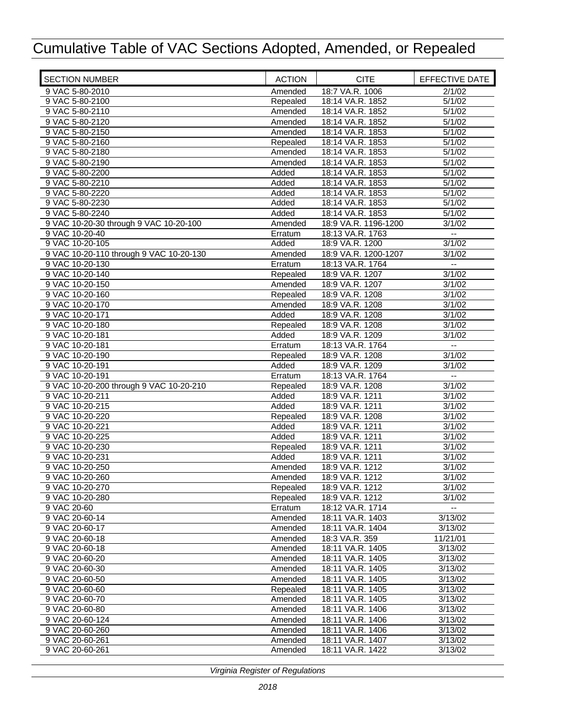| <b>SECTION NUMBER</b>                   | <b>ACTION</b> | <b>CITE</b>                          | EFFECTIVE DATE           |
|-----------------------------------------|---------------|--------------------------------------|--------------------------|
| 9 VAC 5-80-2010                         | Amended       | 18:7 VA.R. 1006                      | 2/1/02                   |
| 9 VAC 5-80-2100                         | Repealed      | 18:14 VA.R. 1852                     | 5/1/02                   |
| 9 VAC 5-80-2110                         | Amended       | 18:14 VA.R. 1852                     | 5/1/02                   |
| 9 VAC 5-80-2120                         | Amended       | 18:14 VA.R. 1852                     | 5/1/02                   |
| 9 VAC 5-80-2150                         | Amended       | 18:14 VA.R. 1853                     | 5/1/02                   |
| 9 VAC 5-80-2160                         | Repealed      | 18:14 VA.R. 1853                     | 5/1/02                   |
| 9 VAC 5-80-2180                         | Amended       | 18:14 VA.R. 1853                     | 5/1/02                   |
| 9 VAC 5-80-2190                         | Amended       | 18:14 VA.R. 1853                     | 5/1/02                   |
| 9 VAC 5-80-2200                         | Added         | 18:14 VA.R. 1853                     | 5/1/02                   |
| 9 VAC 5-80-2210                         | Added         | 18:14 VA.R. 1853                     | 5/1/02                   |
| 9 VAC 5-80-2220                         | Added         | 18:14 VA.R. 1853                     | 5/1/02                   |
| 9 VAC 5-80-2230                         | Added         | 18:14 VA.R. 1853                     | 5/1/02                   |
| 9 VAC 5-80-2240                         | Added         | 18:14 VA.R. 1853                     | 5/1/02                   |
| 9 VAC 10-20-30 through 9 VAC 10-20-100  | Amended       | 18:9 VA.R. 1196-1200                 | 3/1/02                   |
| 9 VAC 10-20-40                          | Erratum       | 18:13 VA.R. 1763                     | $\overline{\phantom{a}}$ |
| 9 VAC 10-20-105                         | Added         | 18:9 VA.R. 1200                      | 3/1/02                   |
| 9 VAC 10-20-110 through 9 VAC 10-20-130 | Amended       | 18:9 VA.R. 1200-1207                 | 3/1/02                   |
| 9 VAC 10-20-130                         | Erratum       | 18:13 VA.R. 1764                     | $\overline{\phantom{a}}$ |
| 9 VAC 10-20-140                         | Repealed      | 18:9 VA.R. 1207                      | 3/1/02                   |
| 9 VAC 10-20-150                         | Amended       | 18:9 VA.R. 1207                      | 3/1/02                   |
| 9 VAC 10-20-160                         | Repealed      | 18:9 VA.R. 1208                      | 3/1/02                   |
| 9 VAC 10-20-170                         | Amended       | 18:9 VA.R. 1208                      | 3/1/02                   |
| 9 VAC 10-20-171                         | Added         | 18:9 VA.R. 1208                      | 3/1/02                   |
| 9 VAC 10-20-180                         | Repealed      | 18:9 VA.R. 1208                      | 3/1/02                   |
| 9 VAC 10-20-181                         | Added         | 18:9 VA.R. 1209                      | 3/1/02                   |
| 9 VAC 10-20-181                         | Erratum       | 18:13 VA.R. 1764                     | --                       |
| 9 VAC 10-20-190                         | Repealed      | 18:9 VA.R. 1208                      | 3/1/02                   |
| 9 VAC 10-20-191                         | Added         | 18:9 VA.R. 1209                      | 3/1/02                   |
| 9 VAC 10-20-191                         | Erratum       | 18:13 VA.R. 1764                     | $\overline{a}$           |
| 9 VAC 10-20-200 through 9 VAC 10-20-210 | Repealed      | 18:9 VA.R. 1208                      | 3/1/02                   |
| 9 VAC 10-20-211                         | Added         | 18:9 VA.R. 1211                      | 3/1/02                   |
| 9 VAC 10-20-215                         | Added         | 18:9 VA.R. 1211                      | 3/1/02                   |
| 9 VAC 10-20-220                         | Repealed      | 18:9 VA.R. 1208                      | 3/1/02                   |
| 9 VAC 10-20-221                         | Added         | 18:9 VA.R. 1211                      | 3/1/02                   |
| 9 VAC 10-20-225                         | Added         | 18:9 VA.R. 1211                      | 3/1/02                   |
| 9 VAC 10-20-230                         | Repealed      | 18:9 VA.R. 1211                      | 3/1/02                   |
| 9 VAC 10-20-231                         | Added         | 18:9 VA.R. 1211                      | 3/1/02                   |
| 9 VAC 10-20-250                         | Amended       | 18:9 VA.R. 1212                      | 3/1/02                   |
| 9 VAC 10-20-260                         | Amended       | 18:9 VA.R. 1212                      | 3/1/02                   |
| 9 VAC 10-20-270                         | Repealed      | 18:9 VA.R. 1212                      | 3/1/02                   |
| 9 VAC 10-20-280                         | Repealed      | 18:9 VA.R. 1212                      | 3/1/02                   |
| 9 VAC 20-60                             | Erratum       | 18:12 VA.R. 1714                     | $\overline{\phantom{a}}$ |
| 9 VAC 20-60-14                          | Amended       | 18:11 VA.R. 1403                     | 3/13/02                  |
| 9 VAC 20-60-17                          | Amended       | 18:11 VA.R. 1404                     | 3/13/02                  |
| 9 VAC 20-60-18                          | Amended       | 18:3 VA.R. 359                       | 11/21/01                 |
| 9 VAC 20-60-18                          | Amended       | 18:11 VA.R. 1405                     | 3/13/02                  |
| 9 VAC 20-60-20                          | Amended       | 18:11 VA.R. 1405                     | 3/13/02                  |
| 9 VAC 20-60-30                          | Amended       | 18:11 VA.R. 1405                     | 3/13/02                  |
| 9 VAC 20-60-50                          | Amended       | 18:11 VA.R. 1405<br>18:11 VA.R. 1405 | 3/13/02                  |
| 9 VAC 20-60-60<br>9 VAC 20-60-70        | Repealed      | 18:11 VA.R. 1405                     | 3/13/02                  |
|                                         | Amended       |                                      | 3/13/02                  |
| 9 VAC 20-60-80                          | Amended       | 18:11 VA.R. 1406                     | 3/13/02                  |
| 9 VAC 20-60-124                         | Amended       | 18:11 VA.R. 1406<br>18:11 VA.R. 1406 | 3/13/02<br>3/13/02       |
| 9 VAC 20-60-260<br>9 VAC 20-60-261      | Amended       | 18:11 VA.R. 1407                     | 3/13/02                  |
| 9 VAC 20-60-261                         | Amended       | 18:11 VA.R. 1422                     | 3/13/02                  |
|                                         | Amended       |                                      |                          |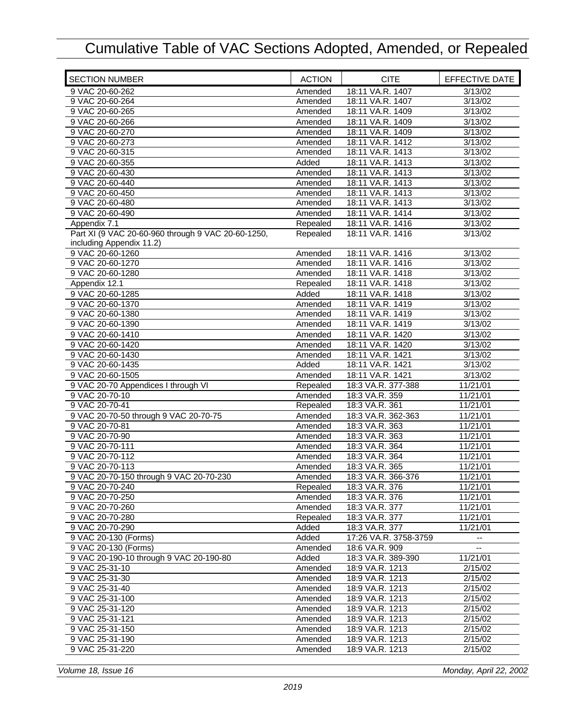| <b>SECTION NUMBER</b>                              | <b>ACTION</b> | <b>CITE</b>           | EFFECTIVE DATE        |
|----------------------------------------------------|---------------|-----------------------|-----------------------|
| 9 VAC 20-60-262                                    | Amended       | 18:11 VA.R. 1407      | 3/13/02               |
| 9 VAC 20-60-264                                    | Amended       | 18:11 VA.R. 1407      | 3/13/02               |
| 9 VAC 20-60-265                                    | Amended       | 18:11 VA.R. 1409      | 3/13/02               |
| 9 VAC 20-60-266                                    | Amended       | 18:11 VA.R. 1409      | 3/13/02               |
| 9 VAC 20-60-270                                    | Amended       | 18:11 VA.R. 1409      | 3/13/02               |
| 9 VAC 20-60-273                                    | Amended       | 18:11 VA.R. 1412      | 3/13/02               |
| 9 VAC 20-60-315                                    | Amended       | 18:11 VA.R. 1413      | 3/13/02               |
| 9 VAC 20-60-355                                    | Added         | 18:11 VA.R. 1413      | 3/13/02               |
| 9 VAC 20-60-430                                    | Amended       | 18:11 VA.R. 1413      | 3/13/02               |
| 9 VAC 20-60-440                                    | Amended       | 18:11 VA.R. 1413      | 3/13/02               |
| 9 VAC 20-60-450                                    | Amended       | 18:11 VA.R. 1413      | 3/13/02               |
| 9 VAC 20-60-480                                    | Amended       | 18:11 VA.R. 1413      | 3/13/02               |
| 9 VAC 20-60-490                                    | Amended       | 18:11 VA.R. 1414      | 3/13/02               |
| Appendix 7.1                                       | Repealed      | 18:11 VA.R. 1416      | 3/13/02               |
| Part XI (9 VAC 20-60-960 through 9 VAC 20-60-1250, | Repealed      | 18:11 VA.R. 1416      | 3/13/02               |
| including Appendix 11.2)                           |               |                       |                       |
| 9 VAC 20-60-1260                                   | Amended       | 18:11 VA.R. 1416      | 3/13/02               |
| 9 VAC 20-60-1270                                   | Amended       | 18:11 VA.R. 1416      | 3/13/02               |
| 9 VAC 20-60-1280                                   | Amended       | 18:11 VA.R. 1418      | 3/13/02               |
| Appendix 12.1                                      | Repealed      | 18:11 VA.R. 1418      | 3/13/02               |
| 9 VAC 20-60-1285                                   | Added         | 18:11 VA.R. 1418      | 3/13/02               |
| 9 VAC 20-60-1370                                   | Amended       | 18:11 VA.R. 1419      | 3/13/02               |
| 9 VAC 20-60-1380                                   | Amended       | 18:11 VA.R. 1419      | 3/13/02               |
| 9 VAC 20-60-1390                                   | Amended       | 18:11 VA.R. 1419      | 3/13/02               |
| 9 VAC 20-60-1410                                   | Amended       | 18:11 VA.R. 1420      | 3/13/02               |
| 9 VAC 20-60-1420                                   | Amended       | 18:11 VA.R. 1420      | 3/13/02               |
| 9 VAC 20-60-1430                                   | Amended       | 18:11 VA.R. 1421      | 3/13/02               |
| 9 VAC 20-60-1435                                   | Added         | 18:11 VA.R. 1421      | 3/13/02               |
| 9 VAC 20-60-1505                                   | Amended       | 18:11 VA.R. 1421      | 3/13/02               |
| 9 VAC 20-70 Appendices I through VI                | Repealed      | 18:3 VA.R. 377-388    | 11/21/01              |
| 9 VAC 20-70-10                                     | Amended       | 18:3 VA.R. 359        | 11/21/01              |
| 9 VAC 20-70-41                                     | Repealed      | 18:3 VA.R. 361        | 11/21/01              |
| 9 VAC 20-70-50 through 9 VAC 20-70-75              | Amended       | 18:3 VA.R. 362-363    | 11/21/01              |
| 9 VAC 20-70-81                                     | Amended       | 18:3 VA.R. 363        | 11/21/01              |
| 9 VAC 20-70-90                                     | Amended       | 18:3 VA.R. 363        | 11/21/01              |
| 9 VAC 20-70-111                                    | Amended       | 18:3 VA.R. 364        | $\overline{11}/21/01$ |
| 9 VAC 20-70-112                                    | Amended       | 18:3 VA.R. 364        | 11/21/01              |
| 9 VAC 20-70-113                                    | Amended       | 18:3 VA.R. 365        | 11/21/01              |
| 9 VAC 20-70-150 through 9 VAC 20-70-230            | Amended       | 18:3 VA.R. 366-376    | 11/21/01              |
| 9 VAC 20-70-240                                    | Repealed      | 18:3 VA.R. 376        | 11/21/01              |
| 9 VAC 20-70-250                                    | Amended       | 18:3 VA.R. 376        | 11/21/01              |
| 9 VAC 20-70-260                                    | Amended       | 18:3 VA.R. 377        | 11/21/01              |
| 9 VAC 20-70-280                                    | Repealed      | 18:3 VA.R. 377        | 11/21/01              |
| 9 VAC 20-70-290                                    | Added         | 18:3 VA.R. 377        | 11/21/01              |
| 9 VAC 20-130 (Forms)                               | Added         | 17:26 VA.R. 3758-3759 |                       |
| 9 VAC 20-130 (Forms)                               | Amended       | 18:6 VA.R. 909        |                       |
| 9 VAC 20-190-10 through 9 VAC 20-190-80            | Added         | 18:3 VA.R. 389-390    | 11/21/01              |
| 9 VAC 25-31-10                                     | Amended       | 18:9 VA.R. 1213       | 2/15/02               |
| 9 VAC 25-31-30                                     | Amended       | 18:9 VA.R. 1213       | 2/15/02               |
| 9 VAC 25-31-40                                     | Amended       | 18:9 VA.R. 1213       | 2/15/02               |
| 9 VAC 25-31-100                                    | Amended       | 18:9 VA.R. 1213       | 2/15/02               |
| 9 VAC 25-31-120                                    | Amended       | 18:9 VA.R. 1213       | 2/15/02               |
| 9 VAC 25-31-121                                    | Amended       | 18:9 VA.R. 1213       | 2/15/02               |
| 9 VAC 25-31-150                                    | Amended       | 18:9 VA.R. 1213       | 2/15/02               |
| 9 VAC 25-31-190                                    | Amended       | 18:9 VA.R. 1213       | 2/15/02               |
| 9 VAC 25-31-220                                    | Amended       | 18:9 VA.R. 1213       | 2/15/02               |

*Volume 18, Issue 16 Monday, April 22, 2002*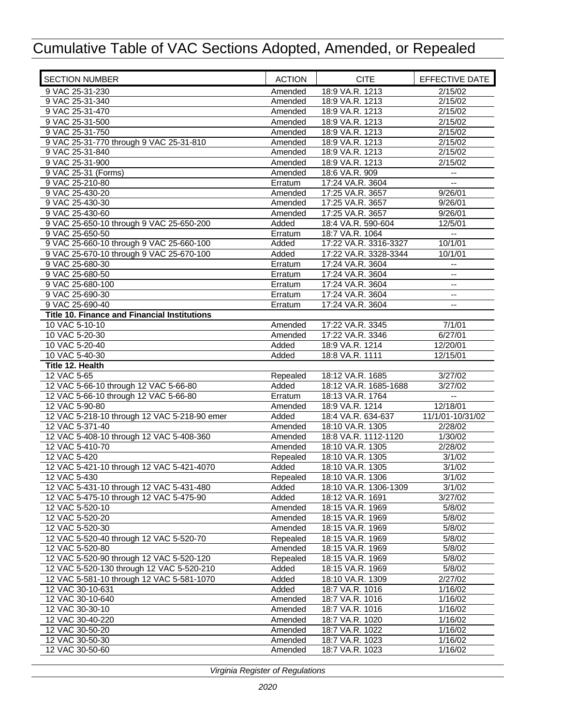| <b>SECTION NUMBER</b>                        | <b>ACTION</b> | <b>CITE</b>           | EFFECTIVE DATE   |
|----------------------------------------------|---------------|-----------------------|------------------|
| 9 VAC 25-31-230                              | Amended       | 18:9 VA.R. 1213       | 2/15/02          |
| 9 VAC 25-31-340                              | Amended       | 18:9 VA.R. 1213       | 2/15/02          |
| 9 VAC 25-31-470                              | Amended       | 18:9 VA.R. 1213       | 2/15/02          |
| 9 VAC 25-31-500                              | Amended       | 18:9 VA.R. 1213       | 2/15/02          |
| 9 VAC 25-31-750                              | Amended       | 18:9 VA.R. 1213       | 2/15/02          |
| 9 VAC 25-31-770 through 9 VAC 25-31-810      | Amended       | 18:9 VA.R. 1213       | 2/15/02          |
| 9 VAC 25-31-840                              | Amended       | 18:9 VA.R. 1213       | 2/15/02          |
| 9 VAC 25-31-900                              | Amended       | 18:9 VA.R. 1213       | 2/15/02          |
| 9 VAC 25-31 (Forms)                          | Amended       | 18:6 VA.R. 909        |                  |
| 9 VAC 25-210-80                              | Erratum       | 17:24 VA.R. 3604      | $-1$             |
| 9 VAC 25-430-20                              | Amended       | 17:25 VA.R. 3657      | 9/26/01          |
| 9 VAC 25-430-30                              | Amended       | 17:25 VA.R. 3657      | 9/26/01          |
| 9 VAC 25-430-60                              | Amended       | 17:25 VA.R. 3657      | 9/26/01          |
| 9 VAC 25-650-10 through 9 VAC 25-650-200     | Added         | 18:4 VA.R. 590-604    | 12/5/01          |
| 9 VAC 25-650-50                              | Erratum       | 18:7 VA.R. 1064       | $-$              |
| 9 VAC 25-660-10 through 9 VAC 25-660-100     | Added         | 17:22 VA.R. 3316-3327 | 10/1/01          |
| 9 VAC 25-670-10 through 9 VAC 25-670-100     | Added         | 17:22 VA.R. 3328-3344 | 10/1/01          |
| 9 VAC 25-680-30                              | Erratum       | 17:24 VA.R. 3604      | --               |
| 9 VAC 25-680-50                              | Erratum       | 17:24 VA.R. 3604      | --               |
| 9 VAC 25-680-100                             | Erratum       | 17:24 VA.R. 3604      |                  |
| 9 VAC 25-690-30                              | Erratum       | 17:24 VA.R. 3604      | --               |
| 9 VAC 25-690-40                              | Erratum       | 17:24 VA.R. 3604      |                  |
| Title 10. Finance and Financial Institutions |               |                       |                  |
| 10 VAC 5-10-10                               | Amended       | 17:22 VA.R. 3345      | 7/1/01           |
| 10 VAC 5-20-30                               | Amended       | 17:22 VA.R. 3346      | 6/27/01          |
| 10 VAC 5-20-40                               | Added         | 18:9 VA.R. 1214       | 12/20/01         |
| 10 VAC 5-40-30                               | Added         | 18:8 VA.R. 1111       | 12/15/01         |
| Title 12. Health                             |               |                       |                  |
| 12 VAC 5-65                                  | Repealed      | 18:12 VA.R. 1685      | 3/27/02          |
| 12 VAC 5-66-10 through 12 VAC 5-66-80        | Added         | 18:12 VA.R. 1685-1688 | 3/27/02          |
| 12 VAC 5-66-10 through 12 VAC 5-66-80        | Erratum       | 18:13 VA.R. 1764      |                  |
| 12 VAC 5-90-80                               | Amended       | 18:9 VA.R. 1214       | 12/18/01         |
| 12 VAC 5-218-10 through 12 VAC 5-218-90 emer | Added         | 18:4 VA.R. 634-637    | 11/1/01-10/31/02 |
| 12 VAC 5-371-40                              | Amended       | 18:10 VA.R. 1305      | 2/28/02          |
| 12 VAC 5-408-10 through 12 VAC 5-408-360     | Amended       | 18:8 VA.R. 1112-1120  | 1/30/02          |
| 12 VAC 5-410-70                              | Amended       | 18:10 VA.R. 1305      | 2/28/02          |
| 12 VAC 5-420                                 | Repealed      | 18:10 VA.R. 1305      | 3/1/02           |
| 12 VAC 5-421-10 through 12 VAC 5-421-4070    | Added         | 18:10 VA.R. 1305      | 3/1/02           |
| 12 VAC 5-430                                 | Repealed      | 18:10 VA.R. 1306      | 3/1/02           |
| 12 VAC 5-431-10 through 12 VAC 5-431-480     | Added         | 18:10 VA.R. 1306-1309 | 3/1/02           |
| 12 VAC 5-475-10 through 12 VAC 5-475-90      | Added         | 18:12 VA.R. 1691      | 3/27/02          |
| 12 VAC 5-520-10                              | Amended       | 18:15 VA.R. 1969      | 5/8/02           |
| 12 VAC 5-520-20                              | Amended       | 18:15 VA.R. 1969      | 5/8/02           |
| 12 VAC 5-520-30                              | Amended       | 18:15 VA.R. 1969      | 5/8/02           |
| 12 VAC 5-520-40 through 12 VAC 5-520-70      | Repealed      | 18:15 VA.R. 1969      | 5/8/02           |
| 12 VAC 5-520-80                              | Amended       | 18:15 VA.R. 1969      | 5/8/02           |
| 12 VAC 5-520-90 through 12 VAC 5-520-120     | Repealed      | 18:15 VA.R. 1969      | 5/8/02           |
| 12 VAC 5-520-130 through 12 VAC 5-520-210    | Added         | 18:15 VA.R. 1969      | 5/8/02           |
| 12 VAC 5-581-10 through 12 VAC 5-581-1070    | Added         | 18:10 VA.R. 1309      | 2/27/02          |
| 12 VAC 30-10-631                             | Added         | 18:7 VA.R. 1016       | 1/16/02          |
| 12 VAC 30-10-640                             | Amended       | 18:7 VA.R. 1016       | 1/16/02          |
| 12 VAC 30-30-10                              | Amended       | 18:7 VA.R. 1016       | 1/16/02          |
| 12 VAC 30-40-220                             | Amended       | 18:7 VA.R. 1020       | 1/16/02          |
| 12 VAC 30-50-20                              | Amended       | 18:7 VA.R. 1022       | 1/16/02          |
| 12 VAC 30-50-30                              | Amended       | 18:7 VA.R. 1023       | 1/16/02          |
| 12 VAC 30-50-60                              | Amended       | 18:7 VA.R. 1023       | 1/16/02          |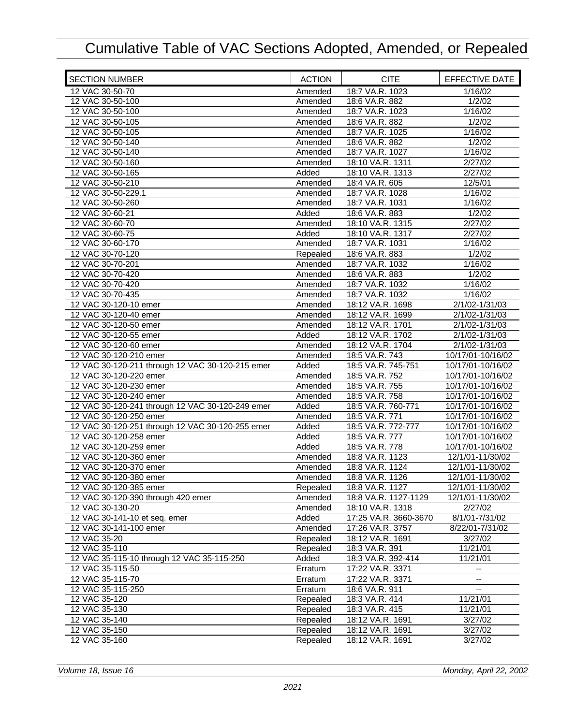| <b>SECTION NUMBER</b>                            | <b>ACTION</b> | <b>CITE</b>           | <b>EFFECTIVE DATE</b> |
|--------------------------------------------------|---------------|-----------------------|-----------------------|
| 12 VAC 30-50-70                                  | Amended       | 18:7 VA.R. 1023       | 1/16/02               |
| 12 VAC 30-50-100                                 | Amended       | 18:6 VA.R. 882        | 1/2/02                |
| 12 VAC 30-50-100                                 | Amended       | 18:7 VA.R. 1023       | 1/16/02               |
| 12 VAC 30-50-105                                 | Amended       | 18:6 VA.R. 882        | 1/2/02                |
| 12 VAC 30-50-105                                 | Amended       | 18:7 VA.R. 1025       | 1/16/02               |
| 12 VAC 30-50-140                                 | Amended       | 18:6 VA.R. 882        | 1/2/02                |
| 12 VAC 30-50-140                                 | Amended       | 18:7 VA.R. 1027       | 1/16/02               |
| 12 VAC 30-50-160                                 | Amended       | 18:10 VA.R. 1311      | 2/27/02               |
| 12 VAC 30-50-165                                 | Added         | 18:10 VA.R. 1313      | 2/27/02               |
| 12 VAC 30-50-210                                 | Amended       | 18:4 VA.R. 605        | 12/5/01               |
| 12 VAC 30-50-229.1                               | Amended       | 18:7 VA.R. 1028       | 1/16/02               |
| 12 VAC 30-50-260                                 | Amended       | 18:7 VA.R. 1031       | 1/16/02               |
| 12 VAC 30-60-21                                  | Added         | 18:6 VA.R. 883        | 1/2/02                |
| 12 VAC 30-60-70                                  | Amended       | 18:10 VA.R. 1315      | 2/27/02               |
| 12 VAC 30-60-75                                  | Added         | 18:10 VA.R. 1317      | 2/27/02               |
| 12 VAC 30-60-170                                 | Amended       | 18:7 VA.R. 1031       | 1/16/02               |
| 12 VAC 30-70-120                                 | Repealed      | 18:6 VA.R. 883        | 1/2/02                |
| 12 VAC 30-70-201                                 | Amended       | 18:7 VA.R. 1032       | 1/16/02               |
| 12 VAC 30-70-420                                 | Amended       | 18:6 VA.R. 883        | 1/2/02                |
| 12 VAC 30-70-420                                 | Amended       | 18:7 VA.R. 1032       | 1/16/02               |
| 12 VAC 30-70-435                                 | Amended       | 18:7 VA.R. 1032       | 1/16/02               |
| 12 VAC 30-120-10 emer                            | Amended       | 18:12 VA.R. 1698      | 2/1/02-1/31/03        |
| 12 VAC 30-120-40 emer                            | Amended       | 18:12 VA.R. 1699      | 2/1/02-1/31/03        |
| 12 VAC 30-120-50 emer                            | Amended       | 18:12 VA.R. 1701      | 2/1/02-1/31/03        |
| 12 VAC 30-120-55 emer                            | Added         | 18:12 VA.R. 1702      | 2/1/02-1/31/03        |
| 12 VAC 30-120-60 emer                            | Amended       | 18:12 VA.R. 1704      | 2/1/02-1/31/03        |
| 12 VAC 30-120-210 emer                           | Amended       | 18:5 VA.R. 743        | 10/17/01-10/16/02     |
| 12 VAC 30-120-211 through 12 VAC 30-120-215 emer | Added         | 18:5 VA.R. 745-751    | 10/17/01-10/16/02     |
| 12 VAC 30-120-220 emer                           | Amended       | 18:5 VA.R. 752        | 10/17/01-10/16/02     |
| 12 VAC 30-120-230 emer                           | Amended       | 18:5 VA.R. 755        | 10/17/01-10/16/02     |
| 12 VAC 30-120-240 emer                           | Amended       | 18:5 VA.R. 758        | 10/17/01-10/16/02     |
| 12 VAC 30-120-241 through 12 VAC 30-120-249 emer | Added         | 18:5 VA.R. 760-771    | 10/17/01-10/16/02     |
| 12 VAC 30-120-250 emer                           | Amended       | 18:5 VA.R. 771        | 10/17/01-10/16/02     |
| 12 VAC 30-120-251 through 12 VAC 30-120-255 emer | Added         | 18:5 VA.R. 772-777    | 10/17/01-10/16/02     |
| 12 VAC 30-120-258 emer                           | Added         | 18:5 VA.R. 777        | 10/17/01-10/16/02     |
| 12 VAC 30-120-259 emer                           | Added         | 18:5 VA.R. 778        | 10/17/01-10/16/02     |
| 12 VAC 30-120-360 emer                           | Amended       | 18:8 VA.R. 1123       | 12/1/01-11/30/02      |
| 12 VAC 30-120-370 emer                           | Amended       | 18:8 VA.R. 1124       | 12/1/01-11/30/02      |
| 12 VAC 30-120-380 emer                           | Amended       | 18:8 VA.R. 1126       | 12/1/01-11/30/02      |
| 12 VAC 30-120-385 emer                           | Repealed      | 18:8 VA.R. 1127       | 12/1/01-11/30/02      |
| 12 VAC 30-120-390 through 420 emer               | Amended       | 18:8 VA.R. 1127-1129  | 12/1/01-11/30/02      |
| 12 VAC 30-130-20                                 | Amended       | 18:10 VA.R. 1318      | 2/27/02               |
| 12 VAC 30-141-10 et seq. emer                    | Added         | 17:25 VA.R. 3660-3670 | 8/1/01-7/31/02        |
| 12 VAC 30-141-100 emer                           | Amended       | 17:26 VA.R. 3757      | 8/22/01-7/31/02       |
| 12 VAC 35-20                                     | Repealed      | 18:12 VA.R. 1691      | 3/27/02               |
| 12 VAC 35-110                                    | Repealed      | 18:3 VA.R. 391        | 11/21/01              |
| 12 VAC 35-115-10 through 12 VAC 35-115-250       | Added         | 18:3 VA.R. 392-414    | 11/21/01              |
| 12 VAC 35-115-50                                 | Erratum       | 17:22 VA.R. 3371      | --                    |
| 12 VAC 35-115-70                                 | Erratum       | 17:22 VA.R. 3371      |                       |
| 12 VAC 35-115-250                                | Erratum       | 18:6 VA.R. 911        |                       |
| 12 VAC 35-120                                    | Repealed      | 18:3 VA.R. 414        | 11/21/01              |
| 12 VAC 35-130                                    | Repealed      | 18:3 VA.R. 415        | 11/21/01              |
| 12 VAC 35-140                                    | Repealed      | 18:12 VA.R. 1691      | 3/27/02               |
| 12 VAC 35-150                                    | Repealed      | 18:12 VA.R. 1691      | 3/27/02               |
| 12 VAC 35-160                                    | Repealed      | 18:12 VA.R. 1691      | 3/27/02               |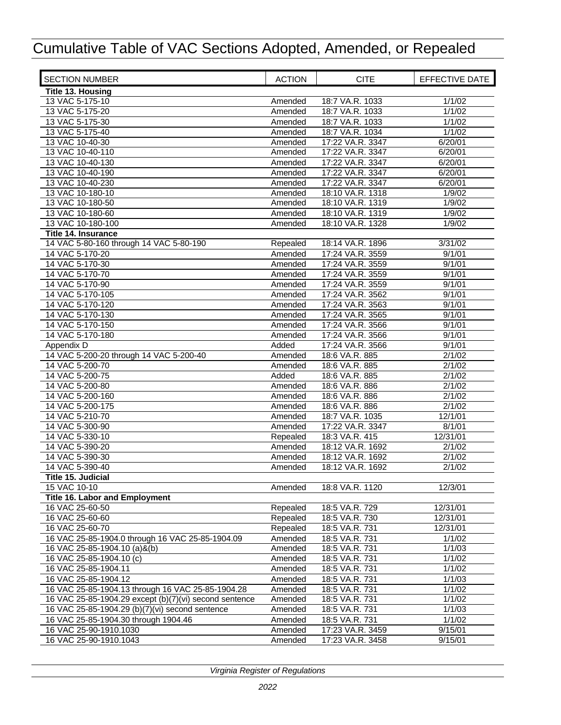| <b>SECTION NUMBER</b>                                  | <b>ACTION</b>      | <b>CITE</b>      | EFFECTIVE DATE |
|--------------------------------------------------------|--------------------|------------------|----------------|
| Title 13. Housing                                      |                    |                  |                |
| 13 VAC 5-175-10                                        | Amended            | 18:7 VA.R. 1033  | 1/1/02         |
| 13 VAC 5-175-20                                        | Amended            | 18:7 VA.R. 1033  | 1/1/02         |
| 13 VAC 5-175-30                                        | Amended            | 18:7 VA.R. 1033  | 1/1/02         |
| 13 VAC 5-175-40                                        | Amended            | 18:7 VA.R. 1034  | 1/1/02         |
| 13 VAC 10-40-30                                        | Amended            | 17:22 VA.R. 3347 | 6/20/01        |
| 13 VAC 10-40-110                                       | Amended            | 17:22 VA.R. 3347 | 6/20/01        |
| 13 VAC 10-40-130                                       | Amended            | 17:22 VA.R. 3347 | 6/20/01        |
| 13 VAC 10-40-190                                       | Amended            | 17:22 VA.R. 3347 | 6/20/01        |
| 13 VAC 10-40-230                                       | Amended            | 17:22 VA.R. 3347 | 6/20/01        |
| 13 VAC 10-180-10                                       | Amended            | 18:10 VA.R. 1318 | 1/9/02         |
| 13 VAC 10-180-50                                       | Amended            | 18:10 VA.R. 1319 | 1/9/02         |
| 13 VAC 10-180-60                                       | Amended            | 18:10 VA.R. 1319 | 1/9/02         |
| 13 VAC 10-180-100                                      | Amended            | 18:10 VA.R. 1328 | 1/9/02         |
| <b>Title 14. Insurance</b>                             |                    |                  |                |
| 14 VAC 5-80-160 through 14 VAC 5-80-190                | Repealed           | 18:14 VA.R. 1896 | 3/31/02        |
| 14 VAC 5-170-20                                        |                    | 17:24 VA.R. 3559 | 9/1/01         |
| 14 VAC 5-170-30                                        | Amended            |                  |                |
|                                                        | Amended            | 17:24 VA.R. 3559 | 9/1/01         |
| 14 VAC 5-170-70                                        | Amended            | 17:24 VA.R. 3559 | 9/1/01         |
| 14 VAC 5-170-90                                        | Amended            | 17:24 VA.R. 3559 | 9/1/01         |
| 14 VAC 5-170-105                                       | Amended            | 17:24 VA.R. 3562 | 9/1/01         |
| 14 VAC 5-170-120                                       | Amended            | 17:24 VA.R. 3563 | 9/1/01         |
| 14 VAC 5-170-130                                       | Amended            | 17:24 VA.R. 3565 | 9/1/01         |
| 14 VAC 5-170-150                                       | Amended            | 17:24 VA.R. 3566 | 9/1/01         |
| 14 VAC 5-170-180                                       | Amended            | 17:24 VA.R. 3566 | 9/1/01         |
| Appendix D                                             | Added              | 17:24 VA.R. 3566 | 9/1/01         |
| 14 VAC 5-200-20 through 14 VAC 5-200-40                | Amended            | 18:6 VA.R. 885   | 2/1/02         |
| 14 VAC 5-200-70                                        | Amended            | 18:6 VA.R. 885   | 2/1/02         |
| 14 VAC 5-200-75                                        | Added              | 18:6 VA.R. 885   | 2/1/02         |
| 14 VAC 5-200-80                                        | Amended            | 18:6 VA.R. 886   | 2/1/02         |
| 14 VAC 5-200-160                                       | Amended            | 18:6 VA.R. 886   | 2/1/02         |
| 14 VAC 5-200-175                                       | Amended            | 18:6 VA.R. 886   | 2/1/02         |
| 14 VAC 5-210-70                                        | Amended            | 18:7 VA.R. 1035  | 12/1/01        |
| 14 VAC 5-300-90                                        | Amended            | 17:22 VA.R. 3347 | 8/1/01         |
| 14 VAC 5-330-10                                        | Repealed           | 18:3 VA.R. 415   | 12/31/01       |
| 14 VAC 5-390-20                                        | Amended            | 18:12 VA.R. 1692 | 2/1/02         |
| 14 VAC 5-390-30                                        | Amended            | 18:12 VA.R. 1692 | 2/1/02         |
| 14 VAC 5-390-40                                        | Amended            | 18:12 VA.R. 1692 | 2/1/02         |
| <b>Title 15. Judicial</b>                              |                    |                  |                |
| 15 VAC 10-10                                           | Amended            | 18:8 VA.R. 1120  | 12/3/01        |
| <b>Title 16. Labor and Employment</b>                  |                    |                  |                |
| 16 VAC 25-60-50                                        | Repealed           | 18:5 VA.R. 729   | 12/31/01       |
| 16 VAC 25-60-60                                        | Repealed           | 18:5 VA.R. 730   | 12/31/01       |
| 16 VAC 25-60-70                                        | Repealed           | 18:5 VA.R. 731   | 12/31/01       |
| 16 VAC 25-85-1904.0 through 16 VAC 25-85-1904.09       | Amended            | 18:5 VA.R. 731   | 1/1/02         |
| 16 VAC 25-85-1904.10 (a)&(b)                           | Amended            | 18:5 VA.R. 731   | 1/1/03         |
| 16 VAC 25-85-1904.10 (c)                               |                    | 18:5 VA.R. 731   | 1/1/02         |
| 16 VAC 25-85-1904.11                                   | Amended<br>Amended | 18:5 VA.R. 731   | 1/1/02         |
| 16 VAC 25-85-1904.12                                   |                    |                  | 1/1/03         |
|                                                        | Amended            | 18:5 VA.R. 731   |                |
| 16 VAC 25-85-1904.13 through 16 VAC 25-85-1904.28      | Amended            | 18:5 VA.R. 731   | 1/1/02         |
| 16 VAC 25-85-1904.29 except (b)(7)(vi) second sentence | Amended            | 18:5 VA.R. 731   | 1/1/02         |
| 16 VAC 25-85-1904.29 (b)(7)(vi) second sentence        | Amended            | 18:5 VA.R. 731   | 1/1/03         |
| 16 VAC 25-85-1904.30 through 1904.46                   | Amended            | 18:5 VA.R. 731   | 1/1/02         |
| 16 VAC 25-90-1910.1030                                 | Amended            | 17:23 VA.R. 3459 | 9/15/01        |
| 16 VAC 25-90-1910.1043                                 | Amended            | 17:23 VA.R. 3458 | 9/15/01        |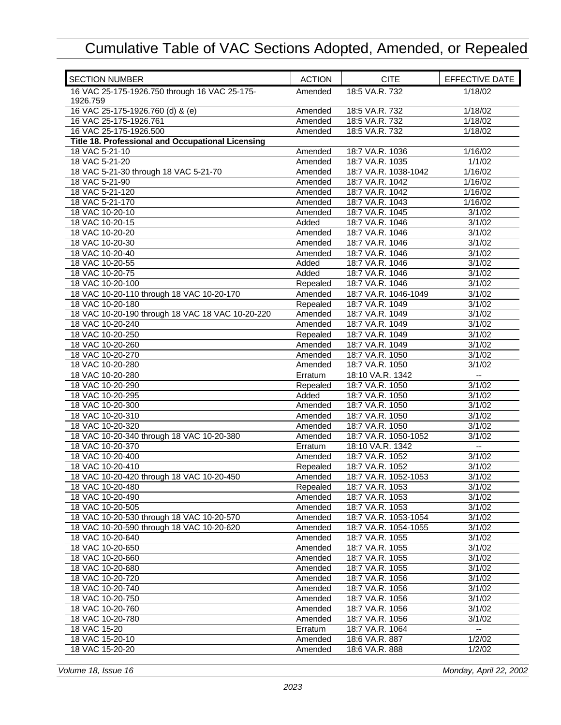| <b>SECTION NUMBER</b>                                     | <b>ACTION</b>      | <b>CITE</b>                        | EFFECTIVE DATE                                |
|-----------------------------------------------------------|--------------------|------------------------------------|-----------------------------------------------|
| 16 VAC 25-175-1926.750 through 16 VAC 25-175-<br>1926.759 | Amended            | 18:5 VA.R. 732                     | 1/18/02                                       |
| 16 VAC 25-175-1926.760 (d) & (e)                          | Amended            | 18:5 VA.R. 732                     | 1/18/02                                       |
| 16 VAC 25-175-1926.761                                    | Amended            | 18:5 VA.R. 732                     | 1/18/02                                       |
| 16 VAC 25-175-1926.500                                    | Amended            | 18:5 VA.R. 732                     | 1/18/02                                       |
| Title 18. Professional and Occupational Licensing         |                    |                                    |                                               |
| 18 VAC 5-21-10                                            | Amended            | 18:7 VA.R. 1036                    | 1/16/02                                       |
| 18 VAC 5-21-20                                            | Amended            | 18:7 VA.R. 1035                    | 1/1/02                                        |
| 18 VAC 5-21-30 through 18 VAC 5-21-70                     | Amended            | 18:7 VA.R. 1038-1042               | 1/16/02                                       |
| 18 VAC 5-21-90                                            | Amended            | 18:7 VA.R. 1042                    | 1/16/02                                       |
| 18 VAC 5-21-120                                           | Amended            | 18:7 VA.R. 1042                    | 1/16/02                                       |
| 18 VAC 5-21-170                                           | Amended            | 18:7 VA.R. 1043                    | 1/16/02                                       |
| 18 VAC 10-20-10                                           | Amended            | 18:7 VA.R. 1045                    | 3/1/02                                        |
| 18 VAC 10-20-15                                           | Added              | 18:7 VA.R. 1046                    | 3/1/02                                        |
| 18 VAC 10-20-20                                           | Amended            | 18:7 VA.R. 1046                    | 3/1/02                                        |
| 18 VAC 10-20-30                                           | Amended            | 18:7 VA.R. 1046                    | 3/1/02                                        |
| 18 VAC 10-20-40                                           | Amended            | 18:7 VA.R. 1046                    | 3/1/02                                        |
| 18 VAC 10-20-55                                           | Added              | 18:7 VA.R. 1046                    | 3/1/02                                        |
| 18 VAC 10-20-75                                           | Added              | 18:7 VA.R. 1046                    | 3/1/02                                        |
| 18 VAC 10-20-100                                          | Repealed           | 18:7 VA.R. 1046                    | 3/1/02                                        |
| 18 VAC 10-20-110 through 18 VAC 10-20-170                 | Amended            | 18:7 VA.R. 1046-1049               | 3/1/02                                        |
| 18 VAC 10-20-180                                          | Repealed           | 18:7 VA.R. 1049                    | 3/1/02                                        |
| 18 VAC 10-20-190 through 18 VAC 18 VAC 10-20-220          | Amended            | 18:7 VA.R. 1049                    | 3/1/02                                        |
| 18 VAC 10-20-240                                          | Amended            | 18:7 VA.R. 1049                    | 3/1/02                                        |
| 18 VAC 10-20-250                                          | Repealed           | 18:7 VA.R. 1049                    | 3/1/02                                        |
| 18 VAC 10-20-260                                          | Amended            | 18:7 VA.R. 1049                    | 3/1/02                                        |
| 18 VAC 10-20-270<br>18 VAC 10-20-280                      | Amended<br>Amended | 18:7 VA.R. 1050<br>18:7 VA.R. 1050 | 3/1/02<br>3/1/02                              |
| 18 VAC 10-20-280                                          | Erratum            | 18:10 VA.R. 1342                   | ۰.                                            |
| 18 VAC 10-20-290                                          | Repealed           | 18:7 VA.R. 1050                    | 3/1/02                                        |
| 18 VAC 10-20-295                                          | Added              | 18:7 VA.R. 1050                    | 3/1/02                                        |
| 18 VAC 10-20-300                                          | Amended            | 18:7 VA.R. 1050                    | 3/1/02                                        |
| 18 VAC 10-20-310                                          | Amended            | 18:7 VA.R. 1050                    | 3/1/02                                        |
| 18 VAC 10-20-320                                          | Amended            | 18:7 VA.R. 1050                    | 3/1/02                                        |
| 18 VAC 10-20-340 through 18 VAC 10-20-380                 | Amended            | 18:7 VA.R. 1050-1052               | 3/1/02                                        |
| 18 VAC 10-20-370                                          | Erratum            | 18:10 VA.R. 1342                   | $\overline{\phantom{a}}$                      |
| 18 VAC 10-20-400                                          | Amended            | 18:7 VA.R. 1052                    | 3/1/02                                        |
| 18 VAC 10-20-410                                          | Repealed           | 18:7 VA.R. 1052                    | 3/1/02                                        |
| 18 VAC 10-20-420 through 18 VAC 10-20-450                 | Amended            | 18:7 VA.R. 1052-1053               | 3/1/02                                        |
| 18 VAC 10-20-480                                          | Repealed           | 18:7 VA.R. 1053                    | 3/1/02                                        |
| 18 VAC 10-20-490                                          | Amended            | 18:7 VA.R. 1053                    | 3/1/02                                        |
| 18 VAC 10-20-505                                          | Amended            | 18:7 VA.R. 1053                    | 3/1/02                                        |
| 18 VAC 10-20-530 through 18 VAC 10-20-570                 | Amended            | 18:7 VA.R. 1053-1054               | 3/1/02                                        |
| 18 VAC 10-20-590 through 18 VAC 10-20-620                 | Amended            | 18:7 VA.R. 1054-1055               | 3/1/02                                        |
| 18 VAC 10-20-640                                          | Amended            | 18:7 VA.R. 1055                    | 3/1/02                                        |
| 18 VAC 10-20-650                                          | Amended            | 18:7 VA.R. 1055                    | 3/1/02                                        |
| 18 VAC 10-20-660                                          | Amended            | 18:7 VA.R. 1055                    | 3/1/02                                        |
| 18 VAC 10-20-680                                          | Amended            | 18:7 VA.R. 1055                    | 3/1/02                                        |
| 18 VAC 10-20-720                                          | Amended            | 18:7 VA.R. 1056                    | 3/1/02                                        |
| 18 VAC 10-20-740                                          | Amended            | 18:7 VA.R. 1056                    | 3/1/02                                        |
| 18 VAC 10-20-750                                          | Amended            | 18:7 VA.R. 1056                    | 3/1/02                                        |
| 18 VAC 10-20-760                                          | Amended            | 18:7 VA.R. 1056                    | 3/1/02                                        |
| 18 VAC 10-20-780                                          | Amended            | 18:7 VA.R. 1056                    | 3/1/02                                        |
| 18 VAC 15-20                                              | Erratum            | 18:7 VA.R. 1064                    | $\mathord{\hspace{1pt}\text{--}\hspace{1pt}}$ |
| 18 VAC 15-20-10                                           | Amended            | 18:6 VA.R. 887                     | 1/2/02                                        |
| 18 VAC 15-20-20                                           | Amended            | 18:6 VA.R. 888                     | 1/2/02                                        |

*Volume 18, Issue 16 Monday, April 22, 2002*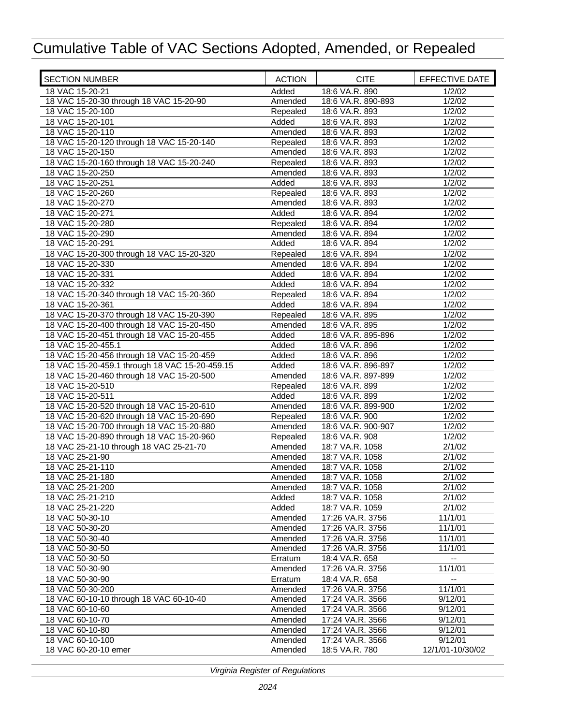| <b>SECTION NUMBER</b>                                                                | <b>ACTION</b> | <b>CITE</b>        | EFFECTIVE DATE   |
|--------------------------------------------------------------------------------------|---------------|--------------------|------------------|
| 18 VAC 15-20-21                                                                      | Added         | 18:6 VA.R. 890     | 1/2/02           |
| 18 VAC 15-20-30 through 18 VAC 15-20-90                                              | Amended       | 18:6 VA.R. 890-893 | 1/2/02           |
| 18 VAC 15-20-100                                                                     | Repealed      | 18:6 VA.R. 893     | 1/2/02           |
| 18 VAC 15-20-101                                                                     | Added         | 18:6 VA.R. 893     | 1/2/02           |
| 18 VAC 15-20-110                                                                     | Amended       | 18:6 VA.R. 893     | 1/2/02           |
| 18 VAC 15-20-120 through 18 VAC 15-20-140                                            | Repealed      | 18:6 VA.R. 893     | 1/2/02           |
| 18 VAC 15-20-150                                                                     | Amended       | 18:6 VA.R. 893     | 1/2/02           |
| 18 VAC 15-20-160 through 18 VAC 15-20-240                                            | Repealed      | 18:6 VA.R. 893     | 1/2/02           |
| 18 VAC 15-20-250                                                                     | Amended       | 18:6 VA.R. 893     | 1/2/02           |
| 18 VAC 15-20-251                                                                     | Added         | 18:6 VA.R. 893     | 1/2/02           |
| 18 VAC 15-20-260                                                                     | Repealed      | 18:6 VA.R. 893     | 1/2/02           |
| 18 VAC 15-20-270                                                                     | Amended       | 18:6 VA.R. 893     | 1/2/02           |
| 18 VAC 15-20-271                                                                     | Added         | 18:6 VA.R. 894     | 1/2/02           |
| 18 VAC 15-20-280                                                                     | Repealed      | 18:6 VA.R. 894     | 1/2/02           |
| 18 VAC 15-20-290                                                                     | Amended       | 18:6 VA.R. 894     | 1/2/02           |
| 18 VAC 15-20-291                                                                     | Added         | 18:6 VA.R. 894     | 1/2/02           |
| 18 VAC 15-20-300 through 18 VAC 15-20-320                                            | Repealed      | 18:6 VA.R. 894     | 1/2/02           |
| 18 VAC 15-20-330                                                                     | Amended       | 18:6 VA.R. 894     | 1/2/02           |
| 18 VAC 15-20-331                                                                     | Added         | 18:6 VA.R. 894     | 1/2/02           |
| 18 VAC 15-20-332                                                                     | Added         | 18:6 VA.R. 894     | 1/2/02           |
| 18 VAC 15-20-340 through 18 VAC 15-20-360                                            | Repealed      | 18:6 VA.R. 894     | 1/2/02           |
| 18 VAC 15-20-361                                                                     | Added         | 18:6 VA.R. 894     | 1/2/02           |
| 18 VAC 15-20-370 through 18 VAC 15-20-390                                            | Repealed      | 18:6 VA.R. 895     | 1/2/02           |
| 18 VAC 15-20-400 through 18 VAC 15-20-450                                            | Amended       | 18:6 VA.R. 895     | 1/2/02           |
| 18 VAC 15-20-451 through 18 VAC 15-20-455                                            | Added         | 18:6 VA.R. 895-896 | 1/2/02           |
| 18 VAC 15-20-455.1                                                                   | Added         | 18:6 VA.R. 896     | 1/2/02           |
| 18 VAC 15-20-456 through 18 VAC 15-20-459                                            | Added         | 18:6 VA.R. 896     | 1/2/02           |
| 18 VAC 15-20-459.1 through 18 VAC 15-20-459.15                                       | Added         | 18:6 VA.R. 896-897 | 1/2/02           |
| 18 VAC 15-20-460 through 18 VAC 15-20-500                                            | Amended       | 18:6 VA.R. 897-899 | 1/2/02           |
| 18 VAC 15-20-510                                                                     | Repealed      | 18:6 VA.R. 899     | 1/2/02           |
| 18 VAC 15-20-511                                                                     | Added         | 18:6 VA.R. 899     | 1/2/02           |
| 18 VAC 15-20-520 through 18 VAC 15-20-610                                            | Amended       | 18:6 VA.R. 899-900 | 1/2/02           |
| 18 VAC 15-20-620 through 18 VAC 15-20-690                                            | Repealed      | 18:6 VA.R. 900     | 1/2/02           |
| 18 VAC 15-20-700 through 18 VAC 15-20-880                                            | Amended       | 18:6 VA.R. 900-907 | 1/2/02           |
|                                                                                      | Repealed      | 18:6 VA.R. 908     | 1/2/02           |
| 18 VAC 15-20-890 through 18 VAC 15-20-960<br>18 VAC 25-21-10 through 18 VAC 25-21-70 | Amended       | 18:7 VA.R. 1058    | 2/1/02           |
| 18 VAC 25-21-90                                                                      |               | 18:7 VA.R. 1058    | 2/1/02           |
|                                                                                      | Amended       |                    |                  |
| 18 VAC 25-21-110                                                                     | Amended       | 18:7 VA.R. 1058    | 2/1/02           |
| 18 VAC 25-21-180<br>18 VAC 25-21-200                                                 | Amended       | 18:7 VA.R. 1058    | 2/1/02           |
|                                                                                      | Amended       | 18:7 VA.R. 1058    | 2/1/02           |
| 18 VAC 25-21-210                                                                     | Added         | 18:7 VA.R. 1058    | 2/1/02           |
| 18 VAC 25-21-220                                                                     | Added         | 18:7 VA.R. 1059    | 2/1/02           |
| 18 VAC 50-30-10                                                                      | Amended       | 17:26 VA.R. 3756   | 11/1/01          |
| 18 VAC 50-30-20                                                                      | Amended       | 17:26 VA.R. 3756   | 11/1/01          |
| 18 VAC 50-30-40                                                                      | Amended       | 17:26 VA.R. 3756   | 11/1/01          |
| 18 VAC 50-30-50                                                                      | Amended       | 17:26 VA.R. 3756   | 11/1/01          |
| 18 VAC 50-30-50                                                                      | Erratum       | 18:4 VA.R. 658     |                  |
| 18 VAC 50-30-90                                                                      | Amended       | 17:26 VA.R. 3756   | 11/1/01          |
| 18 VAC 50-30-90                                                                      | Erratum       | 18:4 VA.R. 658     | --               |
| 18 VAC 50-30-200                                                                     | Amended       | 17:26 VA.R. 3756   | 11/1/01          |
| 18 VAC 60-10-10 through 18 VAC 60-10-40                                              | Amended       | 17:24 VA.R. 3566   | 9/12/01          |
| 18 VAC 60-10-60                                                                      | Amended       | 17:24 VA.R. 3566   | 9/12/01          |
| 18 VAC 60-10-70                                                                      | Amended       | 17:24 VA.R. 3566   | 9/12/01          |
| 18 VAC 60-10-80                                                                      | Amended       | 17:24 VA.R. 3566   | 9/12/01          |
| 18 VAC 60-10-100                                                                     | Amended       | 17:24 VA.R. 3566   | 9/12/01          |
| 18 VAC 60-20-10 emer                                                                 | Amended       | 18:5 VA.R. 780     | 12/1/01-10/30/02 |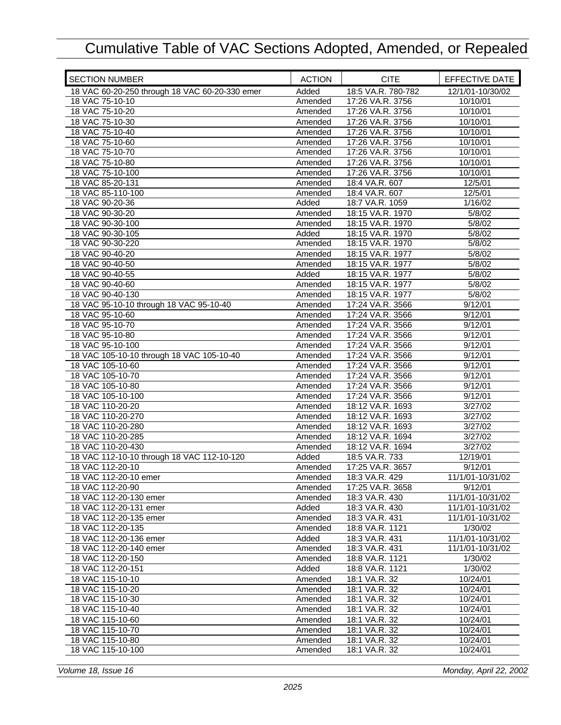| <b>SECTION NUMBER</b>                          | <b>ACTION</b> | <b>CITE</b>        | EFFECTIVE DATE   |
|------------------------------------------------|---------------|--------------------|------------------|
| 18 VAC 60-20-250 through 18 VAC 60-20-330 emer | Added         | 18:5 VA.R. 780-782 | 12/1/01-10/30/02 |
| 18 VAC 75-10-10                                | Amended       | 17:26 VA.R. 3756   | 10/10/01         |
| 18 VAC 75-10-20                                | Amended       | 17:26 VA.R. 3756   | 10/10/01         |
| 18 VAC 75-10-30                                | Amended       | 17:26 VA.R. 3756   | 10/10/01         |
| 18 VAC 75-10-40                                | Amended       | 17:26 VA.R. 3756   | 10/10/01         |
| 18 VAC 75-10-60                                | Amended       | 17:26 VA.R. 3756   | 10/10/01         |
| 18 VAC 75-10-70                                | Amended       | 17:26 VA.R. 3756   | 10/10/01         |
| 18 VAC 75-10-80                                | Amended       | 17:26 VA.R. 3756   | 10/10/01         |
| 18 VAC 75-10-100                               | Amended       | 17:26 VA.R. 3756   | 10/10/01         |
| 18 VAC 85-20-131                               | Amended       | 18:4 VA.R. 607     | 12/5/01          |
| 18 VAC 85-110-100                              | Amended       | 18:4 VA.R. 607     | 12/5/01          |
| 18 VAC 90-20-36                                | Added         | 18:7 VA.R. 1059    | 1/16/02          |
| 18 VAC 90-30-20                                | Amended       | 18:15 VA.R. 1970   | 5/8/02           |
| 18 VAC 90-30-100                               | Amended       | 18:15 VA.R. 1970   | 5/8/02           |
| 18 VAC 90-30-105                               | Added         | 18:15 VA.R. 1970   | 5/8/02           |
| 18 VAC 90-30-220                               | Amended       | 18:15 VA.R. 1970   | 5/8/02           |
| 18 VAC 90-40-20                                | Amended       | 18:15 VA.R. 1977   | 5/8/02           |
| 18 VAC 90-40-50                                | Amended       | 18:15 VA.R. 1977   | 5/8/02           |
| 18 VAC 90-40-55                                | Added         | 18:15 VA.R. 1977   | 5/8/02           |
| 18 VAC 90-40-60                                | Amended       | 18:15 VA.R. 1977   | 5/8/02           |
| 18 VAC 90-40-130                               | Amended       | 18:15 VA.R. 1977   | 5/8/02           |
| 18 VAC 95-10-10 through 18 VAC 95-10-40        | Amended       | 17:24 VA.R. 3566   | 9/12/01          |
| 18 VAC 95-10-60                                | Amended       | 17:24 VA.R. 3566   | 9/12/01          |
| 18 VAC 95-10-70                                | Amended       | 17:24 VA.R. 3566   | 9/12/01          |
| 18 VAC 95-10-80                                | Amended       | 17:24 VA.R. 3566   | 9/12/01          |
| 18 VAC 95-10-100                               | Amended       | 17:24 VA.R. 3566   | 9/12/01          |
| 18 VAC 105-10-10 through 18 VAC 105-10-40      | Amended       | 17:24 VA.R. 3566   | 9/12/01          |
| 18 VAC 105-10-60                               | Amended       | 17:24 VA.R. 3566   | 9/12/01          |
| 18 VAC 105-10-70                               | Amended       | 17:24 VA.R. 3566   | 9/12/01          |
| 18 VAC 105-10-80                               | Amended       | 17:24 VA.R. 3566   | 9/12/01          |
| 18 VAC 105-10-100                              | Amended       | 17:24 VA.R. 3566   | 9/12/01          |
| 18 VAC 110-20-20                               | Amended       | 18:12 VA.R. 1693   | 3/27/02          |
| 18 VAC 110-20-270                              | Amended       | 18:12 VA.R. 1693   | 3/27/02          |
| 18 VAC 110-20-280                              | Amended       | 18:12 VA.R. 1693   | 3/27/02          |
| 18 VAC 110-20-285                              | Amended       | 18:12 VA.R. 1694   | 3/27/02          |
| 18 VAC 110-20-430                              | Amended       | 18:12 VA.R. 1694   | 3/27/02          |
| 18 VAC 112-10-10 through 18 VAC 112-10-120     | Added         | 18:5 VA.R. 733     | 12/19/01         |
| 18 VAC 112-20-10                               | Amended       | 17:25 VA.R. 3657   | 9/12/01          |
| 18 VAC 112-20-10 emer                          | Amended       | 18:3 VA.R. 429     | 11/1/01-10/31/02 |
| 18 VAC 112-20-90                               | Amended       | 17:25 VA.R. 3658   | 9/12/01          |
| 18 VAC 112-20-130 emer                         | Amended       | 18:3 VA.R. 430     | 11/1/01-10/31/02 |
| 18 VAC 112-20-131 emer                         | Added         | 18:3 VA.R. 430     | 11/1/01-10/31/02 |
| 18 VAC 112-20-135 emer                         | Amended       | 18:3 VA.R. 431     | 11/1/01-10/31/02 |
| 18 VAC 112-20-135                              | Amended       | 18:8 VA.R. 1121    | 1/30/02          |
| 18 VAC 112-20-136 emer                         | Added         | 18:3 VA.R. 431     | 11/1/01-10/31/02 |
| 18 VAC 112-20-140 emer                         | Amended       | 18:3 VA.R. 431     | 11/1/01-10/31/02 |
| 18 VAC 112-20-150                              | Amended       | 18:8 VA.R. 1121    | 1/30/02          |
| 18 VAC 112-20-151                              | Added         | 18:8 VA.R. 1121    | 1/30/02          |
| 18 VAC 115-10-10                               | Amended       | 18:1 VA.R. 32      | 10/24/01         |
| 18 VAC 115-10-20                               | Amended       | 18:1 VA.R. 32      | 10/24/01         |
| 18 VAC 115-10-30                               | Amended       | 18:1 VA.R. 32      | 10/24/01         |
| 18 VAC 115-10-40                               | Amended       | 18:1 VA.R. 32      | 10/24/01         |
| 18 VAC 115-10-60                               | Amended       | 18:1 VA.R. 32      | 10/24/01         |
| 18 VAC 115-10-70                               | Amended       | 18:1 VA.R. 32      | 10/24/01         |
| 18 VAC 115-10-80                               | Amended       | 18:1 VA.R. 32      | 10/24/01         |
| 18 VAC 115-10-100                              | Amended       | 18:1 VA.R. 32      | 10/24/01         |

*Volume 18, Issue 16 Monday, April 22, 2002*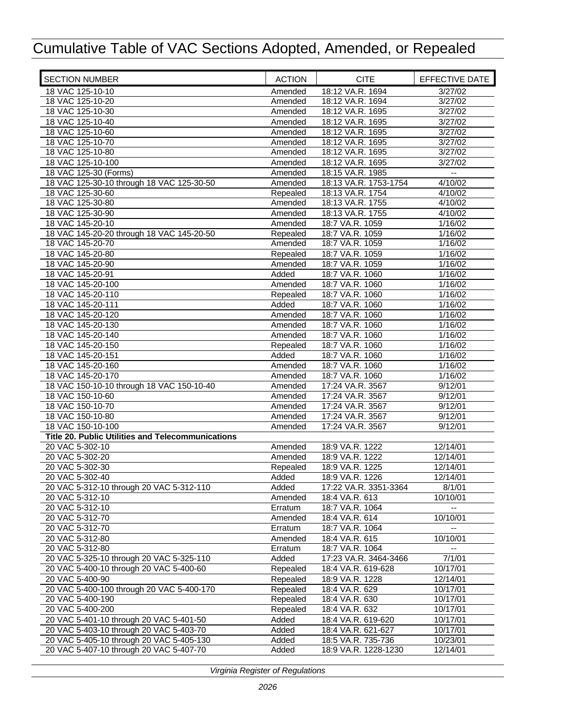| <b>SECTION NUMBER</b>                             | <b>ACTION</b> | <b>CITE</b>           | EFFECTIVE DATE               |
|---------------------------------------------------|---------------|-----------------------|------------------------------|
| 18 VAC 125-10-10                                  | Amended       | 18:12 VA.R. 1694      | 3/27/02                      |
| 18 VAC 125-10-20                                  | Amended       | 18:12 VA.R. 1694      | 3/27/02                      |
| 18 VAC 125-10-30                                  | Amended       | 18:12 VA.R. 1695      | 3/27/02                      |
| 18 VAC 125-10-40                                  | Amended       | 18:12 VA.R. 1695      | 3/27/02                      |
| 18 VAC 125-10-60                                  | Amended       | 18:12 VA.R. 1695      | 3/27/02                      |
| 18 VAC 125-10-70                                  | Amended       | 18:12 VA.R. 1695      | $\frac{1}{3}{\frac{27}{02}}$ |
| 18 VAC 125-10-80                                  | Amended       | 18:12 VA.R. 1695      | 3/27/02                      |
| 18 VAC 125-10-100                                 | Amended       | 18:12 VA.R. 1695      | 3/27/02                      |
| 18 VAC 125-30 (Forms)                             | Amended       | 18:15 VA.R. 1985      | --                           |
| 18 VAC 125-30-10 through 18 VAC 125-30-50         | Amended       | 18:13 VA.R. 1753-1754 | 4/10/02                      |
| 18 VAC 125-30-60                                  | Repealed      | 18:13 VA.R. 1754      | 4/10/02                      |
| 18 VAC 125-30-80                                  | Amended       | 18:13 VA.R. 1755      | 4/10/02                      |
| 18 VAC 125-30-90                                  | Amended       | 18:13 VA.R. 1755      | 4/10/02                      |
| 18 VAC 145-20-10                                  | Amended       | 18:7 VA.R. 1059       | 1/16/02                      |
| 18 VAC 145-20-20 through 18 VAC 145-20-50         | Repealed      | 18:7 VA.R. 1059       | 1/16/02                      |
| 18 VAC 145-20-70                                  | Amended       | 18:7 VA.R. 1059       | 1/16/02                      |
| 18 VAC 145-20-80                                  | Repealed      | 18:7 VA.R. 1059       | 1/16/02                      |
| 18 VAC 145-20-90                                  | Amended       | 18:7 VA.R. 1059       | 1/16/02                      |
| 18 VAC 145-20-91                                  | Added         | 18:7 VA.R. 1060       | 1/16/02                      |
| 18 VAC 145-20-100                                 | Amended       | 18:7 VA.R. 1060       | 1/16/02                      |
| 18 VAC 145-20-110                                 | Repealed      | 18:7 VA.R. 1060       | 1/16/02                      |
| 18 VAC 145-20-111                                 | Added         | 18:7 VA.R. 1060       | 1/16/02                      |
| 18 VAC 145-20-120                                 | Amended       | 18:7 VA.R. 1060       | 1/16/02                      |
| 18 VAC 145-20-130                                 | Amended       | 18:7 VA.R. 1060       | 1/16/02                      |
| 18 VAC 145-20-140                                 | Amended       | 18:7 VA.R. 1060       | 1/16/02                      |
| 18 VAC 145-20-150                                 | Repealed      | 18:7 VA.R. 1060       | 1/16/02                      |
| 18 VAC 145-20-151                                 | Added         | 18:7 VA.R. 1060       | 1/16/02                      |
| 18 VAC 145-20-160                                 | Amended       | 18:7 VA.R. 1060       | 1/16/02                      |
| 18 VAC 145-20-170                                 | Amended       | 18:7 VA.R. 1060       | 1/16/02                      |
| 18 VAC 150-10-10 through 18 VAC 150-10-40         | Amended       | 17:24 VA.R. 3567      | 9/12/01                      |
| 18 VAC 150-10-60                                  | Amended       | 17:24 VA.R. 3567      | 9/12/01                      |
| 18 VAC 150-10-70                                  | Amended       | 17:24 VA.R. 3567      | 9/12/01                      |
| 18 VAC 150-10-80                                  | Amended       | 17:24 VA.R. 3567      | 9/12/01                      |
| 18 VAC 150-10-100                                 | Amended       | 17:24 VA.R. 3567      | 9/12/01                      |
| Title 20. Public Utilities and Telecommunications |               |                       |                              |
| 20 VAC 5-302-10                                   | Amended       | 18:9 VA.R. 1222       | 12/14/01                     |
| 20 VAC 5-302-20                                   | Amended       | 18:9 VA.R. 1222       | 12/14/01                     |
| 20 VAC 5-302-30                                   | Repealed      | 18:9 VA.R. 1225       | 12/14/01                     |
| 20 VAC 5-302-40                                   | Added         | 18:9 VA.R. 1226       | 12/14/01                     |
| 20 VAC 5-312-10 through 20 VAC 5-312-110          | Added         | 17:22 VA.R. 3351-3364 | 8/1/01                       |
| 20 VAC 5-312-10                                   | Amended       | 18:4 VA.R. 613        | 10/10/01                     |
| 20 VAC 5-312-10                                   | Erratum       | 18:7 VA.R. 1064       |                              |
| 20 VAC 5-312-70                                   | Amended       | 18:4 VA.R. 614        | 10/10/01                     |
| 20 VAC 5-312-70                                   | Erratum       | 18:7 VA.R. 1064       |                              |
| 20 VAC 5-312-80                                   | Amended       | 18:4 VA.R. 615        | 10/10/01                     |
| 20 VAC 5-312-80                                   | Erratum       | 18:7 VA.R. 1064       |                              |
| 20 VAC 5-325-10 through 20 VAC 5-325-110          | Added         | 17:23 VA.R. 3464-3466 | 7/1/01                       |
| 20 VAC 5-400-10 through 20 VAC 5-400-60           | Repealed      | 18:4 VA.R. 619-628    | 10/17/01                     |
| 20 VAC 5-400-90                                   | Repealed      | 18:9 VA.R. 1228       | 12/14/01                     |
| 20 VAC 5-400-100 through 20 VAC 5-400-170         | Repealed      | 18:4 VA.R. 629        | 10/17/01                     |
| 20 VAC 5-400-190                                  | Repealed      | 18:4 VA.R. 630        | 10/17/01                     |
| 20 VAC 5-400-200                                  | Repealed      | 18:4 VA.R. 632        | 10/17/01                     |
| 20 VAC 5-401-10 through 20 VAC 5-401-50           | Added         | 18:4 VA.R. 619-620    | 10/17/01                     |
| 20 VAC 5-403-10 through 20 VAC 5-403-70           | Added         | 18:4 VA.R. 621-627    | 10/17/01                     |
| 20 VAC 5-405-10 through 20 VAC 5-405-130          | Added         | 18:5 VA.R. 735-736    | 10/23/01                     |
| 20 VAC 5-407-10 through 20 VAC 5-407-70           | Added         | 18:9 VA.R. 1228-1230  | 12/14/01                     |
|                                                   |               |                       |                              |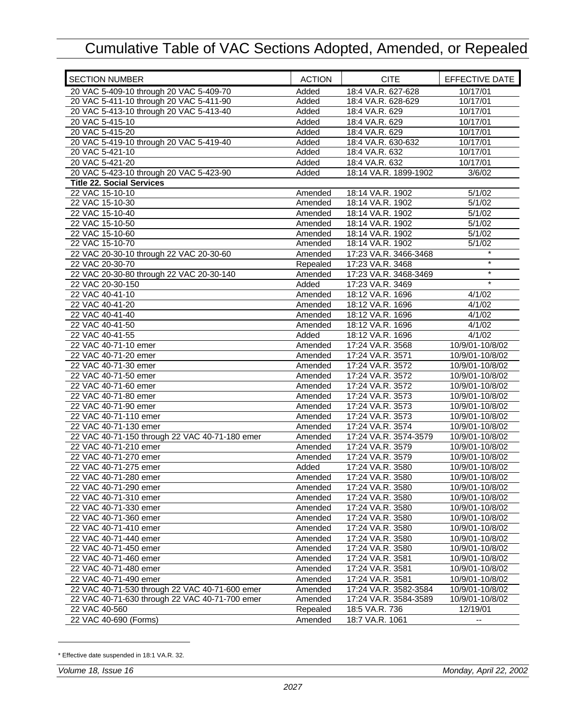| <b>SECTION NUMBER</b>                          | <b>ACTION</b> | <b>CITE</b>           | EFFECTIVE DATE  |
|------------------------------------------------|---------------|-----------------------|-----------------|
| 20 VAC 5-409-10 through 20 VAC 5-409-70        | Added         | 18:4 VA.R. 627-628    | 10/17/01        |
| 20 VAC 5-411-10 through 20 VAC 5-411-90        | Added         | 18:4 VA.R. 628-629    | 10/17/01        |
| 20 VAC 5-413-10 through 20 VAC 5-413-40        | Added         | 18:4 VA.R. 629        | 10/17/01        |
| 20 VAC 5-415-10                                | Added         | 18:4 VA.R. 629        | 10/17/01        |
| 20 VAC 5-415-20                                | Added         | 18:4 VA.R. 629        | 10/17/01        |
| 20 VAC 5-419-10 through 20 VAC 5-419-40        | Added         | 18:4 VA.R. 630-632    | 10/17/01        |
| 20 VAC 5-421-10                                | Added         | 18:4 VA.R. 632        | 10/17/01        |
| 20 VAC 5-421-20                                | Added         | 18:4 VA.R. 632        | 10/17/01        |
| 20 VAC 5-423-10 through 20 VAC 5-423-90        | Added         | 18:14 VA.R. 1899-1902 | 3/6/02          |
| <b>Title 22. Social Services</b>               |               |                       |                 |
| 22 VAC 15-10-10                                | Amended       | 18:14 VA.R. 1902      | 5/1/02          |
| 22 VAC 15-10-30                                | Amended       | 18:14 VA.R. 1902      | 5/1/02          |
| 22 VAC 15-10-40                                | Amended       | 18:14 VA.R. 1902      | 5/1/02          |
| 22 VAC 15-10-50                                | Amended       | 18:14 VA.R. 1902      | 5/1/02          |
| 22 VAC 15-10-60                                | Amended       | 18:14 VA.R. 1902      | 5/1/02          |
| 22 VAC 15-10-70                                | Amended       | 18:14 VA.R. 1902      | 5/1/02          |
| 22 VAC 20-30-10 through 22 VAC 20-30-60        | Amended       | 17:23 VA.R. 3466-3468 | $\star$         |
| 22 VAC 20-30-70                                | Repealed      | 17:23 VA.R. 3468      | $\star$         |
| 22 VAC 20-30-80 through 22 VAC 20-30-140       | Amended       | 17:23 VA.R. 3468-3469 | $\star$         |
| 22 VAC 20-30-150                               | Added         | 17:23 VA.R. 3469      |                 |
| 22 VAC 40-41-10                                | Amended       | 18:12 VA.R. 1696      | 4/1/02          |
| 22 VAC 40-41-20                                | Amended       | 18:12 VA.R. 1696      | 4/1/02          |
| 22 VAC 40-41-40                                | Amended       | 18:12 VA.R. 1696      | 4/1/02          |
| 22 VAC 40-41-50                                | Amended       | 18:12 VA.R. 1696      | 4/1/02          |
| 22 VAC 40-41-55                                | Added         | 18:12 VA.R. 1696      | 4/1/02          |
| 22 VAC 40-71-10 emer                           | Amended       | 17:24 VA.R. 3568      | 10/9/01-10/8/02 |
| 22 VAC 40-71-20 emer                           | Amended       | 17:24 VA.R. 3571      | 10/9/01-10/8/02 |
| 22 VAC 40-71-30 emer                           | Amended       | 17:24 VA.R. 3572      | 10/9/01-10/8/02 |
| 22 VAC 40-71-50 emer                           | Amended       | 17:24 VA.R. 3572      | 10/9/01-10/8/02 |
| 22 VAC 40-71-60 emer                           | Amended       | 17:24 VA.R. 3572      | 10/9/01-10/8/02 |
| 22 VAC 40-71-80 emer                           | Amended       | 17:24 VA.R. 3573      | 10/9/01-10/8/02 |
| 22 VAC 40-71-90 emer                           | Amended       | 17:24 VA.R. 3573      | 10/9/01-10/8/02 |
| 22 VAC 40-71-110 emer                          | Amended       | 17:24 VA.R. 3573      | 10/9/01-10/8/02 |
| 22 VAC 40-71-130 emer                          | Amended       | 17:24 VA.R. 3574      | 10/9/01-10/8/02 |
| 22 VAC 40-71-150 through 22 VAC 40-71-180 emer | Amended       | 17:24 VA.R. 3574-3579 | 10/9/01-10/8/02 |
| 22 VAC 40-71-210 emer                          | Amended       | 17:24 VA.R. 3579      | 10/9/01-10/8/02 |
| 22 VAC 40-71-270 emer                          | Amended       | 17:24 VA.R. 3579      | 10/9/01-10/8/02 |
| 22 VAC 40-71-275 emer                          | Added         | 17:24 VA.R. 3580      | 10/9/01-10/8/02 |
| 22 VAC 40-71-280 emer                          | Amended       | 17:24 VA.R. 3580      | 10/9/01-10/8/02 |
| 22 VAC 40-71-290 emer                          | Amended       | 17:24 VA.R. 3580      | 10/9/01-10/8/02 |
| 22 VAC 40-71-310 emer                          | Amended       | 17:24 VA.R. 3580      | 10/9/01-10/8/02 |
| 22 VAC 40-71-330 emer                          | Amended       | 17:24 VA.R. 3580      | 10/9/01-10/8/02 |
| 22 VAC 40-71-360 emer                          | Amended       | 17:24 VA.R. 3580      | 10/9/01-10/8/02 |
| 22 VAC 40-71-410 emer                          | Amended       | 17:24 VA.R. 3580      | 10/9/01-10/8/02 |
| 22 VAC 40-71-440 emer                          | Amended       | 17:24 VA.R. 3580      | 10/9/01-10/8/02 |
| 22 VAC 40-71-450 emer                          | Amended       | 17:24 VA.R. 3580      | 10/9/01-10/8/02 |
| 22 VAC 40-71-460 emer                          | Amended       | 17:24 VA.R. 3581      | 10/9/01-10/8/02 |
| 22 VAC 40-71-480 emer                          | Amended       | 17:24 VA.R. 3581      | 10/9/01-10/8/02 |
| 22 VAC 40-71-490 emer                          | Amended       | 17:24 VA.R. 3581      | 10/9/01-10/8/02 |
| 22 VAC 40-71-530 through 22 VAC 40-71-600 emer | Amended       | 17:24 VA.R. 3582-3584 | 10/9/01-10/8/02 |
| 22 VAC 40-71-630 through 22 VAC 40-71-700 emer | Amended       | 17:24 VA.R. 3584-3589 | 10/9/01-10/8/02 |
| 22 VAC 40-560                                  | Repealed      | 18:5 VA.R. 736        | 12/19/01        |
| 22 VAC 40-690 (Forms)                          | Amended       | 18:7 VA.R. 1061       | ۰.              |
|                                                |               |                       |                 |

<sup>\*</sup> Effective date suspended in 18:1 VA.R. 32.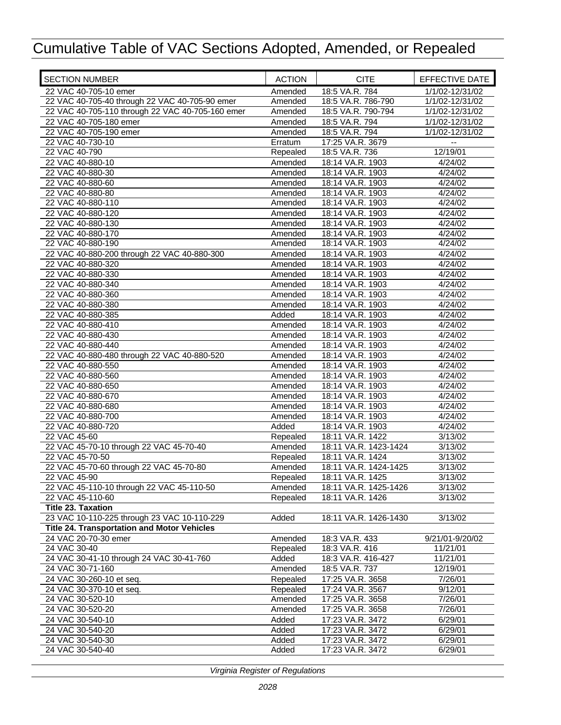| <b>SECTION NUMBER</b>                              | <b>ACTION</b> | <b>CITE</b>           | EFFECTIVE DATE   |
|----------------------------------------------------|---------------|-----------------------|------------------|
| 22 VAC 40-705-10 emer                              | Amended       | 18:5 VA.R. 784        | 1/1/02-12/31/02  |
| 22 VAC 40-705-40 through 22 VAC 40-705-90 emer     | Amended       | 18:5 VA.R. 786-790    | 1/1/02-12/31/02  |
| 22 VAC 40-705-110 through 22 VAC 40-705-160 emer   | Amended       | 18:5 VA.R. 790-794    | 1/1/02-12/31/02  |
| 22 VAC 40-705-180 emer                             | Amended       | 18:5 VA.R. 794        | 1/1/02-12/31/02  |
| 22 VAC 40-705-190 emer                             | Amended       | 18:5 VA.R. 794        | 1/1/02-12/31/02  |
| 22 VAC 40-730-10                                   | Erratum       | 17:25 VA.R. 3679      |                  |
| 22 VAC 40-790                                      | Repealed      | 18:5 VA.R. 736        | 12/19/01         |
| 22 VAC 40-880-10                                   | Amended       | 18:14 VA.R. 1903      | 4/24/02          |
| 22 VAC 40-880-30                                   | Amended       | 18:14 VA.R. 1903      | 4/24/02          |
| 22 VAC 40-880-60                                   | Amended       | 18:14 VA.R. 1903      | 4/24/02          |
| 22 VAC 40-880-80                                   | Amended       | 18:14 VA.R. 1903      | 4/24/02          |
| 22 VAC 40-880-110                                  | Amended       | 18:14 VA.R. 1903      | 4/24/02          |
| 22 VAC 40-880-120                                  | Amended       | 18:14 VA.R. 1903      | 4/24/02          |
| 22 VAC 40-880-130                                  | Amended       | 18:14 VA.R. 1903      | 4/24/02          |
| 22 VAC 40-880-170                                  | Amended       | 18:14 VA.R. 1903      | 4/24/02          |
| 22 VAC 40-880-190                                  | Amended       | 18:14 VA.R. 1903      | 4/24/02          |
| 22 VAC 40-880-200 through 22 VAC 40-880-300        | Amended       | 18:14 VA.R. 1903      | 4/24/02          |
| 22 VAC 40-880-320                                  | Amended       | 18:14 VA.R. 1903      | 4/24/02          |
| 22 VAC 40-880-330                                  | Amended       | 18:14 VA.R. 1903      | 4/24/02          |
| 22 VAC 40-880-340                                  | Amended       | 18:14 VA.R. 1903      | $\sqrt{4}/24/02$ |
| 22 VAC 40-880-360                                  | Amended       | 18:14 VA.R. 1903      | 4/24/02          |
| 22 VAC 40-880-380                                  | Amended       | 18:14 VA.R. 1903      | 4/24/02          |
| 22 VAC 40-880-385                                  | Added         | 18:14 VA.R. 1903      | $\sqrt{4}/24/02$ |
| 22 VAC 40-880-410                                  | Amended       | 18:14 VA.R. 1903      | 4/24/02          |
| 22 VAC 40-880-430                                  | Amended       | 18:14 VA.R. 1903      | 4/24/02          |
| 22 VAC 40-880-440                                  | Amended       | 18:14 VA.R. 1903      | 4/24/02          |
| 22 VAC 40-880-480 through 22 VAC 40-880-520        | Amended       | 18:14 VA.R. 1903      | 4/24/02          |
| 22 VAC 40-880-550                                  | Amended       | 18:14 VA.R. 1903      | 4/24/02          |
| 22 VAC 40-880-560                                  | Amended       | 18:14 VA.R. 1903      | 4/24/02          |
| 22 VAC 40-880-650                                  | Amended       | 18:14 VA.R. 1903      | 4/24/02          |
| 22 VAC 40-880-670                                  | Amended       | 18:14 VA.R. 1903      | 4/24/02          |
| 22 VAC 40-880-680                                  | Amended       | 18:14 VA.R. 1903      | 4/24/02          |
| 22 VAC 40-880-700                                  | Amended       | 18:14 VA.R. 1903      | 4/24/02          |
| 22 VAC 40-880-720                                  | Added         | 18:14 VA.R. 1903      | 4/24/02          |
| 22 VAC 45-60                                       | Repealed      | 18:11 VA.R. 1422      | 3/13/02          |
| 22 VAC 45-70-10 through 22 VAC 45-70-40            | Amended       | 18:11 VA.R. 1423-1424 | 3/13/02          |
| 22 VAC 45-70-50                                    | Repealed      | 18:11 VA.R. 1424      | 3/13/02          |
| 22 VAC 45-70-60 through 22 VAC 45-70-80            | Amended       | 18:11 VA.R. 1424-1425 | 3/13/02          |
| 22 VAC 45-90                                       | Repealed      | 18:11 VA.R. 1425      | 3/13/02          |
| 22 VAC 45-110-10 through 22 VAC 45-110-50          | Amended       | 18:11 VA.R. 1425-1426 | 3/13/02          |
| 22 VAC 45-110-60                                   | Repealed      | 18:11 VA.R. 1426      | 3/13/02          |
| <b>Title 23. Taxation</b>                          |               |                       |                  |
| 23 VAC 10-110-225 through 23 VAC 10-110-229        | Added         | 18:11 VA.R. 1426-1430 | 3/13/02          |
| <b>Title 24. Transportation and Motor Vehicles</b> |               |                       |                  |
| 24 VAC 20-70-30 emer                               | Amended       | 18:3 VA.R. 433        | 9/21/01-9/20/02  |
| 24 VAC 30-40                                       | Repealed      | 18:3 VA.R. 416        | 11/21/01         |
| 24 VAC 30-41-10 through 24 VAC 30-41-760           | Added         | 18:3 VA.R. 416-427    | 11/21/01         |
| 24 VAC 30-71-160                                   | Amended       | 18:5 VA.R. 737        | 12/19/01         |
| 24 VAC 30-260-10 et seq.                           | Repealed      | 17:25 VA.R. 3658      | 7/26/01          |
| 24 VAC 30-370-10 et seq.                           | Repealed      | 17:24 VA.R. 3567      | 9/12/01          |
| 24 VAC 30-520-10                                   | Amended       | 17:25 VA.R. 3658      | 7/26/01          |
| 24 VAC 30-520-20                                   | Amended       | 17:25 VA.R. 3658      | 7/26/01          |
| 24 VAC 30-540-10                                   | Added         | 17:23 VA.R. 3472      | 6/29/01          |
| 24 VAC 30-540-20                                   | Added         | 17:23 VA.R. 3472      | 6/29/01          |
| 24 VAC 30-540-30                                   | Added         | 17:23 VA.R. 3472      | 6/29/01          |
| 24 VAC 30-540-40                                   | Added         | 17:23 VA.R. 3472      | 6/29/01          |
|                                                    |               |                       |                  |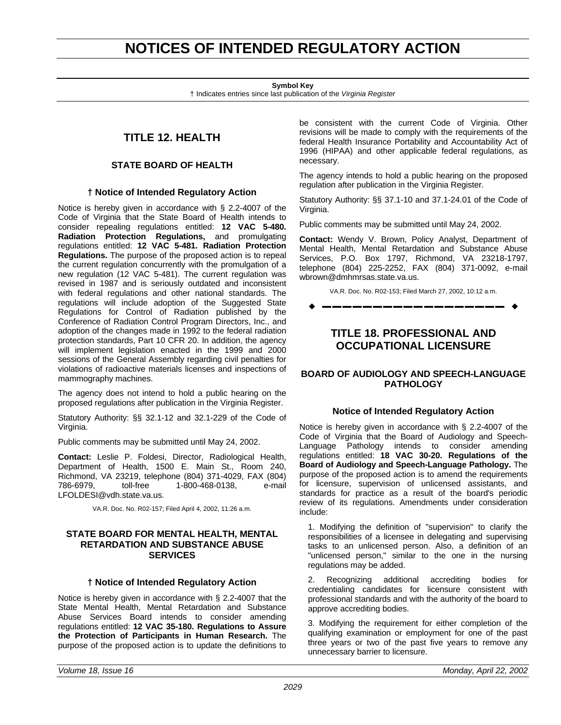## <span id="page-16-0"></span>**NOTICES OF INTENDED REGULATORY ACTION**

**Symbol Key**

† Indicates entries since last publication of the *Virginia Register*

## **TITLE 12. HEALTH**

## **STATE BOARD OF HEALTH**

## **† Notice of Intended Regulatory Action**

Notice is hereby given in accordance with § 2.2-4007 of the Code of Virginia that the State Board of Health intends to consider repealing regulations entitled: **12 VAC 5-480. Radiation Protection Regulations,** and promulgating regulations entitled: **12 VAC 5-481. Radiation Protection Regulations.** The purpose of the proposed action is to repeal the current regulation concurrently with the promulgation of a new regulation (12 VAC 5-481). The current regulation was revised in 1987 and is seriously outdated and inconsistent with federal regulations and other national standards. The regulations will include adoption of the Suggested State Regulations for Control of Radiation published by the Conference of Radiation Control Program Directors, Inc., and adoption of the changes made in 1992 to the federal radiation protection standards, Part 10 CFR 20. In addition, the agency will implement legislation enacted in the 1999 and 2000 sessions of the General Assembly regarding civil penalties for violations of radioactive materials licenses and inspections of mammography machines.

The agency does not intend to hold a public hearing on the proposed regulations after publication in the Virginia Register.

Statutory Authority: §§ 32.1-12 and 32.1-229 of the Code of Virginia.

Public comments may be submitted until May 24, 2002.

**Contact:** Leslie P. Foldesi, Director, Radiological Health, Department of Health, 1500 E. Main St., Room 240, Richmond, VA 23219, telephone (804) 371-4029, FAX (804) 786-6979, toll-free 1-800-468-0138, e-mail LFOLDESI@vdh.state.va.us.

VA.R. Doc. No. R02-157; Filed April 4, 2002, 11:26 a.m.

### **STATE BOARD FOR MENTAL HEALTH, MENTAL RETARDATION AND SUBSTANCE ABUSE SERVICES**

### **† Notice of Intended Regulatory Action**

Notice is hereby given in accordance with § 2.2-4007 that the State Mental Health, Mental Retardation and Substance Abuse Services Board intends to consider amending regulations entitled: **12 VAC 35-180. Regulations to Assure the Protection of Participants in Human Research.** The purpose of the proposed action is to update the definitions to

be consistent with the current Code of Virginia. Other revisions will be made to comply with the requirements of the federal Health Insurance Portability and Accountability Act of 1996 (HIPAA) and other applicable federal regulations, as necessary.

The agency intends to hold a public hearing on the proposed regulation after publication in the Virginia Register.

Statutory Authority: §§ 37.1-10 and 37.1-24.01 of the Code of Virginia.

Public comments may be submitted until May 24, 2002.

**Contact:** Wendy V. Brown, Policy Analyst, Department of Mental Health, Mental Retardation and Substance Abuse Services, P.O. Box 1797, Richmond, VA 23218-1797, telephone (804) 225-2252, FAX (804) 371-0092, e-mail wbrown@dmhmrsas.state.va.us.

VA.R. Doc. No. R02-153; Filed March 27, 2002, 10:12 a.m. w **––––––––––––––––––** w

## **TITLE 18. PROFESSIONAL AND OCCUPATIONAL LICENSURE**

## **BOARD OF AUDIOLOGY AND SPEECH-LANGUAGE PATHOLOGY**

## **Notice of Intended Regulatory Action**

Notice is hereby given in accordance with § 2.2-4007 of the Code of Virginia that the Board of Audiology and Speech-Language Pathology intends to consider amending regulations entitled: **18 VAC 30-20. Regulations of the Board of Audiology and Speech-Language Pathology.** The purpose of the proposed action is to amend the requirements for licensure, supervision of unlicensed assistants, and standards for practice as a result of the board's periodic review of its regulations. Amendments under consideration include:

1. Modifying the definition of "supervision" to clarify the responsibilities of a licensee in delegating and supervising tasks to an unlicensed person. Also, a definition of an "unlicensed person," similar to the one in the nursing regulations may be added.

2. Recognizing additional accrediting bodies for credentialing candidates for licensure consistent with professional standards and with the authority of the board to approve accrediting bodies.

3. Modifying the requirement for either completion of the qualifying examination or employment for one of the past three years or two of the past five years to remove any unnecessary barrier to licensure.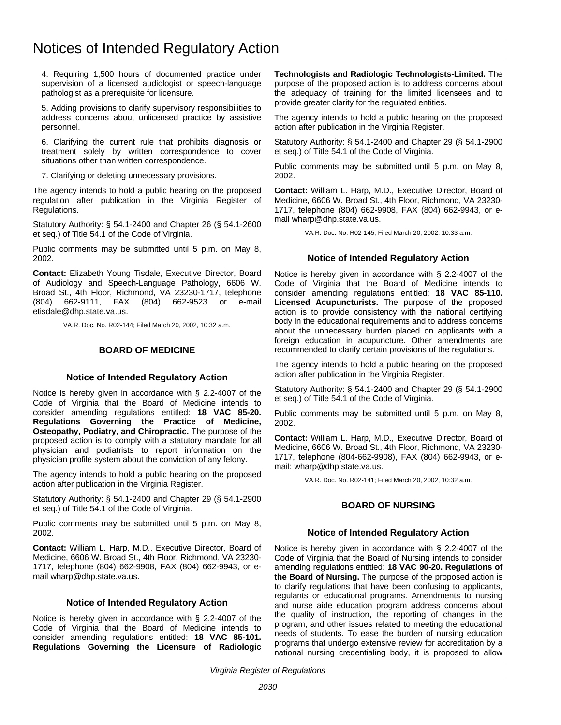## <span id="page-17-0"></span>Notices of Intended Regulatory Action

4. Requiring 1,500 hours of documented practice under supervision of a licensed audiologist or speech-language pathologist as a prerequisite for licensure.

5. Adding provisions to clarify supervisory responsibilities to address concerns about unlicensed practice by assistive personnel.

6. Clarifying the current rule that prohibits diagnosis or treatment solely by written correspondence to cover situations other than written correspondence.

7. Clarifying or deleting unnecessary provisions.

The agency intends to hold a public hearing on the proposed regulation after publication in the Virginia Register of Regulations.

Statutory Authority: § 54.1-2400 and Chapter 26 (§ 54.1-2600 et seq.) of Title 54.1 of the Code of Virginia.

Public comments may be submitted until 5 p.m. on May 8, 2002.

**Contact:** Elizabeth Young Tisdale, Executive Director, Board of Audiology and Speech-Language Pathology, 6606 W. Broad St., 4th Floor, Richmond, VA 23230-1717, telephone (804) 662-9111, FAX (804) 662-9523 or e-mail etisdale@dhp.state.va.us.

VA.R. Doc. No. R02-144; Filed March 20, 2002, 10:32 a.m.

## **BOARD OF MEDICINE**

## **Notice of Intended Regulatory Action**

Notice is hereby given in accordance with § 2.2-4007 of the Code of Virginia that the Board of Medicine intends to consider amending regulations entitled: **18 VAC 85-20. Regulations Governing the Practice of Medicine, Osteopathy, Podiatry, and Chiropractic.** The purpose of the proposed action is to comply with a statutory mandate for all physician and podiatrists to report information on the physician profile system about the conviction of any felony.

The agency intends to hold a public hearing on the proposed action after publication in the Virginia Register.

Statutory Authority: § 54.1-2400 and Chapter 29 (§ 54.1-2900 et seq.) of Title 54.1 of the Code of Virginia.

Public comments may be submitted until 5 p.m. on May 8, 2002.

**Contact:** William L. Harp, M.D., Executive Director, Board of Medicine, 6606 W. Broad St., 4th Floor, Richmond, VA 23230- 1717, telephone (804) 662-9908, FAX (804) 662-9943, or email wharp@dhp.state.va.us.

## **Notice of Intended Regulatory Action**

Notice is hereby given in accordance with § 2.2-4007 of the Code of Virginia that the Board of Medicine intends to consider amending regulations entitled: **18 VAC 85-101. Regulations Governing the Licensure of Radiologic** **Technologists and Radiologic Technologists-Limited.** The purpose of the proposed action is to address concerns about the adequacy of training for the limited licensees and to provide greater clarity for the regulated entities.

The agency intends to hold a public hearing on the proposed action after publication in the Virginia Register.

Statutory Authority: § 54.1-2400 and Chapter 29 (§ 54.1-2900 et seq.) of Title 54.1 of the Code of Virginia.

Public comments may be submitted until 5 p.m. on May 8, 2002.

**Contact:** William L. Harp, M.D., Executive Director, Board of Medicine, 6606 W. Broad St., 4th Floor, Richmond, VA 23230- 1717, telephone (804) 662-9908, FAX (804) 662-9943, or email wharp@dhp.state.va.us.

VA.R. Doc. No. R02-145; Filed March 20, 2002, 10:33 a.m.

## **Notice of Intended Regulatory Action**

Notice is hereby given in accordance with § 2.2-4007 of the Code of Virginia that the Board of Medicine intends to consider amending regulations entitled: **18 VAC 85-110. Licensed Acupuncturists.** The purpose of the proposed action is to provide consistency with the national certifying body in the educational requirements and to address concerns about the unnecessary burden placed on applicants with a foreign education in acupuncture. Other amendments are recommended to clarify certain provisions of the regulations.

The agency intends to hold a public hearing on the proposed action after publication in the Virginia Register.

Statutory Authority: § 54.1-2400 and Chapter 29 (§ 54.1-2900 et seq.) of Title 54.1 of the Code of Virginia.

Public comments may be submitted until 5 p.m. on May 8, 2002.

**Contact:** William L. Harp, M.D., Executive Director, Board of Medicine, 6606 W. Broad St., 4th Floor, Richmond, VA 23230- 1717, telephone (804-662-9908), FAX (804) 662-9943, or email: wharp@dhp.state.va.us.

VA.R. Doc. No. R02-141; Filed March 20, 2002, 10:32 a.m.

## **BOARD OF NURSING**

## **Notice of Intended Regulatory Action**

Notice is hereby given in accordance with § 2.2-4007 of the Code of Virginia that the Board of Nursing intends to consider amending regulations entitled: **18 VAC 90-20. Regulations of the Board of Nursing.** The purpose of the proposed action is to clarify regulations that have been confusing to applicants, regulants or educational programs. Amendments to nursing and nurse aide education program address concerns about the quality of instruction, the reporting of changes in the program, and other issues related to meeting the educational needs of students. To ease the burden of nursing education programs that undergo extensive review for accreditation by a national nursing credentialing body, it is proposed to allow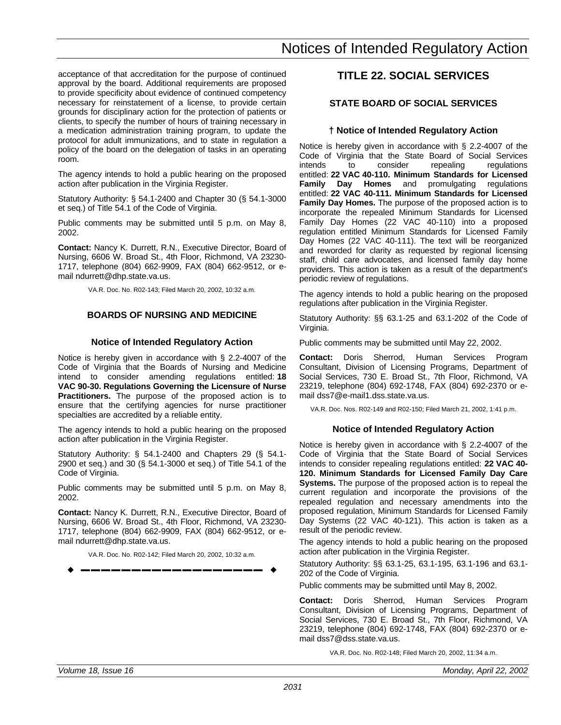<span id="page-18-0"></span>acceptance of that accreditation for the purpose of continued approval by the board. Additional requirements are proposed to provide specificity about evidence of continued competency necessary for reinstatement of a license, to provide certain grounds for disciplinary action for the protection of patients or clients, to specify the number of hours of training necessary in a medication administration training program, to update the protocol for adult immunizations, and to state in regulation a policy of the board on the delegation of tasks in an operating room.

The agency intends to hold a public hearing on the proposed action after publication in the Virginia Register.

Statutory Authority: § 54.1-2400 and Chapter 30 (§ 54.1-3000 et seq.) of Title 54.1 of the Code of Virginia.

Public comments may be submitted until 5 p.m. on May 8, 2002.

**Contact:** Nancy K. Durrett, R.N., Executive Director, Board of Nursing, 6606 W. Broad St., 4th Floor, Richmond, VA 23230- 1717, telephone (804) 662-9909, FAX (804) 662-9512, or email ndurrett@dhp.state.va.us.

VA.R. Doc. No. R02-143; Filed March 20, 2002, 10:32 a.m.

## **BOARDS OF NURSING AND MEDICINE**

## **Notice of Intended Regulatory Action**

Notice is hereby given in accordance with § 2.2-4007 of the Code of Virginia that the Boards of Nursing and Medicine intend to consider amending regulations entitled: **18 VAC 90-30. Regulations Governing the Licensure of Nurse Practitioners.** The purpose of the proposed action is to ensure that the certifying agencies for nurse practitioner specialties are accredited by a reliable entity.

The agency intends to hold a public hearing on the proposed action after publication in the Virginia Register.

Statutory Authority: § 54.1-2400 and Chapters 29 (§ 54.1- 2900 et seq.) and 30 (§ 54.1-3000 et seq.) of Title 54.1 of the Code of Virginia.

Public comments may be submitted until 5 p.m. on May 8, 2002.

**Contact:** Nancy K. Durrett, R.N., Executive Director, Board of Nursing, 6606 W. Broad St., 4th Floor, Richmond, VA 23230- 1717, telephone (804) 662-9909, FAX (804) 662-9512, or email ndurrett@dhp.state.va.us.

VA.R. Doc. No. R02-142; Filed March 20, 2002, 10:32 a.m. w **––––––––––––––––––** w

## **TITLE 22. SOCIAL SERVICES**

## **STATE BOARD OF SOCIAL SERVICES**

## **† Notice of Intended Regulatory Action**

Notice is hereby given in accordance with § 2.2-4007 of the Code of Virginia that the State Board of Social Services<br>intends to consider repealing regulations intends to consider repealing regulations entitled: **22 VAC 40-110. Minimum Standards for Licensed Family Day Homes** and promulgating regulations entitled: **22 VAC 40-111. Minimum Standards for Licensed Family Day Homes.** The purpose of the proposed action is to incorporate the repealed Minimum Standards for Licensed Family Day Homes (22 VAC 40-110) into a proposed regulation entitled Minimum Standards for Licensed Family Day Homes (22 VAC 40-111). The text will be reorganized and reworded for clarity as requested by regional licensing staff, child care advocates, and licensed family day home providers. This action is taken as a result of the department's periodic review of regulations.

The agency intends to hold a public hearing on the proposed regulations after publication in the Virginia Register.

Statutory Authority: §§ 63.1-25 and 63.1-202 of the Code of Virginia.

Public comments may be submitted until May 22, 2002.

**Contact:** Doris Sherrod, Human Services Program Consultant, Division of Licensing Programs, Department of Social Services, 730 E. Broad St., 7th Floor, Richmond, VA 23219, telephone (804) 692-1748, FAX (804) 692-2370 or email dss7@e-mail1.dss.state.va.us.

VA.R. Doc. Nos. R02-149 and R02-150; Filed March 21, 2002, 1:41 p.m.

## **Notice of Intended Regulatory Action**

Notice is hereby given in accordance with § 2.2-4007 of the Code of Virginia that the State Board of Social Services intends to consider repealing regulations entitled: **22 VAC 40- 120. Minimum Standards for Licensed Family Day Care Systems.** The purpose of the proposed action is to repeal the current regulation and incorporate the provisions of the repealed regulation and necessary amendments into the proposed regulation, Minimum Standards for Licensed Family Day Systems (22 VAC 40-121). This action is taken as a result of the periodic review.

The agency intends to hold a public hearing on the proposed action after publication in the Virginia Register.

Statutory Authority: §§ 63.1-25, 63.1-195, 63.1-196 and 63.1- 202 of the Code of Virginia.

Public comments may be submitted until May 8, 2002.

**Contact:** Doris Sherrod, Human Services Program Consultant, Division of Licensing Programs, Department of Social Services, 730 E. Broad St., 7th Floor, Richmond, VA 23219, telephone (804) 692-1748, FAX (804) 692-2370 or email dss7@dss.state.va.us.

VA.R. Doc. No. R02-148; Filed March 20, 2002, 11:34 a.m.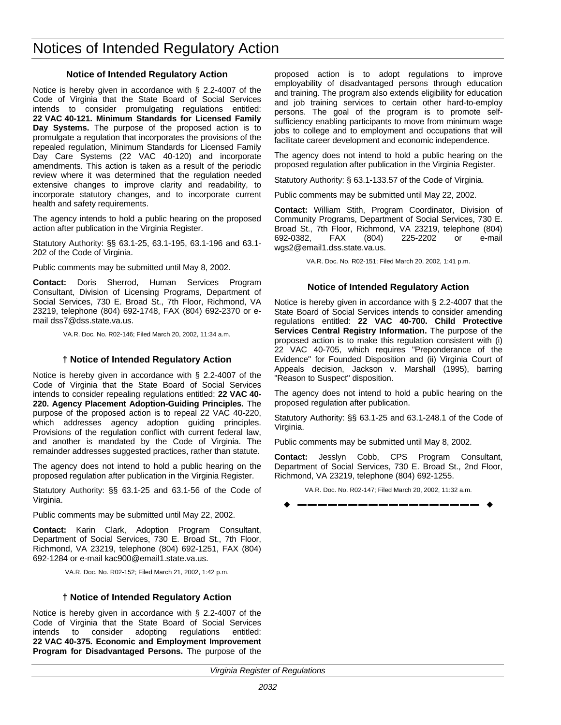## Notices of Intended Regulatory Action

## **Notice of Intended Regulatory Action**

Notice is hereby given in accordance with § 2.2-4007 of the Code of Virginia that the State Board of Social Services intends to consider promulgating regulations entitled: **22 VAC 40-121. Minimum Standards for Licensed Family Day Systems.** The purpose of the proposed action is to promulgate a regulation that incorporates the provisions of the repealed regulation, Minimum Standards for Licensed Family Day Care Systems (22 VAC 40-120) and incorporate amendments. This action is taken as a result of the periodic review where it was determined that the regulation needed extensive changes to improve clarity and readability, to incorporate statutory changes, and to incorporate current health and safety requirements.

The agency intends to hold a public hearing on the proposed action after publication in the Virginia Register.

Statutory Authority: §§ 63.1-25, 63.1-195, 63.1-196 and 63.1- 202 of the Code of Virginia.

Public comments may be submitted until May 8, 2002.

**Contact:** Doris Sherrod, Human Services Program Consultant, Division of Licensing Programs, Department of Social Services, 730 E. Broad St., 7th Floor, Richmond, VA 23219, telephone (804) 692-1748, FAX (804) 692-2370 or email dss7@dss.state.va.us.

VA.R. Doc. No. R02-146; Filed March 20, 2002, 11:34 a.m.

## **† Notice of Intended Regulatory Action**

Notice is hereby given in accordance with § 2.2-4007 of the Code of Virginia that the State Board of Social Services intends to consider repealing regulations entitled: **22 VAC 40- 220. Agency Placement Adoption-Guiding Principles.** The purpose of the proposed action is to repeal 22 VAC 40-220, which addresses agency adoption guiding principles. Provisions of the regulation conflict with current federal law, and another is mandated by the Code of Virginia. The remainder addresses suggested practices, rather than statute.

The agency does not intend to hold a public hearing on the proposed regulation after publication in the Virginia Register.

Statutory Authority: §§ 63.1-25 and 63.1-56 of the Code of Virginia.

Public comments may be submitted until May 22, 2002.

**Contact:** Karin Clark, Adoption Program Consultant, Department of Social Services, 730 E. Broad St., 7th Floor, Richmond, VA 23219, telephone (804) 692-1251, FAX (804) 692-1284 or e-mail kac900@email1.state.va.us.

VA.R. Doc. No. R02-152; Filed March 21, 2002, 1:42 p.m.

## **† Notice of Intended Regulatory Action**

Notice is hereby given in accordance with § 2.2-4007 of the Code of Virginia that the State Board of Social Services intends to consider adopting regulations entitled: **22 VAC 40-375. Economic and Employment Improvement Program for Disadvantaged Persons.** The purpose of the

proposed action is to adopt regulations to improve employability of disadvantaged persons through education and training. The program also extends eligibility for education and job training services to certain other hard-to-employ persons. The goal of the program is to promote selfsufficiency enabling participants to move from minimum wage jobs to college and to employment and occupations that will facilitate career development and economic independence.

The agency does not intend to hold a public hearing on the proposed regulation after publication in the Virginia Register.

Statutory Authority: § 63.1-133.57 of the Code of Virginia.

Public comments may be submitted until May 22, 2002.

**Contact:** William Stith, Program Coordinator, Division of Community Programs, Department of Social Services, 730 E. Broad St., 7th Floor, Richmond, VA 23219, telephone (804) 692-0382, FAX (804) 225-2202 or e-mail wgs2@email1.dss.state.va.us.

VA.R. Doc. No. R02-151; Filed March 20, 2002, 1:41 p.m.

## **Notice of Intended Regulatory Action**

Notice is hereby given in accordance with § 2.2-4007 that the State Board of Social Services intends to consider amending regulations entitled: **22 VAC 40-700. Child Protective Services Central Registry Information.** The purpose of the proposed action is to make this regulation consistent with (i) 22 VAC 40-705, which requires "Preponderance of the Evidence" for Founded Disposition and (ii) Virginia Court of Appeals decision, Jackson v. Marshall (1995), barring "Reason to Suspect" disposition.

The agency does not intend to hold a public hearing on the proposed regulation after publication.

Statutory Authority: §§ 63.1-25 and 63.1-248.1 of the Code of Virginia.

Public comments may be submitted until May 8, 2002.

**Contact:** Jesslyn Cobb, CPS Program Consultant, Department of Social Services, 730 E. Broad St., 2nd Floor, Richmond, VA 23219, telephone (804) 692-1255.

VA.R. Doc. No. R02-147; Filed March 20, 2002, 11:32 a.m.

$$
\bullet
$$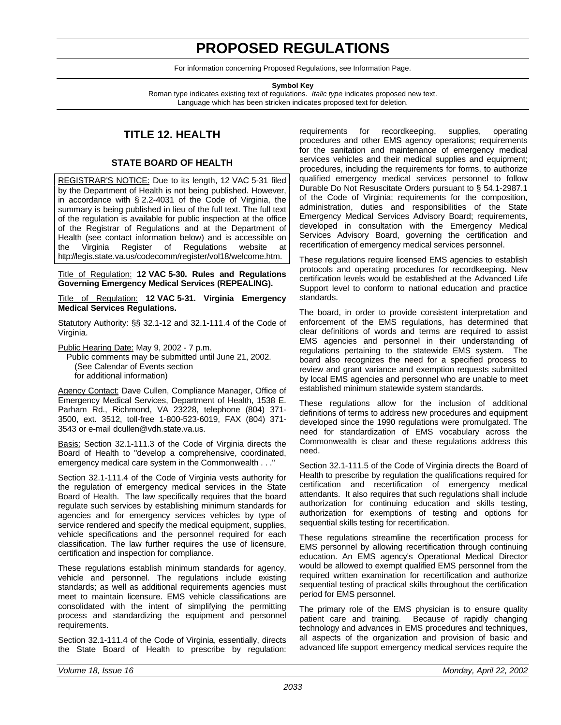## **PROPOSED REGULATIONS**

For information concerning Proposed Regulations, see Information Page.

**Symbol Key**

<span id="page-20-0"></span>Roman type indicates existing text of regulations. *Italic type* indicates proposed new text. Language which has been stricken indicates proposed text for deletion.

## **TITLE 12. HEALTH**

## **STATE BOARD OF HEALTH**

REGISTRAR'S NOTICE: Due to its length, 12 VAC 5-31 filed by the Department of Health is not being published. However, in accordance with § 2.2-4031 of the Code of Virginia, the summary is being published in lieu of the full text. The full text of the regulation is available for public inspection at the office of the Registrar of Regulations and at the Department of Health (see contact information below) and is accessible on the Virginia Register of Regulations website at http://legis.state.va.us/codecomm/register/vol18/welcome.htm.

Title of Regulation: **12 VAC 5-30. Rules and Regulations Governing Emergency Medical Services (REPEALING).**

Title of Regulation: **12 VAC 5-31. Virginia Emergency Medical Services Regulations.**

Statutory Authority: §§ 32.1-12 and 32.1-111.4 of the Code of Virginia.

Public Hearing Date: May 9, 2002 - 7 p.m.

Public comments may be submitted until June 21, 2002. (See Calendar of Events section for additional information)

Agency Contact: Dave Cullen, Compliance Manager, Office of Emergency Medical Services, Department of Health, 1538 E. Parham Rd., Richmond, VA 23228, telephone (804) 371- 3500, ext. 3512, toll-free 1-800-523-6019, FAX (804) 371- 3543 or e-mail dcullen@vdh.state.va.us.

Basis: Section 32.1-111.3 of the Code of Virginia directs the Board of Health to "develop a comprehensive, coordinated, emergency medical care system in the Commonwealth . . ."

Section 32.1-111.4 of the Code of Virginia vests authority for the regulation of emergency medical services in the State Board of Health. The law specifically requires that the board regulate such services by establishing minimum standards for agencies and for emergency services vehicles by type of service rendered and specify the medical equipment, supplies, vehicle specifications and the personnel required for each classification. The law further requires the use of licensure, certification and inspection for compliance.

These regulations establish minimum standards for agency, vehicle and personnel. The regulations include existing standards; as well as additional requirements agencies must meet to maintain licensure. EMS vehicle classifications are consolidated with the intent of simplifying the permitting process and standardizing the equipment and personnel requirements.

Section 32.1-111.4 of the Code of Virginia, essentially, directs the State Board of Health to prescribe by regulation: requirements for recordkeeping, supplies, operating procedures and other EMS agency operations; requirements for the sanitation and maintenance of emergency medical services vehicles and their medical supplies and equipment; procedures, including the requirements for forms, to authorize qualified emergency medical services personnel to follow Durable Do Not Resuscitate Orders pursuant to § 54.1-2987.1 of the Code of Virginia; requirements for the composition, administration, duties and responsibilities of the State Emergency Medical Services Advisory Board; requirements, developed in consultation with the Emergency Medical Services Advisory Board, governing the certification and recertification of emergency medical services personnel.

These regulations require licensed EMS agencies to establish protocols and operating procedures for recordkeeping. New certification levels would be established at the Advanced Life Support level to conform to national education and practice standards.

The board, in order to provide consistent interpretation and enforcement of the EMS regulations, has determined that clear definitions of words and terms are required to assist EMS agencies and personnel in their understanding of regulations pertaining to the statewide EMS system. The board also recognizes the need for a specified process to review and grant variance and exemption requests submitted by local EMS agencies and personnel who are unable to meet established minimum statewide system standards.

These regulations allow for the inclusion of additional definitions of terms to address new procedures and equipment developed since the 1990 regulations were promulgated. The need for standardization of EMS vocabulary across the Commonwealth is clear and these regulations address this need.

Section 32.1-111.5 of the Code of Virginia directs the Board of Health to prescribe by regulation the qualifications required for certification and recertification of emergency medical attendants. It also requires that such regulations shall include authorization for continuing education and skills testing, authorization for exemptions of testing and options for sequential skills testing for recertification.

These regulations streamline the recertification process for EMS personnel by allowing recertification through continuing education. An EMS agency's Operational Medical Director would be allowed to exempt qualified EMS personnel from the required written examination for recertification and authorize sequential testing of practical skills throughout the certification period for EMS personnel.

The primary role of the EMS physician is to ensure quality patient care and training. Because of rapidly changing technology and advances in EMS procedures and techniques, all aspects of the organization and provision of basic and advanced life support emergency medical services require the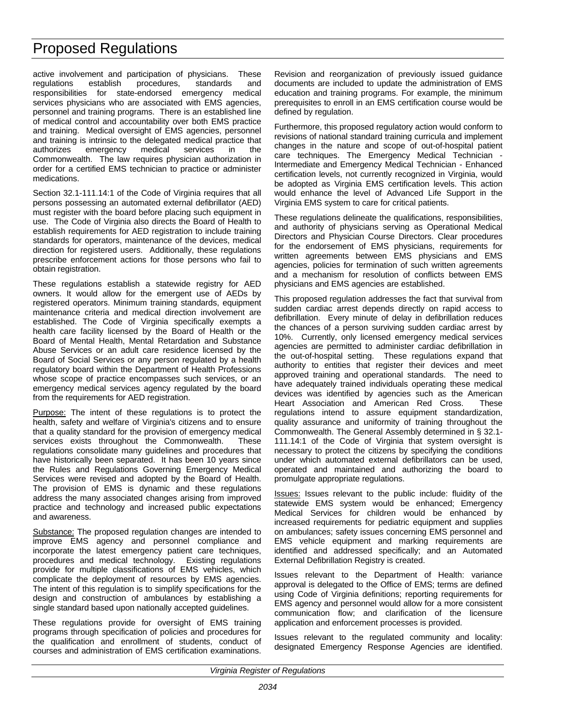active involvement and participation of physicians. These<br>regulations establish procedures, standards and regulations establish procedures, standards and responsibilities for state-endorsed emergency medical services physicians who are associated with EMS agencies, personnel and training programs. There is an established line of medical control and accountability over both EMS practice and training. Medical oversight of EMS agencies, personnel and training is intrinsic to the delegated medical practice that authorizes emergency medical services in the Commonwealth. The law requires physician authorization in order for a certified EMS technician to practice or administer medications.

Section 32.1-111.14:1 of the Code of Virginia requires that all persons possessing an automated external defibrillator (AED) must register with the board before placing such equipment in use. The Code of Virginia also directs the Board of Health to establish requirements for AED registration to include training standards for operators, maintenance of the devices, medical direction for registered users. Additionally, these regulations prescribe enforcement actions for those persons who fail to obtain registration.

These regulations establish a statewide registry for AED owners. It would allow for the emergent use of AEDs by registered operators. Minimum training standards, equipment maintenance criteria and medical direction involvement are established. The Code of Virginia specifically exempts a health care facility licensed by the Board of Health or the Board of Mental Health, Mental Retardation and Substance Abuse Services or an adult care residence licensed by the Board of Social Services or any person regulated by a health regulatory board within the Department of Health Professions whose scope of practice encompasses such services, or an emergency medical services agency regulated by the board from the requirements for AED registration.

Purpose: The intent of these regulations is to protect the health, safety and welfare of Virginia's citizens and to ensure that a quality standard for the provision of emergency medical services exists throughout the Commonwealth. These regulations consolidate many guidelines and procedures that have historically been separated. It has been 10 years since the Rules and Regulations Governing Emergency Medical Services were revised and adopted by the Board of Health. The provision of EMS is dynamic and these regulations address the many associated changes arising from improved practice and technology and increased public expectations and awareness.

Substance: The proposed regulation changes are intended to improve EMS agency and personnel compliance and incorporate the latest emergency patient care techniques, procedures and medical technology. Existing regulations provide for multiple classifications of EMS vehicles, which complicate the deployment of resources by EMS agencies. The intent of this regulation is to simplify specifications for the design and construction of ambulances by establishing a single standard based upon nationally accepted guidelines.

These regulations provide for oversight of EMS training programs through specification of policies and procedures for the qualification and enrollment of students, conduct of courses and administration of EMS certification examinations.

Revision and reorganization of previously issued guidance documents are included to update the administration of EMS education and training programs. For example, the minimum prerequisites to enroll in an EMS certification course would be defined by regulation.

Furthermore, this proposed regulatory action would conform to revisions of national standard training curricula and implement changes in the nature and scope of out-of-hospital patient care techniques. The Emergency Medical Technician Intermediate and Emergency Medical Technician - Enhanced certification levels, not currently recognized in Virginia, would be adopted as Virginia EMS certification levels. This action would enhance the level of Advanced Life Support in the Virginia EMS system to care for critical patients.

These regulations delineate the qualifications, responsibilities, and authority of physicians serving as Operational Medical Directors and Physician Course Directors. Clear procedures for the endorsement of EMS physicians, requirements for written agreements between EMS physicians and EMS agencies, policies for termination of such written agreements and a mechanism for resolution of conflicts between EMS physicians and EMS agencies are established.

This proposed regulation addresses the fact that survival from sudden cardiac arrest depends directly on rapid access to defibrillation. Every minute of delay in defibrillation reduces the chances of a person surviving sudden cardiac arrest by 10%. Currently, only licensed emergency medical services agencies are permitted to administer cardiac defibrillation in the out-of-hospital setting. These regulations expand that authority to entities that register their devices and meet approved training and operational standards. The need to have adequately trained individuals operating these medical devices was identified by agencies such as the American Heart Association and American Red Cross. These regulations intend to assure equipment standardization, quality assurance and uniformity of training throughout the Commonwealth. The General Assembly determined in § 32.1- 111.14:1 of the Code of Virginia that system oversight is necessary to protect the citizens by specifying the conditions under which automated external defibrillators can be used, operated and maintained and authorizing the board to promulgate appropriate regulations.

Issues: Issues relevant to the public include: fluidity of the statewide EMS system would be enhanced; Emergency Medical Services for children would be enhanced by increased requirements for pediatric equipment and supplies on ambulances; safety issues concerning EMS personnel and EMS vehicle equipment and marking requirements are identified and addressed specifically; and an Automated External Defibrillation Registry is created.

Issues relevant to the Department of Health: variance approval is delegated to the Office of EMS; terms are defined using Code of Virginia definitions; reporting requirements for EMS agency and personnel would allow for a more consistent communication flow; and clarification of the licensure application and enforcement processes is provided.

Issues relevant to the regulated community and locality: designated Emergency Response Agencies are identified.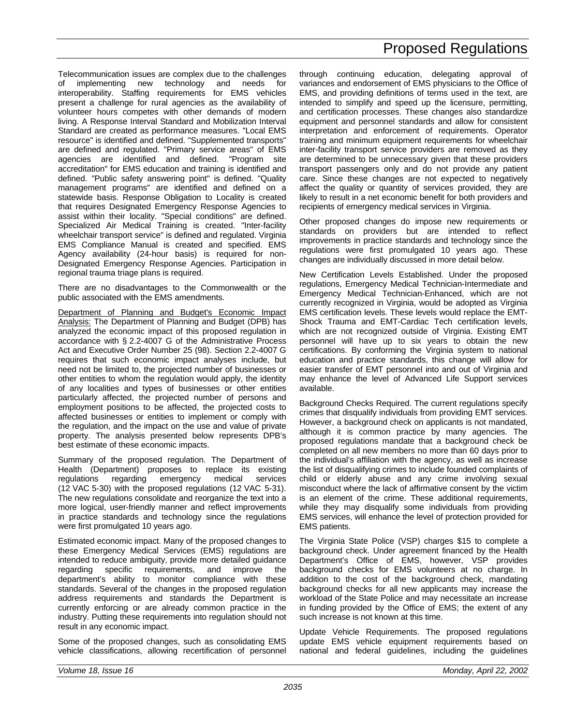Telecommunication issues are complex due to the challenges of implementing new technology and needs for interoperability. Staffing requirements for EMS vehicles present a challenge for rural agencies as the availability of volunteer hours competes with other demands of modern living. A Response Interval Standard and Mobilization Interval Standard are created as performance measures. "Local EMS resource" is identified and defined. "Supplemented transports" are defined and regulated. "Primary service areas" of EMS agencies are identified and defined. "Program site accreditation" for EMS education and training is identified and defined. "Public safety answering point" is defined. "Quality management programs" are identified and defined on a statewide basis. Response Obligation to Locality is created that requires Designated Emergency Response Agencies to assist within their locality. "Special conditions" are defined. Specialized Air Medical Training is created. "Inter-facility wheelchair transport service" is defined and regulated. Virginia EMS Compliance Manual is created and specified. EMS Agency availability (24-hour basis) is required for non-Designated Emergency Response Agencies. Participation in regional trauma triage plans is required.

There are no disadvantages to the Commonwealth or the public associated with the EMS amendments.

Department of Planning and Budget's Economic Impact Analysis: The Department of Planning and Budget (DPB) has analyzed the economic impact of this proposed regulation in accordance with § 2.2-4007 G of the Administrative Process Act and Executive Order Number 25 (98). Section 2.2-4007 G requires that such economic impact analyses include, but need not be limited to, the projected number of businesses or other entities to whom the regulation would apply, the identity of any localities and types of businesses or other entities particularly affected, the projected number of persons and employment positions to be affected, the projected costs to affected businesses or entities to implement or comply with the regulation, and the impact on the use and value of private property. The analysis presented below represents DPB's best estimate of these economic impacts.

Summary of the proposed regulation. The Department of Health (Department) proposes to replace its existing regulations regarding emergency medical services (12 VAC 5-30) with the proposed regulations (12 VAC 5-31). The new regulations consolidate and reorganize the text into a more logical, user-friendly manner and reflect improvements in practice standards and technology since the regulations were first promulgated 10 years ago.

Estimated economic impact. Many of the proposed changes to these Emergency Medical Services (EMS) regulations are intended to reduce ambiguity, provide more detailed guidance regarding specific requirements, and improve the department's ability to monitor compliance with these standards. Several of the changes in the proposed regulation address requirements and standards the Department is currently enforcing or are already common practice in the industry. Putting these requirements into regulation should not result in any economic impact.

Some of the proposed changes, such as consolidating EMS vehicle classifications, allowing recertification of personnel through continuing education, delegating approval of variances and endorsement of EMS physicians to the Office of EMS, and providing definitions of terms used in the text, are intended to simplify and speed up the licensure, permitting, and certification processes. These changes also standardize equipment and personnel standards and allow for consistent interpretation and enforcement of requirements. Operator training and minimum equipment requirements for wheelchair inter-facility transport service providers are removed as they are determined to be unnecessary given that these providers transport passengers only and do not provide any patient care. Since these changes are not expected to negatively affect the quality or quantity of services provided, they are likely to result in a net economic benefit for both providers and recipients of emergency medical services in Virginia.

Other proposed changes do impose new requirements or standards on providers but are intended to reflect improvements in practice standards and technology since the regulations were first promulgated 10 years ago. These changes are individually discussed in more detail below.

New Certification Levels Established. Under the proposed regulations, Emergency Medical Technician-Intermediate and Emergency Medical Technician-Enhanced, which are not currently recognized in Virginia, would be adopted as Virginia EMS certification levels. These levels would replace the EMT-Shock Trauma and EMT-Cardiac Tech certification levels, which are not recognized outside of Virginia. Existing EMT personnel will have up to six years to obtain the new certifications. By conforming the Virginia system to national education and practice standards, this change will allow for easier transfer of EMT personnel into and out of Virginia and may enhance the level of Advanced Life Support services available.

Background Checks Required. The current regulations specify crimes that disqualify individuals from providing EMT services. However, a background check on applicants is not mandated, although it is common practice by many agencies. The proposed regulations mandate that a background check be completed on all new members no more than 60 days prior to the individual's affiliation with the agency, as well as increase the list of disqualifying crimes to include founded complaints of child or elderly abuse and any crime involving sexual misconduct where the lack of affirmative consent by the victim is an element of the crime. These additional requirements, while they may disqualify some individuals from providing EMS services, will enhance the level of protection provided for EMS patients.

The Virginia State Police (VSP) charges \$15 to complete a background check. Under agreement financed by the Health Department's Office of EMS, however, VSP provides background checks for EMS volunteers at no charge. In addition to the cost of the background check, mandating background checks for all new applicants may increase the workload of the State Police and may necessitate an increase in funding provided by the Office of EMS; the extent of any such increase is not known at this time.

Update Vehicle Requirements. The proposed regulations update EMS vehicle equipment requirements based on national and federal guidelines, including the guidelines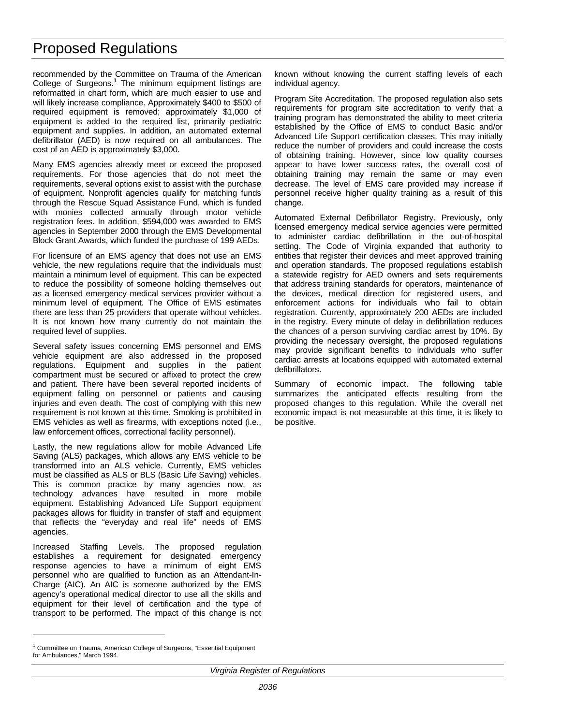recommended by the Committee on Trauma of the American College of Surgeons. $1$  The minimum equipment listings are reformatted in chart form, which are much easier to use and will likely increase compliance. Approximately \$400 to \$500 of required equipment is removed; approximately \$1,000 of equipment is added to the required list, primarily pediatric equipment and supplies. In addition, an automated external defibrillator (AED) is now required on all ambulances. The cost of an AED is approximately \$3,000.

Many EMS agencies already meet or exceed the proposed requirements. For those agencies that do not meet the requirements, several options exist to assist with the purchase of equipment. Nonprofit agencies qualify for matching funds through the Rescue Squad Assistance Fund, which is funded with monies collected annually through motor vehicle registration fees. In addition, \$594,000 was awarded to EMS agencies in September 2000 through the EMS Developmental Block Grant Awards, which funded the purchase of 199 AEDs.

For licensure of an EMS agency that does not use an EMS vehicle, the new regulations require that the individuals must maintain a minimum level of equipment. This can be expected to reduce the possibility of someone holding themselves out as a licensed emergency medical services provider without a minimum level of equipment. The Office of EMS estimates there are less than 25 providers that operate without vehicles. It is not known how many currently do not maintain the required level of supplies.

Several safety issues concerning EMS personnel and EMS vehicle equipment are also addressed in the proposed regulations. Equipment and supplies in the patient compartment must be secured or affixed to protect the crew and patient. There have been several reported incidents of equipment falling on personnel or patients and causing injuries and even death. The cost of complying with this new requirement is not known at this time. Smoking is prohibited in EMS vehicles as well as firearms, with exceptions noted (i.e., law enforcement offices, correctional facility personnel).

Lastly, the new regulations allow for mobile Advanced Life Saving (ALS) packages, which allows any EMS vehicle to be transformed into an ALS vehicle. Currently, EMS vehicles must be classified as ALS or BLS (Basic Life Saving) vehicles. This is common practice by many agencies now, as technology advances have resulted in more mobile equipment. Establishing Advanced Life Support equipment packages allows for fluidity in transfer of staff and equipment that reflects the "everyday and real life" needs of EMS agencies.

Increased Staffing Levels. The proposed regulation establishes a requirement for designated emergency response agencies to have a minimum of eight EMS personnel who are qualified to function as an Attendant-In-Charge (AIC). An AIC is someone authorized by the EMS agency's operational medical director to use all the skills and equipment for their level of certification and the type of transport to be performed. The impact of this change is not

<sup>1</sup> Committee on Trauma, American College of Surgeons, "Essential Equipment for Ambulances," March 1994.

 $\overline{a}$ 

known without knowing the current staffing levels of each individual agency.

Program Site Accreditation. The proposed regulation also sets requirements for program site accreditation to verify that a training program has demonstrated the ability to meet criteria established by the Office of EMS to conduct Basic and/or Advanced Life Support certification classes. This may initially reduce the number of providers and could increase the costs of obtaining training. However, since low quality courses appear to have lower success rates, the overall cost of obtaining training may remain the same or may even decrease. The level of EMS care provided may increase if personnel receive higher quality training as a result of this change.

Automated External Defibrillator Registry. Previously, only licensed emergency medical service agencies were permitted to administer cardiac defibrillation in the out-of-hospital setting. The Code of Virginia expanded that authority to entities that register their devices and meet approved training and operation standards. The proposed regulations establish a statewide registry for AED owners and sets requirements that address training standards for operators, maintenance of the devices, medical direction for registered users, and enforcement actions for individuals who fail to obtain registration. Currently, approximately 200 AEDs are included in the registry. Every minute of delay in defibrillation reduces the chances of a person surviving cardiac arrest by 10%. By providing the necessary oversight, the proposed regulations may provide significant benefits to individuals who suffer cardiac arrests at locations equipped with automated external defibrillators.

Summary of economic impact. The following table summarizes the anticipated effects resulting from the proposed changes to this regulation. While the overall net economic impact is not measurable at this time, it is likely to be positive.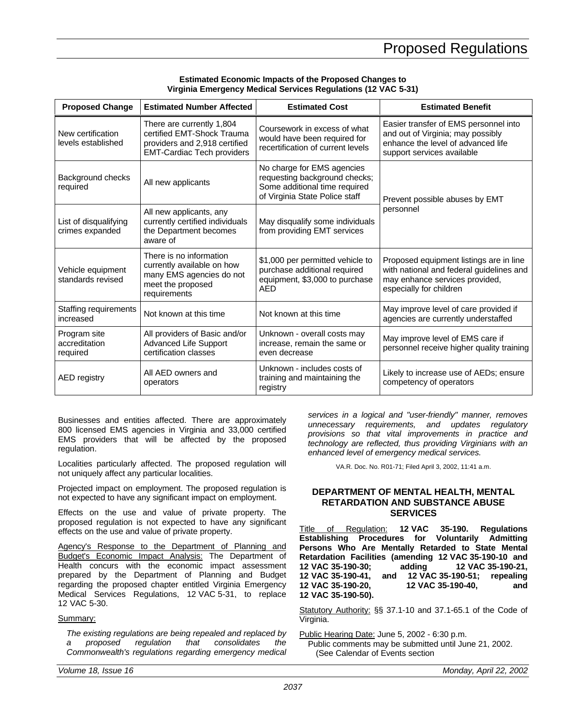### **Estimated Economic Impacts of the Proposed Changes to Virginia Emergency Medical Services Regulations (12 VAC 5-31)**

<span id="page-24-0"></span>

| <b>Proposed Change</b>                    | <b>Estimated Number Affected</b>                                                                                              | <b>Estimated Cost</b>                                                                                                          | <b>Estimated Benefit</b>                                                                                                                         |  |
|-------------------------------------------|-------------------------------------------------------------------------------------------------------------------------------|--------------------------------------------------------------------------------------------------------------------------------|--------------------------------------------------------------------------------------------------------------------------------------------------|--|
| New certification<br>levels established   | There are currently 1,804<br>certified EMT-Shock Trauma<br>providers and 2,918 certified<br><b>EMT-Cardiac Tech providers</b> | Coursework in excess of what<br>would have been required for<br>recertification of current levels                              | Easier transfer of EMS personnel into<br>and out of Virginia; may possibly<br>enhance the level of advanced life<br>support services available   |  |
| Background checks<br>required             | All new applicants                                                                                                            | No charge for EMS agencies<br>requesting background checks;<br>Some additional time required<br>of Virginia State Police staff | Prevent possible abuses by EMT                                                                                                                   |  |
| List of disqualifying<br>crimes expanded  | All new applicants, any<br>currently certified individuals<br>the Department becomes<br>aware of                              | May disqualify some individuals<br>from providing EMT services                                                                 | personnel                                                                                                                                        |  |
| Vehicle equipment<br>standards revised    | There is no information<br>currently available on how<br>many EMS agencies do not<br>meet the proposed<br>requirements        | \$1,000 per permitted vehicle to<br>purchase additional required<br>equipment, \$3,000 to purchase<br>AED                      | Proposed equipment listings are in line<br>with national and federal guidelines and<br>may enhance services provided,<br>especially for children |  |
| <b>Staffing requirements</b><br>increased | Not known at this time                                                                                                        | Not known at this time                                                                                                         | May improve level of care provided if<br>agencies are currently understaffed                                                                     |  |
| Program site<br>accreditation<br>required | All providers of Basic and/or<br><b>Advanced Life Support</b><br>certification classes                                        | Unknown - overall costs may<br>increase, remain the same or<br>even decrease                                                   | May improve level of EMS care if<br>personnel receive higher quality training                                                                    |  |
| AED registry                              | All AED owners and<br>operators                                                                                               | Unknown - includes costs of<br>training and maintaining the<br>registry                                                        | Likely to increase use of AEDs; ensure<br>competency of operators                                                                                |  |

Businesses and entities affected. There are approximately 800 licensed EMS agencies in Virginia and 33,000 certified EMS providers that will be affected by the proposed regulation.

Localities particularly affected. The proposed regulation will not uniquely affect any particular localities.

Projected impact on employment. The proposed regulation is not expected to have any significant impact on employment.

Effects on the use and value of private property. The proposed regulation is not expected to have any significant effects on the use and value of private property.

Agency's Response to the Department of Planning and Budget's Economic Impact Analysis: The Department of Health concurs with the economic impact assessment prepared by the Department of Planning and Budget regarding the proposed chapter entitled Virginia Emergency Medical Services Regulations, 12 VAC 5-31, to replace 12 VAC 5-30.

### Summary:

*The existing regulations are being repealed and replaced by a proposed regulation that consolidates the Commonwealth's regulations regarding emergency medical* *services in a logical and "user-friendly" manner, removes unnecessary requirements, and updates regulatory provisions so that vital improvements in practice and technology are reflected, thus providing Virginians with an enhanced level of emergency medical services.*

VA.R. Doc. No. R01-71; Filed April 3, 2002, 11:41 a.m.

## **DEPARTMENT OF MENTAL HEALTH, MENTAL RETARDATION AND SUBSTANCE ABUSE SERVICES**

Title of Regulation: **12 VAC 35-190. Regulations Establishing Procedures for Voluntarily Admitting Persons Who Are Mentally Retarded to State Mental Retardation Facilities (amending 12 VAC 35-190-10 and 12 VAC 35-190-30; adding 12 VAC 35-190-21, 12 VAC 35-190-41, and 12 VAC 35-190-51; repealing 12 VAC 35-190-20, 12 VAC 35-190-40, and 12 VAC 35-190-50).**

Statutory Authority: §§ 37.1-10 and 37.1-65.1 of the Code of Virginia.

Public Hearing Date: June 5, 2002 - 6:30 p.m.

Public comments may be submitted until June 21, 2002. (See Calendar of Events section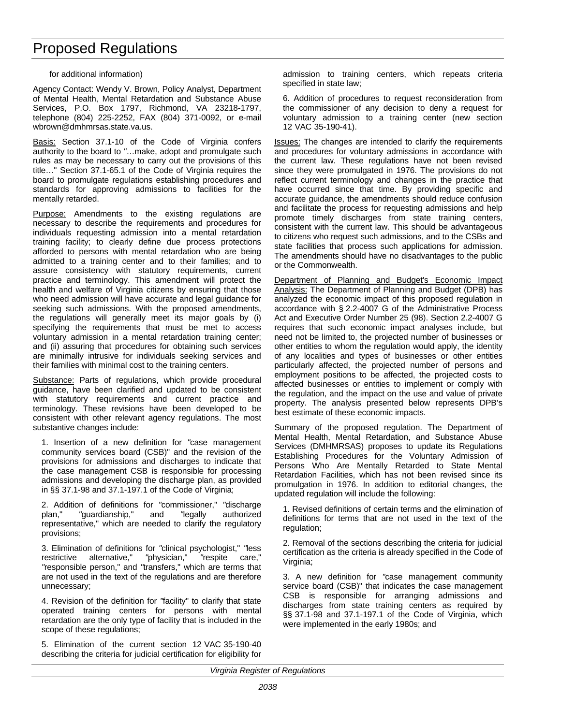for additional information)

Agency Contact: Wendy V. Brown, Policy Analyst, Department of Mental Health, Mental Retardation and Substance Abuse Services, P.O. Box 1797, Richmond, VA 23218-1797, telephone (804) 225-2252, FAX (804) 371-0092, or e-mail wbrown@dmhmrsas.state.va.us.

Basis: Section 37.1-10 of the Code of Virginia confers authority to the board to *"*…make, adopt and promulgate such rules as may be necessary to carry out the provisions of this title…" Section 37.1-65.1 of the Code of Virginia requires the board to promulgate regulations establishing procedures and standards for approving admissions to facilities for the mentally retarded.

Purpose: Amendments to the existing regulations are necessary to describe the requirements and procedures for individuals requesting admission into a mental retardation training facility; to clearly define due process protections afforded to persons with mental retardation who are being admitted to a training center and to their families; and to assure consistency with statutory requirements, current practice and terminology. This amendment will protect the health and welfare of Virginia citizens by ensuring that those who need admission will have accurate and legal guidance for seeking such admissions. With the proposed amendments, the regulations will generally meet its major goals by (i) specifying the requirements that must be met to access voluntary admission in a mental retardation training center; and (ii) assuring that procedures for obtaining such services are minimally intrusive for individuals seeking services and their families with minimal cost to the training centers.

Substance: Parts of regulations, which provide procedural guidance, have been clarified and updated to be consistent with statutory requirements and current practice and terminology. These revisions have been developed to be consistent with other relevant agency regulations. The most substantive changes include:

1. Insertion of a new definition for *"*case management community services board (CSB)" and the revision of the provisions for admissions and discharges to indicate that the case management CSB is responsible for processing admissions and developing the discharge plan, as provided in §§ 37.1-98 and 37.1-197.1 of the Code of Virginia;

2. Addition of definitions for *"*commissioner," *"*discharge plan," *"*guardianship," and *"*legally authorized representative," which are needed to clarify the regulatory provisions;

3. Elimination of definitions for *"*clinical psychologist," *"*less restrictive alternative," *"*physician," *"*respite care," *"*responsible person," and *"*transfers," which are terms that are not used in the text of the regulations and are therefore unnecessary;

4. Revision of the definition for *"*facility" to clarify that state operated training centers for persons with mental retardation are the only type of facility that is included in the scope of these regulations;

5. Elimination of the current section 12 VAC 35-190-40 describing the criteria for judicial certification for eligibility for

admission to training centers, which repeats criteria specified in state law;

6. Addition of procedures to request reconsideration from the commissioner of any decision to deny a request for voluntary admission to a training center (new section 12 VAC 35-190-41).

Issues: The changes are intended to clarify the requirements and procedures for voluntary admissions in accordance with the current law. These regulations have not been revised since they were promulgated in 1976. The provisions do not reflect current terminology and changes in the practice that have occurred since that time. By providing specific and accurate guidance, the amendments should reduce confusion and facilitate the process for requesting admissions and help promote timely discharges from state training centers, consistent with the current law. This should be advantageous to citizens who request such admissions, and to the CSBs and state facilities that process such applications for admission. The amendments should have no disadvantages to the public or the Commonwealth.

Department of Planning and Budget's Economic Impact Analysis: The Department of Planning and Budget (DPB) has analyzed the economic impact of this proposed regulation in accordance with § 2.2-4007 G of the Administrative Process Act and Executive Order Number 25 (98). Section 2.2-4007 G requires that such economic impact analyses include, but need not be limited to, the projected number of businesses or other entities to whom the regulation would apply, the identity of any localities and types of businesses or other entities particularly affected, the projected number of persons and employment positions to be affected, the projected costs to affected businesses or entities to implement or comply with the regulation, and the impact on the use and value of private property. The analysis presented below represents DPB's best estimate of these economic impacts.

Summary of the proposed regulation. The Department of Mental Health, Mental Retardation, and Substance Abuse Services (DMHMRSAS) proposes to update its Regulations Establishing Procedures for the Voluntary Admission of Persons Who Are Mentally Retarded to State Mental Retardation Facilities, which has not been revised since its promulgation in 1976. In addition to editorial changes, the updated regulation will include the following:

1. Revised definitions of certain terms and the elimination of definitions for terms that are not used in the text of the regulation;

2. Removal of the sections describing the criteria for judicial certification as the criteria is already specified in the Code of Virginia;

3. A new definition for *"*case management community service board (CSB)" that indicates the case management CSB is responsible for arranging admissions and discharges from state training centers as required by §§ 37.1-98 and 37.1-197.1 of the Code of Virginia, which were implemented in the early 1980s; and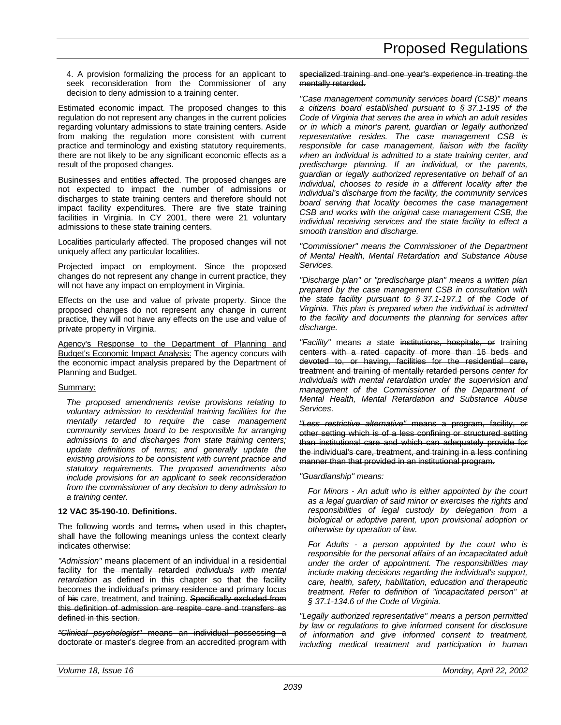4. A provision formalizing the process for an applicant to seek reconsideration from the Commissioner of any decision to deny admission to a training center.

Estimated economic impact. The proposed changes to this regulation do not represent any changes in the current policies regarding voluntary admissions to state training centers. Aside from making the regulation more consistent with current practice and terminology and existing statutory requirements, there are not likely to be any significant economic effects as a result of the proposed changes.

Businesses and entities affected. The proposed changes are not expected to impact the number of admissions or discharges to state training centers and therefore should not impact facility expenditures. There are five state training facilities in Virginia. In CY 2001, there were 21 voluntary admissions to these state training centers.

Localities particularly affected. The proposed changes will not uniquely affect any particular localities.

Projected impact on employment. Since the proposed changes do not represent any change in current practice, they will not have any impact on employment in Virginia.

Effects on the use and value of private property. Since the proposed changes do not represent any change in current practice, they will not have any effects on the use and value of private property in Virginia.

Agency's Response to the Department of Planning and Budget's Economic Impact Analysis: The agency concurs with the economic impact analysis prepared by the Department of Planning and Budget.

### Summary:

*The proposed amendments revise provisions relating to voluntary admission to residential training facilities for the mentally retarded to require the case management community services board to be responsible for arranging admissions to and discharges from state training centers; update definitions of terms; and generally update the existing provisions to be consistent with current practice and statutory requirements. The proposed amendments also include provisions for an applicant to seek reconsideration from the commissioner of any decision to deny admission to a training center.*

### **12 VAC 35-190-10. Definitions.**

The following words and terms, when used in this chapter, shall have the following meanings unless the context clearly indicates otherwise:

*"Admission"* means placement of an individual in a residential facility for the mentally retarded *individuals with mental retardation* as defined in this chapter so that the facility becomes the individual's primary residence and primary locus of his care, treatment, and training. Specifically excluded from this definition of admission are respite care and transfers as defined in this section.

*"Clinical psychologist"* means an individual possessing a doctorate or master's degree from an accredited program with specialized training and one year's experience in treating the mentally retarded.

*"Case management community services board (CSB)" means a citizens board established pursuant to § 37.1-195 of the Code of Virginia that serves the area in which an adult resides or in which a minor's parent, guardian or legally authorized representative resides. The case management CSB is responsible for case management, liaison with the facility when an individual is admitted to a state training center, and predischarge planning. If an individual, or the parents, guardian or legally authorized representative on behalf of an individual, chooses to reside in a different locality after the individual's discharge from the facility, the community services board serving that locality becomes the case management CSB and works with the original case management CSB, the individual receiving services and the state facility to effect a smooth transition and discharge.*

*"Commissioner" means the Commissioner of the Department of Mental Health, Mental Retardation and Substance Abuse Services.*

*"Discharge plan" or "predischarge plan" means a written plan prepared by the case management CSB in consultation with the state facility pursuant to § 37.1-197.1 of the Code of Virginia. This plan is prepared when the individual is admitted to the facility and documents the planning for services after discharge.*

*"Facility"* means *a* state institutions, hospitals, or training centers with a rated capacity of more than 16 beds and devoted to, or having, facilities for the residential care, treatment and training of mentally retarded persons *center for individuals with mental retardation under the supervision and management of the Commissioner of the Department of Mental Health, Mental Retardation and Substance Abuse Services*.

*"Less restrictive alternative"* means a program, facility, or other setting which is of a less confining or structured setting than institutional care and which can adequately provide for the individual's care, treatment, and training in a less confining manner than that provided in an institutional program.

*"Guardianship" means:*

*For Minors - An adult who is either appointed by the court as a legal guardian of said minor or exercises the rights and responsibilities of legal custody by delegation from a biological or adoptive parent, upon provisional adoption or otherwise by operation of law.*

*For Adults - a person appointed by the court who is responsible for the personal affairs of an incapacitated adult under the order of appointment. The responsibilities may include making decisions regarding the individual's support, care, health, safety, habilitation, education and therapeutic treatment. Refer to definition of "incapacitated person" at § 37.1-134.6 of the Code of Virginia.*

*"Legally authorized representative" means a person permitted by law or regulations to give informed consent for disclosure of information and give informed consent to treatment, including medical treatment and participation in human*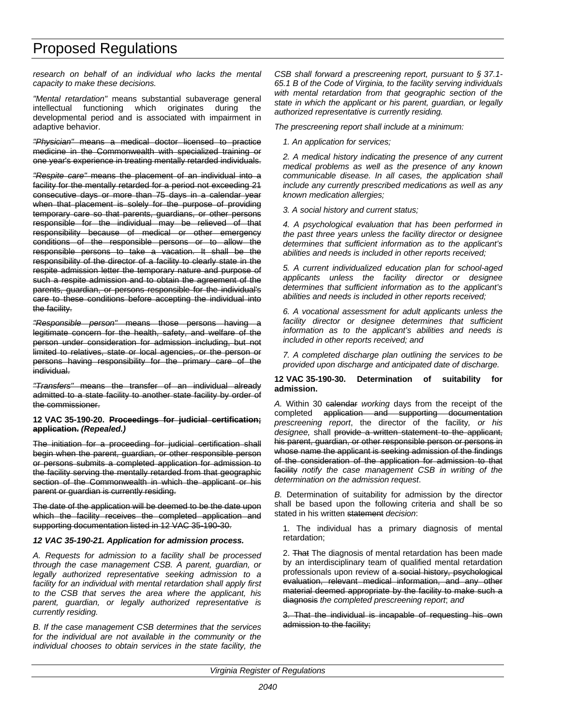*research on behalf of an individual who lacks the mental capacity to make these decisions.*

*"Mental retardation"* means substantial subaverage general intellectual functioning which originates during the developmental period and is associated with impairment in adaptive behavior.

*"Physician"* means a medical doctor licensed to practice medicine in the Commonwealth with specialized training or one year's experience in treating mentally retarded individuals.

*"Respite care"* means the placement of an individual into a facility for the mentally retarded for a period not exceeding 21 consecutive days or more than 75 days in a calendar year when that placement is solely for the purpose of providing temporary care so that parents, guardians, or other persons responsible for the individual may be relieved of that responsibility because of medical or other emergency conditions of the responsible persons or to allow the responsible persons to take a vacation. It shall be the responsibility of the director of a facility to clearly state in the respite admission letter the temporary nature and purpose of such a respite admission and to obtain the agreement of the parents, guardian, or persons responsible for the individual's care to these conditions before accepting the individual into the facility.

*"Responsible person"* means those persons having a legitimate concern for the health, safety, and welfare of the person under consideration for admission including, but not limited to relatives, state or local agencies, or the person or persons having responsibility for the primary care of the individual.

*"Transfers"* means the transfer of an individual already admitted to a state facility to another state facility by order of the commissioner.

#### **12 VAC 35-190-20. Proceedings for judicial certification; application.** *(Repealed.)*

The initiation for a proceeding for judicial certification shall begin when the parent, guardian, or other responsible person or persons submits a completed application for admission to the facility serving the mentally retarded from that geographic section of the Commonwealth in which the applicant or his parent or guardian is currently residing.

The date of the application will be deemed to be the date upon which the facility receives the completed application and supporting documentation listed in 12 VAC 35-190-30.

### *12 VAC 35-190-21. Application for admission process.*

*A. Requests for admission to a facility shall be processed through the case management CSB. A parent, guardian, or legally authorized representative seeking admission to a facility for an individual with mental retardation shall apply first to the CSB that serves the area where the applicant, his parent, guardian, or legally authorized representative is currently residing.*

*B. If the case management CSB determines that the services for the individual are not available in the community or the individual chooses to obtain services in the state facility, the* *CSB shall forward a prescreening report, pursuant to § 37.1- 65.1 B of the Code of Virginia, to the facility serving individuals with mental retardation from that geographic section of the state in which the applicant or his parent, guardian, or legally authorized representative is currently residing.*

*The prescreening report shall include at a minimum:*

*1. An application for services;*

*2. A medical history indicating the presence of any current medical problems as well as the presence of any known communicable disease. In all cases, the application shall include any currently prescribed medications as well as any known medication allergies;*

*3. A social history and current status;*

*4. A psychological evaluation that has been performed in the past three years unless the facility director or designee determines that sufficient information as to the applicant's abilities and needs is included in other reports received;*

*5. A current individualized education plan for school-aged applicants unless the facility director or designee determines that sufficient information as to the applicant's abilities and needs is included in other reports received;*

*6. A vocational assessment for adult applicants unless the facility director or designee determines that sufficient information as to the applicant's abilities and needs is included in other reports received; and*

*7. A completed discharge plan outlining the services to be provided upon discharge and anticipated date of discharge.*

#### **12 VAC 35-190-30. Determination of suitability for admission.**

*A.* Within 30 calendar *working* days from the receipt of the completed application and supporting documentation *prescreening report*, the director of the facility*, or his designee,* shall provide a written statement to the applicant, his parent, guardian, or other responsible person or persons in whose name the applicant is seeking admission of the findings of the consideration of the application for admission to that facility *notify the case management CSB in writing of the determination on the admission request*.

*B.* Determination of suitability for admission by the director shall be based upon the following criteria and shall be so stated in his written statement *decision*:

1. The individual has a primary diagnosis of mental retardation;

2. That The diagnosis of mental retardation has been made by an interdisciplinary team of qualified mental retardation professionals upon review of a social history, psychological evaluation, relevant medical information, and any other material deemed appropriate by the facility to make such a diagnosis *the completed prescreening report*; *and*

3. That the individual is incapable of requesting his own admission to the facility;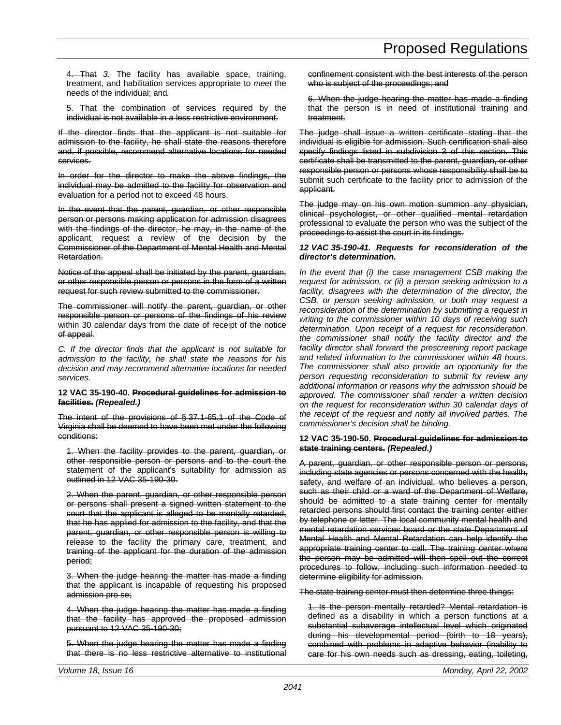4. That *3.* The facility has available space, training, treatment, and habilitation services appropriate to *meet* the needs of the individual; and*.*

5. That the combination of services required by the individual is not available in a less restrictive environmer

If the director finds that the applicant is not suitable for admission to the facility, he shall state the reasons therefore and, if possible, recommend alternative locations for needed services.

In order for the director to make the above findings, the individual may be admitted to the facility for observation and evaluation for a period not to exceed 48 hours.

In the event that the parent, guardian, or other responsible person or persons making application for admission disagrees with the findings of the director, he may, in the name of the applicant, request a review of the decision by the Commissioner of the Department of Mental Health and Mental Retardation.

Notice of the appeal shall be initiated by the parent, guardian, or other responsible person or persons in the form of a written request for such review submitted to the commissioner.

The commissioner will notify the parent, guardian, or other responsible person or persons of the findings of his review within 30 calendar days from the date of receipt of the notice of appeal.

*C. If the director finds that the applicant is not suitable for admission to the facility, he shall state the reasons for his decision and may recommend alternative locations for needed services.*

#### **12 VAC 35-190-40. Procedural guidelines for admission to facilities.** *(Repealed.)*

The intent of the provisions of § 37.1-65.1 of the Code of Virginia shall be deemed to have been met under the following conditions:

1. When the facility provides to the parent, guardian, or other responsible person or persons and to the court the statement of the applicant's suitability for admission as outlined in 12 VAC 35-190-30.

2. When the parent, guardian, or other responsible person or persons shall present a signed written statement to the court that the applicant is alleged to be mentally retarded, that he has applied for admission to the facility, and that the parent, guardian, or other responsible person is willing to release to the facility the primary care, treatment, and training of the applicant for the duration of the admission period;

3. When the judge hearing the matter has made a finding that the applicant is incapable of requesting his proposed admission pro se;

4. When the judge hearing the matter has made a finding that the facility has approved the proposed admission pursuant to 12 VAC 35-190-30;

5. When the judge hearing the matter has made a finding that there is no less restrictive alternative to institutional

confinement consistent with the best interests of the person who is subject of the proceedings; and

6. When the judge hearing the matter has made a finding that the person is in need of institutional training and treatment.

The judge shall issue a written certificate stating that the individual is eligible for admission. Such certification shall also specify findings listed in subdivision 3 of this section. This certificate shall be transmitted to the parent, guardian, or other responsible person or persons whose responsibility shall be to submit such certificate to the facility prior to admission of the applicant.

The judge may on his own motion summon any physician, clinical psychologist, or other qualified mental retardation professional to evaluate the person who was the subject of the proceedings to assist the court in its findings.

#### *12 VAC 35-190-41. Requests for reconsideration of the director's determination.*

*In the event that (i) the case management CSB making the request for admission, or (ii) a person seeking admission to a facility, disagrees with the determination of the director, the CSB, or person seeking admission, or both may request a reconsideration of the determination by submitting a request in writing to the commissioner within 10 days of receiving such determination. Upon receipt of a request for reconsideration, the commissioner shall notify the facility director and the facility director shall forward the prescreening report package and related information to the commissioner within 48 hours. The commissioner shall also provide an opportunity for the person requesting reconsideration to submit for review any additional information or reasons why the admission should be approved. The commissioner shall render a written decision on the request for reconsideration within 30 calendar days of the receipt of the request and notify all involved parties. The commissioner's decision shall be binding.*

#### **12 VAC 35-190-50. Procedural guidelines for admission to state training centers.** *(Repealed.)*

A parent, guardian, or other responsible person or persons, including state agencies or persons concerned with the health, safety, and welfare of an individual, who believes a person, such as their child or a ward of the Department of Welfare, should be admitted to a state training center for mentally retarded persons should first contact the training center either by telephone or letter. The local community mental health and mental retardation services board or the state Department of Mental Health and Mental Retardation can help identify the appropriate training center to call. The training center where the person may be admitted will then spell out the correct procedures to follow, including such information needed to determine eligibility for admission.

The state training center must then determine three things:

1. Is the person mentally retarded? Mental retardation is defined as a disability in which a person functions at a substantial subaverage intellectual level which originated during his developmental period (birth to 18 years), combined with problems in adaptive behavior (inability to care for his own needs such as dressing, eating, toileting,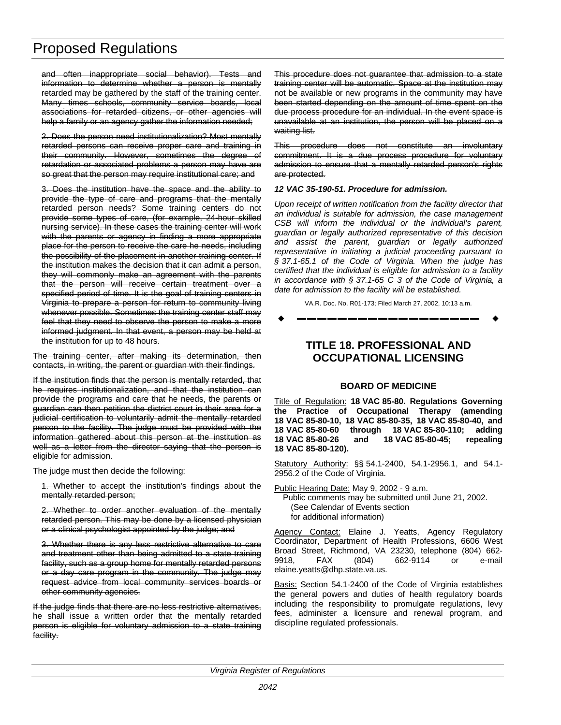<span id="page-29-0"></span>and often inappropriate social behavior). Tests and information to determine whether a person is mentally retarded may be gathered by the staff of the training center. Many times schools, community service boards, local associations for retarded citizens, or other agencies will help a family or an agency gather the information needed;

2. Does the person need institutionalization? Most mentally retarded persons can receive proper care and training in their community. However, sometimes the degree of retardation or associated problems a person may have are so great that the person may require institutional care; and

3. Does the institution have the space and the ability to provide the type of care and programs that the mentally retarded person needs? Some training centers do not provide some types of care, (for example, 24-hour skilled nursing service). In these cases the training center will work with the parents or agency in finding a more appropriate place for the person to receive the care he needs, including the possibility of the placement in another training center. If the institution makes the decision that it can admit a person, they will commonly make an agreement with the parents that the person will receive certain treatment over a specified period of time. It is the goal of training centers in Virginia to prepare a person for return to community living whenever possible. Sometimes the training center staff may feel that they need to observe the person to make a more informed judgment. In that event, a person may be held at the institution for up to 48 hours.

The training center, after making its determination, then contacts, in writing, the parent or guardian with their findings.

If the institution finds that the person is mentally retarded, that he requires institutionalization, and that the institution can provide the programs and care that he needs, the parents or guardian can then petition the district court in their area for a judicial certification to voluntarily admit the mentally retarded person to the facility. The judge must be provided with the information gathered about this person at the institution as well as a letter from the director saying that the person is eligible for admission.

The judge must then decide the following:

1. Whether to accept the institution's findings about the mentally retarded person;

2. Whether to order another evaluation of the mentally retarded person. This may be done by a licensed physician or a clinical psychologist appointed by the judge; and

3. Whether there is any less restrictive alternative to care and treatment other than being admitted to a state training facility, such as a group home for mentally retarded persons or a day care program in the community. The judge may request advice from local community services boards or other community agencies.

If the judge finds that there are no less restrictive alternatives, he shall issue a written order that the mentally retarded person is eligible for voluntary admission to a state training facility.

This procedure does not guarantee that admission to a state training center will be automatic. Space at the institution may not be available or new programs in the community may have been started depending on the amount of time spent on the due process procedure for an individual. In the event space is unavailable at an institution, the person will be placed on a waiting list.

This procedure does not constitute an involuntary commitment. It is a due process procedure for voluntary admission to ensure that a mentally retarded person's rights are protected.

### *12 VAC 35-190-51. Procedure for admission.*

*Upon receipt of written notification from the facility director that an individual is suitable for admission, the case management CSB will inform the individual or the individual's parent, guardian or legally authorized representative of this decision and assist the parent, guardian or legally authorized representative in initiating a judicial proceeding pursuant to § 37.1-65.1 of the Code of Virginia. When the judge has certified that the individual is eligible for admission to a facility in accordance with § 37.1-65 C 3 of the Code of Virginia, a date for admission to the facility will be established.*

VA.R. Doc. No. R01-173; Filed March 27, 2002, 10:13 a.m.

w **––––––––––––––––––** w

## **TITLE 18. PROFESSIONAL AND OCCUPATIONAL LICENSING**

## **BOARD OF MEDICINE**

Title of Regulation: **18 VAC 85-80. Regulations Governing the Practice of Occupational Therapy (amending 18 VAC 85-80-10, 18 VAC 85-80-35, 18 VAC 85-80-40, and 18 VAC 85-80-60 through 18 VAC 85-80-110; adding 18 VAC 85-80-26 and 18 VAC 85-80-45; repealing 18 VAC 85-80-120).**

Statutory Authority: §§ 54.1-2400, 54.1-2956.1, and 54.1-2956.2 of the Code of Virginia.

Public Hearing Date: May 9, 2002 - 9 a.m.

Public comments may be submitted until June 21, 2002. (See Calendar of Events section for additional information)

Agency Contact: Elaine J. Yeatts, Agency Regulatory Coordinator, Department of Health Professions, 6606 West Broad Street, Richmond, VA 23230, telephone (804) 662- 9918, FAX (804) 662-9114 or e-mail elaine.yeatts@dhp.state.va.us.

Basis: Section 54.1-2400 of the Code of Virginia establishes the general powers and duties of health regulatory boards including the responsibility to promulgate regulations, levy fees, administer a licensure and renewal program, and discipline regulated professionals.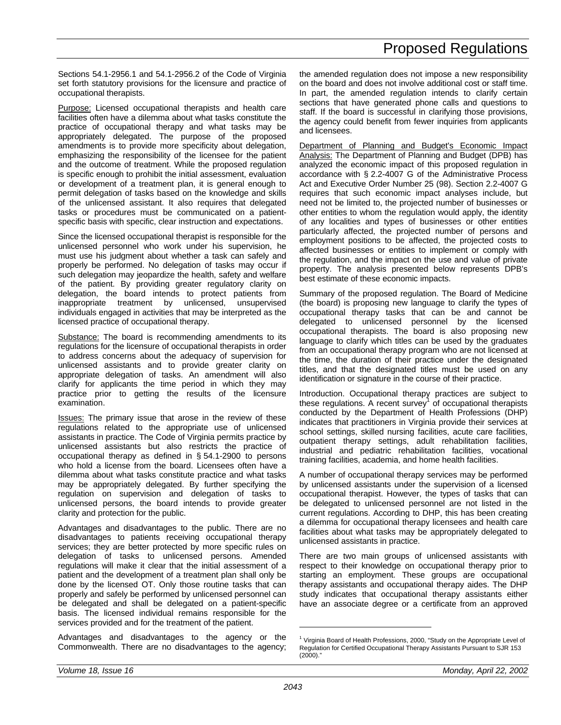Sections 54.1-2956.1 and 54.1-2956.2 of the Code of Virginia set forth statutory provisions for the licensure and practice of occupational therapists.

Purpose: Licensed occupational therapists and health care facilities often have a dilemma about what tasks constitute the practice of occupational therapy and what tasks may be appropriately delegated. The purpose of the proposed amendments is to provide more specificity about delegation, emphasizing the responsibility of the licensee for the patient and the outcome of treatment. While the proposed regulation is specific enough to prohibit the initial assessment, evaluation or development of a treatment plan, it is general enough to permit delegation of tasks based on the knowledge and skills of the unlicensed assistant. It also requires that delegated tasks or procedures must be communicated on a patientspecific basis with specific, clear instruction and expectations.

Since the licensed occupational therapist is responsible for the unlicensed personnel who work under his supervision, he must use his judgment about whether a task can safely and properly be performed. No delegation of tasks may occur if such delegation may jeopardize the health, safety and welfare of the patient. By providing greater regulatory clarity on delegation, the board intends to protect patients from inappropriate treatment by unlicensed, unsupervised individuals engaged in activities that may be interpreted as the licensed practice of occupational therapy.

Substance: The board is recommending amendments to its regulations for the licensure of occupational therapists in order to address concerns about the adequacy of supervision for unlicensed assistants and to provide greater clarity on appropriate delegation of tasks. An amendment will also clarify for applicants the time period in which they may practice prior to getting the results of the licensure examination.

Issues: The primary issue that arose in the review of these regulations related to the appropriate use of unlicensed assistants in practice. The Code of Virginia permits practice by unlicensed assistants but also restricts the practice of occupational therapy as defined in § 54.1-2900 to persons who hold a license from the board. Licensees often have a dilemma about what tasks constitute practice and what tasks may be appropriately delegated. By further specifying the regulation on supervision and delegation of tasks to unlicensed persons, the board intends to provide greater clarity and protection for the public.

Advantages and disadvantages to the public. There are no disadvantages to patients receiving occupational therapy services; they are better protected by more specific rules on delegation of tasks to unlicensed persons. Amended regulations will make it clear that the initial assessment of a patient and the development of a treatment plan shall only be done by the licensed OT. Only those routine tasks that can properly and safely be performed by unlicensed personnel can be delegated and shall be delegated on a patient-specific basis. The licensed individual remains responsible for the services provided and for the treatment of the patient.

Advantages and disadvantages to the agency or the Commonwealth. There are no disadvantages to the agency; the amended regulation does not impose a new responsibility on the board and does not involve additional cost or staff time. In part, the amended regulation intends to clarify certain sections that have generated phone calls and questions to staff. If the board is successful in clarifying those provisions, the agency could benefit from fewer inquiries from applicants and licensees.

Department of Planning and Budget's Economic Impact Analysis: The Department of Planning and Budget (DPB) has analyzed the economic impact of this proposed regulation in accordance with § 2.2-4007 G of the Administrative Process Act and Executive Order Number 25 (98). Section 2.2-4007 G requires that such economic impact analyses include, but need not be limited to, the projected number of businesses or other entities to whom the regulation would apply, the identity of any localities and types of businesses or other entities particularly affected, the projected number of persons and employment positions to be affected, the projected costs to affected businesses or entities to implement or comply with the regulation, and the impact on the use and value of private property. The analysis presented below represents DPB's best estimate of these economic impacts.

Summary of the proposed regulation. The Board of Medicine (the board) is proposing new language to clarify the types of occupational therapy tasks that can be and cannot be delegated to unlicensed personnel by the licensed occupational therapists. The board is also proposing new language to clarify which titles can be used by the graduates from an occupational therapy program who are not licensed at the time, the duration of their practice under the designated titles, and that the designated titles must be used on any identification or signature in the course of their practice.

Introduction. Occupational therapy practices are subject to these regulations. A recent survey<sup>1</sup> of occupational therapists conducted by the Department of Health Professions (DHP) indicates that practitioners in Virginia provide their services at school settings, skilled nursing facilities, acute care facilities, outpatient therapy settings, adult rehabilitation facilities, industrial and pediatric rehabilitation facilities, vocational training facilities, academia, and home health facilities.

A number of occupational therapy services may be performed by unlicensed assistants under the supervision of a licensed occupational therapist. However, the types of tasks that can be delegated to unlicensed personnel are not listed in the current regulations. According to DHP, this has been creating a dilemma for occupational therapy licensees and health care facilities about what tasks may be appropriately delegated to unlicensed assistants in practice.

There are two main groups of unlicensed assistants with respect to their knowledge on occupational therapy prior to starting an employment. These groups are occupational therapy assistants and occupational therapy aides. The DHP study indicates that occupational therapy assistants either have an associate degree or a certificate from an approved

<sup>&</sup>lt;sup>1</sup> Virginia Board of Health Professions, 2000, "Study on the Appropriate Level of Regulation for Certified Occupational Therapy Assistants Pursuant to SJR 153  $(2000)$ ."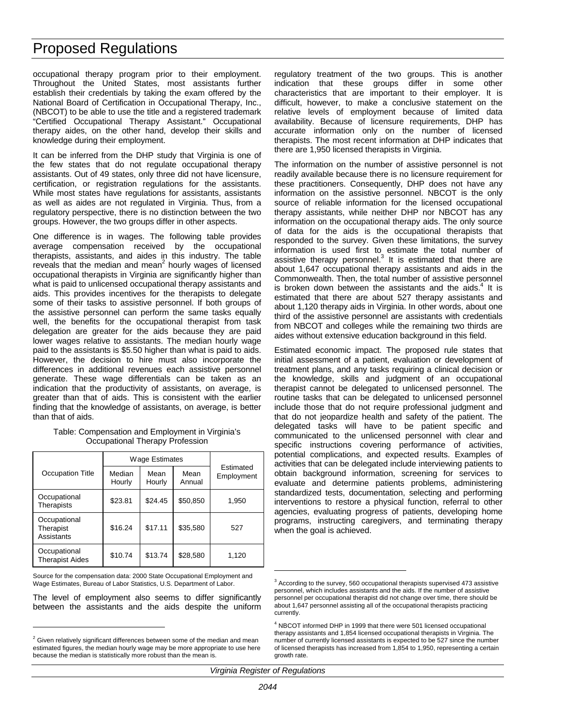occupational therapy program prior to their employment. Throughout the United States, most assistants further establish their credentials by taking the exam offered by the National Board of Certification in Occupational Therapy, Inc., (NBCOT) to be able to use the title and a registered trademark "Certified Occupational Therapy Assistant." Occupational therapy aides, on the other hand, develop their skills and knowledge during their employment.

It can be inferred from the DHP study that Virginia is one of the few states that do not regulate occupational therapy assistants. Out of 49 states, only three did not have licensure, certification, or registration regulations for the assistants. While most states have regulations for assistants, assistants as well as aides are not regulated in Virginia. Thus, from a regulatory perspective, there is no distinction between the two groups. However, the two groups differ in other aspects.

One difference is in wages. The following table provides average compensation received by the occupational therapists, assistants, and aides in this industry. The table reveals that the median and mean $^2$  hourly wages of licensed occupational therapists in Virginia are significantly higher than what is paid to unlicensed occupational therapy assistants and aids. This provides incentives for the therapists to delegate some of their tasks to assistive personnel. If both groups of the assistive personnel can perform the same tasks equally well, the benefits for the occupational therapist from task delegation are greater for the aids because they are paid lower wages relative to assistants. The median hourly wage paid to the assistants is \$5.50 higher than what is paid to aids. However, the decision to hire must also incorporate the differences in additional revenues each assistive personnel generate. These wage differentials can be taken as an indication that the productivity of assistants, on average, is greater than that of aids. This is consistent with the earlier finding that the knowledge of assistants, on average, is better than that of aids.

| Table: Compensation and Employment in Virginia's |
|--------------------------------------------------|
| Occupational Therapy Profession                  |

|                                         | Wage Estimates   |                |                |                         |  |
|-----------------------------------------|------------------|----------------|----------------|-------------------------|--|
| Occupation Title                        | Median<br>Hourly | Mean<br>Hourly | Mean<br>Annual | Estimated<br>Employment |  |
| Occupational<br>Therapists              | \$23.81          | \$24.45        | \$50,850       | 1,950                   |  |
| Occupational<br>Therapist<br>Assistants | \$16.24          | \$17.11        | \$35,580       | 527                     |  |
| Occupational<br><b>Therapist Aides</b>  | \$10.74          | \$13.74        | \$28,580       | 1,120                   |  |

Source for the compensation data: 2000 State Occupational Employment and Wage Estimates, Bureau of Labor Statistics, U.S. Department of Labor.

The level of employment also seems to differ significantly between the assistants and the aids despite the uniform

 $\overline{a}$ 

regulatory treatment of the two groups. This is another indication that these groups differ in some other characteristics that are important to their employer. It is difficult, however, to make a conclusive statement on the relative levels of employment because of limited data availability. Because of licensure requirements, DHP has accurate information only on the number of licensed therapists. The most recent information at DHP indicates that there are 1,950 licensed therapists in Virginia.

The information on the number of assistive personnel is not readily available because there is no licensure requirement for these practitioners. Consequently, DHP does not have any information on the assistive personnel. NBCOT is the only source of reliable information for the licensed occupational therapy assistants, while neither DHP nor NBCOT has any information on the occupational therapy aids. The only source of data for the aids is the occupational therapists that responded to the survey. Given these limitations, the survey information is used first to estimate the total number of assistive therapy personnel. $3$  It is estimated that there are about 1,647 occupational therapy assistants and aids in the Commonwealth. Then, the total number of assistive personnel is broken down between the assistants and the aids. $4$  It is estimated that there are about 527 therapy assistants and about 1,120 therapy aids in Virginia. In other words, about one third of the assistive personnel are assistants with credentials from NBCOT and colleges while the remaining two thirds are aides without extensive education background in this field.

Estimated economic impact. The proposed rule states that initial assessment of a patient, evaluation or development of treatment plans, and any tasks requiring a clinical decision or the knowledge, skills and judgment of an occupational therapist cannot be delegated to unlicensed personnel. The routine tasks that can be delegated to unlicensed personnel include those that do not require professional judgment and that do not jeopardize health and safety of the patient. The delegated tasks will have to be patient specific and communicated to the unlicensed personnel with clear and specific instructions covering performance of activities, potential complications, and expected results. Examples of activities that can be delegated include interviewing patients to obtain background information, screening for services to evaluate and determine patients problems, administering standardized tests, documentation, selecting and performing interventions to restore a physical function, referral to other agencies, evaluating progress of patients, developing home programs, instructing caregivers, and terminating therapy when the goal is achieved.

*Virginia Register of Regulations*

 $2$  Given relatively significant differences between some of the median and mean estimated figures, the median hourly wage may be more appropriate to use here because the median is statistically more robust than the mean is.

 $3$  According to the survey, 560 occupational therapists supervised 473 assistive personnel, which includes assistants and the aids. If the number of assistive personnel per occupational therapist did not change over time, there should be about 1,647 personnel assisting all of the occupational therapists practicing currently.

<sup>&</sup>lt;sup>4</sup> NBCOT informed DHP in 1999 that there were 501 licensed occupational therapy assistants and 1,854 licensed occupational therapists in Virginia. The number of currently licensed assistants is expected to be 527 since the number of licensed therapists has increased from 1,854 to 1,950, representing a certain growth rate.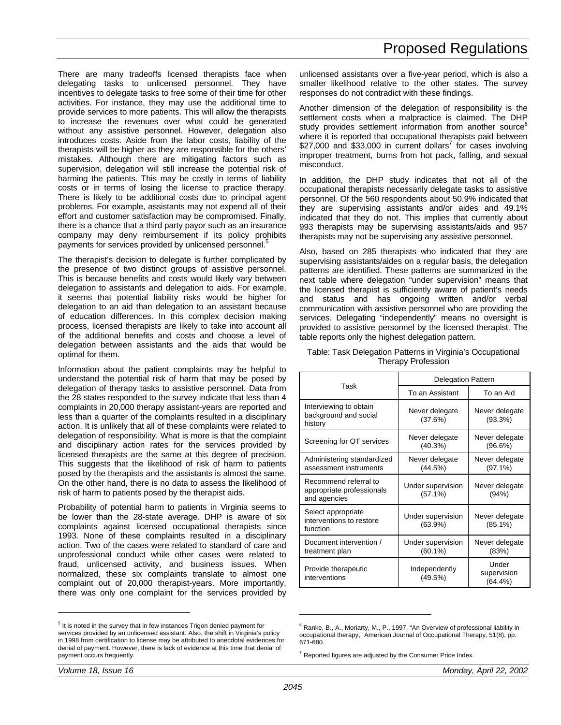There are many tradeoffs licensed therapists face when delegating tasks to unlicensed personnel. They have incentives to delegate tasks to free some of their time for other activities. For instance, they may use the additional time to provide services to more patients. This will allow the therapists to increase the revenues over what could be generated without any assistive personnel. However, delegation also introduces costs. Aside from the labor costs, liability of the therapists will be higher as they are responsible for the others' mistakes. Although there are mitigating factors such as supervision, delegation will still increase the potential risk of harming the patients. This may be costly in terms of liability costs or in terms of losing the license to practice therapy. There is likely to be additional costs due to principal agent problems. For example, assistants may not expend all of their effort and customer satisfaction may be compromised. Finally, there is a chance that a third party payor such as an insurance company may deny reimbursement if its policy prohibits payments for services provided by unlicensed personnel.<sup>5</sup>

The therapist's decision to delegate is further complicated by the presence of two distinct groups of assistive personnel. This is because benefits and costs would likely vary between delegation to assistants and delegation to aids. For example, it seems that potential liability risks would be higher for delegation to an aid than delegation to an assistant because of education differences. In this complex decision making process, licensed therapists are likely to take into account all of the additional benefits and costs and choose a level of delegation between assistants and the aids that would be optimal for them.

Information about the patient complaints may be helpful to understand the potential risk of harm that may be posed by delegation of therapy tasks to assistive personnel. Data from the 28 states responded to the survey indicate that less than 4 complaints in 20,000 therapy assistant-years are reported and less than a quarter of the complaints resulted in a disciplinary action. It is unlikely that all of these complaints were related to delegation of responsibility. What is more is that the complaint and disciplinary action rates for the services provided by licensed therapists are the same at this degree of precision. This suggests that the likelihood of risk of harm to patients posed by the therapists and the assistants is almost the same. On the other hand, there is no data to assess the likelihood of risk of harm to patients posed by the therapist aids.

Probability of potential harm to patients in Virginia seems to be lower than the 28-state average. DHP is aware of six complaints against licensed occupational therapists since 1993. None of these complaints resulted in a disciplinary action. Two of the cases were related to standard of care and unprofessional conduct while other cases were related to fraud, unlicensed activity, and business issues. When normalized, these six complaints translate to almost one complaint out of 20,000 therapist-years. More importantly, there was only one complaint for the services provided by

unlicensed assistants over a five-year period, which is also a smaller likelihood relative to the other states. The survey responses do not contradict with these findings.

Another dimension of the delegation of responsibility is the settlement costs when a malpractice is claimed. The DHP study provides settlement information from another source<sup>6</sup> where it is reported that occupational therapists paid between \$27,000 and \$33,000 in current dollars<sup>7</sup> for cases involving improper treatment, burns from hot pack, falling, and sexual misconduct.

In addition, the DHP study indicates that not all of the occupational therapists necessarily delegate tasks to assistive personnel. Of the 560 respondents about 50.9% indicated that they are supervising assistants and/or aides and 49.1% indicated that they do not. This implies that currently about 993 therapists may be supervising assistants/aids and 957 therapists may not be supervising any assistive personnel.

Also, based on 285 therapists who indicated that they are supervising assistants/aides on a regular basis, the delegation patterns are identified. These patterns are summarized in the next table where delegation "under supervision" means that the licensed therapist is sufficiently aware of patient's needs and status and has ongoing written and/or verbal communication with assistive personnel who are providing the services. Delegating "independently" means no oversight is provided to assistive personnel by the licensed therapist. The table reports only the highest delegation pattern.

Table: Task Delegation Patterns in Virginia's Occupational Therapy Profession

|                                                                    | <b>Delegation Pattern</b>       |                                    |
|--------------------------------------------------------------------|---------------------------------|------------------------------------|
| Task                                                               | To an Assistant                 | To an Aid                          |
| Interviewing to obtain<br>background and social<br>history         | Never delegate<br>(37.6%)       | Never delegate<br>(93.3%)          |
| Screening for OT services                                          | Never delegate<br>(40.3%)       | Never delegate<br>$(96.6\%)$       |
| Administering standardized<br>assessment instruments               | Never delegate<br>(44.5%)       | Never delegate<br>$(97.1\%)$       |
| Recommend referral to<br>appropriate professionals<br>and agencies | Under supervision<br>(57.1%)    | Never delegate<br>(94%)            |
| Select appropriate<br>interventions to restore<br>function         | Under supervision<br>(63.9%)    | Never delegate<br>$(85.1\%)$       |
| Document intervention /<br>treatment plan                          | Under supervision<br>$(60.1\%)$ | Never delegate<br>(83%)            |
| Provide therapeutic<br>interventions                               | Independently<br>(49.5%)        | Under<br>supervision<br>$(64.4\%)$ |

 $6$  Ranke, B., A., Moriarty, M., P., 1997, "An Overview of professional liability in occupational therapy," American Journal of Occupational Therapy, 51(8), pp. 671-680.

-

<sup>&</sup>lt;sup>5</sup> It is noted in the survey that in few instances Trigon denied payment for services provided by an unlicensed assistant. Also, the shift in Virginia's policy in 1998 from certification to license may be attributed to anecdotal evidences for denial of payment. However, there is lack of evidence at this time that denial of payment occurs frequently.

 $7$  Reported figures are adjusted by the Consumer Price Index.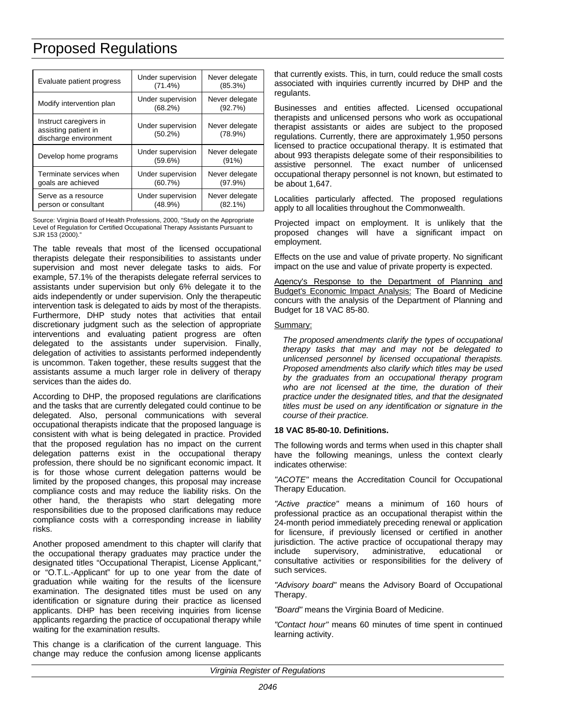| Evaluate patient progress                                               | Under supervision<br>$(71.4\%)$ | Never delegate<br>(85.3%)    |
|-------------------------------------------------------------------------|---------------------------------|------------------------------|
| Modify intervention plan                                                | Under supervision<br>(68.2%)    | Never delegate<br>(92.7%)    |
| Instruct caregivers in<br>assisting patient in<br>discharge environment | Under supervision<br>$(50.2\%)$ | Never delegate<br>(78.9%)    |
| Develop home programs                                                   | Under supervision<br>(59.6%)    | Never delegate<br>(91%)      |
| Terminate services when<br>goals are achieved                           | Under supervision<br>(60.7%)    | Never delegate<br>(97.9%)    |
| Serve as a resource<br>person or consultant                             | Under supervision<br>(48.9%)    | Never delegate<br>$(82.1\%)$ |

Source: Virginia Board of Health Professions, 2000, "Study on the Appropriate Level of Regulation for Certified Occupational Therapy Assistants Pursuant to SJR 153 (2000)."

The table reveals that most of the licensed occupational therapists delegate their responsibilities to assistants under supervision and most never delegate tasks to aids. For example, 57.1% of the therapists delegate referral services to assistants under supervision but only 6% delegate it to the aids independently or under supervision. Only the therapeutic intervention task is delegated to aids by most of the therapists. Furthermore, DHP study notes that activities that entail discretionary judgment such as the selection of appropriate interventions and evaluating patient progress are often delegated to the assistants under supervision. Finally, delegation of activities to assistants performed independently is uncommon. Taken together, these results suggest that the assistants assume a much larger role in delivery of therapy services than the aides do.

According to DHP, the proposed regulations are clarifications and the tasks that are currently delegated could continue to be delegated. Also, personal communications with several occupational therapists indicate that the proposed language is consistent with what is being delegated in practice. Provided that the proposed regulation has no impact on the current delegation patterns exist in the occupational therapy profession, there should be no significant economic impact. It is for those whose current delegation patterns would be limited by the proposed changes, this proposal may increase compliance costs and may reduce the liability risks. On the other hand, the therapists who start delegating more responsibilities due to the proposed clarifications may reduce compliance costs with a corresponding increase in liability risks.

Another proposed amendment to this chapter will clarify that the occupational therapy graduates may practice under the designated titles "Occupational Therapist, License Applicant," or "O.T.L.-Applicant" for up to one year from the date of graduation while waiting for the results of the licensure examination. The designated titles must be used on any identification or signature during their practice as licensed applicants. DHP has been receiving inquiries from license applicants regarding the practice of occupational therapy while waiting for the examination results.

This change is a clarification of the current language. This change may reduce the confusion among license applicants

that currently exists. This, in turn, could reduce the small costs associated with inquiries currently incurred by DHP and the regulants.

Businesses and entities affected. Licensed occupational therapists and unlicensed persons who work as occupational therapist assistants or aides are subject to the proposed regulations. Currently, there are approximately 1,950 persons licensed to practice occupational therapy. It is estimated that about 993 therapists delegate some of their responsibilities to assistive personnel. The exact number of unlicensed occupational therapy personnel is not known, but estimated to be about 1,647.

Localities particularly affected. The proposed regulations apply to all localities throughout the Commonwealth.

Projected impact on employment. It is unlikely that the proposed changes will have a significant impact on employment.

Effects on the use and value of private property. No significant impact on the use and value of private property is expected.

Agency's Response to the Department of Planning and Budget's Economic Impact Analysis: The Board of Medicine concurs with the analysis of the Department of Planning and Budget for 18 VAC 85-80.

### Summary:

*The proposed amendments clarify the types of occupational therapy tasks that may and may not be delegated to unlicensed personnel by licensed occupational therapists. Proposed amendments also clarify which titles may be used by the graduates from an occupational therapy program who are not licensed at the time, the duration of their practice under the designated titles, and that the designated titles must be used on any identification or signature in the course of their practice.*

### **18 VAC 85-80-10. Definitions.**

The following words and terms when used in this chapter shall have the following meanings, unless the context clearly indicates otherwise:

*"ACOTE"* means the Accreditation Council for Occupational Therapy Education.

*"Active practice"* means a minimum of 160 hours of professional practice as an occupational therapist within the 24-month period immediately preceding renewal or application for licensure, if previously licensed or certified in another jurisdiction. The active practice of occupational therapy may include supervisory, administrative, educational or consultative activities or responsibilities for the delivery of such services.

*"Advisory board"* means the Advisory Board of Occupational Therapy.

*"Board"* means the Virginia Board of Medicine.

*"Contact hour"* means 60 minutes of time spent in continued learning activity.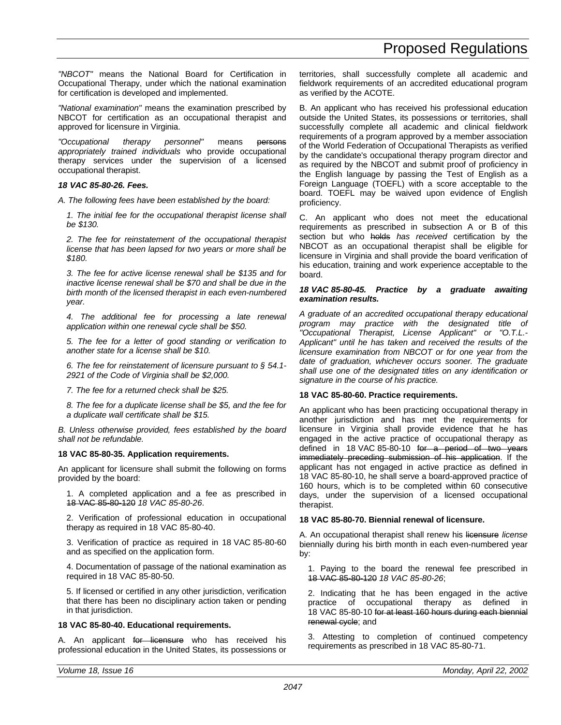*"NBCOT"* means the National Board for Certification in Occupational Therapy, under which the national examination for certification is developed and implemented.

*"National examination"* means the examination prescribed by NBCOT for certification as an occupational therapist and approved for licensure in Virginia.

*"Occupational therapy personnel"* means persons *appropriately trained individuals* who provide occupational therapy services under the supervision of a licensed occupational therapist.

## *18 VAC 85-80-26. Fees.*

*A. The following fees have been established by the board:*

*1. The initial fee for the occupational therapist license shall be \$130.*

*2. The fee for reinstatement of the occupational therapist license that has been lapsed for two years or more shall be \$180.*

*3. The fee for active license renewal shall be \$135 and for inactive license renewal shall be \$70 and shall be due in the birth month of the licensed therapist in each even-numbered year.*

*4. The additional fee for processing a late renewal application within one renewal cycle shall be \$50.*

*5. The fee for a letter of good standing or verification to another state for a license shall be \$10.*

*6. The fee for reinstatement of licensure pursuant to § 54.1- 2921 of the Code of Virginia shall be \$2,000.*

*7. The fee for a returned check shall be \$25.*

*8. The fee for a duplicate license shall be \$5, and the fee for a duplicate wall certificate shall be \$15.*

*B. Unless otherwise provided, fees established by the board shall not be refundable.*

### **18 VAC 85-80-35. Application requirements.**

An applicant for licensure shall submit the following on forms provided by the board:

1. A completed application and a fee as prescribed in 18 VAC 85-80-120 *18 VAC 85-80-26*.

2. Verification of professional education in occupational therapy as required in 18 VAC 85-80-40.

3. Verification of practice as required in 18 VAC 85-80-60 and as specified on the application form.

4. Documentation of passage of the national examination as required in 18 VAC 85-80-50.

5. If licensed or certified in any other jurisdiction, verification that there has been no disciplinary action taken or pending in that jurisdiction.

### **18 VAC 85-80-40. Educational requirements.**

A. An applicant for licensure who has received his professional education in the United States, its possessions or

territories, shall successfully complete all academic and fieldwork requirements of an accredited educational program as verified by the ACOTE.

B. An applicant who has received his professional education outside the United States, its possessions or territories, shall successfully complete all academic and clinical fieldwork requirements of a program approved by a member association of the World Federation of Occupational Therapists as verified by the candidate's occupational therapy program director and as required by the NBCOT and submit proof of proficiency in the English language by passing the Test of English as a Foreign Language (TOEFL) with a score acceptable to the board. TOEFL may be waived upon evidence of English proficiency.

C. An applicant who does not meet the educational requirements as prescribed in subsection A or B of this section but who holds *has received* certification by the NBCOT as an occupational therapist shall be eligible for licensure in Virginia and shall provide the board verification of his education, training and work experience acceptable to the board.

#### *18 VAC 85-80-45. Practice by a graduate awaiting examination results.*

*A graduate of an accredited occupational therapy educational program may practice with the designated title of "Occupational Therapist, License Applicant" or "O.T.L.- Applicant" until he has taken and received the results of the licensure examination from NBCOT or for one year from the date of graduation, whichever occurs sooner. The graduate shall use one of the designated titles on any identification or signature in the course of his practice.*

### **18 VAC 85-80-60. Practice requirements.**

An applicant who has been practicing occupational therapy in another jurisdiction and has met the requirements for licensure in Virginia shall provide evidence that he has engaged in the active practice of occupational therapy as defined in 18 VAC 85-80-10 for a period of two years immediately preceding submission of his application. If the applicant has not engaged in active practice as defined in 18 VAC 85-80-10, he shall serve a board-approved practice of 160 hours, which is to be completed within 60 consecutive days, under the supervision of a licensed occupational therapist.

### **18 VAC 85-80-70. Biennial renewal of licensure.**

A. An occupational therapist shall renew his licensure *license* biennially during his birth month in each even-numbered year by:

1. Paying to the board the renewal fee prescribed in 18 VAC 85-80-120 *18 VAC 85-80-26*;

2. Indicating that he has been engaged in the active practice of occupational therapy as defined in 18 VAC 85-80-10 for at least 160 hours during each biennial renewal cycle; and

3. Attesting to completion of continued competency requirements as prescribed in 18 VAC 85-80-71.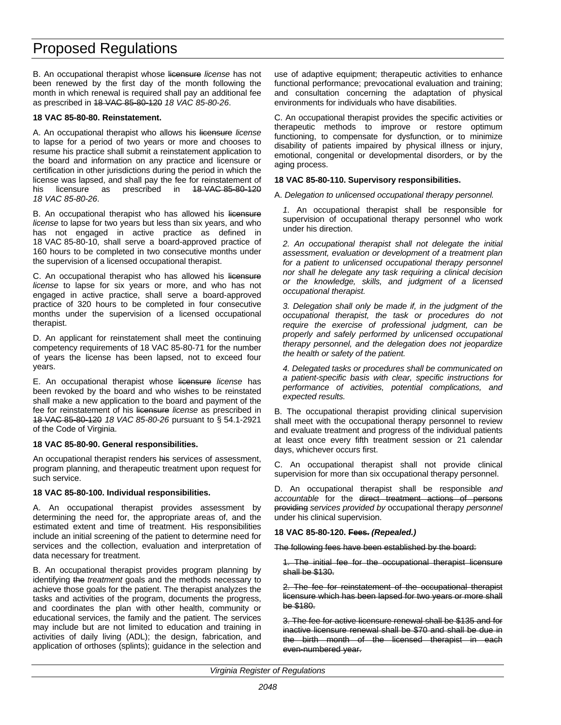B. An occupational therapist whose licensure *license* has not been renewed by the first day of the month following the month in which renewal is required shall pay an additional fee as prescribed in 18 VAC 85-80-120 *18 VAC 85-80-26*.

### **18 VAC 85-80-80. Reinstatement.**

A. An occupational therapist who allows his licensure *license* to lapse for a period of two years or more and chooses to resume his practice shall submit a reinstatement application to the board and information on any practice and licensure or certification in other jurisdictions during the period in which the license was lapsed, and shall pay the fee for reinstatement of his licensure as prescribed in 48 VAC 85-80-120 *18 VAC 85-80-26*.

B. An occupational therapist who has allowed his licensure *license* to lapse for two years but less than six years, and who has not engaged in active practice as defined in 18 VAC 85-80-10, shall serve a board-approved practice of 160 hours to be completed in two consecutive months under the supervision of a licensed occupational therapist.

C. An occupational therapist who has allowed his licensure *license* to lapse for six years or more, and who has not engaged in active practice, shall serve a board-approved practice of 320 hours to be completed in four consecutive months under the supervision of a licensed occupational therapist.

D. An applicant for reinstatement shall meet the continuing competency requirements of 18 VAC 85-80-71 for the number of years the license has been lapsed, not to exceed four years.

E. An occupational therapist whose licensure *license* has been revoked by the board and who wishes to be reinstated shall make a new application to the board and payment of the fee for reinstatement of his licensure *license* as prescribed in 18 VAC 85-80-120 *18 VAC 85-80-26* pursuant to § 54.1-2921 of the Code of Virginia.

### **18 VAC 85-80-90. General responsibilities.**

An occupational therapist renders his services of assessment, program planning, and therapeutic treatment upon request for such service.

### **18 VAC 85-80-100. Individual responsibilities.**

A. An occupational therapist provides assessment by determining the need for, the appropriate areas of, and the estimated extent and time of treatment. His responsibilities include an initial screening of the patient to determine need for services and the collection, evaluation and interpretation of data necessary for treatment.

B. An occupational therapist provides program planning by identifying the *treatment* goals and the methods necessary to achieve those goals for the patient. The therapist analyzes the tasks and activities of the program, documents the progress, and coordinates the plan with other health, community or educational services, the family and the patient. The services may include but are not limited to education and training in activities of daily living (ADL); the design, fabrication, and application of orthoses (splints); guidance in the selection and use of adaptive equipment; therapeutic activities to enhance functional performance; prevocational evaluation and training; and consultation concerning the adaptation of physical environments for individuals who have disabilities.

C. An occupational therapist provides the specific activities or therapeutic methods to improve or restore optimum functioning, to compensate for dysfunction, or to minimize disability of patients impaired by physical illness or injury, emotional, congenital or developmental disorders, or by the aging process.

## **18 VAC 85-80-110. Supervisory responsibilities.**

A. *Delegation to unlicensed occupational therapy personnel.*

*1.* An occupational therapist shall be responsible for supervision of occupational therapy personnel who work under his direction.

*2. An occupational therapist shall not delegate the initial assessment, evaluation or development of a treatment plan for a patient to unlicensed occupational therapy personnel nor shall he delegate any task requiring a clinical decision or the knowledge, skills, and judgment of a licensed occupational therapist.*

*3. Delegation shall only be made if, in the judgment of the occupational therapist, the task or procedures do not require the exercise of professional judgment, can be properly and safely performed by unlicensed occupational therapy personnel, and the delegation does not jeopardize the health or safety of the patient.*

*4. Delegated tasks or procedures shall be communicated on a patient-specific basis with clear, specific instructions for performance of activities, potential complications, and expected results.*

B. The occupational therapist providing clinical supervision shall meet with the occupational therapy personnel to review and evaluate treatment and progress of the individual patients at least once every fifth treatment session or 21 calendar days, whichever occurs first.

C. An occupational therapist shall not provide clinical supervision for more than six occupational therapy personnel.

D. An occupational therapist shall be responsible *and accountable* for the direct treatment actions of persons providing *services provided by* occupational therapy *personnel* under his clinical supervision.

## **18 VAC 85-80-120. Fees.** *(Repealed.)*

The following fees have been established by the board:

1. The initial fee for the occupational therapist licensure shall be \$130.

2. The fee for reinstatement of the occupational therapist licensure which has been lapsed for two years or more shall be \$180.

3. The fee for active licensure renewal shall be \$135 and for inactive licensure renewal shall be \$70 and shall be due in the birth month of the licensed therapist in each even-numbered year.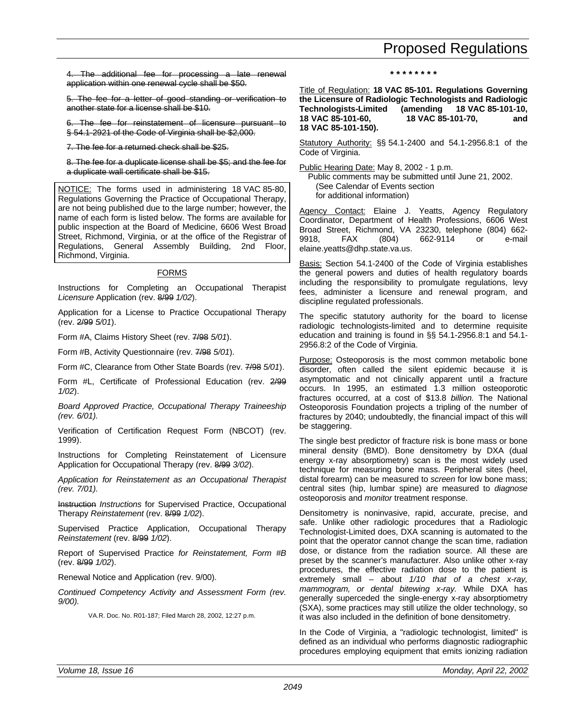<span id="page-36-0"></span>The additional fee for processing a late renewal application within one renewal cycle shall be \$50.

5. The fee for a letter of good standing or verification to another state for a license shall be \$10.

6. The fee for reinstatement of licensure pursuant to § 54.1-2921 of the Code of Virginia shall be \$2,000.

7. The fee for a returned check shall be \$25.

8. The fee for a duplicate license shall be \$5; and the fee for a duplicate wall certificate shall be \$15.

NOTICE: The forms used in administering 18 VAC 85-80, Regulations Governing the Practice of Occupational Therapy, are not being published due to the large number; however, the name of each form is listed below. The forms are available for public inspection at the Board of Medicine, 6606 West Broad Street, Richmond, Virginia, or at the office of the Registrar of Regulations, General Assembly Building, 2nd Floor, Richmond, Virginia.

## FORMS

Instructions for Completing an Occupational Therapist *Licensure* Application (rev. 8/99 *1/02*).

Application for a License to Practice Occupational Therapy (rev. 2/99 *5/01*).

Form #A, Claims History Sheet (rev. 7/98 *5/01*).

Form #B, Activity Questionnaire (rev. 7/98 *5/01*).

Form #C, Clearance from Other State Boards (rev. 7/98 *5/01*).

Form #L, Certificate of Professional Education (rev. 2/99 *1/02*).

*Board Approved Practice, Occupational Therapy Traineeship (rev. 6/01).*

Verification of Certification Request Form (NBCOT) (rev. 1999).

Instructions for Completing Reinstatement of Licensure Application for Occupational Therapy (rev. 8/99 *3/02*).

*Application for Reinstatement as an Occupational Therapist (rev. 7/01).*

Instruction *Instructions* for Supervised Practice, Occupational Therapy *Reinstatement* (rev. 8/99 *1/02*).

Supervised Practice Application, Occupational Therapy *Reinstatement* (rev. 8/99 *1/02*).

Report of Supervised Practice *for Reinstatement, Form #B* (rev. 8/99 *1/02*).

Renewal Notice and Application (rev. 9/00).

*Continued Competency Activity and Assessment Form (rev. 9/00).*

VA.R. Doc. No. R01-187; Filed March 28, 2002, 12:27 p.m.

**\* \* \* \* \* \* \* \***

Title of Regulation: **18 VAC 85-101. Regulations Governing the Licensure of Radiologic Technologists and Radiologic Technologists-Limited (amending 18 VAC 85-101-10, 18 VAC 85-101-60, 18 VAC 85-101-70, and 18 VAC 85-101-150).**

Statutory Authority: §§ 54.1-2400 and 54.1-2956.8:1 of the Code of Virginia.

Public Hearing Date: May 8, 2002 - 1 p.m.

Public comments may be submitted until June 21, 2002. (See Calendar of Events section for additional information)

Agency Contact: Elaine J. Yeatts, Agency Regulatory Coordinator, Department of Health Professions, 6606 West Broad Street, Richmond, VA 23230, telephone (804) 662- 9918, FAX (804) 662-9114 or e-mail elaine.yeatts@dhp.state.va.us.

Basis: Section 54.1-2400 of the Code of Virginia establishes the general powers and duties of health regulatory boards including the responsibility to promulgate regulations, levy fees, administer a licensure and renewal program, and discipline regulated professionals.

The specific statutory authority for the board to license radiologic technologists-limited and to determine requisite education and training is found in §§ 54.1-2956.8:1 and 54.1- 2956.8:2 of the Code of Virginia.

Purpose: Osteoporosis is the most common metabolic bone disorder, often called the silent epidemic because it is asymptomatic and not clinically apparent until a fracture occurs. In 1995, an estimated 1.3 million osteoporotic fractures occurred, at a cost of \$13.8 *billion.* The National Osteoporosis Foundation projects a tripling of the number of fractures by 2040; undoubtedly, the financial impact of this will be staggering.

The single best predictor of fracture risk is bone mass or bone mineral density (BMD). Bone densitometry by DXA (dual energy x-ray absorptiometry) scan is the most widely used technique for measuring bone mass. Peripheral sites (heel, distal forearm) can be measured to *screen* for low bone mass; central sites (hip, lumbar spine) are measured to *diagnose* osteoporosis and *monitor* treatment response.

Densitometry is noninvasive, rapid, accurate, precise, and safe. Unlike other radiologic procedures that a Radiologic Technologist-Limited does, DXA scanning is automated to the point that the operator cannot change the scan time, radiation dose, or distance from the radiation source. All these are preset by the scanner's manufacturer. Also unlike other x-ray procedures, the effective radiation dose to the patient is extremely small – about *1/10 that of a chest x-ray, mammogram, or dental bitewing x-ray.* While DXA has generally superceded the single-energy x-ray absorptiometry (SXA), some practices may still utilize the older technology, so it was also included in the definition of bone densitometry.

In the Code of Virginia, a "radiologic technologist, limited" is defined as an individual who performs diagnostic radiographic procedures employing equipment that emits ionizing radiation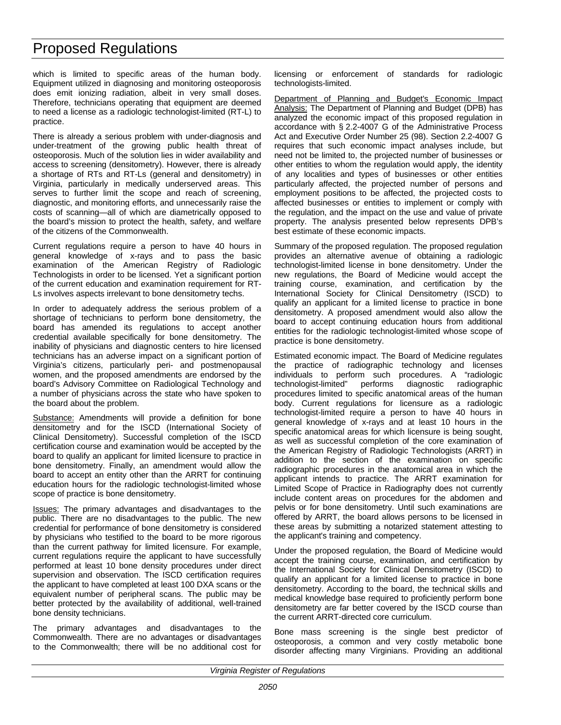which is limited to specific areas of the human body. Equipment utilized in diagnosing and monitoring osteoporosis does emit ionizing radiation, albeit in very small doses. Therefore, technicians operating that equipment are deemed to need a license as a radiologic technologist-limited (RT-L) to practice.

There is already a serious problem with under-diagnosis and under-treatment of the growing public health threat of osteoporosis. Much of the solution lies in wider availability and access to screening (densitometry). However, there is already a shortage of RTs and RT-Ls (general and densitometry) in Virginia, particularly in medically underserved areas. This serves to further limit the scope and reach of screening, diagnostic, and monitoring efforts, and unnecessarily raise the costs of scanning—all of which are diametrically opposed to the board's mission to protect the health, safety, and welfare of the citizens of the Commonwealth.

Current regulations require a person to have 40 hours in general knowledge of x-rays and to pass the basic examination of the American Registry of Radiologic Technologists in order to be licensed. Yet a significant portion of the current education and examination requirement for RT-Ls involves aspects irrelevant to bone densitometry techs.

In order to adequately address the serious problem of a shortage of technicians to perform bone densitometry, the board has amended its regulations to accept another credential available specifically for bone densitometry. The inability of physicians and diagnostic centers to hire licensed technicians has an adverse impact on a significant portion of Virginia's citizens, particularly peri- and postmenopausal women, and the proposed amendments are endorsed by the board's Advisory Committee on Radiological Technology and a number of physicians across the state who have spoken to the board about the problem.

Substance: Amendments will provide a definition for bone densitometry and for the ISCD (International Society of Clinical Densitometry). Successful completion of the ISCD certification course and examination would be accepted by the board to qualify an applicant for limited licensure to practice in bone densitometry. Finally, an amendment would allow the board to accept an entity other than the ARRT for continuing education hours for the radiologic technologist-limited whose scope of practice is bone densitometry.

Issues: The primary advantages and disadvantages to the public. There are no disadvantages to the public. The new credential for performance of bone densitometry is considered by physicians who testified to the board to be more rigorous than the current pathway for limited licensure. For example, current regulations require the applicant to have successfully performed at least 10 bone density procedures under direct supervision and observation. The ISCD certification requires the applicant to have completed at least 100 DXA scans or the equivalent number of peripheral scans. The public may be better protected by the availability of additional, well-trained bone density technicians.

The primary advantages and disadvantages to the Commonwealth. There are no advantages or disadvantages to the Commonwealth; there will be no additional cost for

licensing or enforcement of standards for radiologic technologists-limited.

Department of Planning and Budget's Economic Impact Analysis: The Department of Planning and Budget (DPB) has analyzed the economic impact of this proposed regulation in accordance with § 2.2-4007 G of the Administrative Process Act and Executive Order Number 25 (98). Section 2.2-4007 G requires that such economic impact analyses include, but need not be limited to, the projected number of businesses or other entities to whom the regulation would apply, the identity of any localities and types of businesses or other entities particularly affected, the projected number of persons and employment positions to be affected, the projected costs to affected businesses or entities to implement or comply with the regulation, and the impact on the use and value of private property. The analysis presented below represents DPB's best estimate of these economic impacts.

Summary of the proposed regulation. The proposed regulation provides an alternative avenue of obtaining a radiologic technologist-limited license in bone densitometry. Under the new regulations, the Board of Medicine would accept the training course, examination, and certification by the International Society for Clinical Densitometry (ISCD) to qualify an applicant for a limited license to practice in bone densitometry. A proposed amendment would also allow the board to accept continuing education hours from additional entities for the radiologic technologist-limited whose scope of practice is bone densitometry.

Estimated economic impact. The Board of Medicine regulates the practice of radiographic technology and licenses individuals to perform such procedures. A "radiologic technologist-limited" performs diagnostic radiographic procedures limited to specific anatomical areas of the human body. Current regulations for licensure as a radiologic technologist-limited require a person to have 40 hours in general knowledge of x-rays and at least 10 hours in the specific anatomical areas for which licensure is being sought, as well as successful completion of the core examination of the American Registry of Radiologic Technologists (ARRT) in addition to the section of the examination on specific radiographic procedures in the anatomical area in which the applicant intends to practice. The ARRT examination for Limited Scope of Practice in Radiography does not currently include content areas on procedures for the abdomen and pelvis or for bone densitometry. Until such examinations are offered by ARRT, the board allows persons to be licensed in these areas by submitting a notarized statement attesting to the applicant's training and competency.

Under the proposed regulation, the Board of Medicine would accept the training course, examination, and certification by the International Society for Clinical Densitometry (ISCD) to qualify an applicant for a limited license to practice in bone densitometry. According to the board, the technical skills and medical knowledge base required to proficiently perform bone densitometry are far better covered by the ISCD course than the current ARRT-directed core curriculum.

Bone mass screening is the single best predictor of osteoporosis, a common and very costly metabolic bone disorder affecting many Virginians. Providing an additional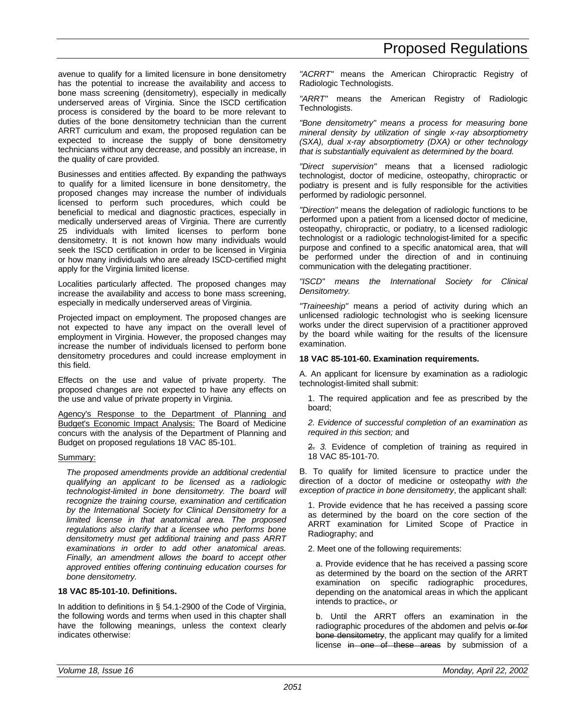avenue to qualify for a limited licensure in bone densitometry has the potential to increase the availability and access to bone mass screening (densitometry), especially in medically underserved areas of Virginia. Since the ISCD certification process is considered by the board to be more relevant to duties of the bone densitometry technician than the current ARRT curriculum and exam, the proposed regulation can be expected to increase the supply of bone densitometry technicians without any decrease, and possibly an increase, in the quality of care provided.

Businesses and entities affected. By expanding the pathways to qualify for a limited licensure in bone densitometry, the proposed changes may increase the number of individuals licensed to perform such procedures, which could be beneficial to medical and diagnostic practices, especially in medically underserved areas of Virginia. There are currently 25 individuals with limited licenses to perform bone densitometry. It is not known how many individuals would seek the ISCD certification in order to be licensed in Virginia or how many individuals who are already ISCD-certified might apply for the Virginia limited license.

Localities particularly affected. The proposed changes may increase the availability and access to bone mass screening, especially in medically underserved areas of Virginia.

Projected impact on employment. The proposed changes are not expected to have any impact on the overall level of employment in Virginia. However, the proposed changes may increase the number of individuals licensed to perform bone densitometry procedures and could increase employment in this field.

Effects on the use and value of private property. The proposed changes are not expected to have any effects on the use and value of private property in Virginia.

Agency's Response to the Department of Planning and Budget's Economic Impact Analysis: The Board of Medicine concurs with the analysis of the Department of Planning and Budget on proposed regulations 18 VAC 85-101.

### Summary:

*The proposed amendments provide an additional credential qualifying an applicant to be licensed as a radiologic technologist-limited in bone densitometry. The board will recognize the training course, examination and certification by the International Society for Clinical Densitometry for a limited license in that anatomical area. The proposed regulations also clarify that a licensee who performs bone densitometry must get additional training and pass ARRT examinations in order to add other anatomical areas. Finally, an amendment allows the board to accept other approved entities offering continuing education courses for bone densitometry.*

## **18 VAC 85-101-10. Definitions.**

In addition to definitions in § 54.1-2900 of the Code of Virginia, the following words and terms when used in this chapter shall have the following meanings, unless the context clearly indicates otherwise:

*"ACRRT"* means the American Chiropractic Registry of Radiologic Technologists.

*"ARRT"* means the American Registry of Radiologic Technologists.

*"Bone densitometry" means a process for measuring bone mineral density by utilization of single x-ray absorptiometry (SXA), dual x-ray absorptiometry (DXA) or other technology that is substantially equivalent as determined by the board.*

*"Direct supervision"* means that a licensed radiologic technologist, doctor of medicine, osteopathy, chiropractic or podiatry is present and is fully responsible for the activities performed by radiologic personnel.

*"Direction"* means the delegation of radiologic functions to be performed upon a patient from a licensed doctor of medicine, osteopathy, chiropractic, or podiatry, to a licensed radiologic technologist or a radiologic technologist-limited for a specific purpose and confined to a specific anatomical area, that will be performed under the direction of and in continuing communication with the delegating practitioner.

*"ISCD" means the International Society for Clinical Densitometry.*

*"Traineeship"* means a period of activity during which an unlicensed radiologic technologist who is seeking licensure works under the direct supervision of a practitioner approved by the board while waiting for the results of the licensure examination.

## **18 VAC 85-101-60. Examination requirements.**

A. An applicant for licensure by examination as a radiologic technologist-limited shall submit:

1. The required application and fee as prescribed by the board;

*2. Evidence of successful completion of an examination as required in this section;* and

2. *3.* Evidence of completion of training as required in 18 VAC 85-101-70.

B. To qualify for limited licensure to practice under the direction of a doctor of medicine or osteopathy *with the exception of practice in bone densitometry*, the applicant shall:

1. Provide evidence that he has received a passing score as determined by the board on the core section of the ARRT examination for Limited Scope of Practice in Radiography; and

2. Meet one of the following requirements:

a. Provide evidence that he has received a passing score as determined by the board on the section of the ARRT examination on specific radiographic procedures, depending on the anatomical areas in which the applicant intends to practice.*, or*

b. Until the ARRT offers an examination in the radiographic procedures of the abdomen and pelvis or for bone densitometry, the applicant may qualify for a limited license in one of these areas by submission of a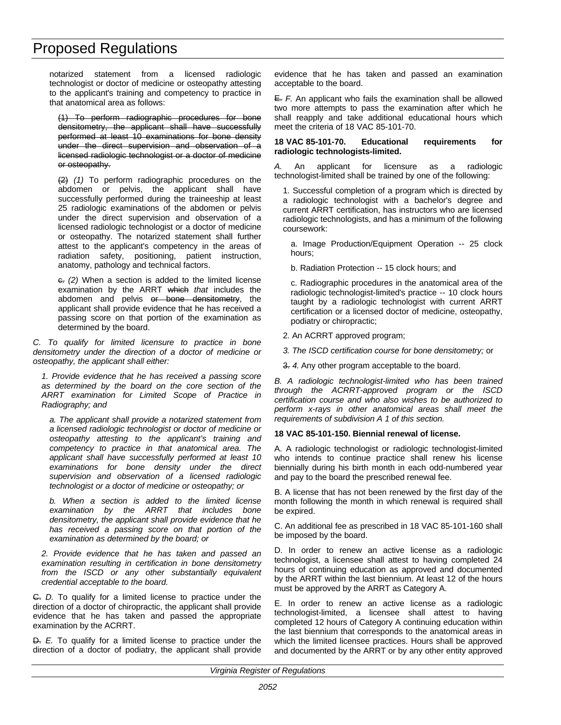notarized statement from a licensed radiologic technologist or doctor of medicine or osteopathy attesting to the applicant's training and competency to practice in that anatomical area as follows:

(1) To perform radiographic procedures for bone densitometry, the applicant shall have successfully performed at least 10 examinations for bone density under the direct supervision and observation of a licensed radiologic technologist or a doctor of medicine or osteopathy.

(2) *(1)* To perform radiographic procedures on the abdomen or pelvis, the applicant shall have successfully performed during the traineeship at least 25 radiologic examinations of the abdomen or pelvis under the direct supervision and observation of a licensed radiologic technologist or a doctor of medicine or osteopathy. The notarized statement shall further attest to the applicant's competency in the areas of radiation safety, positioning, patient instruction, anatomy, pathology and technical factors.

c. *(2)* When a section is added to the limited license examination by the ARRT which *that* includes the abdomen and pelvis or bone densitometry, the applicant shall provide evidence that he has received a passing score on that portion of the examination as determined by the board.

*C. To qualify for limited licensure to practice in bone densitometry under the direction of a doctor of medicine or osteopathy, the applicant shall either:*

*1. Provide evidence that he has received a passing score as determined by the board on the core section of the ARRT examination for Limited Scope of Practice in Radiography; and*

*a. The applicant shall provide a notarized statement from a licensed radiologic technologist or doctor of medicine or osteopathy attesting to the applicant's training and competency to practice in that anatomical area. The applicant shall have successfully performed at least 10 examinations for bone density under the direct supervision and observation of a licensed radiologic technologist or a doctor of medicine or osteopathy; or*

*b. When a section is added to the limited license examination by the ARRT that includes bone densitometry, the applicant shall provide evidence that he has received a passing score on that portion of the examination as determined by the board; or*

*2. Provide evidence that he has taken and passed an examination resulting in certification in bone densitometry from the ISCD or any other substantially equivalent credential acceptable to the board.*

C. *D.* To qualify for a limited license to practice under the direction of a doctor of chiropractic, the applicant shall provide evidence that he has taken and passed the appropriate examination by the ACRRT.

D. *E.* To qualify for a limited license to practice under the direction of a doctor of podiatry, the applicant shall provide evidence that he has taken and passed an examination acceptable to the board.

E. *F.* An applicant who fails the examination shall be allowed two more attempts to pass the examination after which he shall reapply and take additional educational hours which meet the criteria of 18 VAC 85-101-70.

#### **18 VAC 85-101-70. Educational requirements for radiologic technologists-limited.**

*A.* An applicant for licensure as a radiologic technologist-limited shall be trained by one of the following:

1. Successful completion of a program which is directed by a radiologic technologist with a bachelor's degree and current ARRT certification, has instructors who are licensed radiologic technologists, and has a minimum of the following coursework:

a. Image Production/Equipment Operation -- 25 clock hours;

b. Radiation Protection -- 15 clock hours; and

c. Radiographic procedures in the anatomical area of the radiologic technologist-limited's practice -- 10 clock hours taught by a radiologic technologist with current ARRT certification or a licensed doctor of medicine, osteopathy, podiatry or chiropractic;

- 2. An ACRRT approved program;
- *3. The ISCD certification course for bone densitometry;* or
- 3. *4.* Any other program acceptable to the board.

*B. A radiologic technologist-limited who has been trained through the ACRRT-approved program or the ISCD certification course and who also wishes to be authorized to perform x-rays in other anatomical areas shall meet the requirements of subdivision A 1 of this section.*

### **18 VAC 85-101-150. Biennial renewal of license.**

A. A radiologic technologist or radiologic technologist-limited who intends to continue practice shall renew his license biennially during his birth month in each odd-numbered year and pay to the board the prescribed renewal fee.

B. A license that has not been renewed by the first day of the month following the month in which renewal is required shall be expired.

C. An additional fee as prescribed in 18 VAC 85-101-160 shall be imposed by the board.

D. In order to renew an active license as a radiologic technologist, a licensee shall attest to having completed 24 hours of continuing education as approved and documented by the ARRT within the last biennium. At least 12 of the hours must be approved by the ARRT as Category A.

E. In order to renew an active license as a radiologic technologist-limited, a licensee shall attest to having completed 12 hours of Category A continuing education within the last biennium that corresponds to the anatomical areas in which the limited licensee practices. Hours shall be approved and documented by the ARRT or by any other entity approved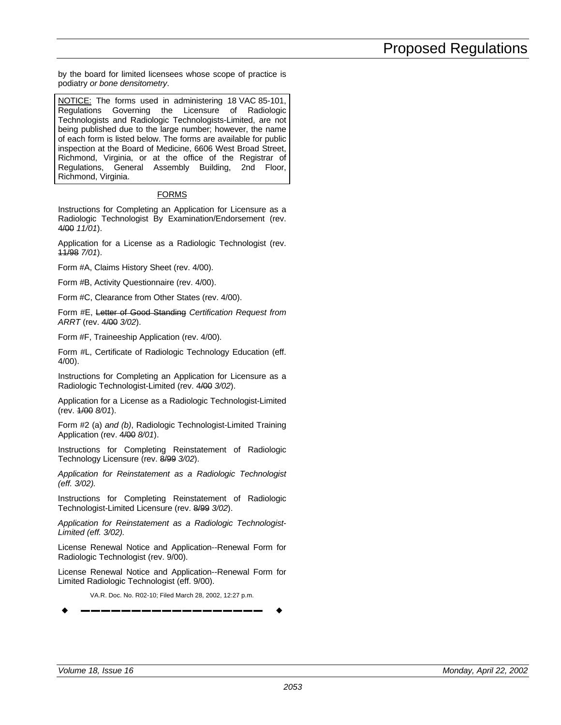by the board for limited licensees whose scope of practice is podiatry *or bone densitometry*.

NOTICE: The forms used in administering 18 VAC 85-101, Regulations Governing the Licensure of Radiologic Technologists and Radiologic Technologists-Limited, are not being published due to the large number; however, the name of each form is listed below. The forms are available for public inspection at the Board of Medicine, 6606 West Broad Street, Richmond, Virginia, or at the office of the Registrar of Regulations, General Assembly Building, 2nd Floor, Richmond, Virginia.

## FORMS

Instructions for Completing an Application for Licensure as a Radiologic Technologist By Examination/Endorsement (rev. 4/00 *11/01*).

Application for a License as a Radiologic Technologist (rev. 11/98 *7/01*).

Form #A, Claims History Sheet (rev. 4/00).

Form #B, Activity Questionnaire (rev. 4/00).

Form #C, Clearance from Other States (rev. 4/00).

Form #E, Letter of Good Standing *Certification Request from ARRT* (rev. 4/00 *3/02*).

Form #F, Traineeship Application (rev. 4/00).

Form #L, Certificate of Radiologic Technology Education (eff. 4/00).

Instructions for Completing an Application for Licensure as a Radiologic Technologist-Limited (rev. 4/00 *3/02*).

Application for a License as a Radiologic Technologist-Limited (rev. 1/00 *8/01*).

Form #2 (a) *and (b)*, Radiologic Technologist-Limited Training Application (rev. 4/00 *8/01*).

Instructions for Completing Reinstatement of Radiologic Technology Licensure (rev. 8/99 *3/02*).

*Application for Reinstatement as a Radiologic Technologist (eff. 3/02).*

Instructions for Completing Reinstatement of Radiologic Technologist-Limited Licensure (rev. 8/99 *3/02*).

*Application for Reinstatement as a Radiologic Technologist-Limited (eff. 3/02).*

License Renewal Notice and Application--Renewal Form for Radiologic Technologist (rev. 9/00).

License Renewal Notice and Application--Renewal Form for Limited Radiologic Technologist (eff. 9/00).

VA.R. Doc. No. R02-10; Filed March 28, 2002, 12:27 p.m. w **––––––––––––––––––** w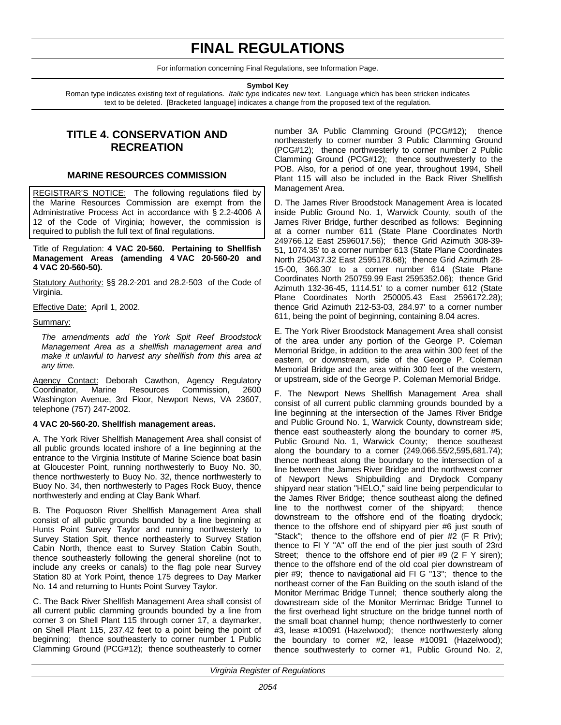## **FINAL REGULATIONS**

For information concerning Final Regulations, see Information Page.

## **Symbol Key**

<span id="page-41-0"></span>Roman type indicates existing text of regulations. *Italic type* indicates new text. Language which has been stricken indicates text to be deleted. [Bracketed language] indicates a change from the proposed text of the regulation.

## **TITLE 4. CONSERVATION AND RECREATION**

## **MARINE RESOURCES COMMISSION**

REGISTRAR'S NOTICE: The following regulations filed by the Marine Resources Commission are exempt from the Administrative Process Act in accordance with § 2.2-4006 A 12 of the Code of Virginia; however, the commission is required to publish the full text of final regulations.

Title of Regulation: **4 VAC 20-560. Pertaining to Shellfish Management Areas (amending 4 VAC 20-560-20 and 4 VAC 20-560-50).**

Statutory Authority: §§ 28.2-201 and 28.2-503 of the Code of Virginia.

Effective Date: April 1, 2002.

Summary:

*The amendments add the York Spit Reef Broodstock Management Area as a shellfish management area and make it unlawful to harvest any shellfish from this area at any time.*

Agency Contact: Deborah Cawthon, Agency Regulatory Coordinator, Marine Resources Commission, 2600 Washington Avenue, 3rd Floor, Newport News, VA 23607, telephone (757) 247-2002.

### **4 VAC 20-560-20. Shellfish management areas.**

A. The York River Shellfish Management Area shall consist of all public grounds located inshore of a line beginning at the entrance to the Virginia Institute of Marine Science boat basin at Gloucester Point, running northwesterly to Buoy No. 30, thence northwesterly to Buoy No. 32, thence northwesterly to Buoy No. 34, then northwesterly to Pages Rock Buoy, thence northwesterly and ending at Clay Bank Wharf.

B. The Poquoson River Shellfish Management Area shall consist of all public grounds bounded by a line beginning at Hunts Point Survey Taylor and running northwesterly to Survey Station Spit, thence northeasterly to Survey Station Cabin North, thence east to Survey Station Cabin South, thence southeasterly following the general shoreline (not to include any creeks or canals) to the flag pole near Survey Station 80 at York Point, thence 175 degrees to Day Marker No. 14 and returning to Hunts Point Survey Taylor.

C. The Back River Shellfish Management Area shall consist of all current public clamming grounds bounded by a line from corner 3 on Shell Plant 115 through corner 17, a daymarker, on Shell Plant 115, 237.42 feet to a point being the point of beginning; thence southeasterly to corner number 1 Public Clamming Ground (PCG#12); thence southeasterly to corner

number 3A Public Clamming Ground (PCG#12); thence northeasterly to corner number 3 Public Clamming Ground (PCG#12); thence northwesterly to corner number 2 Public Clamming Ground (PCG#12); thence southwesterly to the POB. Also, for a period of one year, throughout 1994, Shell Plant 115 will also be included in the Back River Shellfish Management Area.

D. The James River Broodstock Management Area is located inside Public Ground No. 1, Warwick County, south of the James River Bridge, further described as follows: Beginning at a corner number 611 (State Plane Coordinates North 249766.12 East 2596017.56); thence Grid Azimuth 308-39- 51, 1074.35' to a corner number 613 (State Plane Coordinates North 250437.32 East 2595178.68); thence Grid Azimuth 28- 15-00, 366.30' to a corner number 614 (State Plane Coordinates North 250759.99 East 2595352.06); thence Grid Azimuth 132-36-45, 1114.51' to a corner number 612 (State Plane Coordinates North 250005.43 East 2596172.28); thence Grid Azimuth 212-53-03, 284.97' to a corner number 611, being the point of beginning, containing 8.04 acres.

E. The York River Broodstock Management Area shall consist of the area under any portion of the George P. Coleman Memorial Bridge, in addition to the area within 300 feet of the eastern, or downstream, side of the George P. Coleman Memorial Bridge and the area within 300 feet of the western, or upstream, side of the George P. Coleman Memorial Bridge.

F. The Newport News Shellfish Management Area shall consist of all current public clamming grounds bounded by a line beginning at the intersection of the James River Bridge and Public Ground No. 1, Warwick County, downstream side; thence east southeasterly along the boundary to corner #5, Public Ground No. 1, Warwick County; thence southeast along the boundary to a corner (249,066.55/2,595,681.74); thence northeast along the boundary to the intersection of a line between the James River Bridge and the northwest corner of Newport News Shipbuilding and Drydock Company shipyard near station "HELO," said line being perpendicular to the James River Bridge; thence southeast along the defined line to the northwest corner of the shipyard; thence downstream to the offshore end of the floating drydock; thence to the offshore end of shipyard pier #6 just south of "Stack"; thence to the offshore end of pier #2 (F R Priv); thence to FI Y "A" off the end of the pier just south of 23rd Street; thence to the offshore end of pier #9 (2 F Y siren); thence to the offshore end of the old coal pier downstream of pier #9; thence to navigational aid FI G "13"; thence to the northeast corner of the Fan Building on the south island of the Monitor Merrimac Bridge Tunnel; thence southerly along the downstream side of the Monitor Merrimac Bridge Tunnel to the first overhead light structure on the bridge tunnel north of the small boat channel hump; thence northwesterly to corner #3, lease #10091 (Hazelwood); thence northwesterly along the boundary to corner #2, lease #10091 (Hazelwood); thence southwesterly to corner #1, Public Ground No. 2,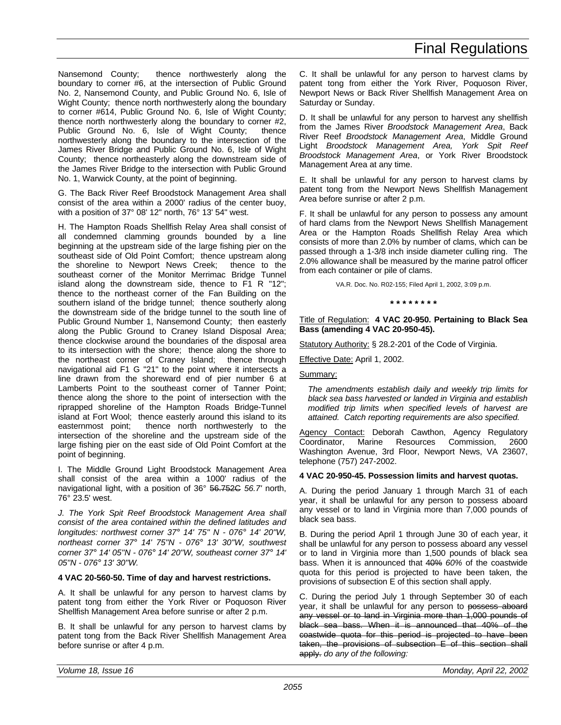## Final Regulations

<span id="page-42-0"></span>Nansemond County; thence northwesterly along the boundary to corner #6, at the intersection of Public Ground No. 2, Nansemond County, and Public Ground No. 6, Isle of Wight County; thence north northwesterly along the boundary to corner #614, Public Ground No. 6, Isle of Wight County; thence north northwesterly along the boundary to corner #2, Public Ground No. 6, Isle of Wight County; thence northwesterly along the boundary to the intersection of the James River Bridge and Public Ground No. 6, Isle of Wight County; thence northeasterly along the downstream side of the James River Bridge to the intersection with Public Ground No. 1, Warwick County, at the point of beginning.

G. The Back River Reef Broodstock Management Area shall consist of the area within a 2000' radius of the center buoy, with a position of 37° 08' 12" north, 76° 13' 54" west.

H. The Hampton Roads Shellfish Relay Area shall consist of all condemned clamming grounds bounded by a line beginning at the upstream side of the large fishing pier on the southeast side of Old Point Comfort; thence upstream along the shoreline to Newport News Creek; thence to the southeast corner of the Monitor Merrimac Bridge Tunnel island along the downstream side, thence to F1 R "12"; thence to the northeast corner of the Fan Building on the southern island of the bridge tunnel; thence southerly along the downstream side of the bridge tunnel to the south line of Public Ground Number 1, Nansemond County; then easterly along the Public Ground to Craney Island Disposal Area; thence clockwise around the boundaries of the disposal area to its intersection with the shore; thence along the shore to the northeast corner of Craney Island; thence through navigational aid F1 G "21" to the point where it intersects a line drawn from the shoreward end of pier number 6 at Lamberts Point to the southeast corner of Tanner Point; thence along the shore to the point of intersection with the riprapped shoreline of the Hampton Roads Bridge-Tunnel island at Fort Wool; thence easterly around this island to its easternmost point; thence north northwesterly to the intersection of the shoreline and the upstream side of the large fishing pier on the east side of Old Point Comfort at the point of beginning.

I. The Middle Ground Light Broodstock Management Area shall consist of the area within a 1000' radius of the navigational light, with a position of 36° 56.752C *56.7'* north, 76° 23.5' west.

*J. The York Spit Reef Broodstock Management Area shall consist of the area contained within the defined latitudes and longitudes: northwest corner 37° 14' 75'' N - 076° 14' 20''W, northeast corner 37° 14' 75''N - 076° 13' 30''W, southwest corner 37° 14' 05''N - 076° 14' 20''W, southeast corner 37° 14' 05''N - 076° 13' 30''W.*

### **4 VAC 20-560-50. Time of day and harvest restrictions.**

A. It shall be unlawful for any person to harvest clams by patent tong from either the York River or Poquoson River Shellfish Management Area before sunrise or after 2 p.m.

B. It shall be unlawful for any person to harvest clams by patent tong from the Back River Shellfish Management Area before sunrise or after 4 p.m.

C. It shall be unlawful for any person to harvest clams by patent tong from either the York River, Poquoson River, Newport News or Back River Shellfish Management Area on Saturday or Sunday.

D. It shall be unlawful for any person to harvest any shellfish from the James River *Broodstock Management Area*, Back River Reef *Broodstock Management Area*, Middle Ground Light *Broodstock Management Area, York Spit Reef Broodstock Management Area*, or York River Broodstock Management Area at any time.

E. It shall be unlawful for any person to harvest clams by patent tong from the Newport News Shellfish Management Area before sunrise or after 2 p.m.

F. It shall be unlawful for any person to possess any amount of hard clams from the Newport News Shellfish Management Area or the Hampton Roads Shellfish Relay Area which consists of more than 2.0% by number of clams, which can be passed through a 1-3/8 inch inside diameter culling ring. The 2.0% allowance shall be measured by the marine patrol officer from each container or pile of clams.

VA.R. Doc. No. R02-155; Filed April 1, 2002, 3:09 p.m.

#### **\* \* \* \* \* \* \* \***

Title of Regulation: **4 VAC 20-950. Pertaining to Black Sea Bass (amending 4 VAC 20-950-45).**

Statutory Authority: § 28.2-201 of the Code of Virginia.

Effective Date: April 1, 2002.

### Summary:

*The amendments establish daily and weekly trip limits for black sea bass harvested or landed in Virginia and establish modified trip limits when specified levels of harvest are attained. Catch reporting requirements are also specified.*

Agency Contact: Deborah Cawthon, Agency Regulatory Coordinator, Marine Resources Commission, 2600 Washington Avenue, 3rd Floor, Newport News, VA 23607, telephone (757) 247-2002.

### **4 VAC 20-950-45. Possession limits and harvest quotas.**

A. During the period January 1 through March 31 of each year, it shall be unlawful for any person to possess aboard any vessel or to land in Virginia more than 7,000 pounds of black sea bass.

B. During the period April 1 through June 30 of each year, it shall be unlawful for any person to possess aboard any vessel or to land in Virginia more than 1,500 pounds of black sea bass. When it is announced that 40% *60%* of the coastwide quota for this period is projected to have been taken, the provisions of subsection E of this section shall apply.

C. During the period July 1 through September 30 of each year, it shall be unlawful for any person to possess aboard any vessel or to land in Virginia more than 1,000 pounds of black sea bass. When it is announced that 40% of the coastwide quota for this period is projected to have been taken, the provisions of subsection E of this section shall apply. *do any of the following:*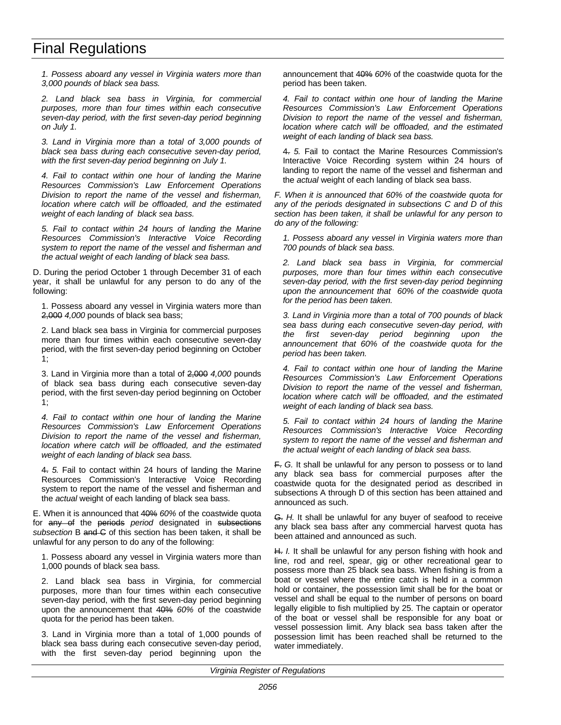## Final Regulations

*1. Possess aboard any vessel in Virginia waters more than 3,000 pounds of black sea bass.*

*2. Land black sea bass in Virginia, for commercial purposes, more than four times within each consecutive seven-day period, with the first seven-day period beginning on July 1.*

*3. Land in Virginia more than a total of 3,000 pounds of black sea bass during each consecutive seven-day period, with the first seven-day period beginning on July 1.*

*4. Fail to contact within one hour of landing the Marine Resources Commission's Law Enforcement Operations Division to report the name of the vessel and fisherman, location where catch will be offloaded, and the estimated weight of each landing of black sea bass.*

*5. Fail to contact within 24 hours of landing the Marine Resources Commission's Interactive Voice Recording system to report the name of the vessel and fisherman and the actual weight of each landing of black sea bass.*

D. During the period October 1 through December 31 of each year, it shall be unlawful for any person to do any of the following:

1. Possess aboard any vessel in Virginia waters more than 2,000 *4,000* pounds of black sea bass;

2. Land black sea bass in Virginia for commercial purposes more than four times within each consecutive seven-day period, with the first seven-day period beginning on October 1;

3. Land in Virginia more than a total of 2,000 *4,000* pounds of black sea bass during each consecutive seven-day period, with the first seven-day period beginning on October 1;

*4. Fail to contact within one hour of landing the Marine Resources Commission's Law Enforcement Operations Division to report the name of the vessel and fisherman, location where catch will be offloaded, and the estimated weight of each landing of black sea bass.*

4. *5.* Fail to contact within 24 hours of landing the Marine Resources Commission's Interactive Voice Recording system to report the name of the vessel and fisherman and the *actual* weight of each landing of black sea bass.

E. When it is announced that 40% *60%* of the coastwide quota for any of the periods *period* designated in subsections *subsection* B and C of this section has been taken, it shall be unlawful for any person to do any of the following:

1. Possess aboard any vessel in Virginia waters more than 1,000 pounds of black sea bass.

2. Land black sea bass in Virginia, for commercial purposes, more than four times within each consecutive seven-day period, with the first seven-day period beginning upon the announcement that 40% *60%* of the coastwide quota for the period has been taken.

3. Land in Virginia more than a total of 1,000 pounds of black sea bass during each consecutive seven-day period, with the first seven-day period beginning upon the

announcement that 40% *60%* of the coastwide quota for the period has been taken.

*4. Fail to contact within one hour of landing the Marine Resources Commission's Law Enforcement Operations Division to report the name of the vessel and fisherman, location where catch will be offloaded, and the estimated weight of each landing of black sea bass.*

4. *5.* Fail to contact the Marine Resources Commission's Interactive Voice Recording system within 24 hours of landing to report the name of the vessel and fisherman and the *actual* weight of each landing of black sea bass.

*F. When it is announced that 60% of the coastwide quota for any of the periods designated in subsections C and D of this section has been taken, it shall be unlawful for any person to do any of the following:*

*1. Possess aboard any vessel in Virginia waters more than 700 pounds of black sea bass.*

*2. Land black sea bass in Virginia, for commercial purposes, more than four times within each consecutive seven-day period, with the first seven-day period beginning upon the announcement that 60% of the coastwide quota for the period has been taken.*

*3. Land in Virginia more than a total of 700 pounds of black sea bass during each consecutive seven-day period, with the first seven-day period beginning upon the announcement that 60% of the coastwide quota for the period has been taken.*

*4. Fail to contact within one hour of landing the Marine Resources Commission's Law Enforcement Operations Division to report the name of the vessel and fisherman, location where catch will be offloaded, and the estimated weight of each landing of black sea bass.*

*5. Fail to contact within 24 hours of landing the Marine Resources Commission's Interactive Voice Recording system to report the name of the vessel and fisherman and the actual weight of each landing of black sea bass.*

F. *G.* It shall be unlawful for any person to possess or to land any black sea bass for commercial purposes after the coastwide quota for the designated period as described in subsections A through D of this section has been attained and announced as such.

G. *H.* It shall be unlawful for any buyer of seafood to receive any black sea bass after any commercial harvest quota has been attained and announced as such.

H. *I.* It shall be unlawful for any person fishing with hook and line, rod and reel, spear, gig or other recreational gear to possess more than 25 black sea bass. When fishing is from a boat or vessel where the entire catch is held in a common hold or container, the possession limit shall be for the boat or vessel and shall be equal to the number of persons on board legally eligible to fish multiplied by 25. The captain or operator of the boat or vessel shall be responsible for any boat or vessel possession limit. Any black sea bass taken after the possession limit has been reached shall be returned to the water immediately.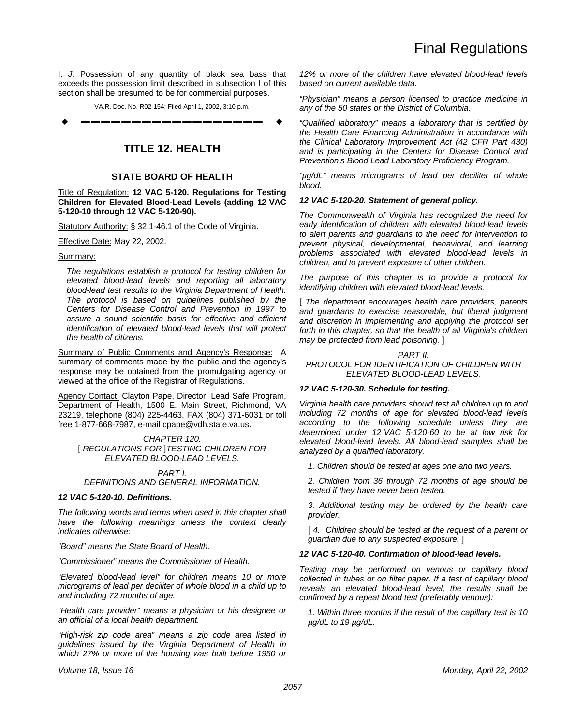<span id="page-44-0"></span>I. *J.* Possession of any quantity of black sea bass that exceeds the possession limit described in subsection I of this section shall be presumed to be for commercial purposes.

VA.R. Doc. No. R02-154; Filed April 1, 2002, 3:10 p.m.

w **––––––––––––––––––** w

## **TITLE 12. HEALTH**

### **STATE BOARD OF HEALTH**

Title of Regulation: **12 VAC 5-120. Regulations for Testing Children for Elevated Blood-Lead Levels (adding 12 VAC 5-120-10 through 12 VAC 5-120-90).**

Statutory Authority: § 32.1-46.1 of the Code of Virginia.

Effective Date: May 22, 2002.

Summary:

*The regulations establish a protocol for testing children for elevated blood-lead levels and reporting all laboratory blood-lead test results to the Virginia Department of Health. The protocol is based on guidelines published by the Centers for Disease Control and Prevention in 1997 to assure a sound scientific basis for effective and efficient identification of elevated blood-lead levels that will protect the health of citizens.*

Summary of Public Comments and Agency's Response: A summary of comments made by the public and the agency's response may be obtained from the promulgating agency or viewed at the office of the Registrar of Regulations.

Agency Contact: Clayton Pape, Director, Lead Safe Program, Department of Health, 1500 E. Main Street, Richmond, VA 23219, telephone (804) 225-4463, FAX (804) 371-6031 or toll free 1-877-668-7987, e-mail cpape@vdh.state.va.us.

*CHAPTER 120.* [ *REGULATIONS FOR* ]*TESTING CHILDREN FOR ELEVATED BLOOD-LEAD LEVELS.*

*PART I. DEFINITIONS AND GENERAL INFORMATION.*

### *12 VAC 5-120-10. Definitions.*

*The following words and terms when used in this chapter shall have the following meanings unless the context clearly indicates otherwise:*

*"Board" means the State Board of Health.*

*"Commissioner" means the Commissioner of Health.*

*"Elevated blood-lead level" for children means 10 or more micrograms of lead per deciliter of whole blood in a child up to and including 72 months of age.*

*"Health care provider" means a physician or his designee or an official of a local health department.*

*"High-risk zip code area" means a zip code area listed in guidelines issued by the Virginia Department of Health in which 27% or more of the housing was built before 1950 or*

*12% or more of the children have elevated blood-lead levels based on current available data.*

*"Physician" means a person licensed to practice medicine in any of the 50 states or the District of Columbia.*

*"Qualified laboratory" means a laboratory that is certified by the Health Care Financing Administration in accordance with the Clinical Laboratory Improvement Act (42 CFR Part 430) and is participating in the Centers for Disease Control and Prevention's Blood Lead Laboratory Proficiency Program.*

*"µg/dL" means micrograms of lead per deciliter of whole blood.*

#### *12 VAC 5-120-20. Statement of general policy.*

*The Commonwealth of Virginia has recognized the need for early identification of children with elevated blood-lead levels to alert parents and guardians to the need for intervention to prevent physical, developmental, behavioral, and learning problems associated with elevated blood-lead levels in children, and to prevent exposure of other children.*

*The purpose of this chapter is to provide a protocol for identifying children with elevated blood-lead levels.*

[ *The department encourages health care providers, parents and guardians to exercise reasonable, but liberal judgment and discretion in implementing and applying the protocol set forth in this chapter, so that the health of all Virginia's children may be protected from lead poisoning.* ]

*PART II. PROTOCOL FOR IDENTIFICATION OF CHILDREN WITH ELEVATED BLOOD-LEAD LEVELS.*

#### *12 VAC 5-120-30. Schedule for testing.*

*Virginia health care providers should test all children up to and including 72 months of age for elevated blood-lead levels according to the following schedule unless they are determined under 12 VAC 5-120-60 to be at low risk for elevated blood-lead levels. All blood-lead samples shall be analyzed by a qualified laboratory.*

*1. Children should be tested at ages one and two years.*

*2. Children from 36 through 72 months of age should be tested if they have never been tested.*

*3. Additional testing may be ordered by the health care provider.*

[4. Children should be tested at the request of a parent or *guardian due to any suspected exposure.* ]

### *12 VAC 5-120-40. Confirmation of blood-lead levels.*

*Testing may be performed on venous or capillary blood collected in tubes or on filter paper. If a test of capillary blood reveals an elevated blood-lead level, the results shall be confirmed by a repeat blood test (preferably venous):*

*1. Within three months if the result of the capillary test is 10 µg/dL to 19 µg/dL.*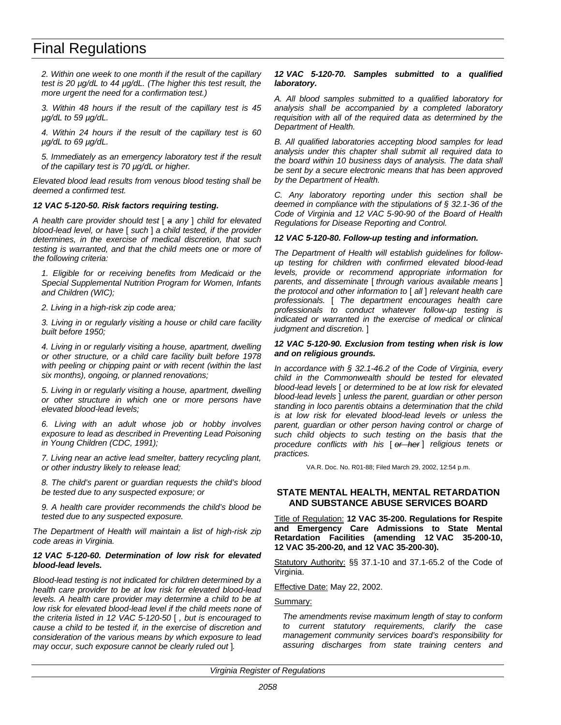## <span id="page-45-0"></span>Final Regulations

*2. Within one week to one month if the result of the capillary test is 20 µg/dL to 44 µg/dL. (The higher this test result, the more urgent the need for a confirmation test.)*

*3. Within 48 hours if the result of the capillary test is 45 µg/dL to 59 µg/dL.*

*4. Within 24 hours if the result of the capillary test is 60 µg/dL to 69 µg/dL.*

*5. Immediately as an emergency laboratory test if the result of the capillary test is 70 µg/dL or higher.*

*Elevated blood lead results from venous blood testing shall be deemed a confirmed test.*

### *12 VAC 5-120-50. Risk factors requiring testing.*

*A health care provider should test* [ *a any* ] *child for elevated blood-lead level, or have* [ *such* ] *a child tested, if the provider determines, in the exercise of medical discretion, that such testing is warranted, and that the child meets one or more of the following criteria:*

*1. Eligible for or receiving benefits from Medicaid or the Special Supplemental Nutrition Program for Women, Infants and Children (WIC);*

*2. Living in a high-risk zip code area;*

*3. Living in or regularly visiting a house or child care facility built before 1950;*

*4. Living in or regularly visiting a house, apartment, dwelling or other structure, or a child care facility built before 1978 with peeling or chipping paint or with recent (within the last six months), ongoing, or planned renovations;*

*5. Living in or regularly visiting a house, apartment, dwelling or other structure in which one or more persons have elevated blood-lead levels;*

*6. Living with an adult whose job or hobby involves exposure to lead as described in Preventing Lead Poisoning in Young Children (CDC, 1991);*

*7. Living near an active lead smelter, battery recycling plant, or other industry likely to release lead;*

*8. The child's parent or guardian requests the child's blood be tested due to any suspected exposure; or*

*9. A health care provider recommends the child's blood be tested due to any suspected exposure.*

*The Department of Health will maintain a list of high-risk zip code areas in Virginia.*

## *12 VAC 5-120-60. Determination of low risk for elevated blood-lead levels.*

*Blood-lead testing is not indicated for children determined by a health care provider to be at low risk for elevated blood-lead levels. A health care provider may determine a child to be at low risk for elevated blood-lead level if the child meets none of the criteria listed in 12 VAC 5-120-50* [ *, but is encouraged to cause a child to be tested if, in the exercise of discretion and consideration of the various means by which exposure to lead may occur, such exposure cannot be clearly ruled out* ]*.*

### *12 VAC 5-120-70. Samples submitted to a qualified laboratory.*

*A. All blood samples submitted to a qualified laboratory for analysis shall be accompanied by a completed laboratory requisition with all of the required data as determined by the Department of Health.*

*B. All qualified laboratories accepting blood samples for lead analysis under this chapter shall submit all required data to the board within 10 business days of analysis. The data shall be sent by a secure electronic means that has been approved by the Department of Health.*

*C. Any laboratory reporting under this section shall be deemed in compliance with the stipulations of § 32.1-36 of the Code of Virginia and 12 VAC 5-90-90 of the Board of Health Regulations for Disease Reporting and Control.*

## *12 VAC 5-120-80. Follow-up testing and information.*

*The Department of Health will establish guidelines for followup testing for children with confirmed elevated blood-lead levels, provide or recommend appropriate information for parents, and disseminate* [ *through various available means* ] *the protocol and other information to* [ *all* ] *relevant health care professionals.* [ *The department encourages health care professionals to conduct whatever follow-up testing is indicated or warranted in the exercise of medical or clinical judgment and discretion.* ]

#### *12 VAC 5-120-90. Exclusion from testing when risk is low and on religious grounds.*

*In accordance with § 32.1-46.2 of the Code of Virginia, every child in the Commonwealth should be tested for elevated blood-lead levels* [ *or determined to be at low risk for elevated blood-lead levels* ] *unless the parent, guardian or other person standing in loco parentis obtains a determination that the child is at low risk for elevated blood-lead levels or unless the parent, guardian or other person having control or charge of such child objects to such testing on the basis that the procedure conflicts with his* [ *or her* ] *religious tenets or practices.*

VA.R. Doc. No. R01-88; Filed March 29, 2002, 12:54 p.m.

## **STATE MENTAL HEALTH, MENTAL RETARDATION AND SUBSTANCE ABUSE SERVICES BOARD**

Title of Regulation: **12 VAC 35-200. Regulations for Respite and Emergency Care Admissions to State Mental Retardation Facilities (amending 12 VAC 35-200-10, 12 VAC 35-200-20, and 12 VAC 35-200-30).**

Statutory Authority: §§ 37.1-10 and 37.1-65.2 of the Code of Virginia.

Effective Date: May 22, 2002.

Summary:

*The amendments revise maximum length of stay to conform to current statutory requirements, clarify the case management community services board's responsibility for assuring discharges from state training centers and*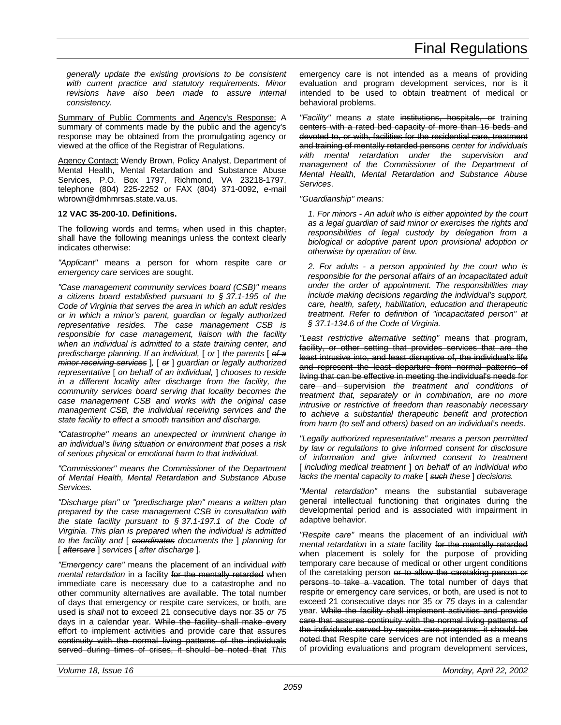*generally update the existing provisions to be consistent with current practice and statutory requirements. Minor revisions have also been made to assure internal consistency.*

Summary of Public Comments and Agency's Response: A summary of comments made by the public and the agency's response may be obtained from the promulgating agency or viewed at the office of the Registrar of Regulations.

Agency Contact: Wendy Brown, Policy Analyst, Department of Mental Health, Mental Retardation and Substance Abuse Services, P.O. Box 1797, Richmond, VA 23218-1797, telephone (804) 225-2252 or FAX (804) 371-0092, e-mail wbrown@dmhmrsas.state.va.us.

## **12 VAC 35-200-10. Definitions.**

The following words and terms, when used in this chapter, shall have the following meanings unless the context clearly indicates otherwise:

*"Applicant"* means a person for whom respite care *or emergency care* services are sought.

*"Case management community services board (CSB)" means a citizens board established pursuant to § 37.1-195 of the Code of Virginia that serves the area in which an adult resides or in which a minor's parent, guardian or legally authorized representative resides. The case management CSB is responsible for case management, liaison with the facility when an individual is admitted to a state training center, and predischarge planning. If an individual,* [ *or* ] *the parents* [ *of a minor receiving services* ]*,* [ *or* ] *guardian or legally authorized representative* [ *on behalf of an individual,* ] *chooses to reside in a different locality after discharge from the facility, the community services board serving that locality becomes the case management CSB and works with the original case management CSB, the individual receiving services and the state facility to effect a smooth transition and discharge.*

*"Catastrophe" means an unexpected or imminent change in an individual's living situation or environment that poses a risk of serious physical or emotional harm to that individual.*

*"Commissioner" means the Commissioner of the Department of Mental Health, Mental Retardation and Substance Abuse Services.*

*"Discharge plan" or "predischarge plan" means a written plan prepared by the case management CSB in consultation with the state facility pursuant to § 37.1-197.1 of the Code of Virginia. This plan is prepared when the individual is admitted to the facility and* [ *coordinates documents the* ] *planning for* [ *aftercare* ] *services* [ *after discharge* ]*.*

*"Emergency care"* means the placement of an individual *with mental retardation* in a facility for the mentally retarded when immediate care is necessary due to a catastrophe and no other community alternatives are available. The total number of days that emergency or respite care services, or both, are used is *shall* not to exceed 21 consecutive days nor 35 *or 75* days in a calendar year. While the facility shall make every effort to implement activities and provide care that assures continuity with the normal living patterns of the individuals served during times of crises, it should be noted that *This* emergency care is not intended as a means of providing evaluation and program development services, nor is it intended to be used to obtain treatment of medical or behavioral problems.

*"Facility"* means *a* state institutions, hospitals, or training centers with a rated bed capacity of more than 16 beds and devoted to, or with, facilities for the residential care, treatment and training of mentally retarded persons *center for individuals with mental retardation under the supervision and management of the Commissioner of the Department of Mental Health, Mental Retardation and Substance Abuse Services*.

### *"Guardianship" means:*

*1. For minors - An adult who is either appointed by the court as a legal guardian of said minor or exercises the rights and responsibilities of legal custody by delegation from a biological or adoptive parent upon provisional adoption or otherwise by operation of law.*

*2. For adults - a person appointed by the court who is responsible for the personal affairs of an incapacitated adult under the order of appointment. The responsibilities may include making decisions regarding the individual's support, care, health, safety, habilitation, education and therapeutic treatment. Refer to definition of "incapacitated person" at § 37.1-134.6 of the Code of Virginia.*

*"Least restrictive alternative setting"* means that program, facility, or other setting that provides services that are the least intrusive into, and least disruptive of, the individual's life and represent the least departure from normal patterns of living that can be effective in meeting the individual's needs for care and supervision *the treatment and conditions of treatment that, separately or in combination, are no more intrusive or restrictive of freedom than reasonably necessary to achieve a substantial therapeutic benefit and protection from harm (to self and others) based on an individual's needs*.

*"Legally authorized representative" means a person permitted by law or regulations to give informed consent for disclosure of information and give informed consent to treatment* [ *including medical treatment* ] *on behalf of an individual who lacks the mental capacity to make* [ *such these* ] *decisions.*

*"Mental retardation"* means the substantial subaverage general intellectual functioning that originates during the developmental period and is associated with impairment in adaptive behavior.

*"Respite care"* means the placement of an individual *with mental retardation* in a *state* facility for the mentally retarded when placement is solely for the purpose of providing temporary care because of medical or other urgent conditions of the caretaking person or to allow the caretaking person or persons to take a vacation. The total number of days that respite or emergency care services, or both, are used is not to exceed 21 consecutive days nor 35 *or 75* days in a calendar year. While the facility shall implement activities and provide care that assures continuity with the normal living patterns of the individuals served by respite care programs, it should be noted that Respite care services are not intended as a means of providing evaluations and program development services,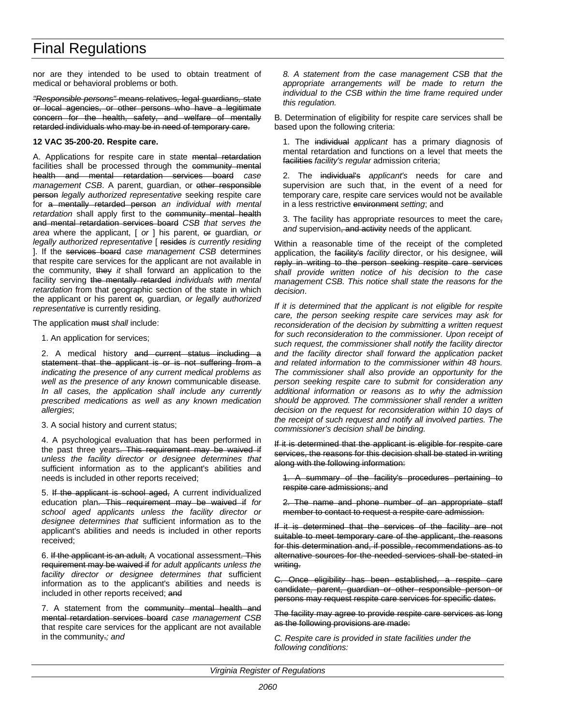## Final Regulations

nor are they intended to be used to obtain treatment of medical or behavioral problems or both.

*"Responsible persons"* means relatives, legal guardians, state or local agencies, or other persons who have a legitimate concern for the health, safety, and welfare of mentally retarded individuals who may be in need of temporary care.

#### **12 VAC 35-200-20. Respite care.**

A. Applications for respite care in state mental retardation facilities shall be processed through the community mental health and mental retardation services board *case* management CSB. A parent, guardian, or other responsible person *legally authorized representative* seeking respite care for a mentally retarded person *an individual with mental* retardation shall apply first to the community mental health and mental retardation services board *CSB that serves the area* where the applicant, [ *or* ] his parent, or guardian*, or legally authorized representative* [ resides *is currently residing* ]. If the services board *case management CSB* determines that respite care services for the applicant are not available in the community, they *it* shall forward an application to the facility serving the mentally retarded *individuals with mental retardation* from that geographic section of the state in which the applicant or his parent or*,* guardian*, or legally authorized representative* is currently residing.

The application must *shall* include:

1. An application for services;

2. A medical history and current status including a statement that the applicant is or is not suffering from a *indicating the presence of any current medical problems as well as the presence of any known* communicable disease*. In all cases, the application shall include any currently prescribed medications as well as any known medication allergies*;

#### 3. A social history and current status;

4. A psychological evaluation that has been performed in the past three years. This requirement may be waived if *unless the facility director or designee determines that* sufficient information as to the applicant's abilities and needs is included in other reports received;

5. If the applicant is school aged, A current individualized education plan. This requirement may be waived if *for school aged applicants unless the facility director or designee determines that* sufficient information as to the applicant's abilities and needs is included in other reports received;

6. If the applicant is an adult, A vocational assessment. This requirement may be waived if *for adult applicants unless the facility director or designee determines that* sufficient information as to the applicant's abilities and needs is included in other reports received; and

7. A statement from the community mental health and mental retardation services board *case management CSB* that respite care services for the applicant are not available in the community.*; and*

*8. A statement from the case management CSB that the appropriate arrangements will be made to return the individual to the CSB within the time frame required under this regulation.*

B. Determination of eligibility for respite care services shall be based upon the following criteria:

1. The individual *applicant* has a primary diagnosis of mental retardation and functions on a level that meets the facilities *facility's regular* admission criteria;

2. The individual's *applicant's* needs for care and supervision are such that, in the event of a need for temporary care, respite care services would not be available in a less restrictive environment *setting*; and

3. The facility has appropriate resources to meet the care, and supervision, and activity needs of the applicant.

Within a reasonable time of the receipt of the completed application, the facility's *facility* director, or his designee, will reply in writing to the person seeking respite care services *shall provide written notice of his decision to the case management CSB. This notice shall state the reasons for the decision*.

*If it is determined that the applicant is not eligible for respite care, the person seeking respite care services may ask for reconsideration of the decision by submitting a written request for such reconsideration to the commissioner. Upon receipt of such request, the commissioner shall notify the facility director and the facility director shall forward the application packet and related information to the commissioner within 48 hours. The commissioner shall also provide an opportunity for the person seeking respite care to submit for consideration any additional information or reasons as to why the admission should be approved. The commissioner shall render a written decision on the request for reconsideration within 10 days of the receipt of such request and notify all involved parties. The commissioner's decision shall be binding.*

If it is determined that the applicant is eligible for respite care services, the reasons for this decision shall be stated in writing along with the following information:

1. A summary of the facility's procedures pertaining to respite care admissions; and

The name and phone number of an appropriate staff member to contact to request a respite care admission.

If it is determined that the services of the facility are not suitable to meet temporary care of the applicant, the reasons for this determination and, if possible, recommendations as to alternative sources for the needed services shall be stated in writing.

C. Once eligibility has been established, a respite care candidate, parent, guardian or other responsible person or persons may request respite care services for specific dates.

The facility may agree to provide respite care services as long as the following provisions are made:

*C. Respite care is provided in state facilities under the following conditions:*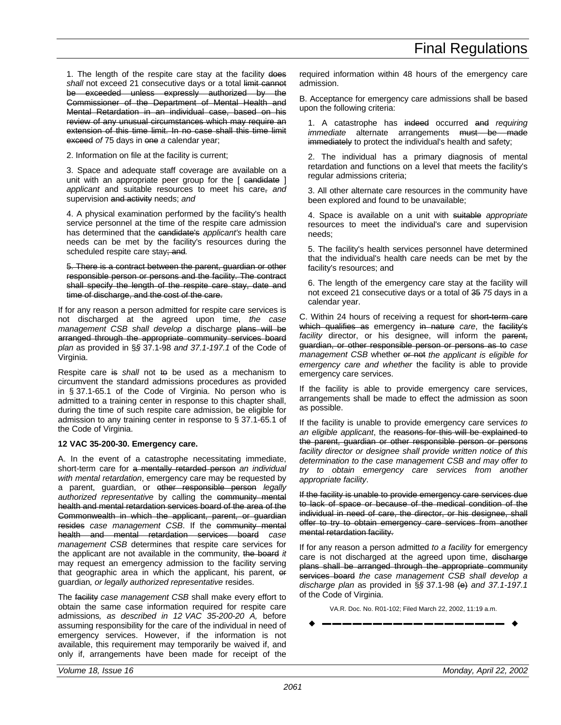1. The length of the respite care stay at the facility does shall not exceed 21 consecutive days or a total limit cannot be exceeded unless expressly authorized by the Commissioner of the Department of Mental Health and Mental Retardation in an individual case, based on his review of any unusual circumstances which may require an extension of this time limit. In no case shall this time limit exceed *of* 75 days in one *a* calendar year;

2. Information on file at the facility is current;

3. Space and adequate staff coverage are available on a unit with an appropriate peer group for the [ candidate ] *applicant* and suitable resources to meet his care, *and* supervision and activity needs; *and*

4. A physical examination performed by the facility's health service personnel at the time of the respite care admission has determined that the candidate's *applicant's* health care needs can be met by the facility's resources during the scheduled respite care stay; and*.*

5. There is a contract between the parent, guardian or other responsible person or persons and the facility. The contract shall specify the length of the respite care stay, date and time of discharge, and the cost of the care.

If for any reason a person admitted for respite care services is not discharged at the agreed upon time, *the case management CSB shall develop a* discharge plans will be arranged through the appropriate community services board *plan* as provided in §*§* 37.1-98 *and 37.1-197.1* of the Code of Virginia.

Respite care is shall not to be used as a mechanism to circumvent the standard admissions procedures as provided in § 37.1-65.1 of the Code of Virginia. No person who is admitted to a training center in response to this chapter shall, during the time of such respite care admission, be eligible for admission to any training center in response to § 37.1-65.1 of the Code of Virginia.

## **12 VAC 35-200-30. Emergency care.**

A. In the event of a catastrophe necessitating immediate, short-term care for a mentally retarded person *an individual with mental retardation*, emergency care may be requested by a parent, guardian, or other responsible person *legally authorized representative* by calling the community mental health and mental retardation services board of the area of the Commonwealth in which the applicant, parent, or guardian resides *case management CSB*. If the community mental health and mental retardation services board *case management CSB* determines that respite care services for the applicant are not available in the community, the board *it* may request an emergency admission to the facility serving that geographic area in which the applicant, his parent, or guardian*, or legally authorized representative* resides.

The facility *case management CSB* shall make every effort to obtain the same case information required for respite care admissions*, as described in 12 VAC 35-200-20 A,* before assuming responsibility for the care of the individual in need of emergency services. However, if the information is not available, this requirement may temporarily be waived if, and only if, arrangements have been made for receipt of the required information within 48 hours of the emergency care admission.

B. Acceptance for emergency care admissions shall be based upon the following criteria:

1. A catastrophe has indeed occurred and *requiring immediate* alternate arrangements <del>must be made</del> immediately to protect the individual's health and safety;

2. The individual has a primary diagnosis of mental retardation and functions on a level that meets the facility's regular admissions criteria;

3. All other alternate care resources in the community have been explored and found to be unavailable;

4. Space is available on a unit with suitable *appropriate* resources to meet the individual's care and supervision needs;

5. The facility's health services personnel have determined that the individual's health care needs can be met by the facility's resources; and

6. The length of the emergency care stay at the facility will not exceed 21 consecutive days or a total of 35 *75* days in a calendar year.

C. Within 24 hours of receiving a request for short-term care which qualifies as emergency in nature *care*, the facility's facility director, or his designee, will inform the parent, guardian, or other responsible person or persons as to *case management CSB* whether  $er$  not *the applicant is eligible for emergency care and whether* the facility is able to provide emergency care services.

If the facility is able to provide emergency care services, arrangements shall be made to effect the admission as soon as possible.

If the facility is unable to provide emergency care services *to an eligible applicant*, the reasons for this will be explained to the parent, guardian or other responsible person or persons *facility director or designee shall provide written notice of this determination to the case management CSB and may offer to try to obtain emergency care services from another appropriate facility*.

If the facility is unable to provide emergency care services due to lack of space or because of the medical condition of the individual in need of care, the director, or his designee, shall offer to try to obtain emergency care services from another mental retardation facility.

If for any reason a person admitted *to a facility* for emergency care is not discharged at the agreed upon time, discharge plans shall be arranged through the appropriate community services board *the case management CSB shall develop a discharge plan* as provided in §*§* 37.1-98 (e) *and 37.1-197.1* of the Code of Virginia.

VA.R. Doc. No. R01-102; Filed March 22, 2002, 11:19 a.m.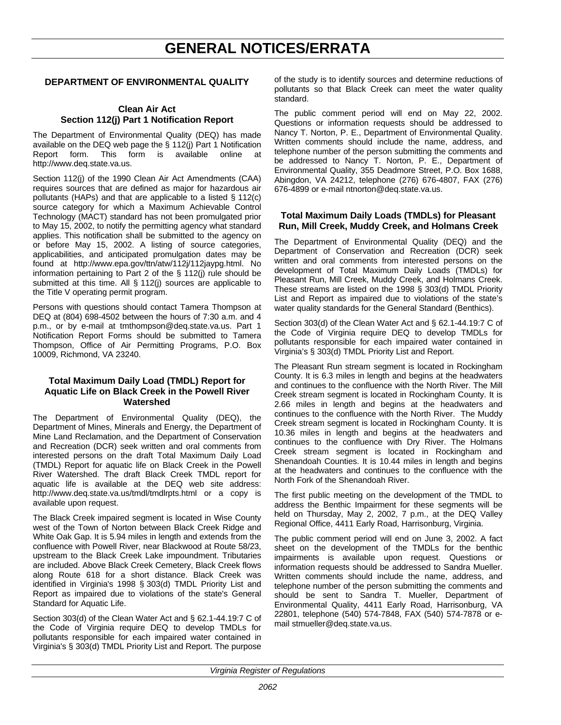## **GENERAL NOTICES/ERRATA**

## <span id="page-49-0"></span>**DEPARTMENT OF ENVIRONMENTAL QUALITY**

## **Clean Air Act Section 112(j) Part 1 Notification Report**

The Department of Environmental Quality (DEQ) has made available on the DEQ web page the § 112(j) Part 1 Notification Report form. This form is available online at http://www.deq.state.va.us.

Section 112(j) of the 1990 Clean Air Act Amendments (CAA) requires sources that are defined as major for hazardous air pollutants (HAPs) and that are applicable to a listed § 112(c) source category for which a Maximum Achievable Control Technology (MACT) standard has not been promulgated prior to May 15, 2002, to notify the permitting agency what standard applies. This notification shall be submitted to the agency on or before May 15, 2002. A listing of source categories, applicabilities, and anticipated promulgation dates may be found at http://www.epa.gov/ttn/atw/112j/112jaypg.html. No information pertaining to Part 2 of the § 112(j) rule should be submitted at this time. All § 112(j) sources are applicable to the Title V operating permit program.

Persons with questions should contact Tamera Thompson at DEQ at (804) 698-4502 between the hours of 7:30 a.m. and 4 p.m., or by e-mail at tmthompson@deq.state.va.us. Part 1 Notification Report Forms should be submitted to Tamera Thompson, Office of Air Permitting Programs, P.O. Box 10009, Richmond, VA 23240.

## **Total Maximum Daily Load (TMDL) Report for Aquatic Life on Black Creek in the Powell River Watershed**

The Department of Environmental Quality (DEQ), the Department of Mines, Minerals and Energy, the Department of Mine Land Reclamation, and the Department of Conservation and Recreation (DCR) seek written and oral comments from interested persons on the draft Total Maximum Daily Load (TMDL) Report for aquatic life on Black Creek in the Powell River Watershed. The draft Black Creek TMDL report for aquatic life is available at the DEQ web site address: http://www.deq.state.va.us/tmdl/tmdlrpts.html or a copy is available upon request.

The Black Creek impaired segment is located in Wise County west of the Town of Norton between Black Creek Ridge and White Oak Gap. It is 5.94 miles in length and extends from the confluence with Powell River, near Blackwood at Route 58/23, upstream to the Black Creek Lake impoundment. Tributaries are included. Above Black Creek Cemetery, Black Creek flows along Route 618 for a short distance. Black Creek was identified in Virginia's 1998 § 303(d) TMDL Priority List and Report as impaired due to violations of the state's General Standard for Aquatic Life.

Section 303(d) of the Clean Water Act and § 62.1-44.19:7 C of the Code of Virginia require DEQ to develop TMDLs for pollutants responsible for each impaired water contained in Virginia's § 303(d) TMDL Priority List and Report. The purpose

of the study is to identify sources and determine reductions of pollutants so that Black Creek can meet the water quality standard.

The public comment period will end on May 22, 2002. Questions or information requests should be addressed to Nancy T. Norton, P. E., Department of Environmental Quality. Written comments should include the name, address, and telephone number of the person submitting the comments and be addressed to Nancy T. Norton, P. E., Department of Environmental Quality, 355 Deadmore Street, P.O. Box 1688, Abingdon, VA 24212, telephone (276) 676-4807, FAX (276) 676-4899 or e-mail ntnorton@deq.state.va.us.

## **Total Maximum Daily Loads (TMDLs) for Pleasant Run, Mill Creek, Muddy Creek, and Holmans Creek**

The Department of Environmental Quality (DEQ) and the Department of Conservation and Recreation (DCR) seek written and oral comments from interested persons on the development of Total Maximum Daily Loads (TMDLs) for Pleasant Run, Mill Creek, Muddy Creek, and Holmans Creek. These streams are listed on the 1998 § 303(d) TMDL Priority List and Report as impaired due to violations of the state's water quality standards for the General Standard (Benthics).

Section 303(d) of the Clean Water Act and § 62.1-44.19:7 C of the Code of Virginia require DEQ to develop TMDLs for pollutants responsible for each impaired water contained in Virginia's § 303(d) TMDL Priority List and Report.

The Pleasant Run stream segment is located in Rockingham County. It is 6.3 miles in length and begins at the headwaters and continues to the confluence with the North River. The Mill Creek stream segment is located in Rockingham County. It is 2.66 miles in length and begins at the headwaters and continues to the confluence with the North River. The Muddy Creek stream segment is located in Rockingham County. It is 10.36 miles in length and begins at the headwaters and continues to the confluence with Dry River. The Holmans Creek stream segment is located in Rockingham and Shenandoah Counties. It is 10.44 miles in length and begins at the headwaters and continues to the confluence with the North Fork of the Shenandoah River.

The first public meeting on the development of the TMDL to address the Benthic Impairment for these segments will be held on Thursday, May 2, 2002, 7 p.m., at the DEQ Valley Regional Office, 4411 Early Road, Harrisonburg, Virginia.

The public comment period will end on June 3, 2002. A fact sheet on the development of the TMDLs for the benthic impairments is available upon request. Questions or information requests should be addressed to Sandra Mueller. Written comments should include the name, address, and telephone number of the person submitting the comments and should be sent to Sandra T. Mueller, Department of Environmental Quality, 4411 Early Road, Harrisonburg, VA 22801, telephone (540) 574-7848, FAX (540) 574-7878 or email stmueller@deq.state.va.us.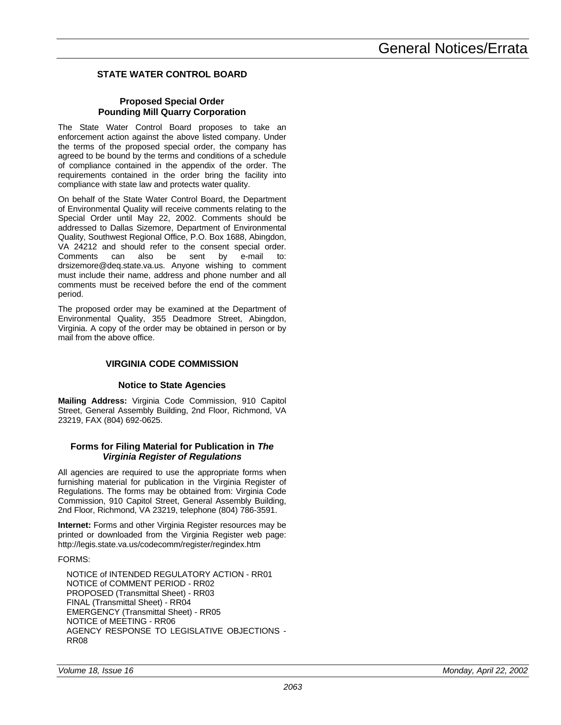## <span id="page-50-0"></span>**STATE WATER CONTROL BOARD**

## **Proposed Special Order Pounding Mill Quarry Corporation**

The State Water Control Board proposes to take an enforcement action against the above listed company. Under the terms of the proposed special order, the company has agreed to be bound by the terms and conditions of a schedule of compliance contained in the appendix of the order. The requirements contained in the order bring the facility into compliance with state law and protects water quality.

On behalf of the State Water Control Board, the Department of Environmental Quality will receive comments relating to the Special Order until May 22, 2002. Comments should be addressed to Dallas Sizemore, Department of Environmental Quality, Southwest Regional Office, P.O. Box 1688, Abingdon, VA 24212 and should refer to the consent special order.<br>Comments can also be sent by e-mail to: Comments can also be sent by e-mail to: drsizemore@deq.state.va.us. Anyone wishing to comment must include their name, address and phone number and all comments must be received before the end of the comment period.

The proposed order may be examined at the Department of Environmental Quality, 355 Deadmore Street, Abingdon, Virginia. A copy of the order may be obtained in person or by mail from the above office.

## **VIRGINIA CODE COMMISSION**

## **Notice to State Agencies**

**Mailing Address:** Virginia Code Commission, 910 Capitol Street, General Assembly Building, 2nd Floor, Richmond, VA 23219, FAX (804) 692-0625.

## **Forms for Filing Material for Publication in** *The Virginia Register of Regulations*

All agencies are required to use the appropriate forms when furnishing material for publication in the Virginia Register of Regulations. The forms may be obtained from: Virginia Code Commission, 910 Capitol Street, General Assembly Building, 2nd Floor, Richmond, VA 23219, telephone (804) 786-3591.

**Internet:** Forms and other Virginia Register resources may be printed or downloaded from the Virginia Register web page: http://legis.state.va.us/codecomm/register/regindex.htm

## FORMS:

NOTICE of INTENDED REGULATORY ACTION - RR01 NOTICE of COMMENT PERIOD - RR02 PROPOSED (Transmittal Sheet) - RR03 FINAL (Transmittal Sheet) - RR04 EMERGENCY (Transmittal Sheet) - RR05 NOTICE of MEETING - RR06 AGENCY RESPONSE TO LEGISLATIVE OBJECTIONS - RR08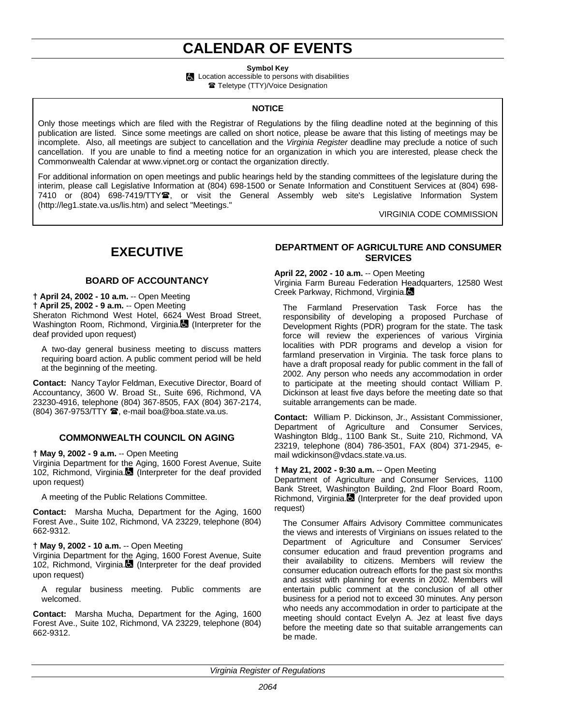## **CALENDAR OF EVENTS**

**Symbol Key**

**Location accessible to persons with disabilities Teletype (TTY)/Voice Designation** 

## **NOTICE**

<span id="page-51-0"></span>Only those meetings which are filed with the Registrar of Regulations by the filing deadline noted at the beginning of this publication are listed. Since some meetings are called on short notice, please be aware that this listing of meetings may be incomplete. Also, all meetings are subject to cancellation and the *Virginia Register* deadline may preclude a notice of such cancellation. If you are unable to find a meeting notice for an organization in which you are interested, please check the Commonwealth Calendar at www.vipnet.org or contact the organization directly.

For additional information on open meetings and public hearings held by the standing committees of the legislature during the interim, please call Legislative Information at (804) 698-1500 or Senate Information and Constituent Services at (804) 698- 7410 or (804) 698-7419/TTY雪, or visit the General Assembly web site's Legislative Information System (http://leg1.state.va.us/lis.htm) and select "Meetings."

VIRGINIA CODE COMMISSION

## **EXECUTIVE**

## **BOARD OF ACCOUNTANCY**

**† April 24, 2002 - 10 a.m.** -- Open Meeting **† April 25, 2002 - 9 a.m.** -- Open Meeting Sheraton Richmond West Hotel, 6624 West Broad Street, Washington Room, Richmond, Virginia. (Interpreter for the deaf provided upon request)

A two-day general business meeting to discuss matters requiring board action. A public comment period will be held at the beginning of the meeting.

**Contact:** Nancy Taylor Feldman, Executive Director, Board of Accountancy, 3600 W. Broad St., Suite 696, Richmond, VA 23230-4916, telephone (804) 367-8505, FAX (804) 367-2174,  $(804)$  367-9753/TTY  $\hat{=}$ , e-mail boa@boa.state.va.us.

## **COMMONWEALTH COUNCIL ON AGING**

**† May 9, 2002 - 9 a.m.** -- Open Meeting

Virginia Department for the Aging, 1600 Forest Avenue, Suite 102, Richmond, Virginia. (Interpreter for the deaf provided upon request)

A meeting of the Public Relations Committee.

**Contact:** Marsha Mucha, Department for the Aging, 1600 Forest Ave., Suite 102, Richmond, VA 23229, telephone (804) 662-9312.

### **† May 9, 2002 - 10 a.m.** -- Open Meeting

Virginia Department for the Aging, 1600 Forest Avenue, Suite 102, Richmond, Virginia. (Interpreter for the deaf provided upon request)

A regular business meeting. Public comments are welcomed.

**Contact:** Marsha Mucha, Department for the Aging, 1600 Forest Ave., Suite 102, Richmond, VA 23229, telephone (804) 662-9312.

## **DEPARTMENT OF AGRICULTURE AND CONSUMER SERVICES**

**April 22, 2002 - 10 a.m.** -- Open Meeting

Virginia Farm Bureau Federation Headquarters, 12580 West Creek Parkway, Richmond, Virginia.

The Farmland Preservation Task Force has the responsibility of developing a proposed Purchase of Development Rights (PDR) program for the state. The task force will review the experiences of various Virginia localities with PDR programs and develop a vision for farmland preservation in Virginia. The task force plans to have a draft proposal ready for public comment in the fall of 2002. Any person who needs any accommodation in order to participate at the meeting should contact William P. Dickinson at least five days before the meeting date so that suitable arrangements can be made.

**Contact:** William P. Dickinson, Jr., Assistant Commissioner, Department of Agriculture and Consumer Services, Washington Bldg., 1100 Bank St., Suite 210, Richmond, VA 23219, telephone (804) 786-3501, FAX (804) 371-2945, email wdickinson@vdacs.state.va.us.

## **† May 21, 2002 - 9:30 a.m.** -- Open Meeting

Department of Agriculture and Consumer Services, 1100 Bank Street, Washington Building, 2nd Floor Board Room, Richmond, Virginia. $\blacksquare$  (Interpreter for the deaf provided upon request)

The Consumer Affairs Advisory Committee communicates the views and interests of Virginians on issues related to the Department of Agriculture and Consumer Services' consumer education and fraud prevention programs and their availability to citizens. Members will review the consumer education outreach efforts for the past six months and assist with planning for events in 2002. Members will entertain public comment at the conclusion of all other business for a period not to exceed 30 minutes. Any person who needs any accommodation in order to participate at the meeting should contact Evelyn A. Jez at least five days before the meeting date so that suitable arrangements can be made.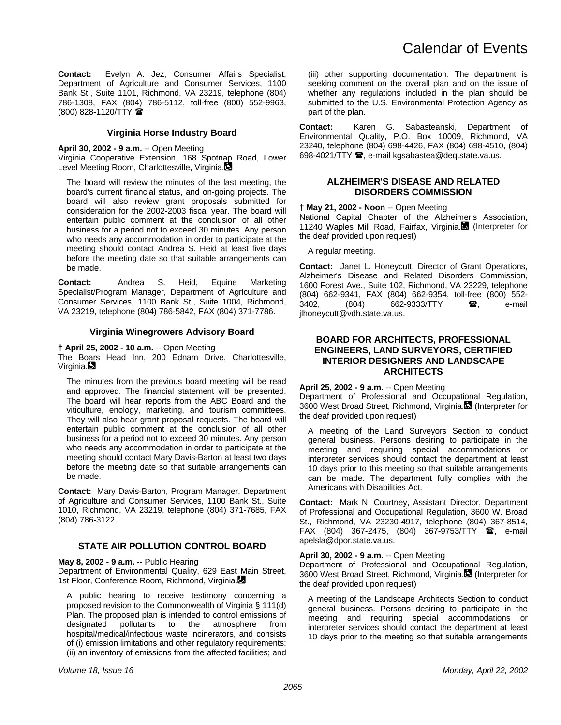**Contact:** Evelyn A. Jez, Consumer Affairs Specialist, Department of Agriculture and Consumer Services, 1100 Bank St., Suite 1101, Richmond, VA 23219, telephone (804) 786-1308, FAX (804) 786-5112, toll-free (800) 552-9963, (800) 828-1120/TTY (

## **Virginia Horse Industry Board**

## **April 30, 2002 - 9 a.m.** -- Open Meeting

Virginia Cooperative Extension, 168 Spotnap Road, Lower Level Meeting Room, Charlottesville, Virginia.

The board will review the minutes of the last meeting, the board's current financial status, and on-going projects. The board will also review grant proposals submitted for consideration for the 2002-2003 fiscal year. The board will entertain public comment at the conclusion of all other business for a period not to exceed 30 minutes. Any person who needs any accommodation in order to participate at the meeting should contact Andrea S. Heid at least five days before the meeting date so that suitable arrangements can be made.

**Contact:** Andrea S. Heid, Equine Marketing Specialist/Program Manager, Department of Agriculture and Consumer Services, 1100 Bank St., Suite 1004, Richmond, VA 23219, telephone (804) 786-5842, FAX (804) 371-7786.

## **Virginia Winegrowers Advisory Board**

#### **† April 25, 2002 - 10 a.m.** -- Open Meeting

The Boars Head Inn, 200 Ednam Drive, Charlottesville, Virginia.

The minutes from the previous board meeting will be read and approved. The financial statement will be presented. The board will hear reports from the ABC Board and the viticulture, enology, marketing, and tourism committees. They will also hear grant proposal requests. The board will entertain public comment at the conclusion of all other business for a period not to exceed 30 minutes. Any person who needs any accommodation in order to participate at the meeting should contact Mary Davis-Barton at least two days before the meeting date so that suitable arrangements can be made.

**Contact:** Mary Davis-Barton, Program Manager, Department of Agriculture and Consumer Services, 1100 Bank St., Suite 1010, Richmond, VA 23219, telephone (804) 371-7685, FAX (804) 786-3122.

## **STATE AIR POLLUTION CONTROL BOARD**

### **May 8, 2002 - 9 a.m.** -- Public Hearing

Department of Environmental Quality, 629 East Main Street, 1st Floor, Conference Room, Richmond, Virginia.

A public hearing to receive testimony concerning a proposed revision to the Commonwealth of Virginia § 111(d) Plan. The proposed plan is intended to control emissions of designated pollutants to the atmosphere from atmosphere hospital/medical/infectious waste incinerators, and consists of (i) emission limitations and other regulatory requirements; (ii) an inventory of emissions from the affected facilities; and

(iii) other supporting documentation. The department is seeking comment on the overall plan and on the issue of whether any regulations included in the plan should be submitted to the U.S. Environmental Protection Agency as part of the plan.

**Contact:** Karen G. Sabasteanski, Department of Environmental Quality, P.O. Box 10009, Richmond, VA 23240, telephone (804) 698-4426, FAX (804) 698-4510, (804) 698-4021/TTY  $\mathbf{\mathcal{F}}$ , e-mail kgsabastea@deq.state.va.us.

## **ALZHEIMER'S DISEASE AND RELATED DISORDERS COMMISSION**

#### **† May 21, 2002 - Noon** -- Open Meeting

National Capital Chapter of the Alzheimer's Association, 11240 Waples Mill Road, Fairfax, Virginia. (Interpreter for the deaf provided upon request)

A regular meeting.

**Contact:** Janet L. Honeycutt, Director of Grant Operations, Alzheimer's Disease and Related Disorders Commission, 1600 Forest Ave., Suite 102, Richmond, VA 23229, telephone (804) 662-9341, FAX (804) 662-9354, toll-free (800) 552- 3402. (804) 662-9333/TTY **a**, e-mail jlhoneycutt@vdh.state.va.us.

## **BOARD FOR ARCHITECTS, PROFESSIONAL ENGINEERS, LAND SURVEYORS, CERTIFIED INTERIOR DESIGNERS AND LANDSCAPE ARCHITECTS**

### **April 25, 2002 - 9 a.m.** -- Open Meeting

Department of Professional and Occupational Regulation, 3600 West Broad Street, Richmond, Virginia. (Interpreter for the deaf provided upon request)

A meeting of the Land Surveyors Section to conduct general business. Persons desiring to participate in the meeting and requiring special accommodations or interpreter services should contact the department at least 10 days prior to this meeting so that suitable arrangements can be made. The department fully complies with the Americans with Disabilities Act.

**Contact:** Mark N. Courtney, Assistant Director, Department of Professional and Occupational Regulation, 3600 W. Broad St., Richmond, VA 23230-4917, telephone (804) 367-8514, FAX (804) 367-2475, (804) 367-9753/TTY  $\mathbf{\hat{B}}$ , e-mail apelsla@dpor.state.va.us.

### **April 30, 2002 - 9 a.m.** -- Open Meeting

Department of Professional and Occupational Regulation, 3600 West Broad Street, Richmond, Virginia. (Interpreter for the deaf provided upon request)

A meeting of the Landscape Architects Section to conduct general business. Persons desiring to participate in the meeting and requiring special accommodations or interpreter services should contact the department at least 10 days prior to the meeting so that suitable arrangements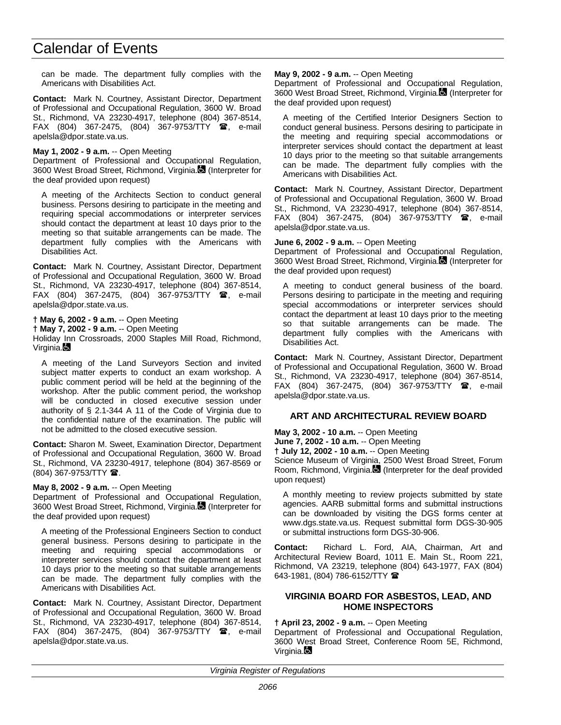can be made. The department fully complies with the Americans with Disabilities Act.

**Contact:** Mark N. Courtney, Assistant Director, Department of Professional and Occupational Regulation, 3600 W. Broad St., Richmond, VA 23230-4917, telephone (804) 367-8514, FAX (804) 367-2475, (804) 367-9753/TTY  $\circledR$ , e-mail apelsla@dpor.state.va.us.

## **May 1, 2002 - 9 a.m.** -- Open Meeting

Department of Professional and Occupational Regulation, 3600 West Broad Street, Richmond, Virginia. (Interpreter for the deaf provided upon request)

A meeting of the Architects Section to conduct general business. Persons desiring to participate in the meeting and requiring special accommodations or interpreter services should contact the department at least 10 days prior to the meeting so that suitable arrangements can be made. The department fully complies with the Americans with Disabilities Act.

**Contact:** Mark N. Courtney, Assistant Director, Department of Professional and Occupational Regulation, 3600 W. Broad St., Richmond, VA 23230-4917, telephone (804) 367-8514, FAX (804) 367-2475, (804) 367-9753/TTY <sup>1</sup>, e-mail apelsla@dpor.state.va.us.

**† May 6, 2002 - 9 a.m.** -- Open Meeting

**† May 7, 2002 - 9 a.m.** -- Open Meeting

Holiday Inn Crossroads, 2000 Staples Mill Road, Richmond, Virginia.

A meeting of the Land Surveyors Section and invited subject matter experts to conduct an exam workshop. A public comment period will be held at the beginning of the workshop. After the public comment period, the workshop will be conducted in closed executive session under authority of § 2.1-344 A 11 of the Code of Virginia due to the confidential nature of the examination. The public will not be admitted to the closed executive session.

**Contact:** Sharon M. Sweet, Examination Director, Department of Professional and Occupational Regulation, 3600 W. Broad St., Richmond, VA 23230-4917, telephone (804) 367-8569 or (804) 367-9753/TTY **2**.

### **May 8, 2002 - 9 a.m.** -- Open Meeting

Department of Professional and Occupational Regulation, 3600 West Broad Street, Richmond, Virginia. (Interpreter for the deaf provided upon request)

A meeting of the Professional Engineers Section to conduct general business. Persons desiring to participate in the meeting and requiring special accommodations or interpreter services should contact the department at least 10 days prior to the meeting so that suitable arrangements can be made. The department fully complies with the Americans with Disabilities Act.

**Contact:** Mark N. Courtney, Assistant Director, Department of Professional and Occupational Regulation, 3600 W. Broad St., Richmond, VA 23230-4917, telephone (804) 367-8514, FAX (804) 367-2475, (804) 367-9753/TTY  $\blacksquare$ , e-mail apelsla@dpor.state.va.us.

### **May 9, 2002 - 9 a.m.** -- Open Meeting

Department of Professional and Occupational Regulation, 3600 West Broad Street, Richmond, Virginia. (Interpreter for the deaf provided upon request)

A meeting of the Certified Interior Designers Section to conduct general business. Persons desiring to participate in the meeting and requiring special accommodations or interpreter services should contact the department at least 10 days prior to the meeting so that suitable arrangements can be made. The department fully complies with the Americans with Disabilities Act.

**Contact:** Mark N. Courtney, Assistant Director, Department of Professional and Occupational Regulation, 3600 W. Broad St., Richmond, VA 23230-4917, telephone (804) 367-8514, FAX (804) 367-2475, (804) 367-9753/TTY <sup>2</sup>, e-mail apelsla@dpor.state.va.us.

## **June 6, 2002 - 9 a.m.** -- Open Meeting

Department of Professional and Occupational Regulation, 3600 West Broad Street, Richmond, Virginia. (Interpreter for the deaf provided upon request)

A meeting to conduct general business of the board. Persons desiring to participate in the meeting and requiring special accommodations or interpreter services should contact the department at least 10 days prior to the meeting so that suitable arrangements can be made. The department fully complies with the Americans with Disabilities Act.

**Contact:** Mark N. Courtney, Assistant Director, Department of Professional and Occupational Regulation, 3600 W. Broad St., Richmond, VA 23230-4917, telephone (804) 367-8514, FAX (804) 367-2475, (804) 367-9753/TTY 雷, e-mail apelsla@dpor.state.va.us.

## **ART AND ARCHITECTURAL REVIEW BOARD**

**May 3, 2002 - 10 a.m.** -- Open Meeting

**June 7, 2002 - 10 a.m.** -- Open Meeting

**† July 12, 2002 - 10 a.m.** -- Open Meeting

Science Museum of Virginia, 2500 West Broad Street, Forum Room, Richmond, Virginia. (Interpreter for the deaf provided upon request)

A monthly meeting to review projects submitted by state agencies. AARB submittal forms and submittal instructions can be downloaded by visiting the DGS forms center at www.dgs.state.va.us. Request submittal form DGS-30-905 or submittal instructions form DGS-30-906.

**Contact:** Richard L. Ford, AIA, Chairman, Art and Architectural Review Board, 1011 E. Main St., Room 221, Richmond, VA 23219, telephone (804) 643-1977, FAX (804) 643-1981, (804) 786-6152/TTY 2

## **VIRGINIA BOARD FOR ASBESTOS, LEAD, AND HOME INSPECTORS**

## **† April 23, 2002 - 9 a.m.** -- Open Meeting

Department of Professional and Occupational Regulation, 3600 West Broad Street, Conference Room 5E, Richmond, Virginia.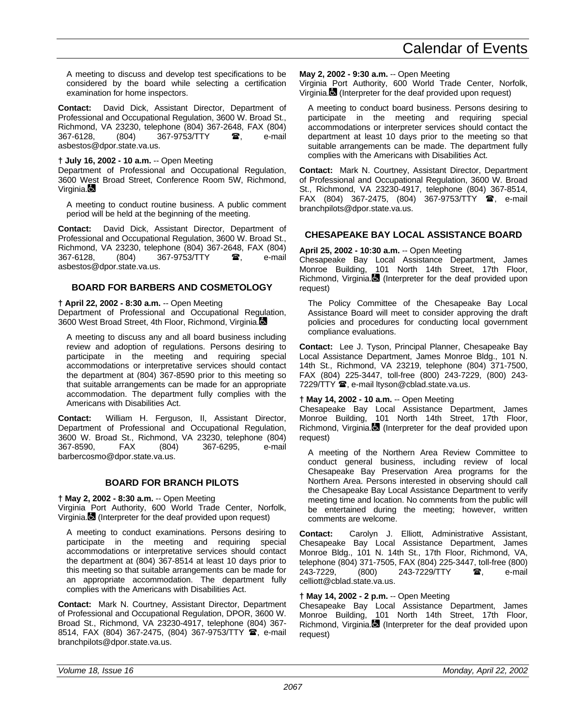A meeting to discuss and develop test specifications to be considered by the board while selecting a certification examination for home inspectors.

**Contact:** David Dick, Assistant Director, Department of Professional and Occupational Regulation, 3600 W. Broad St., Richmond, VA 23230, telephone (804) 367-2648, FAX (804) 367-9753/TTY **a**, e-mail asbestos@dpor.state.va.us.

## **† July 16, 2002 - 10 a.m.** -- Open Meeting

Department of Professional and Occupational Regulation, 3600 West Broad Street, Conference Room 5W, Richmond, Virginia.

A meeting to conduct routine business. A public comment period will be held at the beginning of the meeting.

**Contact:** David Dick, Assistant Director, Department of Professional and Occupational Regulation, 3600 W. Broad St., Richmond, VA 23230, telephone (804) 367-2648, FAX (804) (804) 367-9753/TTY  $\bullet$ , e-mail asbestos@dpor.state.va.us.

## **BOARD FOR BARBERS AND COSMETOLOGY**

## **† April 22, 2002 - 8:30 a.m.** -- Open Meeting

Department of Professional and Occupational Regulation, 3600 West Broad Street, 4th Floor, Richmond, Virginia.

A meeting to discuss any and all board business including review and adoption of regulations. Persons desiring to participate in the meeting and requiring special accommodations or interpretative services should contact the department at (804) 367-8590 prior to this meeting so that suitable arrangements can be made for an appropriate accommodation. The department fully complies with the Americans with Disabilities Act.

**Contact:** William H. Ferguson, II, Assistant Director, Department of Professional and Occupational Regulation, 3600 W. Broad St., Richmond, VA 23230, telephone (804) 367-8590, FAX (804) 367-6295, e-mail barbercosmo@dpor.state.va.us.

## **BOARD FOR BRANCH PILOTS**

## **† May 2, 2002 - 8:30 a.m.** -- Open Meeting

Virginia Port Authority, 600 World Trade Center, Norfolk, Virginia. (Interpreter for the deaf provided upon request)

A meeting to conduct examinations. Persons desiring to participate in the meeting and requiring special accommodations or interpretative services should contact the department at (804) 367-8514 at least 10 days prior to this meeting so that suitable arrangements can be made for an appropriate accommodation. The department fully complies with the Americans with Disabilities Act.

**Contact:** Mark N. Courtney, Assistant Director, Department of Professional and Occupational Regulation, DPOR, 3600 W. Broad St., Richmond, VA 23230-4917, telephone (804) 367- 8514, FAX (804) 367-2475, (804) 367-9753/TTY <sup>1</sup>, e-mail branchpilots@dpor.state.va.us.

**May 2, 2002 - 9:30 a.m.** -- Open Meeting

Virginia Port Authority, 600 World Trade Center, Norfolk, Virginia. $\blacksquare$  (Interpreter for the deaf provided upon request)

A meeting to conduct board business. Persons desiring to participate in the meeting and requiring special accommodations or interpreter services should contact the department at least 10 days prior to the meeting so that suitable arrangements can be made. The department fully complies with the Americans with Disabilities Act.

**Contact:** Mark N. Courtney, Assistant Director, Department of Professional and Occupational Regulation, 3600 W. Broad St., Richmond, VA 23230-4917, telephone (804) 367-8514, FAX (804) 367-2475, (804) 367-9753/TTY  $\bullet$ , e-mail branchpilots@dpor.state.va.us.

## **CHESAPEAKE BAY LOCAL ASSISTANCE BOARD**

## **April 25, 2002 - 10:30 a.m.** -- Open Meeting

Chesapeake Bay Local Assistance Department, James Monroe Building, 101 North 14th Street, 17th Floor, Richmond, Virginia. (Interpreter for the deaf provided upon request)

The Policy Committee of the Chesapeake Bay Local Assistance Board will meet to consider approving the draft policies and procedures for conducting local government compliance evaluations.

**Contact:** Lee J. Tyson, Principal Planner, Chesapeake Bay Local Assistance Department, James Monroe Bldg., 101 N. 14th St., Richmond, VA 23219, telephone (804) 371-7500, FAX (804) 225-3447, toll-free (800) 243-7229, (800) 243- 7229/TTY <sup>3</sup>, e-mail ltyson@cblad.state.va.us.

## **† May 14, 2002 - 10 a.m.** -- Open Meeting

Chesapeake Bay Local Assistance Department, James Monroe Building, 101 North 14th Street, 17th Floor, Richmond, Virginia. (Interpreter for the deaf provided upon request)

A meeting of the Northern Area Review Committee to conduct general business, including review of local Chesapeake Bay Preservation Area programs for the Northern Area. Persons interested in observing should call the Chesapeake Bay Local Assistance Department to verify meeting time and location. No comments from the public will be entertained during the meeting; however, written comments are welcome.

**Contact:** Carolyn J. Elliott, Administrative Assistant, Chesapeake Bay Local Assistance Department, James Monroe Bldg., 101 N. 14th St., 17th Floor, Richmond, VA, telephone (804) 371-7505, FAX (804) 225-3447, toll-free (800) 243-7229, (800) 243-7229/TTY **a**, e-mail celliott@cblad.state.va.us.

## **† May 14, 2002 - 2 p.m.** -- Open Meeting

Chesapeake Bay Local Assistance Department, James Monroe Building, 101 North 14th Street, 17th Floor, Richmond, Virginia. (Interpreter for the deaf provided upon request)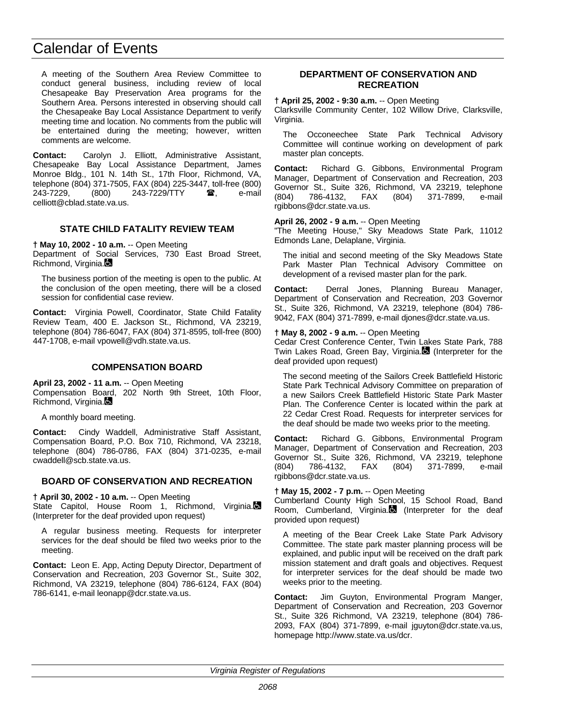A meeting of the Southern Area Review Committee to conduct general business, including review of local Chesapeake Bay Preservation Area programs for the Southern Area. Persons interested in observing should call the Chesapeake Bay Local Assistance Department to verify meeting time and location. No comments from the public will be entertained during the meeting; however, written comments are welcome.

**Contact:** Carolyn J. Elliott, Administrative Assistant, Chesapeake Bay Local Assistance Department, James Monroe Bldg., 101 N. 14th St., 17th Floor, Richmond, VA, telephone (804) 371-7505, FAX (804) 225-3447, toll-free (800) 243-7229, (800) 243-7229/TTY **a**, e-mail celliott@cblad.state.va.us.

## **STATE CHILD FATALITY REVIEW TEAM**

**† May 10, 2002 - 10 a.m.** -- Open Meeting

Department of Social Services, 730 East Broad Street, Richmond, Virginia.

The business portion of the meeting is open to the public. At the conclusion of the open meeting, there will be a closed session for confidential case review.

**Contact:** Virginia Powell, Coordinator, State Child Fatality Review Team, 400 E. Jackson St., Richmond, VA 23219, telephone (804) 786-6047, FAX (804) 371-8595, toll-free (800) 447-1708, e-mail vpowell@vdh.state.va.us.

### **COMPENSATION BOARD**

**April 23, 2002 - 11 a.m.** -- Open Meeting

Compensation Board, 202 North 9th Street, 10th Floor, Richmond, Virginia.

A monthly board meeting.

**Contact:** Cindy Waddell, Administrative Staff Assistant, Compensation Board, P.O. Box 710, Richmond, VA 23218, telephone (804) 786-0786, FAX (804) 371-0235, e-mail cwaddell@scb.state.va.us.

### **BOARD OF CONSERVATION AND RECREATION**

**† April 30, 2002 - 10 a.m.** -- Open Meeting

State Capitol, House Room 1, Richmond, Virginia. (Interpreter for the deaf provided upon request)

A regular business meeting. Requests for interpreter services for the deaf should be filed two weeks prior to the meeting.

**Contact:** Leon E. App, Acting Deputy Director, Department of Conservation and Recreation, 203 Governor St., Suite 302, Richmond, VA 23219, telephone (804) 786-6124, FAX (804) 786-6141, e-mail leonapp@dcr.state.va.us.

## **DEPARTMENT OF CONSERVATION AND RECREATION**

**† April 25, 2002 - 9:30 a.m.** -- Open Meeting Clarksville Community Center, 102 Willow Drive, Clarksville, Virginia.

The Occoneechee State Park Technical Advisory Committee will continue working on development of park master plan concepts.

**Contact:** Richard G. Gibbons, Environmental Program Manager, Department of Conservation and Recreation, 203 Governor St., Suite 326, Richmond, VA 23219, telephone (804) 786-4132, FAX (804) 371-7899, e-mail rgibbons@dcr.state.va.us.

### **April 26, 2002 - 9 a.m.** -- Open Meeting

"The Meeting House," Sky Meadows State Park, 11012 Edmonds Lane, Delaplane, Virginia.

The initial and second meeting of the Sky Meadows State Park Master Plan Technical Advisory Committee on development of a revised master plan for the park.

**Contact:** Derral Jones, Planning Bureau Manager, Department of Conservation and Recreation, 203 Governor St., Suite 326, Richmond, VA 23219, telephone (804) 786- 9042, FAX (804) 371-7899, e-mail djones@dcr.state.va.us.

## **† May 8, 2002 - 9 a.m.** -- Open Meeting

Cedar Crest Conference Center, Twin Lakes State Park, 788 Twin Lakes Road, Green Bay, Virginia. (Interpreter for the deaf provided upon request)

The second meeting of the Sailors Creek Battlefield Historic State Park Technical Advisory Committee on preparation of a new Sailors Creek Battlefield Historic State Park Master Plan. The Conference Center is located within the park at 22 Cedar Crest Road. Requests for interpreter services for the deaf should be made two weeks prior to the meeting.

**Contact:** Richard G. Gibbons, Environmental Program Manager, Department of Conservation and Recreation, 203 Governor St., Suite 326, Richmond, VA 23219, telephone (804) 786-4132, FAX (804) 371-7899, e-mail rgibbons@dcr.state.va.us.

### **† May 15, 2002 - 7 p.m.** -- Open Meeting

Cumberland County High School, 15 School Road, Band Room, Cumberland, Virginia. (Interpreter for the deaf provided upon request)

A meeting of the Bear Creek Lake State Park Advisory Committee. The state park master planning process will be explained, and public input will be received on the draft park mission statement and draft goals and objectives. Request for interpreter services for the deaf should be made two weeks prior to the meeting.

**Contact:** Jim Guyton, Environmental Program Manger, Department of Conservation and Recreation, 203 Governor St., Suite 326 Richmond, VA 23219, telephone (804) 786- 2093, FAX (804) 371-7899, e-mail jguyton@dcr.state.va.us, homepage http://www.state.va.us/dcr.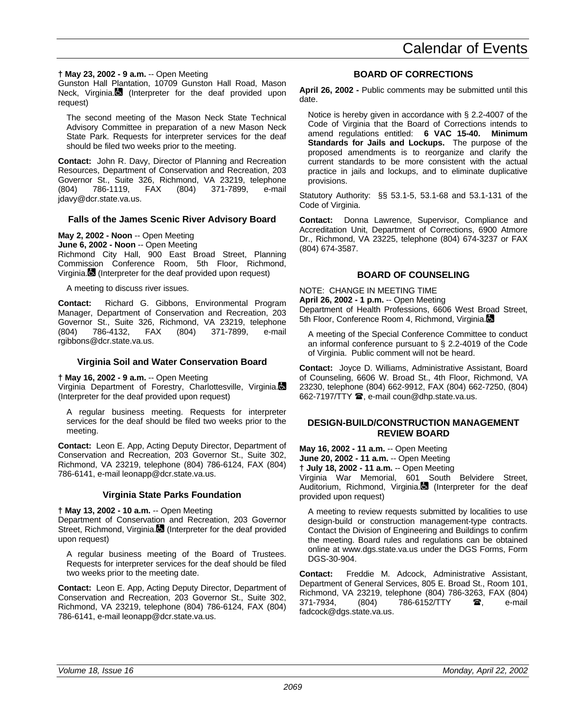## **† May 23, 2002 - 9 a.m.** -- Open Meeting

Gunston Hall Plantation, 10709 Gunston Hall Road, Mason Neck, Virginia. (Interpreter for the deaf provided upon request)

The second meeting of the Mason Neck State Technical Advisory Committee in preparation of a new Mason Neck State Park. Requests for interpreter services for the deaf should be filed two weeks prior to the meeting.

**Contact:** John R. Davy, Director of Planning and Recreation Resources, Department of Conservation and Recreation, 203 Governor St., Suite 326, Richmond, VA 23219, telephone (804) 786-1119, FAX (804) 371-7899, e-mail jdavy@dcr.state.va.us.

## **Falls of the James Scenic River Advisory Board**

## **May 2, 2002 - Noon** -- Open Meeting

**June 6, 2002 - Noon** -- Open Meeting

Richmond City Hall, 900 East Broad Street, Planning Commission Conference Room, 5th Floor, Richmond, Virginia. (Interpreter for the deaf provided upon request)

A meeting to discuss river issues.

**Contact:** Richard G. Gibbons, Environmental Program Manager, Department of Conservation and Recreation, 203 Governor St., Suite 326, Richmond, VA 23219, telephone (804) 786-4132, FAX (804) 371-7899, e-mail rgibbons@dcr.state.va.us.

## **Virginia Soil and Water Conservation Board**

## **† May 16, 2002 - 9 a.m.** -- Open Meeting

Virginia Department of Forestry, Charlottesville, Virginia. (Interpreter for the deaf provided upon request)

A regular business meeting. Requests for interpreter services for the deaf should be filed two weeks prior to the meeting.

**Contact:** Leon E. App, Acting Deputy Director, Department of Conservation and Recreation, 203 Governor St., Suite 302, Richmond, VA 23219, telephone (804) 786-6124, FAX (804) 786-6141, e-mail leonapp@dcr.state.va.us.

## **Virginia State Parks Foundation**

## **† May 13, 2002 - 10 a.m.** -- Open Meeting

Department of Conservation and Recreation, 203 Governor Street, Richmond, Virginia. (Interpreter for the deaf provided upon request)

A regular business meeting of the Board of Trustees. Requests for interpreter services for the deaf should be filed two weeks prior to the meeting date.

**Contact:** Leon E. App, Acting Deputy Director, Department of Conservation and Recreation, 203 Governor St., Suite 302, Richmond, VA 23219, telephone (804) 786-6124, FAX (804) 786-6141, e-mail leonapp@dcr.state.va.us.

## **BOARD OF CORRECTIONS**

**April 26, 2002 -** Public comments may be submitted until this date.

Notice is hereby given in accordance with § 2.2-4007 of the Code of Virginia that the Board of Corrections intends to amend regulations entitled: **6 VAC 15-40. Minimum Standards for Jails and Lockups.** The purpose of the proposed amendments is to reorganize and clarify the current standards to be more consistent with the actual practice in jails and lockups, and to eliminate duplicative provisions.

Statutory Authority: §§ 53.1-5, 53.1-68 and 53.1-131 of the Code of Virginia.

**Contact:** Donna Lawrence, Supervisor, Compliance and Accreditation Unit, Department of Corrections, 6900 Atmore Dr., Richmond, VA 23225, telephone (804) 674-3237 or FAX (804) 674-3587.

## **BOARD OF COUNSELING**

NOTE: CHANGE IN MEETING TIME **April 26, 2002 - 1 p.m.** -- Open Meeting Department of Health Professions, 6606 West Broad Street, 5th Floor, Conference Room 4, Richmond, Virginia.

A meeting of the Special Conference Committee to conduct an informal conference pursuant to § 2.2-4019 of the Code of Virginia. Public comment will not be heard.

**Contact:** Joyce D. Williams, Administrative Assistant, Board of Counseling, 6606 W. Broad St., 4th Floor, Richmond, VA 23230, telephone (804) 662-9912, FAX (804) 662-7250, (804) 662-7197/TTY <sup>3</sup>, e-mail coun@dhp.state.va.us.

## **DESIGN-BUILD/CONSTRUCTION MANAGEMENT REVIEW BOARD**

**May 16, 2002 - 11 a.m.** -- Open Meeting

**June 20, 2002 - 11 a.m.** -- Open Meeting

**† July 18, 2002 - 11 a.m.** -- Open Meeting

Virginia War Memorial, 601 South Belvidere Street, Auditorium, Richmond, Virginia.<sup>6</sup> (Interpreter for the deaf provided upon request)

A meeting to review requests submitted by localities to use design-build or construction management-type contracts. Contact the Division of Engineering and Buildings to confirm the meeting. Board rules and regulations can be obtained online at www.dgs.state.va.us under the DGS Forms, Form DGS-30-904.

**Contact:** Freddie M. Adcock, Administrative Assistant, Department of General Services, 805 E. Broad St., Room 101, Richmond, VA 23219, telephone (804) 786-3263, FAX (804) 371-7934, (804) 786-6152/TTY **雷,** e-mail fadcock@dgs.state.va.us.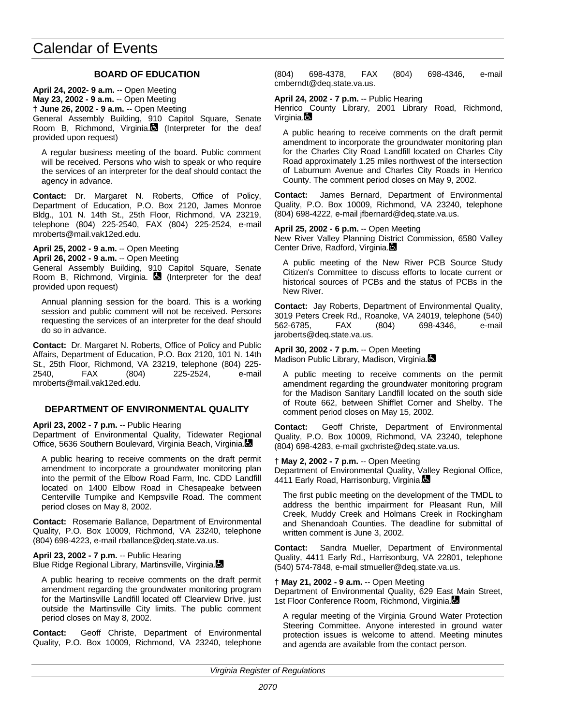## **BOARD OF EDUCATION**

**April 24, 2002- 9 a.m.** -- Open Meeting **May 23, 2002 - 9 a.m.** -- Open Meeting **† June 26, 2002 - 9 a.m.** -- Open Meeting General Assembly Building, 910 Capitol Square, Senate Room B. Richmond. Virginia. (Interpreter for the deaf provided upon request)

A regular business meeting of the board. Public comment will be received. Persons who wish to speak or who require the services of an interpreter for the deaf should contact the agency in advance.

**Contact:** Dr. Margaret N. Roberts, Office of Policy, Department of Education, P.O. Box 2120, James Monroe Bldg., 101 N. 14th St., 25th Floor, Richmond, VA 23219, telephone (804) 225-2540, FAX (804) 225-2524, e-mail mroberts@mail.vak12ed.edu.

**April 25, 2002 - 9 a.m.** -- Open Meeting

**April 26, 2002 - 9 a.m.** -- Open Meeting

General Assembly Building, 910 Capitol Square, Senate Room B, Richmond, Virginia.  $\blacksquare$  (Interpreter for the deaf provided upon request)

Annual planning session for the board. This is a working session and public comment will not be received. Persons requesting the services of an interpreter for the deaf should do so in advance.

**Contact:** Dr. Margaret N. Roberts, Office of Policy and Public Affairs, Department of Education, P.O. Box 2120, 101 N. 14th St., 25th Floor, Richmond, VA 23219, telephone (804) 225- (804) 225-2524, e-mail mroberts@mail.vak12ed.edu.

## **DEPARTMENT OF ENVIRONMENTAL QUALITY**

**April 23, 2002 - 7 p.m.** -- Public Hearing

Department of Environmental Quality, Tidewater Regional Office, 5636 Southern Boulevard, Virginia Beach, Virginia.

A public hearing to receive comments on the draft permit amendment to incorporate a groundwater monitoring plan into the permit of the Elbow Road Farm, Inc. CDD Landfill located on 1400 Elbow Road in Chesapeake between Centerville Turnpike and Kempsville Road. The comment period closes on May 8, 2002.

**Contact:** Rosemarie Ballance, Department of Environmental Quality, P.O. Box 10009, Richmond, VA 23240, telephone (804) 698-4223, e-mail rballance@deq.state.va.us.

**April 23, 2002 - 7 p.m.** -- Public Hearing Blue Ridge Regional Library, Martinsville, Virginia.

A public hearing to receive comments on the draft permit amendment regarding the groundwater monitoring program for the Martinsville Landfill located off Clearview Drive, just outside the Martinsville City limits. The public comment period closes on May 8, 2002.

**Contact:** Geoff Christe, Department of Environmental Quality, P.O. Box 10009, Richmond, VA 23240, telephone

(804) 698-4378, FAX (804) 698-4346, e-mail cmberndt@deq.state.va.us.

**April 24, 2002 - 7 p.m.** -- Public Hearing

Henrico County Library, 2001 Library Road, Richmond, Virginia.

A public hearing to receive comments on the draft permit amendment to incorporate the groundwater monitoring plan for the Charles City Road Landfill located on Charles City Road approximately 1.25 miles northwest of the intersection of Laburnum Avenue and Charles City Roads in Henrico County. The comment period closes on May 9, 2002.

**Contact:** James Bernard, Department of Environmental Quality, P.O. Box 10009, Richmond, VA 23240, telephone (804) 698-4222, e-mail jfbernard@deq.state.va.us.

**April 25, 2002 - 6 p.m.** -- Open Meeting

New River Valley Planning District Commission, 6580 Valley Center Drive, Radford, Virginia.

A public meeting of the New River PCB Source Study Citizen's Committee to discuss efforts to locate current or historical sources of PCBs and the status of PCBs in the New River.

**Contact:** Jay Roberts, Department of Environmental Quality, 3019 Peters Creek Rd., Roanoke, VA 24019, telephone (540) 562-6785, FAX (804) 698-4346, e-mail jaroberts@deq.state.va.us.

**April 30, 2002 - 7 p.m.** -- Open Meeting Madison Public Library, Madison, Virginia.

A public meeting to receive comments on the permit amendment regarding the groundwater monitoring program for the Madison Sanitary Landfill located on the south side of Route 662, between Shifflet Corner and Shelby. The comment period closes on May 15, 2002.

**Contact:** Geoff Christe, Department of Environmental Quality, P.O. Box 10009, Richmond, VA 23240, telephone (804) 698-4283, e-mail gxchriste@deq.state.va.us.

### **† May 2, 2002 - 7 p.m.** -- Open Meeting

Department of Environmental Quality, Valley Regional Office, 4411 Early Road, Harrisonburg, Virginia.

The first public meeting on the development of the TMDL to address the benthic impairment for Pleasant Run, Mill Creek, Muddy Creek and Holmans Creek in Rockingham and Shenandoah Counties. The deadline for submittal of written comment is June 3, 2002.

**Contact:** Sandra Mueller, Department of Environmental Quality, 4411 Early Rd., Harrisonburg, VA 22801, telephone (540) 574-7848, e-mail stmueller@deq.state.va.us.

### **† May 21, 2002 - 9 a.m.** -- Open Meeting

Department of Environmental Quality, 629 East Main Street, 1st Floor Conference Room, Richmond, Virginia.

A regular meeting of the Virginia Ground Water Protection Steering Committee. Anyone interested in ground water protection issues is welcome to attend. Meeting minutes and agenda are available from the contact person.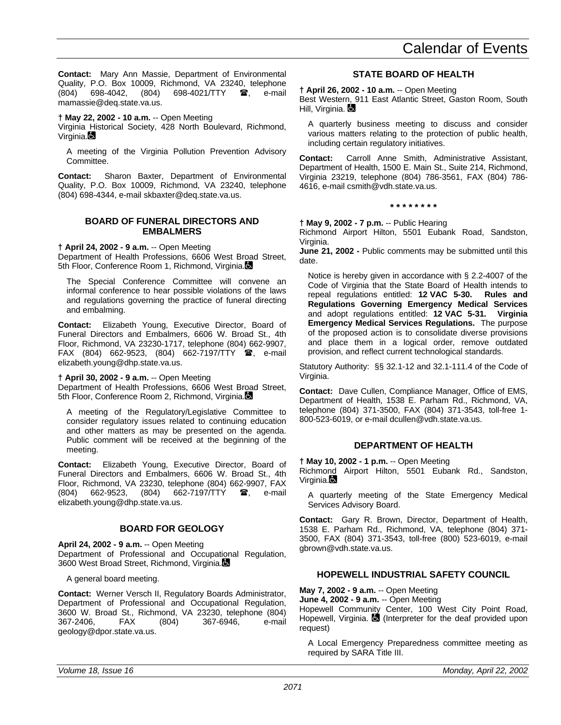**Contact:** Mary Ann Massie, Department of Environmental Quality, P.O. Box 10009, Richmond, VA 23240, telephone (804) 698-4042, (804) 698-4021/TTY <sup>3</sup>, e-mail mamassie@deq.state.va.us.

**† May 22, 2002 - 10 a.m.** -- Open Meeting

Virginia Historical Society, 428 North Boulevard, Richmond, Virginia.

A meeting of the Virginia Pollution Prevention Advisory Committee.

**Contact:** Sharon Baxter, Department of Environmental Quality, P.O. Box 10009, Richmond, VA 23240, telephone (804) 698-4344, e-mail skbaxter@deq.state.va.us.

## **BOARD OF FUNERAL DIRECTORS AND EMBALMERS**

**† April 24, 2002 - 9 a.m.** -- Open Meeting

Department of Health Professions, 6606 West Broad Street, 5th Floor, Conference Room 1, Richmond, Virginia.

The Special Conference Committee will convene an informal conference to hear possible violations of the laws and regulations governing the practice of funeral directing and embalming.

**Contact:** Elizabeth Young, Executive Director, Board of Funeral Directors and Embalmers, 6606 W. Broad St., 4th Floor, Richmond, VA 23230-1717, telephone (804) 662-9907, FAX (804) 662-9523, (804) 662-7197/TTY **@**, e-mail elizabeth.young@dhp.state.va.us.

**† April 30, 2002 - 9 a.m.** -- Open Meeting

Department of Health Professions, 6606 West Broad Street, 5th Floor, Conference Room 2, Richmond, Virginia.

A meeting of the Regulatory/Legislative Committee to consider regulatory issues related to continuing education and other matters as may be presented on the agenda. Public comment will be received at the beginning of the meeting.

**Contact:** Elizabeth Young, Executive Director, Board of Funeral Directors and Embalmers, 6606 W. Broad St., 4th Floor, Richmond, VA 23230, telephone (804) 662-9907, FAX (804) 662-9523, (804) 662-7197/TTY **雷**, e-mail elizabeth.young@dhp.state.va.us.

## **BOARD FOR GEOLOGY**

**April 24, 2002 - 9 a.m.** -- Open Meeting Department of Professional and Occupational Regulation, 3600 West Broad Street, Richmond, Virginia.

A general board meeting.

**Contact:** Werner Versch II, Regulatory Boards Administrator, Department of Professional and Occupational Regulation, 3600 W. Broad St., Richmond, VA 23230, telephone (804) 367-2406, FAX (804) 367-6946, e-mail geology@dpor.state.va.us.

## **STATE BOARD OF HEALTH**

**† April 26, 2002 - 10 a.m.** -- Open Meeting

Best Western, 911 East Atlantic Street, Gaston Room, South Hill, Virginia. **La** 

A quarterly business meeting to discuss and consider various matters relating to the protection of public health, including certain regulatory initiatives.

**Contact:** Carroll Anne Smith, Administrative Assistant, Department of Health, 1500 E. Main St., Suite 214, Richmond, Virginia 23219, telephone (804) 786-3561, FAX (804) 786- 4616, e-mail csmith@vdh.state.va.us.

**\* \* \* \* \* \* \* \***

**† May 9, 2002 - 7 p.m.** -- Public Hearing

Richmond Airport Hilton, 5501 Eubank Road, Sandston, Virginia.

**June 21, 2002 -** Public comments may be submitted until this date.

Notice is hereby given in accordance with § 2.2-4007 of the Code of Virginia that the State Board of Health intends to repeal requlations entitled: 12 VAC 5-30. Rules and repeal regulations entitled: **12 VAC 5-30. Regulations Governing Emergency Medical Services** and adopt regulations entitled: **12 VAC 5-31. Virginia Emergency Medical Services Regulations.** The purpose of the proposed action is to consolidate diverse provisions and place them in a logical order, remove outdated provision, and reflect current technological standards.

Statutory Authority: §§ 32.1-12 and 32.1-111.4 of the Code of Virginia.

**Contact:** Dave Cullen, Compliance Manager, Office of EMS, Department of Health, 1538 E. Parham Rd., Richmond, VA, telephone (804) 371-3500, FAX (804) 371-3543, toll-free 1- 800-523-6019, or e-mail dcullen@vdh.state.va.us.

## **DEPARTMENT OF HEALTH**

**† May 10, 2002 - 1 p.m.** -- Open Meeting Richmond Airport Hilton, 5501 Eubank Rd., Sandston, Virginia.

A quarterly meeting of the State Emergency Medical Services Advisory Board.

**Contact:** Gary R. Brown, Director, Department of Health, 1538 E. Parham Rd., Richmond, VA, telephone (804) 371- 3500, FAX (804) 371-3543, toll-free (800) 523-6019, e-mail gbrown@vdh.state.va.us.

## **HOPEWELL INDUSTRIAL SAFETY COUNCIL**

**May 7, 2002 - 9 a.m.** -- Open Meeting

**June 4, 2002 - 9 a.m.** -- Open Meeting Hopewell Community Center, 100 West City Point Road, Hopewell, Virginia. (Interpreter for the deaf provided upon request)

A Local Emergency Preparedness committee meeting as required by SARA Title III.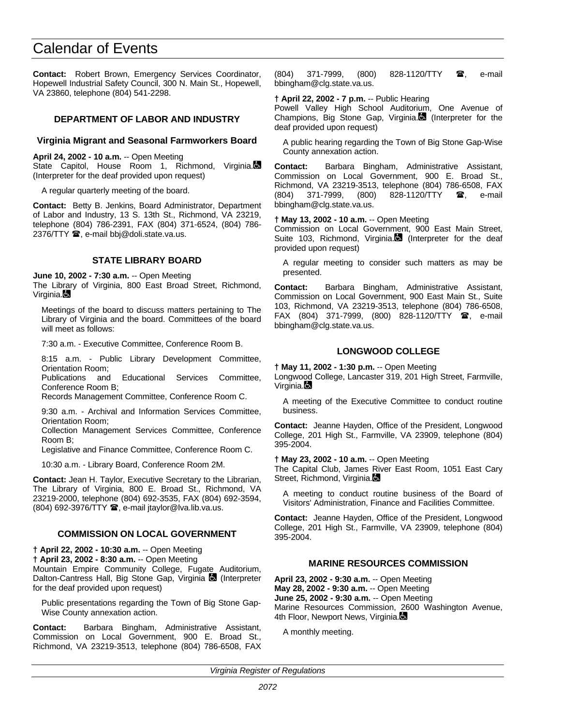**Contact:** Robert Brown, Emergency Services Coordinator, Hopewell Industrial Safety Council, 300 N. Main St., Hopewell, VA 23860, telephone (804) 541-2298.

## **DEPARTMENT OF LABOR AND INDUSTRY**

### **Virginia Migrant and Seasonal Farmworkers Board**

**April 24, 2002 - 10 a.m.** -- Open Meeting State Capitol, House Room 1, Richmond, Virginia. (Interpreter for the deaf provided upon request)

A regular quarterly meeting of the board.

**Contact:** Betty B. Jenkins, Board Administrator, Department of Labor and Industry, 13 S. 13th St., Richmond, VA 23219, telephone (804) 786-2391, FAX (804) 371-6524, (804) 786- 2376/TTY <sup>3</sup>, e-mail bbj@doli.state.va.us.

### **STATE LIBRARY BOARD**

**June 10, 2002 - 7:30 a.m.** -- Open Meeting

The Library of Virginia, 800 East Broad Street, Richmond, Virginia.

Meetings of the board to discuss matters pertaining to The Library of Virginia and the board. Committees of the board will meet as follows:

7:30 a.m. - Executive Committee, Conference Room B.

8:15 a.m. - Public Library Development Committee, Orientation Room;

Publications and Educational Services Committee, Conference Room B;

Records Management Committee, Conference Room C.

9:30 a.m. - Archival and Information Services Committee, Orientation Room;

Collection Management Services Committee, Conference Room B;

Legislative and Finance Committee, Conference Room C.

10:30 a.m. - Library Board, Conference Room 2M.

**Contact:** Jean H. Taylor, Executive Secretary to the Librarian, The Library of Virginia, 800 E. Broad St., Richmond, VA 23219-2000, telephone (804) 692-3535, FAX (804) 692-3594, (804) 692-3976/TTY **a**, e-mail jtaylor@lva.lib.va.us.

## **COMMISSION ON LOCAL GOVERNMENT**

**† April 22, 2002 - 10:30 a.m.** -- Open Meeting

**† April 23, 2002 - 8:30 a.m.** -- Open Meeting

Mountain Empire Community College, Fugate Auditorium, Dalton-Cantress Hall, Big Stone Gap, Virginia **(3)** (Interpreter for the deaf provided upon request)

Public presentations regarding the Town of Big Stone Gap-Wise County annexation action.

**Contact:** Barbara Bingham, Administrative Assistant, Commission on Local Government, 900 E. Broad St., Richmond, VA 23219-3513, telephone (804) 786-6508, FAX

(804) 371-7999, (800) 828-1120/TTY **雷**, e-mail bbingham@clg.state.va.us.

### **† April 22, 2002 - 7 p.m.** -- Public Hearing

Powell Valley High School Auditorium, One Avenue of Champions, Big Stone Gap, Virginia. (Interpreter for the deaf provided upon request)

A public hearing regarding the Town of Big Stone Gap-Wise County annexation action.

**Contact:** Barbara Bingham, Administrative Assistant, Commission on Local Government, 900 E. Broad St., Richmond, VA 23219-3513, telephone (804) 786-6508, FAX (804) 371-7999, (800) 828-1120/TTY **雷**, e-mail bbingham@clg.state.va.us.

**† May 13, 2002 - 10 a.m.** -- Open Meeting

Commission on Local Government, 900 East Main Street, Suite 103, Richmond, Virginia. $\blacksquare$  (Interpreter for the deaf provided upon request)

A regular meeting to consider such matters as may be presented.

**Contact:** Barbara Bingham, Administrative Assistant, Commission on Local Government, 900 East Main St., Suite 103, Richmond, VA 23219-3513, telephone (804) 786-6508, FAX (804) 371-7999, (800) 828-1120/TTY <sup>3</sup>, e-mail bbingham@clg.state.va.us.

## **LONGWOOD COLLEGE**

**† May 11, 2002 - 1:30 p.m.** -- Open Meeting

Longwood College, Lancaster 319, 201 High Street, Farmville, Virginia.

A meeting of the Executive Committee to conduct routine business.

**Contact:** Jeanne Hayden, Office of the President, Longwood College, 201 High St., Farmville, VA 23909, telephone (804) 395-2004.

### **† May 23, 2002 - 10 a.m.** -- Open Meeting

The Capital Club, James River East Room, 1051 East Cary Street, Richmond, Virginia.

A meeting to conduct routine business of the Board of Visitors' Administration, Finance and Facilities Committee.

**Contact:** Jeanne Hayden, Office of the President, Longwood College, 201 High St., Farmville, VA 23909, telephone (804) 395-2004.

## **MARINE RESOURCES COMMISSION**

**April 23, 2002 - 9:30 a.m.** -- Open Meeting **May 28, 2002 - 9:30 a.m.** -- Open Meeting **June 25, 2002 - 9:30 a.m.** -- Open Meeting Marine Resources Commission, 2600 Washington Avenue, 4th Floor, Newport News, Virginia.

A monthly meeting.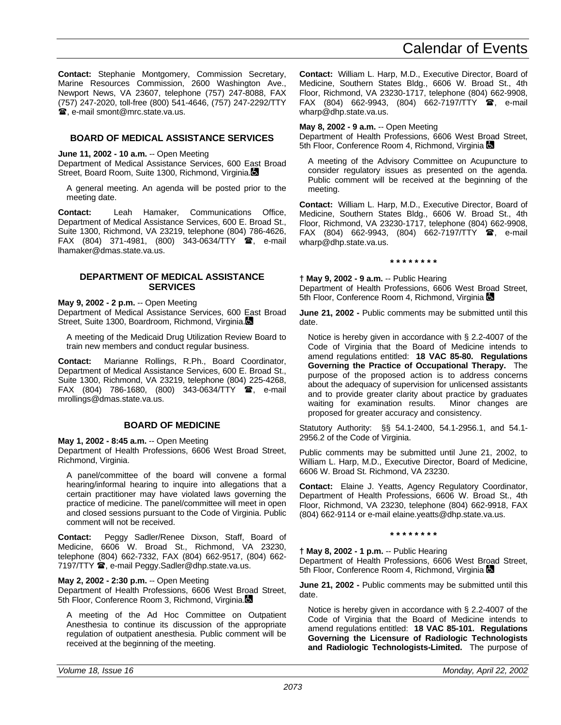**Contact:** Stephanie Montgomery, Commission Secretary, Marine Resources Commission, 2600 Washington Ave., Newport News, VA 23607, telephone (757) 247-8088, FAX (757) 247-2020, toll-free (800) 541-4646, (757) 247-2292/TTY **富**, e-mail smont@mrc.state.va.us.

## **BOARD OF MEDICAL ASSISTANCE SERVICES**

**June 11, 2002 - 10 a.m.** -- Open Meeting

Department of Medical Assistance Services, 600 East Broad Street, Board Room, Suite 1300, Richmond, Virginia.

A general meeting. An agenda will be posted prior to the meeting date.

**Contact:** Leah Hamaker, Communications Office, Department of Medical Assistance Services, 600 E. Broad St., Suite 1300, Richmond, VA 23219, telephone (804) 786-4626, FAX (804) 371-4981, (800) 343-0634/TTY  $\bullet$ , e-mail lhamaker@dmas.state.va.us.

## **DEPARTMENT OF MEDICAL ASSISTANCE SERVICES**

### **May 9, 2002 - 2 p.m.** -- Open Meeting

Department of Medical Assistance Services, 600 East Broad Street, Suite 1300, Boardroom, Richmond, Virginia.

A meeting of the Medicaid Drug Utilization Review Board to train new members and conduct regular business.

**Contact:** Marianne Rollings, R.Ph., Board Coordinator, Department of Medical Assistance Services, 600 E. Broad St., Suite 1300, Richmond, VA 23219, telephone (804) 225-4268, FAX (804) 786-1680, (800) 343-0634/TTY 雷, e-mail mrollings@dmas.state.va.us.

## **BOARD OF MEDICINE**

#### **May 1, 2002 - 8:45 a.m.** -- Open Meeting

Department of Health Professions, 6606 West Broad Street, Richmond, Virginia.

A panel/committee of the board will convene a formal hearing/informal hearing to inquire into allegations that a certain practitioner may have violated laws governing the practice of medicine. The panel/committee will meet in open and closed sessions pursuant to the Code of Virginia. Public comment will not be received.

**Contact:** Peggy Sadler/Renee Dixson, Staff, Board of Medicine, 6606 W. Broad St., Richmond, VA 23230, telephone (804) 662-7332, FAX (804) 662-9517, (804) 662- 7197/TTY **@**, e-mail Peggy.Sadler@dhp.state.va.us.

### **May 2, 2002 - 2:30 p.m.** -- Open Meeting

Department of Health Professions, 6606 West Broad Street, 5th Floor, Conference Room 3, Richmond, Virginia.

A meeting of the Ad Hoc Committee on Outpatient Anesthesia to continue its discussion of the appropriate regulation of outpatient anesthesia. Public comment will be received at the beginning of the meeting.

**Contact:** William L. Harp, M.D., Executive Director, Board of Medicine, Southern States Bldg., 6606 W. Broad St., 4th Floor, Richmond, VA 23230-1717, telephone (804) 662-9908, FAX (804) 662-9943, (804) 662-7197/TTY  $\mathbf{\mathcal{F}}$ , e-mail wharp@dhp.state.va.us.

#### **May 8, 2002 - 9 a.m.** -- Open Meeting

Department of Health Professions, 6606 West Broad Street, 5th Floor, Conference Room 4, Richmond, Virginia  $\blacksquare$ 

A meeting of the Advisory Committee on Acupuncture to consider regulatory issues as presented on the agenda. Public comment will be received at the beginning of the meeting.

**Contact:** William L. Harp, M.D., Executive Director, Board of Medicine, Southern States Bldg., 6606 W. Broad St., 4th Floor, Richmond, VA 23230-1717, telephone (804) 662-9908,  $FAX$  (804) 662-9943, (804) 662-7197/TTY  $\circledR$ , e-mail wharp@dhp.state.va.us.

**\* \* \* \* \* \* \* \***

**† May 9, 2002 - 9 a.m.** -- Public Hearing Department of Health Professions, 6606 West Broad Street, 5th Floor, Conference Room 4, Richmond, Virginia

**June 21, 2002 - Public comments may be submitted until this** date.

Notice is hereby given in accordance with § 2.2-4007 of the Code of Virginia that the Board of Medicine intends to amend regulations entitled: **18 VAC 85-80. Regulations Governing the Practice of Occupational Therapy.** The purpose of the proposed action is to address concerns about the adequacy of supervision for unlicensed assistants and to provide greater clarity about practice by graduates waiting for examination results. Minor changes are proposed for greater accuracy and consistency.

Statutory Authority: §§ 54.1-2400, 54.1-2956.1, and 54.1- 2956.2 of the Code of Virginia.

Public comments may be submitted until June 21, 2002, to William L. Harp, M.D., Executive Director, Board of Medicine, 6606 W. Broad St. Richmond, VA 23230.

**Contact:** Elaine J. Yeatts, Agency Regulatory Coordinator, Department of Health Professions, 6606 W. Broad St., 4th Floor, Richmond, VA 23230, telephone (804) 662-9918, FAX (804) 662-9114 or e-mail elaine.yeatts@dhp.state.va.us.

**\* \* \* \* \* \* \* \***

**† May 8, 2002 - 1 p.m.** -- Public Hearing Department of Health Professions, 6606 West Broad Street, 5th Floor, Conference Room 4, Richmond, Virginia

**June 21, 2002 - Public comments may be submitted until this** date.

Notice is hereby given in accordance with § 2.2-4007 of the Code of Virginia that the Board of Medicine intends to amend regulations entitled: **18 VAC 85-101. Regulations Governing the Licensure of Radiologic Technologists and Radiologic Technologists-Limited.** The purpose of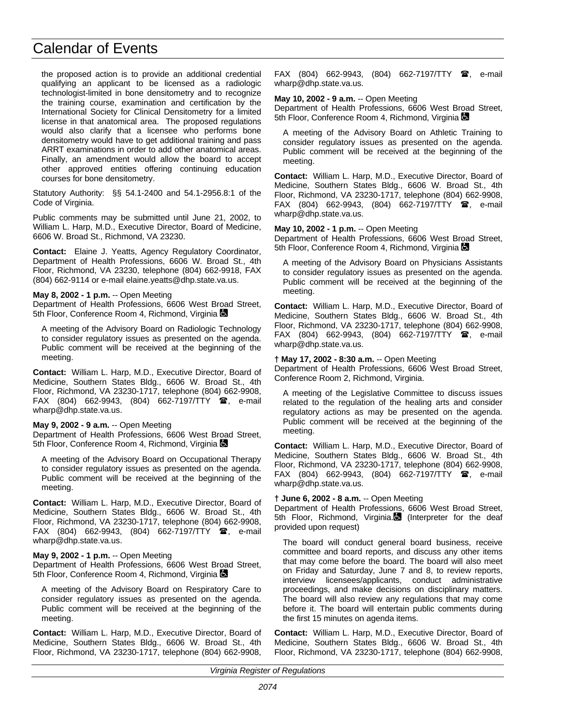the proposed action is to provide an additional credential qualifying an applicant to be licensed as a radiologic technologist-limited in bone densitometry and to recognize the training course, examination and certification by the International Society for Clinical Densitometry for a limited license in that anatomical area. The proposed regulations would also clarify that a licensee who performs bone densitometry would have to get additional training and pass ARRT examinations in order to add other anatomical areas. Finally, an amendment would allow the board to accept other approved entities offering continuing education courses for bone densitometry.

Statutory Authority: §§ 54.1-2400 and 54.1-2956.8:1 of the Code of Virginia.

Public comments may be submitted until June 21, 2002, to William L. Harp, M.D., Executive Director, Board of Medicine, 6606 W. Broad St., Richmond, VA 23230.

**Contact:** Elaine J. Yeatts, Agency Regulatory Coordinator, Department of Health Professions, 6606 W. Broad St., 4th Floor, Richmond, VA 23230, telephone (804) 662-9918, FAX (804) 662-9114 or e-mail elaine.yeatts@dhp.state.va.us.

### **May 8, 2002 - 1 p.m.** -- Open Meeting

Department of Health Professions, 6606 West Broad Street, 5th Floor, Conference Room 4, Richmond, Virginia

A meeting of the Advisory Board on Radiologic Technology to consider regulatory issues as presented on the agenda. Public comment will be received at the beginning of the meeting.

**Contact:** William L. Harp, M.D., Executive Director, Board of Medicine, Southern States Bldg., 6606 W. Broad St., 4th Floor, Richmond, VA 23230-1717, telephone (804) 662-9908, FAX (804) 662-9943, (804) 662-7197/TTY  $\blacksquare$ , e-mail wharp@dhp.state.va.us.

### **May 9, 2002 - 9 a.m.** -- Open Meeting

Department of Health Professions, 6606 West Broad Street, 5th Floor, Conference Room 4, Richmond, Virginia

A meeting of the Advisory Board on Occupational Therapy to consider regulatory issues as presented on the agenda. Public comment will be received at the beginning of the meeting.

**Contact:** William L. Harp, M.D., Executive Director, Board of Medicine, Southern States Bldg., 6606 W. Broad St., 4th Floor, Richmond, VA 23230-1717, telephone (804) 662-9908, FAX (804) 662-9943, (804) 662-7197/TTY **雷**, e-mail wharp@dhp.state.va.us.

### **May 9, 2002 - 1 p.m.** -- Open Meeting

Department of Health Professions, 6606 West Broad Street, 5th Floor, Conference Room 4, Richmond, Virginia

A meeting of the Advisory Board on Respiratory Care to consider regulatory issues as presented on the agenda. Public comment will be received at the beginning of the meeting.

**Contact:** William L. Harp, M.D., Executive Director, Board of Medicine, Southern States Bldg., 6606 W. Broad St., 4th Floor, Richmond, VA 23230-1717, telephone (804) 662-9908,  $FAX$  (804) 662-9943, (804) 662-7197/TTY  $\hat{a}$ , e-mail wharp@dhp.state.va.us.

**May 10, 2002 - 9 a.m.** -- Open Meeting

Department of Health Professions, 6606 West Broad Street, 5th Floor, Conference Room 4, Richmond, Virginia **Conference** 

A meeting of the Advisory Board on Athletic Training to consider regulatory issues as presented on the agenda. Public comment will be received at the beginning of the meeting.

**Contact:** William L. Harp, M.D., Executive Director, Board of Medicine, Southern States Bldg., 6606 W. Broad St., 4th Floor, Richmond, VA 23230-1717, telephone (804) 662-9908, FAX (804) 662-9943, (804) 662-7197/TTY <sup>1</sup>, e-mail wharp@dhp.state.va.us.

#### **May 10, 2002 - 1 p.m.** -- Open Meeting

Department of Health Professions, 6606 West Broad Street, 5th Floor, Conference Room 4, Richmond, Virginia  $\blacksquare$ 

A meeting of the Advisory Board on Physicians Assistants to consider regulatory issues as presented on the agenda. Public comment will be received at the beginning of the meeting.

**Contact:** William L. Harp, M.D., Executive Director, Board of Medicine, Southern States Bldg., 6606 W. Broad St., 4th Floor, Richmond, VA 23230-1717, telephone (804) 662-9908, FAX (804) 662-9943, (804) 662-7197/TTY <sup>2</sup>, e-mail wharp@dhp.state.va.us.

#### **† May 17, 2002 - 8:30 a.m.** -- Open Meeting

Department of Health Professions, 6606 West Broad Street, Conference Room 2, Richmond, Virginia.

A meeting of the Legislative Committee to discuss issues related to the regulation of the healing arts and consider regulatory actions as may be presented on the agenda. Public comment will be received at the beginning of the meeting.

**Contact:** William L. Harp, M.D., Executive Director, Board of Medicine, Southern States Bldg., 6606 W. Broad St., 4th Floor, Richmond, VA 23230-1717, telephone (804) 662-9908, FAX (804) 662-9943, (804) 662-7197/TTY <sup>2</sup>, e-mail wharp@dhp.state.va.us.

### **† June 6, 2002 - 8 a.m.** -- Open Meeting

Department of Health Professions, 6606 West Broad Street, 5th Floor, Richmond, Virginia.<sup>1</sup> (Interpreter for the deaf provided upon request)

The board will conduct general board business, receive committee and board reports, and discuss any other items that may come before the board. The board will also meet on Friday and Saturday, June 7 and 8, to review reports, interview licensees/applicants, conduct administrative proceedings, and make decisions on disciplinary matters. The board will also review any regulations that may come before it. The board will entertain public comments during the first 15 minutes on agenda items.

**Contact:** William L. Harp, M.D., Executive Director, Board of Medicine, Southern States Bldg., 6606 W. Broad St., 4th Floor, Richmond, VA 23230-1717, telephone (804) 662-9908,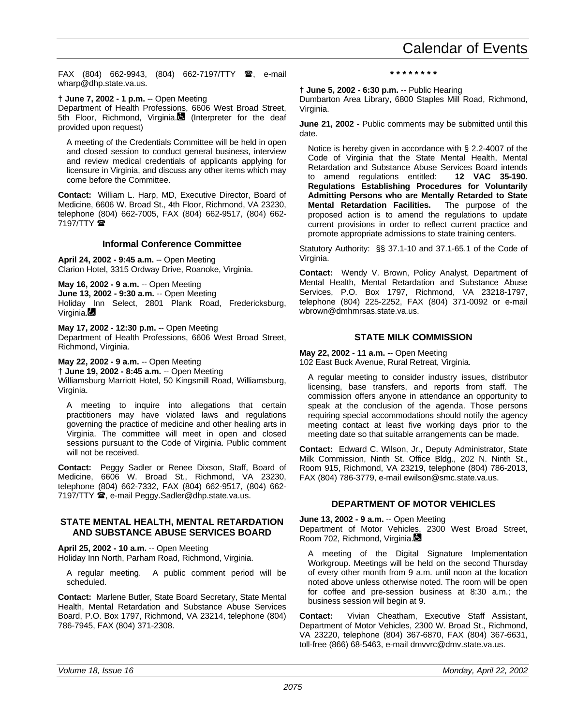FAX (804) 662-9943, (804) 662-7197/TTY  $\mathbf{\mathcal{F}}$ , e-mail wharp@dhp.state.va.us.

**† June 7, 2002 - 1 p.m.** -- Open Meeting

Department of Health Professions, 6606 West Broad Street, 5th Floor, Richmond, Virginia. (Interpreter for the deaf provided upon request)

A meeting of the Credentials Committee will be held in open and closed session to conduct general business, interview and review medical credentials of applicants applying for licensure in Virginia, and discuss any other items which may come before the Committee.

**Contact:** William L. Harp, MD, Executive Director, Board of Medicine, 6606 W. Broad St., 4th Floor, Richmond, VA 23230, telephone (804) 662-7005, FAX (804) 662-9517, (804) 662- 7197/TTY <sup>2</sup>

## **Informal Conference Committee**

**April 24, 2002 - 9:45 a.m.** -- Open Meeting Clarion Hotel, 3315 Ordway Drive, Roanoke, Virginia.

**May 16, 2002 - 9 a.m.** -- Open Meeting **June 13, 2002 - 9:30 a.m.** -- Open Meeting

Holiday Inn Select, 2801 Plank Road, Fredericksburg, Virginia.

**May 17, 2002 - 12:30 p.m.** -- Open Meeting Department of Health Professions, 6606 West Broad Street, Richmond, Virginia.

**May 22, 2002 - 9 a.m.** -- Open Meeting **† June 19, 2002 - 8:45 a.m.** -- Open Meeting Williamsburg Marriott Hotel, 50 Kingsmill Road, Williamsburg, Virginia.

A meeting to inquire into allegations that certain practitioners may have violated laws and regulations governing the practice of medicine and other healing arts in Virginia. The committee will meet in open and closed sessions pursuant to the Code of Virginia. Public comment will not be received.

**Contact:** Peggy Sadler or Renee Dixson, Staff, Board of Medicine, 6606 W. Broad St., Richmond, VA 23230, telephone (804) 662-7332, FAX (804) 662-9517, (804) 662- 7197/TTY **@**, e-mail Peggy.Sadler@dhp.state.va.us.

## **STATE MENTAL HEALTH, MENTAL RETARDATION AND SUBSTANCE ABUSE SERVICES BOARD**

**April 25, 2002 - 10 a.m.** -- Open Meeting Holiday Inn North, Parham Road, Richmond, Virginia.

A regular meeting. A public comment period will be scheduled.

**Contact:** Marlene Butler, State Board Secretary, State Mental Health, Mental Retardation and Substance Abuse Services Board, P.O. Box 1797, Richmond, VA 23214, telephone (804) 786-7945, FAX (804) 371-2308.

## **\* \* \* \* \* \* \* \***

**† June 5, 2002 - 6:30 p.m.** -- Public Hearing

Dumbarton Area Library, 6800 Staples Mill Road, Richmond, Virginia.

**June 21, 2002 - Public comments may be submitted until this** date.

Notice is hereby given in accordance with § 2.2-4007 of the Code of Virginia that the State Mental Health, Mental Retardation and Substance Abuse Services Board intends to amend regulations entitled: **12 VAC 35-190. Regulations Establishing Procedures for Voluntarily Admitting Persons who are Mentally Retarded to State Mental Retardation Facilities.** The purpose of the proposed action is to amend the regulations to update current provisions in order to reflect current practice and promote appropriate admissions to state training centers.

Statutory Authority: §§ 37.1-10 and 37.1-65.1 of the Code of Virginia.

**Contact:** Wendy V. Brown, Policy Analyst, Department of Mental Health, Mental Retardation and Substance Abuse Services, P.O. Box 1797, Richmond, VA 23218-1797, telephone (804) 225-2252, FAX (804) 371-0092 or e-mail wbrown@dmhmrsas.state.va.us.

## **STATE MILK COMMISSION**

**May 22, 2002 - 11 a.m.** -- Open Meeting 102 East Buck Avenue, Rural Retreat, Virginia.

A regular meeting to consider industry issues, distributor licensing, base transfers, and reports from staff. The commission offers anyone in attendance an opportunity to speak at the conclusion of the agenda. Those persons requiring special accommodations should notify the agency meeting contact at least five working days prior to the meeting date so that suitable arrangements can be made.

**Contact:** Edward C. Wilson, Jr., Deputy Administrator, State Milk Commission, Ninth St. Office Bldg., 202 N. Ninth St., Room 915, Richmond, VA 23219, telephone (804) 786-2013, FAX (804) 786-3779, e-mail ewilson@smc.state.va.us.

## **DEPARTMENT OF MOTOR VEHICLES**

**June 13, 2002 - 9 a.m.** -- Open Meeting

Department of Motor Vehicles, 2300 West Broad Street, Room 702, Richmond, Virginia.

A meeting of the Digital Signature Implementation Workgroup. Meetings will be held on the second Thursday of every other month from 9 a.m. until noon at the location noted above unless otherwise noted. The room will be open for coffee and pre-session business at 8:30 a.m.; the business session will begin at 9.

**Contact:** Vivian Cheatham, Executive Staff Assistant, Department of Motor Vehicles, 2300 W. Broad St., Richmond, VA 23220, telephone (804) 367-6870, FAX (804) 367-6631, toll-free (866) 68-5463, e-mail dmvvrc@dmv.state.va.us.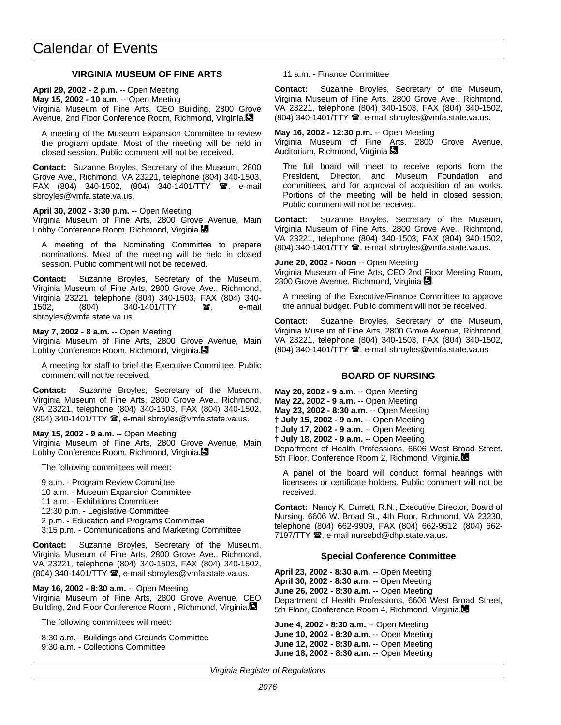## **VIRGINIA MUSEUM OF FINE ARTS**

**April 29, 2002 - 2 p.m.** -- Open Meeting **May 15, 2002 - 10 a.m**. -- Open Meeting Virginia Museum of Fine Arts, CEO Building, 2800 Grove Avenue, 2nd Floor Conference Room, Richmond, Virginia.

A meeting of the Museum Expansion Committee to review the program update. Most of the meeting will be held in closed session. Public comment will not be received.

**Contact:** Suzanne Broyles, Secretary of the Museum, 2800 Grove Ave., Richmond, VA 23221, telephone (804) 340-1503, FAX (804) 340-1502, (804) 340-1401/TTY  $\bullet$ , e-mail sbroyles@vmfa.state.va.us.

**April 30, 2002 - 3:30 p.m.** -- Open Meeting

Virginia Museum of Fine Arts, 2800 Grove Avenue, Main Lobby Conference Room, Richmond, Virginia.

A meeting of the Nominating Committee to prepare nominations. Most of the meeting will be held in closed session. Public comment will not be received.

**Contact:** Suzanne Broyles, Secretary of the Museum, Virginia Museum of Fine Arts, 2800 Grove Ave., Richmond, Virginia 23221, telephone (804) 340-1503, FAX (804) 340- 1502, (804) 340-1401/TTY **a**, e-mail sbroyles@vmfa.state.va.us.

**May 7, 2002 - 8 a.m.** -- Open Meeting

Virginia Museum of Fine Arts, 2800 Grove Avenue, Main Lobby Conference Room, Richmond, Virginia.

A meeting for staff to brief the Executive Committee. Public comment will not be received.

**Contact:** Suzanne Broyles, Secretary of the Museum, Virginia Museum of Fine Arts, 2800 Grove Ave., Richmond, VA 23221, telephone (804) 340-1503, FAX (804) 340-1502, (804) 340-1401/TTY <sup>2</sup>, e-mail sbroyles@vmfa.state.va.us.

**May 15, 2002 - 9 a.m.** -- Open Meeting

Virginia Museum of Fine Arts, 2800 Grove Avenue, Main Lobby Conference Room, Richmond, Virginia.

The following committees will meet:

9 a.m. - Program Review Committee

10 a.m. - Museum Expansion Committee

11 a.m. - Exhibitions Committee

12:30 p.m. - Legislative Committee

2 p.m. - Education and Programs Committee

3:15 p.m. - Communications and Marketing Committee

**Contact:** Suzanne Broyles, Secretary of the Museum, Virginia Museum of Fine Arts, 2800 Grove Ave., Richmond, VA 23221, telephone (804) 340-1503, FAX (804) 340-1502,  $(804)$  340-1401/TTY  $\hat{=}$ , e-mail sbroyles@vmfa.state.va.us.

**May 16, 2002 - 8:30 a.m.** -- Open Meeting Virginia Museum of Fine Arts, 2800 Grove Avenue, CEO Building, 2nd Floor Conference Room, Richmond, Virginia.

The following committees will meet:

8:30 a.m. - Buildings and Grounds Committee 9:30 a.m. - Collections Committee

11 a.m. - Finance Committee

**Contact:** Suzanne Broyles, Secretary of the Museum, Virginia Museum of Fine Arts, 2800 Grove Ave., Richmond, VA 23221, telephone (804) 340-1503, FAX (804) 340-1502,  $(804)$  340-1401/TTY  $\hat{=}$ , e-mail sbroyles@vmfa.state.va.us.

**May 16, 2002 - 12:30 p.m.** -- Open Meeting Virginia Museum of Fine Arts, 2800 Grove Avenue, Auditorium, Richmond, Virginia

The full board will meet to receive reports from the President, Director, and Museum Foundation and committees, and for approval of acquisition of art works. Portions of the meeting will be held in closed session. Public comment will not be received.

**Contact:** Suzanne Broyles, Secretary of the Museum, Virginia Museum of Fine Arts, 2800 Grove Ave., Richmond, VA 23221, telephone (804) 340-1503, FAX (804) 340-1502, (804) 340-1401/TTY 雪, e-mail sbroyles@vmfa.state.va.us.

#### **June 20, 2002 - Noon** -- Open Meeting

Virginia Museum of Fine Arts, CEO 2nd Floor Meeting Room, 2800 Grove Avenue, Richmond, Virginia

A meeting of the Executive/Finance Committee to approve the annual budget. Public comment will not be received.

**Contact:** Suzanne Broyles, Secretary of the Museum, Virginia Museum of Fine Arts, 2800 Grove Avenue, Richmond, VA 23221, telephone (804) 340-1503, FAX (804) 340-1502,  $(804)$  340-1401/TTY  $\mathbf{\mathcal{D}}$ , e-mail sbroyles@vmfa.state.va.us

## **BOARD OF NURSING**

**May 20, 2002 - 9 a.m.** -- Open Meeting **May 22, 2002 - 9 a.m.** -- Open Meeting **May 23, 2002 - 8:30 a.m.** -- Open Meeting **† July 15, 2002 - 9 a.m.** -- Open Meeting **† July 17, 2002 - 9 a.m.** -- Open Meeting **† July 18, 2002 - 9 a.m.** -- Open Meeting

Department of Health Professions, 6606 West Broad Street, 5th Floor, Conference Room 2, Richmond, Virginia.

A panel of the board will conduct formal hearings with licensees or certificate holders. Public comment will not be received.

**Contact:** Nancy K. Durrett, R.N., Executive Director, Board of Nursing, 6606 W. Broad St., 4th Floor, Richmond, VA 23230, telephone (804) 662-9909, FAX (804) 662-9512, (804) 662- 7197/TTY <sup>2</sup>, e-mail nursebd@dhp.state.va.us.

### **Special Conference Committee**

**April 23, 2002 - 8:30 a.m.** -- Open Meeting **April 30, 2002 - 8:30 a.m.** -- Open Meeting **June 26, 2002 - 8:30 a.m.** -- Open Meeting Department of Health Professions, 6606 West Broad Street, 5th Floor, Conference Room 4, Richmond, Virginia.

**June 4, 2002 - 8:30 a.m.** -- Open Meeting **June 10, 2002 - 8:30 a.m.** -- Open Meeting **June 12, 2002 - 8:30 a.m.** -- Open Meeting **June 18, 2002 - 8:30 a.m.** -- Open Meeting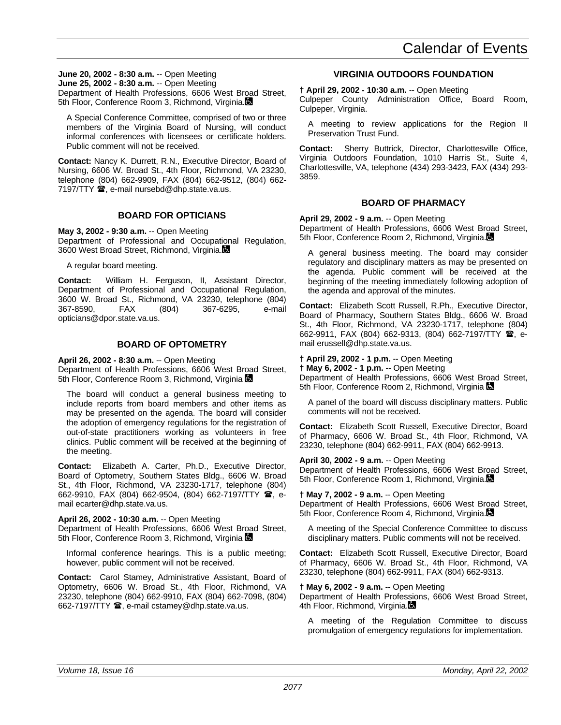**June 20, 2002 - 8:30 a.m.** -- Open Meeting **June 25, 2002 - 8:30 a.m.** -- Open Meeting Department of Health Professions, 6606 West Broad Street, 5th Floor, Conference Room 3, Richmond, Virginia.

A Special Conference Committee, comprised of two or three members of the Virginia Board of Nursing, will conduct informal conferences with licensees or certificate holders. Public comment will not be received.

**Contact:** Nancy K. Durrett, R.N., Executive Director, Board of Nursing, 6606 W. Broad St., 4th Floor, Richmond, VA 23230, telephone (804) 662-9909, FAX (804) 662-9512, (804) 662- 7197/TTY **a**, e-mail nursebd@dhp.state.va.us.

## **BOARD FOR OPTICIANS**

**May 3, 2002 - 9:30 a.m.** -- Open Meeting Department of Professional and Occupational Regulation, 3600 West Broad Street, Richmond, Virginia.

A regular board meeting.

**Contact:** William H. Ferguson, II, Assistant Director, Department of Professional and Occupational Regulation, 3600 W. Broad St., Richmond, VA 23230, telephone (804) 367-8590, FAX (804) 367-6295, e-mail opticians@dpor.state.va.us.

## **BOARD OF OPTOMETRY**

**April 26, 2002 - 8:30 a.m.** -- Open Meeting Department of Health Professions, 6606 West Broad Street, 5th Floor, Conference Room 3, Richmond, Virginia  $\blacksquare$ 

The board will conduct a general business meeting to include reports from board members and other items as may be presented on the agenda. The board will consider the adoption of emergency regulations for the registration of out-of-state practitioners working as volunteers in free clinics. Public comment will be received at the beginning of the meeting.

**Contact:** Elizabeth A. Carter, Ph.D., Executive Director, Board of Optometry, Southern States Bldg., 6606 W. Broad St., 4th Floor, Richmond, VA 23230-1717, telephone (804) 662-9910, FAX (804) 662-9504, (804) 662-7197/TTY  $\hat{B}$ , email ecarter@dhp.state.va.us.

## **April 26, 2002 - 10:30 a.m.** -- Open Meeting

Department of Health Professions, 6606 West Broad Street, 5th Floor, Conference Room 3, Richmond, Virginia

Informal conference hearings. This is a public meeting; however, public comment will not be received.

**Contact:** Carol Stamey, Administrative Assistant, Board of Optometry, 6606 W. Broad St., 4th Floor, Richmond, VA 23230, telephone (804) 662-9910, FAX (804) 662-7098, (804) 662-7197/TTY <sup>3</sup>, e-mail cstamey@dhp.state.va.us.

## **VIRGINIA OUTDOORS FOUNDATION**

**† April 29, 2002 - 10:30 a.m.** -- Open Meeting

Culpeper County Administration Office, Board Room, Culpeper, Virginia.

A meeting to review applications for the Region II Preservation Trust Fund.

**Contact:** Sherry Buttrick, Director, Charlottesville Office, Virginia Outdoors Foundation, 1010 Harris St., Suite 4, Charlottesville, VA, telephone (434) 293-3423, FAX (434) 293- 3859.

## **BOARD OF PHARMACY**

**April 29, 2002 - 9 a.m.** -- Open Meeting Department of Health Professions, 6606 West Broad Street, 5th Floor, Conference Room 2, Richmond, Virginia.

A general business meeting. The board may consider regulatory and disciplinary matters as may be presented on the agenda. Public comment will be received at the beginning of the meeting immediately following adoption of the agenda and approval of the minutes.

**Contact:** Elizabeth Scott Russell, R.Ph., Executive Director, Board of Pharmacy, Southern States Bldg., 6606 W. Broad St., 4th Floor, Richmond, VA 23230-1717, telephone (804) 662-9911, FAX (804) 662-9313, (804) 662-7197/TTY **雷**, email erussell@dhp.state.va.us.

## **† April 29, 2002 - 1 p.m.** -- Open Meeting

**† May 6, 2002 - 1 p.m.** -- Open Meeting Department of Health Professions, 6606 West Broad Street, 5th Floor, Conference Room 2, Richmond, Virginia

A panel of the board will discuss disciplinary matters. Public comments will not be received.

**Contact:** Elizabeth Scott Russell, Executive Director, Board of Pharmacy, 6606 W. Broad St., 4th Floor, Richmond, VA 23230, telephone (804) 662-9911, FAX (804) 662-9913.

**April 30, 2002 - 9 a.m.** -- Open Meeting Department of Health Professions, 6606 West Broad Street, 5th Floor, Conference Room 1, Richmond, Virginia.

**† May 7, 2002 - 9 a.m.** -- Open Meeting

Department of Health Professions, 6606 West Broad Street, 5th Floor, Conference Room 4, Richmond, Virginia.

A meeting of the Special Conference Committee to discuss disciplinary matters. Public comments will not be received.

**Contact:** Elizabeth Scott Russell, Executive Director, Board of Pharmacy, 6606 W. Broad St., 4th Floor, Richmond, VA 23230, telephone (804) 662-9911, FAX (804) 662-9313.

**† May 6, 2002 - 9 a.m.** -- Open Meeting

Department of Health Professions, 6606 West Broad Street, 4th Floor, Richmond, Virginia.

A meeting of the Regulation Committee to discuss promulgation of emergency regulations for implementation.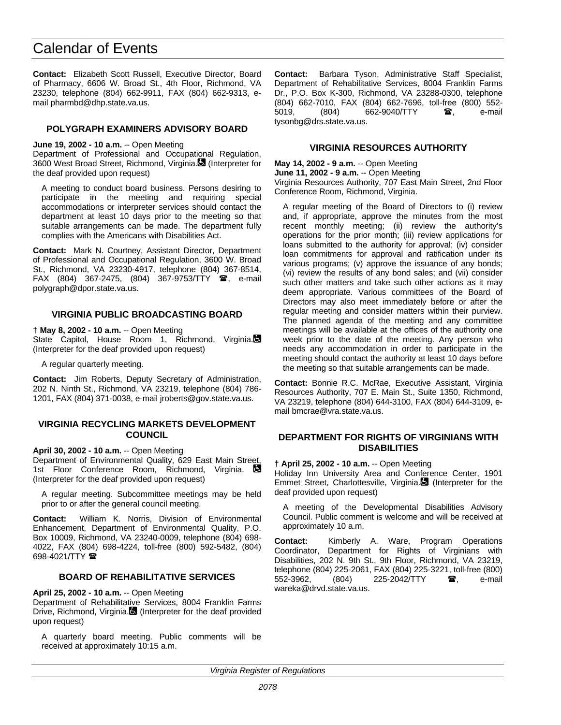**Contact:** Elizabeth Scott Russell, Executive Director, Board of Pharmacy, 6606 W. Broad St., 4th Floor, Richmond, VA 23230, telephone (804) 662-9911, FAX (804) 662-9313, email pharmbd@dhp.state.va.us.

## **POLYGRAPH EXAMINERS ADVISORY BOARD**

#### **June 19, 2002 - 10 a.m.** -- Open Meeting

Department of Professional and Occupational Regulation, 3600 West Broad Street, Richmond, Virginia. (Interpreter for the deaf provided upon request)

A meeting to conduct board business. Persons desiring to participate in the meeting and requiring special accommodations or interpreter services should contact the department at least 10 days prior to the meeting so that suitable arrangements can be made. The department fully complies with the Americans with Disabilities Act.

**Contact:** Mark N. Courtney, Assistant Director, Department of Professional and Occupational Regulation, 3600 W. Broad St., Richmond, VA 23230-4917, telephone (804) 367-8514, FAX (804) 367-2475, (804) 367-9753/TTY  $\mathbf{\mathcal{F}}$ , e-mail polygraph@dpor.state.va.us.

## **VIRGINIA PUBLIC BROADCASTING BOARD**

**† May 8, 2002 - 10 a.m.** -- Open Meeting State Capitol, House Room 1, Richmond, Virginia. (Interpreter for the deaf provided upon request)

A regular quarterly meeting.

**Contact:** Jim Roberts, Deputy Secretary of Administration, 202 N. Ninth St., Richmond, VA 23219, telephone (804) 786- 1201, FAX (804) 371-0038, e-mail jroberts@gov.state.va.us.

#### **VIRGINIA RECYCLING MARKETS DEVELOPMENT COUNCIL**

**April 30, 2002 - 10 a.m.** -- Open Meeting Department of Environmental Quality, 629 East Main Street, 1st Floor Conference Room, Richmond, Virginia. (Interpreter for the deaf provided upon request)

A regular meeting. Subcommittee meetings may be held prior to or after the general council meeting.

**Contact:** William K. Norris, Division of Environmental Enhancement, Department of Environmental Quality, P.O. Box 10009, Richmond, VA 23240-0009, telephone (804) 698- 4022, FAX (804) 698-4224, toll-free (800) 592-5482, (804) 698-4021/TTY **雷** 

### **BOARD OF REHABILITATIVE SERVICES**

**April 25, 2002 - 10 a.m.** -- Open Meeting

Department of Rehabilitative Services, 8004 Franklin Farms Drive, Richmond, Virginia. (Interpreter for the deaf provided upon request)

A quarterly board meeting. Public comments will be received at approximately 10:15 a.m.

**Contact:** Barbara Tyson, Administrative Staff Specialist, Department of Rehabilitative Services, 8004 Franklin Farms Dr., P.O. Box K-300, Richmond, VA 23288-0300, telephone (804) 662-7010, FAX (804) 662-7696, toll-free (800) 552- 5019, (804) 662-9040/TTY **雷**, e-mail tysonbg@drs.state.va.us.

## **VIRGINIA RESOURCES AUTHORITY**

**May 14, 2002 - 9 a.m.** -- Open Meeting **June 11, 2002 - 9 a.m.** -- Open Meeting Virginia Resources Authority, 707 East Main Street, 2nd Floor Conference Room, Richmond, Virginia.

A regular meeting of the Board of Directors to (i) review and, if appropriate, approve the minutes from the most recent monthly meeting; (ii) review the authority's operations for the prior month; (iii) review applications for loans submitted to the authority for approval; (iv) consider loan commitments for approval and ratification under its various programs; (v) approve the issuance of any bonds; (vi) review the results of any bond sales; and (vii) consider such other matters and take such other actions as it may deem appropriate. Various committees of the Board of Directors may also meet immediately before or after the regular meeting and consider matters within their purview. The planned agenda of the meeting and any committee meetings will be available at the offices of the authority one week prior to the date of the meeting. Any person who needs any accommodation in order to participate in the meeting should contact the authority at least 10 days before the meeting so that suitable arrangements can be made.

**Contact:** Bonnie R.C. McRae, Executive Assistant, Virginia Resources Authority, 707 E. Main St., Suite 1350, Richmond, VA 23219, telephone (804) 644-3100, FAX (804) 644-3109, email bmcrae@vra.state.va.us.

## **DEPARTMENT FOR RIGHTS OF VIRGINIANS WITH DISABILITIES**

**† April 25, 2002 - 10 a.m.** -- Open Meeting

Holiday Inn University Area and Conference Center, 1901 Emmet Street, Charlottesville, Virginia. (Interpreter for the deaf provided upon request)

A meeting of the Developmental Disabilities Advisory Council. Public comment is welcome and will be received at approximately 10 a.m.

**Contact:** Kimberly A. Ware, Program Operations Coordinator, Department for Rights of Virginians with Disabilities, 202 N. 9th St., 9th Floor, Richmond, VA 23219, telephone (804) 225-2061, FAX (804) 225-3221, toll-free (800) 552-3962, (804) 225-2042/TTY **雷**, e-mail wareka@drvd.state.va.us.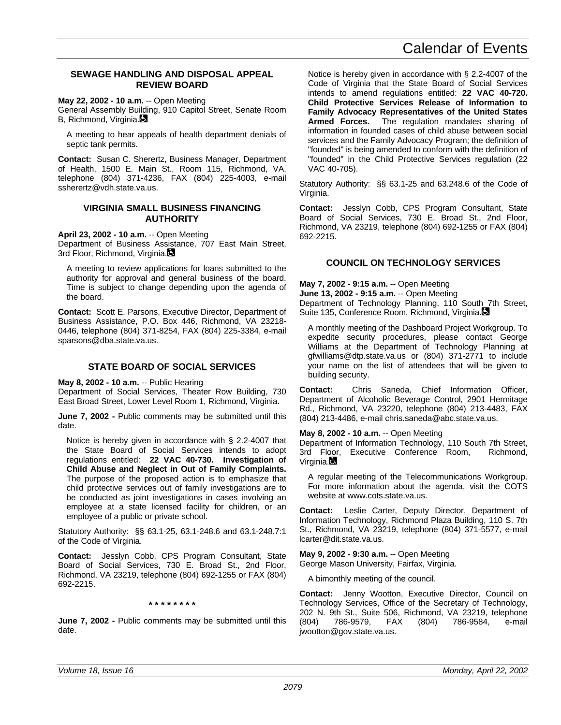### **SEWAGE HANDLING AND DISPOSAL APPEAL REVIEW BOARD**

**May 22, 2002 - 10 a.m.** -- Open Meeting

General Assembly Building, 910 Capitol Street, Senate Room B, Richmond, Virginia.

A meeting to hear appeals of health department denials of septic tank permits.

**Contact:** Susan C. Sherertz, Business Manager, Department of Health, 1500 E. Main St., Room 115, Richmond, VA, telephone (804) 371-4236, FAX (804) 225-4003, e-mail ssherertz@vdh.state.va.us.

## **VIRGINIA SMALL BUSINESS FINANCING AUTHORITY**

#### **April 23, 2002 - 10 a.m.** -- Open Meeting

Department of Business Assistance, 707 East Main Street, 3rd Floor, Richmond, Virginia.

A meeting to review applications for loans submitted to the authority for approval and general business of the board. Time is subject to change depending upon the agenda of the board.

**Contact:** Scott E. Parsons, Executive Director, Department of Business Assistance, P.O. Box 446, Richmond, VA 23218- 0446, telephone (804) 371-8254, FAX (804) 225-3384, e-mail sparsons@dba.state.va.us.

## **STATE BOARD OF SOCIAL SERVICES**

**May 8, 2002 - 10 a.m.** -- Public Hearing

Department of Social Services, Theater Row Building, 730 East Broad Street, Lower Level Room 1, Richmond, Virginia.

**June 7, 2002 - Public comments may be submitted until this** date.

Notice is hereby given in accordance with § 2.2-4007 that the State Board of Social Services intends to adopt regulations entitled: **22 VAC 40-730. Investigation of Child Abuse and Neglect in Out of Family Complaints.** The purpose of the proposed action is to emphasize that child protective services out of family investigations are to be conducted as joint investigations in cases involving an employee at a state licensed facility for children, or an employee of a public or private school.

Statutory Authority: §§ 63.1-25, 63.1-248.6 and 63.1-248.7:1 of the Code of Virginia.

**Contact:** Jesslyn Cobb, CPS Program Consultant, State Board of Social Services, 730 E. Broad St., 2nd Floor, Richmond, VA 23219, telephone (804) 692-1255 or FAX (804) 692-2215.

**\* \* \* \* \* \* \* \***

**June 7, 2002 -** Public comments may be submitted until this date.

Notice is hereby given in accordance with § 2.2-4007 of the Code of Virginia that the State Board of Social Services intends to amend regulations entitled: **22 VAC 40-720. Child Protective Services Release of Information to Family Advocacy Representatives of the United States Armed Forces.** The regulation mandates sharing of information in founded cases of child abuse between social services and the Family Advocacy Program; the definition of "founded" is being amended to conform with the definition of "founded" in the Child Protective Services regulation (22 VAC 40-705).

Statutory Authority: §§ 63.1-25 and 63.248.6 of the Code of Virginia.

**Contact:** Jesslyn Cobb, CPS Program Consultant, State Board of Social Services, 730 E. Broad St., 2nd Floor, Richmond, VA 23219, telephone (804) 692-1255 or FAX (804) 692-2215.

## **COUNCIL ON TECHNOLOGY SERVICES**

**May 7, 2002 - 9:15 a.m.** -- Open Meeting

**June 13, 2002 - 9:15 a.m.** -- Open Meeting

Department of Technology Planning, 110 South 7th Street, Suite 135, Conference Room, Richmond, Virginia.

A monthly meeting of the Dashboard Project Workgroup. To expedite security procedures, please contact George Williams at the Department of Technology Planning at gfwilliams@dtp.state.va.us or (804) 371-2771 to include your name on the list of attendees that will be given to building security.

**Contact:** Chris Saneda, Chief Information Officer, Department of Alcoholic Beverage Control, 2901 Hermitage Rd., Richmond, VA 23220, telephone (804) 213-4483, FAX (804) 213-4486, e-mail chris.saneda@abc.state.va.us.

**May 8, 2002 - 10 a.m.** -- Open Meeting

Department of Information Technology, 110 South 7th Street, 3rd Floor, Executive Conference Room, Richmond, Virginia.

A regular meeting of the Telecommunications Workgroup. For more information about the agenda, visit the COTS website at www.cots.state.va.us.

**Contact:** Leslie Carter, Deputy Director, Department of Information Technology, Richmond Plaza Building, 110 S. 7th St., Richmond, VA 23219, telephone (804) 371-5577, e-mail lcarter@dit.state.va.us.

**May 9, 2002 - 9:30 a.m.** -- Open Meeting George Mason University, Fairfax, Virginia.

A bimonthly meeting of the council.

**Contact:** Jenny Wootton, Executive Director, Council on Technology Services, Office of the Secretary of Technology, 202 N. 9th St., Suite 506, Richmond, VA 23219, telephone (804) 786-9579, FAX (804) 786-9584, e-mail jwootton@gov.state.va.us.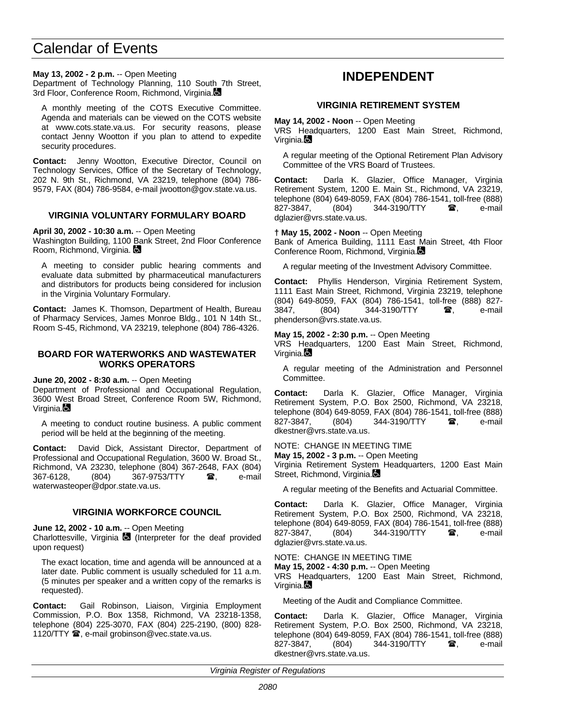## <span id="page-67-0"></span>**May 13, 2002 - 2 p.m.** -- Open Meeting

Department of Technology Planning, 110 South 7th Street, 3rd Floor, Conference Room, Richmond, Virginia.

A monthly meeting of the COTS Executive Committee. Agenda and materials can be viewed on the COTS website at www.cots.state.va.us. For security reasons, please contact Jenny Wootton if you plan to attend to expedite security procedures.

**Contact:** Jenny Wootton, Executive Director, Council on Technology Services, Office of the Secretary of Technology, 202 N. 9th St., Richmond, VA 23219, telephone (804) 786- 9579, FAX (804) 786-9584, e-mail jwootton@gov.state.va.us.

## **VIRGINIA VOLUNTARY FORMULARY BOARD**

#### **April 30, 2002 - 10:30 a.m.** -- Open Meeting

Washington Building, 1100 Bank Street, 2nd Floor Conference Room, Richmond, Virginia.

A meeting to consider public hearing comments and evaluate data submitted by pharmaceutical manufacturers and distributors for products being considered for inclusion in the Virginia Voluntary Formulary.

**Contact:** James K. Thomson, Department of Health, Bureau of Pharmacy Services, James Monroe Bldg., 101 N 14th St., Room S-45, Richmond, VA 23219, telephone (804) 786-4326.

## **BOARD FOR WATERWORKS AND WASTEWATER WORKS OPERATORS**

**June 20, 2002 - 8:30 a.m.** -- Open Meeting

Department of Professional and Occupational Regulation, 3600 West Broad Street, Conference Room 5W, Richmond, Virginia.**La** 

A meeting to conduct routine business. A public comment period will be held at the beginning of the meeting.

**Contact:** David Dick, Assistant Director, Department of Professional and Occupational Regulation, 3600 W. Broad St., Richmond, VA 23230, telephone (804) 367-2648, FAX (804) 367-6128, (804) 367-9753/TTY  $\circledR$ , e-mail waterwasteoper@dpor.state.va.us.

## **VIRGINIA WORKFORCE COUNCIL**

**June 12, 2002 - 10 a.m.** -- Open Meeting

Charlottesville, Virginia  $\blacksquare$  (Interpreter for the deaf provided upon request)

The exact location, time and agenda will be announced at a later date. Public comment is usually scheduled for 11 a.m. (5 minutes per speaker and a written copy of the remarks is requested).

**Contact:** Gail Robinson, Liaison, Virginia Employment Commission, P.O. Box 1358, Richmond, VA 23218-1358, telephone (804) 225-3070, FAX (804) 225-2190, (800) 828- 1120/TTY <sup>3</sup>, e-mail grobinson@vec.state.va.us.

## **INDEPENDENT**

## **VIRGINIA RETIREMENT SYSTEM**

**May 14, 2002 - Noon** -- Open Meeting

VRS Headquarters, 1200 East Main Street, Richmond, Virginia.

A regular meeting of the Optional Retirement Plan Advisory Committee of the VRS Board of Trustees.

**Contact:** Darla K. Glazier, Office Manager, Virginia Retirement System, 1200 E. Main St., Richmond, VA 23219, telephone (804) 649-8059, FAX (804) 786-1541, toll-free (888) 827-3847, (804) 344-3190/TTY **雷**, e-mail dglazier@vrs.state.va.us.

### **† May 15, 2002 - Noon** -- Open Meeting

Bank of America Building, 1111 East Main Street, 4th Floor Conference Room, Richmond, Virginia.

A regular meeting of the Investment Advisory Committee.

**Contact:** Phyllis Henderson, Virginia Retirement System, 1111 East Main Street, Richmond, Virginia 23219, telephone (804) 649-8059, FAX (804) 786-1541, toll-free (888) 827- 3847, (804) 344-3190/TTY **a**, e-mail phenderson@vrs.state.va.us.

### **May 15, 2002 - 2:30 p.m.** -- Open Meeting

VRS Headquarters, 1200 East Main Street, Richmond, Virginia.

A regular meeting of the Administration and Personnel Committee.

**Contact:** Darla K. Glazier, Office Manager, Virginia Retirement System, P.O. Box 2500, Richmond, VA 23218, telephone (804) 649-8059, FAX (804) 786-1541, toll-free (888) 827-3847, (804) 344-3190/TTY **a**, e-mail dkestner@vrs.state.va.us.

NOTE: CHANGE IN MEETING TIME

**May 15, 2002 - 3 p.m.** -- Open Meeting

Virginia Retirement System Headquarters, 1200 East Main Street, Richmond, Virginia.

A regular meeting of the Benefits and Actuarial Committee.

**Contact:** Darla K. Glazier, Office Manager, Virginia Retirement System, P.O. Box 2500, Richmond, VA 23218, telephone (804) 649-8059, FAX (804) 786-1541, toll-free (888) 827-3847, (804) 344-3190/TTY **雷**, e-mail dglazier@vrs.state.va.us.

NOTE: CHANGE IN MEETING TIME

**May 15, 2002 - 4:30 p.m.** -- Open Meeting

VRS Headquarters, 1200 East Main Street, Richmond, Virginia.

Meeting of the Audit and Compliance Committee.

**Contact:** Darla K. Glazier, Office Manager, Virginia Retirement System, P.O. Box 2500, Richmond, VA 23218, telephone (804) 649-8059, FAX (804) 786-1541, toll-free (888) (804) 344-3190/TTY **a**, e-mail dkestner@vrs.state.va.us.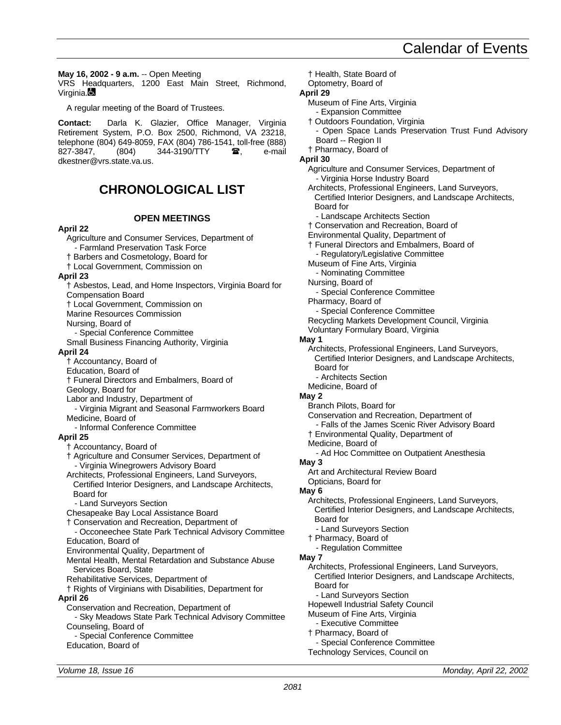<span id="page-68-0"></span>**May 16, 2002 - 9 a.m.** -- Open Meeting

VRS Headquarters, 1200 East Main Street, Richmond, Virginia.

A regular meeting of the Board of Trustees.

**Contact:** Darla K. Glazier, Office Manager, Virginia Retirement System, P.O. Box 2500, Richmond, VA 23218, telephone (804) 649-8059, FAX (804) 786-1541, toll-free (888) 827-3847, (804) 344-3190/TTY **雷,** e-mail dkestner@vrs.state.va.us.

## **CHRONOLOGICAL LIST**

## **OPEN MEETINGS**

## **April 22**

Agriculture and Consumer Services, Department of - Farmland Preservation Task Force † Barbers and Cosmetology, Board for † Local Government, Commission on **April 23** † Asbestos, Lead, and Home Inspectors, Virginia Board for Compensation Board † Local Government, Commission on Marine Resources Commission Nursing, Board of - Special Conference Committee Small Business Financing Authority, Virginia **April 24** † Accountancy, Board of Education, Board of † Funeral Directors and Embalmers, Board of Geology, Board for Labor and Industry, Department of - Virginia Migrant and Seasonal Farmworkers Board Medicine, Board of - Informal Conference Committee **April 25** † Accountancy, Board of † Agriculture and Consumer Services, Department of - Virginia Winegrowers Advisory Board Architects, Professional Engineers, Land Surveyors, Certified Interior Designers, and Landscape Architects, Board for - Land Surveyors Section Chesapeake Bay Local Assistance Board † Conservation and Recreation, Department of - Occoneechee State Park Technical Advisory Committee Education, Board of Environmental Quality, Department of Mental Health, Mental Retardation and Substance Abuse Services Board, State Rehabilitative Services, Department of † Rights of Virginians with Disabilities, Department for **April 26** Conservation and Recreation, Department of - Sky Meadows State Park Technical Advisory Committee Counseling, Board of - Special Conference Committee Education, Board of

Optometry, Board of **April 29** Museum of Fine Arts, Virginia - Expansion Committee † Outdoors Foundation, Virginia Open Space Lands Preservation Trust Fund Advisory Board -- Region II † Pharmacy, Board of **April 30** Agriculture and Consumer Services, Department of - Virginia Horse Industry Board Architects, Professional Engineers, Land Surveyors, Certified Interior Designers, and Landscape Architects, Board for - Landscape Architects Section † Conservation and Recreation, Board of Environmental Quality, Department of † Funeral Directors and Embalmers, Board of Regulatory/Legislative Committee Museum of Fine Arts, Virginia - Nominating Committee Nursing, Board of Special Conference Committee Pharmacy, Board of - Special Conference Committee Recycling Markets Development Council, Virginia Voluntary Formulary Board, Virginia **May 1** Architects, Professional Engineers, Land Surveyors, Certified Interior Designers, and Landscape Architects, Board for - Architects Section Medicine, Board of **May 2** Branch Pilots, Board for Conservation and Recreation, Department of - Falls of the James Scenic River Advisory Board † Environmental Quality, Department of Medicine, Board of - Ad Hoc Committee on Outpatient Anesthesia **May 3** Art and Architectural Review Board Opticians, Board for **May 6** Architects, Professional Engineers, Land Surveyors, Certified Interior Designers, and Landscape Architects, Board for - Land Surveyors Section † Pharmacy, Board of - Regulation Committee **May 7** Architects, Professional Engineers, Land Surveyors, Certified Interior Designers, and Landscape Architects, Board for - Land Surveyors Section Hopewell Industrial Safety Council Museum of Fine Arts, Virginia - Executive Committee † Pharmacy, Board of

† Health, State Board of

Special Conference Committee Technology Services, Council on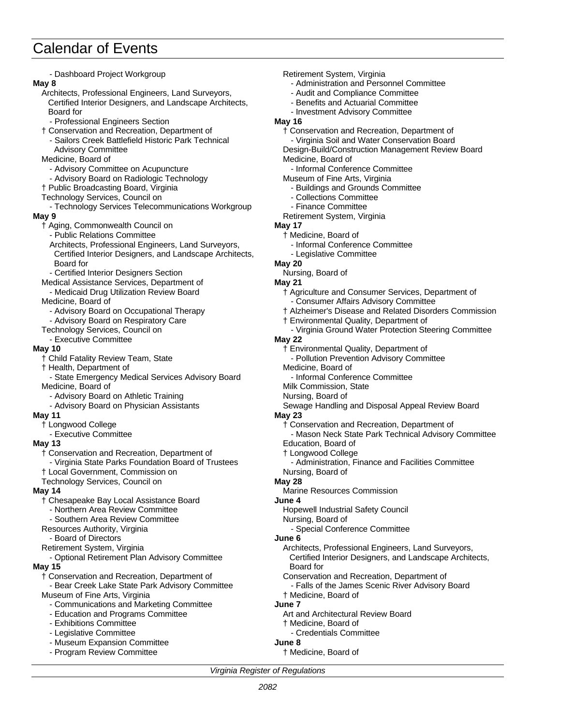| - Dashboard Project Workgroup                            | Retirement System, Virginia                             |
|----------------------------------------------------------|---------------------------------------------------------|
| May 8                                                    | - Administration and Personnel Committee                |
| Architects, Professional Engineers, Land Surveyors,      | - Audit and Compliance Committee                        |
| Certified Interior Designers, and Landscape Architects,  | - Benefits and Actuarial Committee                      |
| Board for                                                | - Investment Advisory Committee                         |
| - Professional Engineers Section                         | May 16                                                  |
| † Conservation and Recreation, Department of             | † Conservation and Recreation, Department of            |
| - Sailors Creek Battlefield Historic Park Technical      | - Virginia Soil and Water Conservation Board            |
| <b>Advisory Committee</b>                                | Design-Build/Construction Management Review Board       |
| Medicine, Board of                                       | Medicine, Board of                                      |
| - Advisory Committee on Acupuncture                      | - Informal Conference Committee                         |
| - Advisory Board on Radiologic Technology                | Museum of Fine Arts, Virginia                           |
| † Public Broadcasting Board, Virginia                    | - Buildings and Grounds Committee                       |
| Technology Services, Council on                          | - Collections Committee                                 |
| - Technology Services Telecommunications Workgroup       | - Finance Committee                                     |
| May 9                                                    | Retirement System, Virginia                             |
| † Aging, Commonwealth Council on                         | May 17                                                  |
| - Public Relations Committee                             | † Medicine, Board of                                    |
| Architects, Professional Engineers, Land Surveyors,      | - Informal Conference Committee                         |
| Certified Interior Designers, and Landscape Architects,  | - Legislative Committee                                 |
| Board for                                                | <b>May 20</b>                                           |
| - Certified Interior Designers Section                   | Nursing, Board of                                       |
| Medical Assistance Services, Department of               | <b>May 21</b>                                           |
| - Medicaid Drug Utilization Review Board                 | † Agriculture and Consumer Services, Department of      |
| Medicine, Board of                                       | - Consumer Affairs Advisory Committee                   |
| - Advisory Board on Occupational Therapy                 | † Alzheimer's Disease and Related Disorders Commission  |
| - Advisory Board on Respiratory Care                     | † Environmental Quality, Department of                  |
| Technology Services, Council on<br>- Executive Committee | - Virginia Ground Water Protection Steering Committee   |
|                                                          | <b>May 22</b><br>† Environmental Quality, Department of |
| May 10<br>† Child Fatality Review Team, State            | - Pollution Prevention Advisory Committee               |
| † Health, Department of                                  | Medicine, Board of                                      |
| - State Emergency Medical Services Advisory Board        | - Informal Conference Committee                         |
| Medicine, Board of                                       | Milk Commission, State                                  |
| - Advisory Board on Athletic Training                    | Nursing, Board of                                       |
| - Advisory Board on Physician Assistants                 | Sewage Handling and Disposal Appeal Review Board        |
| May 11                                                   | <b>May 23</b>                                           |
| † Longwood College                                       | † Conservation and Recreation, Department of            |
| - Executive Committee                                    | - Mason Neck State Park Technical Advisory Committee    |
| <b>May 13</b>                                            | Education, Board of                                     |
| † Conservation and Recreation, Department of             | † Longwood College                                      |
| - Virginia State Parks Foundation Board of Trustees      | - Administration, Finance and Facilities Committee      |
| † Local Government, Commission on                        | Nursing, Board of                                       |
| Technology Services, Council on                          | <b>May 28</b>                                           |
| May 14                                                   | Marine Resources Commission                             |
| † Chesapeake Bay Local Assistance Board                  | June 4                                                  |
| - Northern Area Review Committee                         | Hopewell Industrial Safety Council                      |
| - Southern Area Review Committee                         | Nursing, Board of                                       |
| Resources Authority, Virginia                            | - Special Conference Committee                          |
| - Board of Directors                                     | June 6                                                  |
| Retirement System, Virginia                              | Architects, Professional Engineers, Land Surveyors,     |
| - Optional Retirement Plan Advisory Committee            | Certified Interior Designers, and Landscape Architects, |
| <b>May 15</b>                                            | Board for                                               |
| † Conservation and Recreation, Department of             | Conservation and Recreation, Department of              |
| - Bear Creek Lake State Park Advisory Committee          | - Falls of the James Scenic River Advisory Board        |
| Museum of Fine Arts, Virginia                            | † Medicine, Board of                                    |
| - Communications and Marketing Committee                 | June 7                                                  |
| - Education and Programs Committee                       | Art and Architectural Review Board                      |
| - Exhibitions Committee                                  | † Medicine, Board of                                    |
| - Legislative Committee                                  | - Credentials Committee                                 |
| - Museum Expansion Committee                             | June 8                                                  |
| - Program Review Committee                               | † Medicine, Board of                                    |
|                                                          |                                                         |